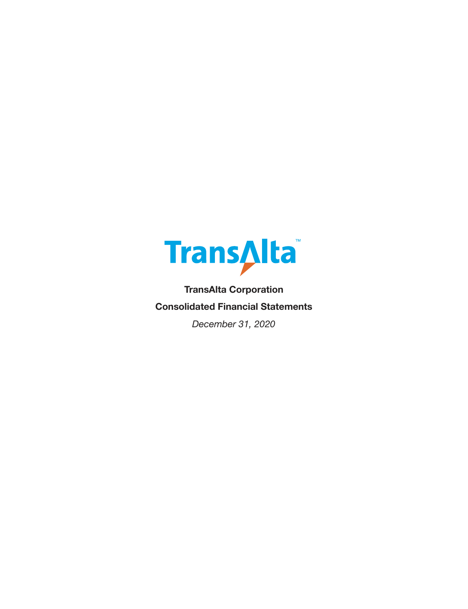

**TransAlta Corporation Consolidated Financial Statements**

*December 31, 2020*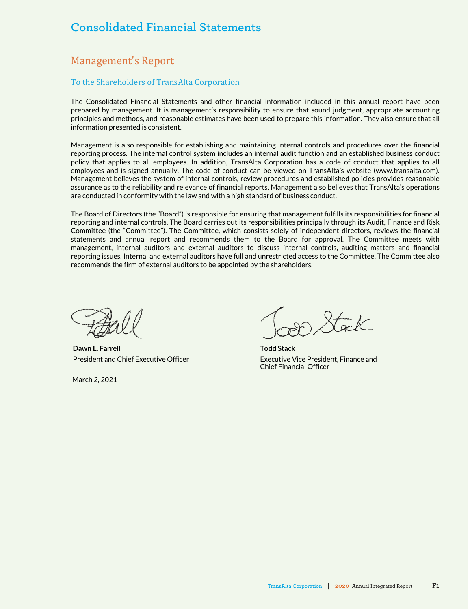# Consolidated Financial Statements **Consolidated Financial Statements**

## Management's Report

## To the Shareholders of TransAlta Corporation

The Consolidated Financial Statements and other financial information included in this annual report have been prepared by management. It is management's responsibility to ensure that sound judgment, appropriate accounting principles and methods, and reasonable estimates have been used to prepare this information. They also ensure that all information presented is consistent.

Management is also responsible for establishing and maintaining internal controls and procedures over the financial reporting process. The internal control system includes an internal audit function and an established business conduct policy that applies to all employees. In addition, TransAlta Corporation has a code of conduct that applies to all employees and is signed annually. The code of conduct can be viewed on TransAlta's website (www.transalta.com). Management believes the system of internal controls, review procedures and established policies provides reasonable assurance as to the reliability and relevance of financial reports. Management also believes that TransAlta's operations are conducted in conformity with the law and with a high standard of business conduct.

The Board of Directors (the "Board") is responsible for ensuring that management fulfills its responsibilities for financial reporting and internal controls. The Board carries out its responsibilities principally through its Audit, Finance and Risk Committee (the "Committee"). The Committee, which consists solely of independent directors, reviews the financial statements and annual report and recommends them to the Board for approval. The Committee meets with management, internal auditors and external auditors to discuss internal controls, auditing matters and financial reporting issues. Internal and external auditors have full and unrestricted access to the Committee. The Committee also recommends the firm of external auditors to be appointed by the shareholders.

**Dawn L. Farrell Todd Stack**

March 2, 2021

 $\forall \pi k$ 

President and Chief Executive Officer Executive Circuitive Vice President, Finance and Chief Financial Officer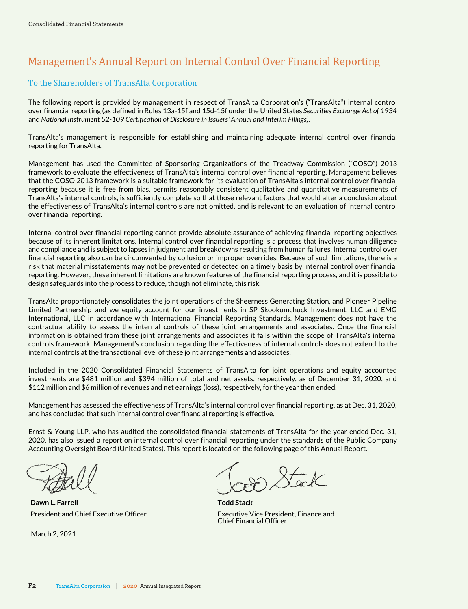## Management's Annual Report on Internal Control Over Financial Reporting

## To the Shareholders of TransAlta Corporation

The following report is provided by management in respect of TransAlta Corporation's ("TransAlta") internal control over financial reporting (as defined in Rules 13a-15f and 15d-15f under the United States *Securities Exchange Act of 1934* and *National Instrument 52-109 Certification of Disclosure in Issuers' Annual and Interim Filings).*

TransAlta's management is responsible for establishing and maintaining adequate internal control over financial reporting for TransAlta.

Management has used the Committee of Sponsoring Organizations of the Treadway Commission ("COSO") 2013 framework to evaluate the effectiveness of TransAlta's internal control over financial reporting. Management believes that the COSO 2013 framework is a suitable framework for its evaluation of TransAlta's internal control over financial reporting because it is free from bias, permits reasonably consistent qualitative and quantitative measurements of TransAlta's internal controls, is sufficiently complete so that those relevant factors that would alter a conclusion about the effectiveness of TransAlta's internal controls are not omitted, and is relevant to an evaluation of internal control over financial reporting.

Internal control over financial reporting cannot provide absolute assurance of achieving financial reporting objectives because of its inherent limitations. Internal control over financial reporting is a process that involves human diligence and compliance and is subject to lapses in judgment and breakdowns resulting from human failures. Internal control over financial reporting also can be circumvented by collusion or improper overrides. Because of such limitations, there is a risk that material misstatements may not be prevented or detected on a timely basis by internal control over financial reporting. However, these inherent limitations are known features of the financial reporting process, and it is possible to design safeguards into the process to reduce, though not eliminate, this risk.

TransAlta proportionately consolidates the joint operations of the Sheerness Generating Station, and Pioneer Pipeline Limited Partnership and we equity account for our investments in SP Skookumchuck Investment, LLC and EMG International, LLC in accordance with International Financial Reporting Standards. Management does not have the contractual ability to assess the internal controls of these joint arrangements and associates. Once the financial information is obtained from these joint arrangements and associates it falls within the scope of TransAlta's internal controls framework. Management's conclusion regarding the effectiveness of internal controls does not extend to the internal controls at the transactional level of these joint arrangements and associates.

Included in the 2020 Consolidated Financial Statements of TransAlta for joint operations and equity accounted investments are \$481 million and \$394 million of total and net assets, respectively, as of December 31, 2020, and \$112 million and \$6 million of revenues and net earnings (loss), respectively, for the year then ended.

Management has assessed the effectiveness of TransAlta's internal control over financial reporting, as at Dec. 31, 2020, and has concluded that such internal control over financial reporting is effective.

Ernst & Young LLP, who has audited the consolidated financial statements of TransAlta for the year ended Dec. 31, 2020, has also issued a report on internal control over financial reporting under the standards of the Public Company Accounting Oversight Board (United States). This report is located on the following page of this Annual Report.

**Dawn L. Farrell Todd Stack**

March 2, 2021

President and Chief Executive Officer Executive Vice President, Finance and Chief Financial Officer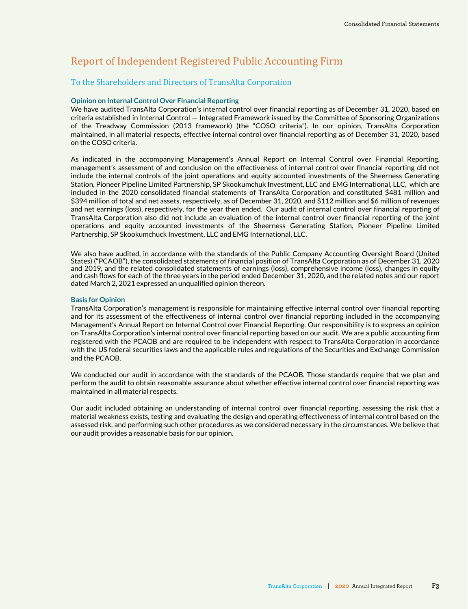## Report of Independent Registered Public Accounting Firm

### To the Shareholders and Directors of TransAlta Corporation

#### **Opinion on Internal Control Over Financial Reporting**

We have audited TransAlta Corporation's internal control over financial reporting as of December 31, 2020, based on criteria established in Internal Control — Integrated Framework issued by the Committee of Sponsoring Organizations of the Treadway Commission (2013 framework) (the "COSO criteria"). In our opinion, TransAlta Corporation maintained, in all material respects, effective internal control over financial reporting as of December 31, 2020, based on the COSO criteria.

As indicated in the accompanying Management's Annual Report on Internal Control over Financial Reporting, management's assessment of and conclusion on the effectiveness of internal control over financial reporting did not include the internal controls of the joint operations and equity accounted investments of the Sheerness Generating Station, Pioneer Pipeline Limited Partnership, SP Skookumchuk Investment, LLC and EMG International, LLC, which are included in the 2020 consolidated financial statements of TransAlta Corporation and constituted \$481 million and \$394 million of total and net assets, respectively, as of December 31, 2020, and \$112 million and \$6 million of revenues and net earnings (loss), respectively, for the year then ended. Our audit of internal control over financial reporting of TransAlta Corporation also did not include an evaluation of the internal control over financial reporting of the joint operations and equity accounted investments of the Sheerness Generating Station, Pioneer Pipeline Limited Partnership, SP Skookumchuck Investment, LLC and EMG International, LLC.

We also have audited, in accordance with the standards of the Public Company Accounting Oversight Board (United States) ("PCAOB"), the consolidated statements of financial position of TransAlta Corporation as of December 31, 2020 and 2019, and the related consolidated statements of earnings (loss), comprehensive income (loss), changes in equity and cash flows for each of the three years in the period ended December 31, 2020, and the related notes and our report dated March 2, 2021 expressed an unqualified opinion thereon.

#### **Basis for Opinion**

TransAlta Corporation's management is responsible for maintaining effective internal control over financial reporting and for its assessment of the effectiveness of internal control over financial reporting included in the accompanying Management's Annual Report on Internal Control over Financial Reporting. Our responsibility is to express an opinion on TransAlta Corporation's internal control over financial reporting based on our audit. We are a public accounting firm registered with the PCAOB and are required to be independent with respect to TransAlta Corporation in accordance with the US federal securities laws and the applicable rules and regulations of the Securities and Exchange Commission and the PCAOB.

We conducted our audit in accordance with the standards of the PCAOB. Those standards require that we plan and perform the audit to obtain reasonable assurance about whether effective internal control over financial reporting was maintained in all material respects.

Our audit included obtaining an understanding of internal control over financial reporting, assessing the risk that a material weakness exists, testing and evaluating the design and operating effectiveness of internal control based on the assessed risk, and performing such other procedures as we considered necessary in the circumstances. We believe that our audit provides a reasonable basis for our opinion.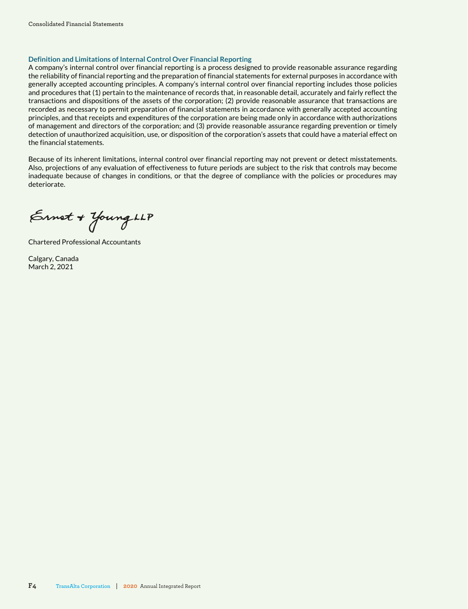#### **Definition and Limitations of Internal Control Over Financial Reporting**

A company's internal control over financial reporting is a process designed to provide reasonable assurance regarding the reliability of financial reporting and the preparation of financial statements for external purposes in accordance with generally accepted accounting principles. A company's internal control over financial reporting includes those policies and procedures that (1) pertain to the maintenance of records that, in reasonable detail, accurately and fairly reflect the transactions and dispositions of the assets of the corporation; (2) provide reasonable assurance that transactions are recorded as necessary to permit preparation of financial statements in accordance with generally accepted accounting principles, and that receipts and expenditures of the corporation are being made only in accordance with authorizations of management and directors of the corporation; and (3) provide reasonable assurance regarding prevention or timely detection of unauthorized acquisition, use, or disposition of the corporation's assets that could have a material effect on the financial statements.

Because of its inherent limitations, internal control over financial reporting may not prevent or detect misstatements. Also, projections of any evaluation of effectiveness to future periods are subject to the risk that controls may become inadequate because of changes in conditions, or that the degree of compliance with the policies or procedures may deteriorate.

Ernet + Young LLP

Chartered Professional Accountants

Calgary, Canada March 2, 2021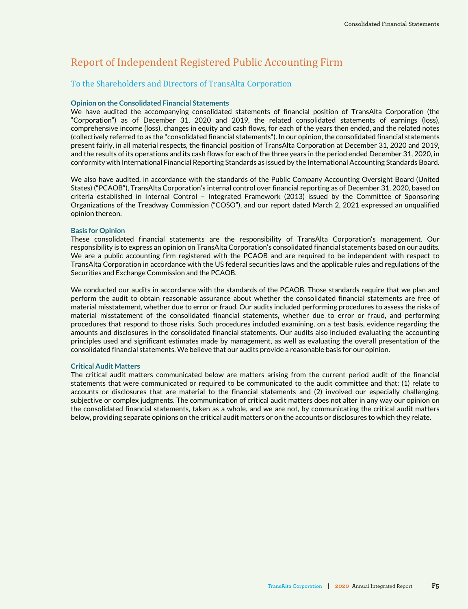## Report of Independent Registered Public Accounting Firm

## To the Shareholders and Directors of TransAlta Corporation

#### **Opinion on the Consolidated Financial Statements**

We have audited the accompanying consolidated statements of financial position of TransAlta Corporation (the "Corporation") as of December 31, 2020 and 2019, the related consolidated statements of earnings (loss), comprehensive income (loss), changes in equity and cash flows, for each of the years then ended, and the related notes (collectively referred to as the "consolidated financial statements"). In our opinion, the consolidated financial statements present fairly, in all material respects, the financial position of TransAlta Corporation at December 31, 2020 and 2019, and the results of its operations and its cash flows for each of the three years in the period ended December 31, 2020, in conformity with International Financial Reporting Standards as issued by the International Accounting Standards Board.

We also have audited, in accordance with the standards of the Public Company Accounting Oversight Board (United States) ("PCAOB"), TransAlta Corporation's internal control over financial reporting as of December 31, 2020, based on criteria established in Internal Control – Integrated Framework (2013) issued by the Committee of Sponsoring Organizations of the Treadway Commission ("COSO"), and our report dated March 2, 2021 expressed an unqualified opinion thereon.

#### **Basis for Opinion**

These consolidated financial statements are the responsibility of TransAlta Corporation's management. Our responsibility is to express an opinion on TransAlta Corporation's consolidated financial statements based on our audits. We are a public accounting firm registered with the PCAOB and are required to be independent with respect to TransAlta Corporation in accordance with the US federal securities laws and the applicable rules and regulations of the Securities and Exchange Commission and the PCAOB.

We conducted our audits in accordance with the standards of the PCAOB. Those standards require that we plan and perform the audit to obtain reasonable assurance about whether the consolidated financial statements are free of material misstatement, whether due to error or fraud. Our audits included performing procedures to assess the risks of material misstatement of the consolidated financial statements, whether due to error or fraud, and performing procedures that respond to those risks. Such procedures included examining, on a test basis, evidence regarding the amounts and disclosures in the consolidated financial statements. Our audits also included evaluating the accounting principles used and significant estimates made by management, as well as evaluating the overall presentation of the consolidated financial statements. We believe that our audits provide a reasonable basis for our opinion.

#### **Critical Audit Matters**

The critical audit matters communicated below are matters arising from the current period audit of the financial statements that were communicated or required to be communicated to the audit committee and that: (1) relate to accounts or disclosures that are material to the financial statements and (2) involved our especially challenging, subjective or complex judgments. The communication of critical audit matters does not alter in any way our opinion on the consolidated financial statements, taken as a whole, and we are not, by communicating the critical audit matters below, providing separate opinions on the critical audit matters or on the accounts or disclosures to which they relate.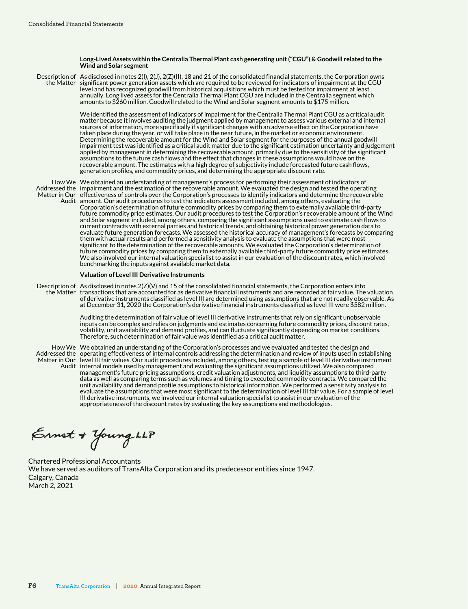#### **Long-Lived Assets within the Centralia Thermal Plant cash generating unit ("CGU") & Goodwill related to the Wind and Solar segment**

Description of As disclosed in notes 2(I), 2(J), 2(Z)(II), 18 and 21 of the consolidated financial statements, the Corporation owns the Matter significant power generation assets which are required to be reviewed for indicators of impairment at the CGU level and has recognized goodwill from historical acquisitions which must be tested for impairment at least annually. Long lived assets for the Centralia Thermal Plant CGU are included in the Centralia segment which amounts to \$260 million. Goodwill related to the Wind and Solar segment amounts to \$175 million.

> We identified the assessment of indicators of impairment for the Centralia Thermal Plant CGU as a critical audit matter because it involves auditing the judgment applied by management to assess various external and internal sources of information, more specifically if significant changes with an adverse effect on the Corporation have taken place during the year, or will take place in the near future, in the market or economic environment. Determining the recoverable amount for the Wind and Solar segment for the purposes of the annual goodwill impairment test was identified as a critical audit matter due to the significant estimation uncertainty and judgement applied by management in determining the recoverable amount, primarily due to the sensitivity of the significant assumptions to the future cash flows and the effect that changes in these assumptions would have on the recoverable amount. The estimates with a high degree of subjectivity include forecasted future cash flows, generation profiles, and commodity prices, and determining the appropriate discount rate.

How We Addressed the Matter in Our effectiveness of controls over the Corporation's processes to identify indicators and determine the recoverable Audit amount. Our audit procedures to test the indicators assessment included, among others, evaluating the We obtained an understanding of management's process for performing their assessment of indicators of impairment and the estimation of the recoverable amount. We evaluated the design and tested the operating Corporation's determination of future commodity prices by comparing them to externally available third-party future commodity price estimates. Our audit procedures to test the Corporation's recoverable amount of the Wind and Solar segment included, among others, comparing the significant assumptions used to estimate cash flows to current contracts with external parties and historical trends, and obtaining historical power generation data to evaluate future generation forecasts. We assessed the historical accuracy of management's forecasts by comparing them with actual results and performed a sensitivity analysis to evaluate the assumptions that were most significant to the determination of the recoverable amounts. We evaluated the Corporation's determination of future commodity prices by comparing them to externally available third-party future commodity price estimates. We also involved our internal valuation specialist to assist in our evaluation of the discount rates, which involved benchmarking the inputs against available market data.

#### **Valuation of Level III Derivative Instruments**

Description of As disclosed in notes 2(Z)(V) and 15 of the consolidated financial statements, the Corporation enters into the Matter transactions that are accounted for as derivative financial instruments and are recorded at fair value. The valuation of derivative instruments classified as level III are determined using assumptions that are not readily observable. As at December 31, 2020 the Corporation's derivative financial instruments classified as level III were \$582 million.

> Auditing the determination of fair value of level III derivative instruments that rely on significant unobservable inputs can be complex and relies on judgments and estimates concerning future commodity prices, discount rates, volatility, unit availability and demand profiles, and can fluctuate significantly depending on market conditions. Therefore, such determination of fair value was identified as a critical audit matter.

How We Addressed the Matter in Our

Audit internal models used by management and evaluating the significant assumptions utilized. We also compared We obtained an understanding of the Corporation's processes and we evaluated and tested the design and operating effectiveness of internal controls addressing the determination and review of inputs used in establishing level III fair values. Our audit procedures included, among others, testing a sample of level III derivative instrument management's future pricing assumptions, credit valuation adjustments, and liquidity assumptions to third-party data as well as comparing terms such as volumes and timing to executed commodity contracts. We compared the unit availability and demand profile assumptions to historical information. We performed a sensitivity analysis to evaluate the assumptions that were most significant to the determination of level III fair value. For a sample of level III derivative instruments, we involved our internal valuation specialist to assist in our evaluation of the appropriateness of the discount rates by evaluating the key assumptions and methodologies.

Ernet + Young LLP

Chartered Professional Accountants We have served as auditors of TransAlta Corporation and its predecessor entities since 1947. Calgary, Canada March 2, 2021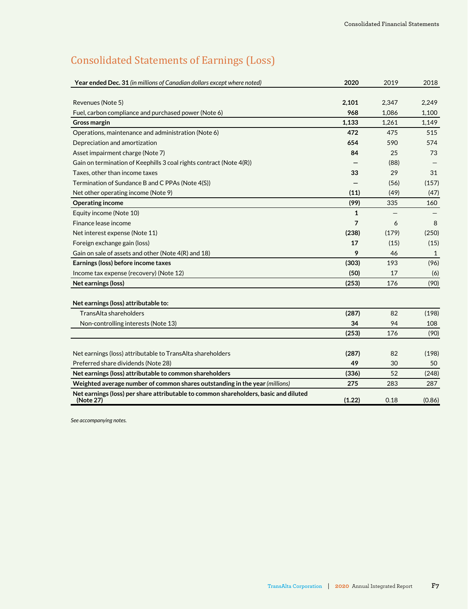# Consolidated Statements of Earnings (Loss)

| Year ended Dec. 31 (in millions of Canadian dollars except where noted)                           | 2020   | 2019  | 2018   |
|---------------------------------------------------------------------------------------------------|--------|-------|--------|
|                                                                                                   |        |       |        |
| Revenues (Note 5)                                                                                 | 2,101  | 2,347 | 2,249  |
| Fuel, carbon compliance and purchased power (Note 6)                                              | 968    | 1,086 | 1,100  |
| <b>Gross margin</b>                                                                               | 1,133  | 1,261 | 1,149  |
| Operations, maintenance and administration (Note 6)                                               | 472    | 475   | 515    |
| Depreciation and amortization                                                                     | 654    | 590   | 574    |
| Asset impairment charge (Note 7)                                                                  | 84     | 25    | 73     |
| Gain on termination of Keephills 3 coal rights contract (Note 4(R))                               |        | (88)  |        |
| Taxes, other than income taxes                                                                    | 33     | 29    | 31     |
| Termination of Sundance B and C PPAs (Note 4(S))                                                  |        | (56)  | (157)  |
| Net other operating income (Note 9)                                                               | (11)   | (49)  | (47)   |
| <b>Operating income</b>                                                                           | (99)   | 335   | 160    |
| Equity income (Note 10)                                                                           | 1      |       |        |
| Finance lease income                                                                              | 7      | 6     | 8      |
| Net interest expense (Note 11)                                                                    | (238)  | (179) | (250)  |
| Foreign exchange gain (loss)                                                                      | 17     | (15)  | (15)   |
| Gain on sale of assets and other (Note 4(R) and 18)                                               | 9      | 46    | 1      |
| Earnings (loss) before income taxes                                                               | (303)  | 193   | (96)   |
| Income tax expense (recovery) (Note 12)                                                           | (50)   | 17    | (6)    |
| Net earnings (loss)                                                                               | (253)  | 176   | (90)   |
| Net earnings (loss) attributable to:                                                              |        |       |        |
| Trans Alta shareholders                                                                           | (287)  | 82    | (198)  |
| Non-controlling interests (Note 13)                                                               | 34     | 94    | 108    |
|                                                                                                   | (253)  | 176   | (90)   |
|                                                                                                   |        |       |        |
| Net earnings (loss) attributable to TransAlta shareholders                                        | (287)  | 82    | (198)  |
| Preferred share dividends (Note 28)                                                               | 49     | 30    | 50     |
| Net earnings (loss) attributable to common shareholders                                           | (336)  | 52    | (248)  |
| Weighted average number of common shares outstanding in the year (millions)                       | 275    | 283   | 287    |
| Net earnings (loss) per share attributable to common shareholders, basic and diluted<br>(Note 27) | (1.22) | 0.18  | (0.86) |

*See accompanying notes.*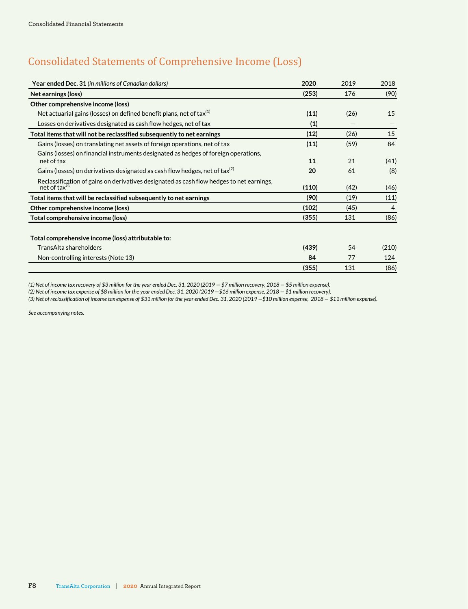## Consolidated Statements of Comprehensive Income (Loss)

| Year ended Dec. 31 (in millions of Canadian dollars)                                                                  | 2020  | 2019 | 2018           |
|-----------------------------------------------------------------------------------------------------------------------|-------|------|----------------|
| Net earnings (loss)                                                                                                   | (253) | 176  | (90)           |
| Other comprehensive income (loss)                                                                                     |       |      |                |
| Net actuarial gains (losses) on defined benefit plans, net of tax <sup>(1)</sup>                                      | (11)  | (26) | 15             |
| Losses on derivatives designated as cash flow hedges, net of tax                                                      | (1)   |      |                |
| Total items that will not be reclassified subsequently to net earnings                                                | (12)  | (26) | 15             |
| Gains (losses) on translating net assets of foreign operations, net of tax                                            | (11)  | (59) | 84             |
| Gains (losses) on financial instruments designated as hedges of foreign operations,<br>net of tax                     | 11    | 21   | (41)           |
| Gains (losses) on derivatives designated as cash flow hedges, net of tax <sup>(2)</sup>                               | 20    | 61   | (8)            |
| Reclassification of gains on derivatives designated as cash flow hedges to net earnings,<br>net of $\text{tax}^{(3)}$ | (110) | (42) | (46)           |
| Total items that will be reclassified subsequently to net earnings                                                    | (90)  | (19) | (11)           |
| Other comprehensive income (loss)                                                                                     | (102) | (45) | $\overline{4}$ |
| Total comprehensive income (loss)                                                                                     | (355) | 131  | (86)           |
|                                                                                                                       |       |      |                |
| Total comprehensive income (loss) attributable to:                                                                    |       |      |                |
| TransAlta shareholders                                                                                                | (439) | 54   | (210)          |
| Non-controlling interests (Note 13)                                                                                   | 84    | 77   | 124            |
|                                                                                                                       | (355) | 131  | (86)           |

*(1) Net of income tax recovery of \$3 million for the year ended Dec. 31, 2020 (2019 — \$7 million recovery, 2018 — \$5 million expense).*

*(2) Net of income tax expense of \$8 million for the year ended Dec. 31, 2020 (2019 —\$16 million expense, 2018 — \$1 million recovery).*

*(3) Net of reclassification of income tax expense of \$31 million for the year ended Dec. 31, 2020 (2019 —\$10 million expense, 2018 — \$11 million expense).*

*See accompanying notes.*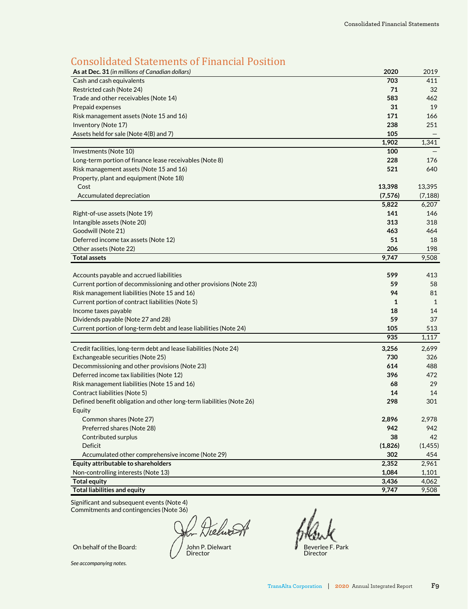## Consolidated Statements of Financial Position

| As at Dec. 31 (in millions of Canadian dollars)                      | 2020     | 2019     |
|----------------------------------------------------------------------|----------|----------|
| Cash and cash equivalents                                            | 703      | 411      |
| Restricted cash (Note 24)                                            | 71       | 32       |
| Trade and other receivables (Note 14)                                | 583      | 462      |
| Prepaid expenses                                                     | 31       | 19       |
| Risk management assets (Note 15 and 16)                              | 171      | 166      |
| Inventory (Note 17)                                                  | 238      | 251      |
| Assets held for sale (Note 4(B) and 7)                               | 105      |          |
|                                                                      | 1,902    | 1,341    |
| Investments (Note 10)                                                | 100      |          |
| Long-term portion of finance lease receivables (Note 8)              | 228      | 176      |
| Risk management assets (Note 15 and 16)                              | 521      | 640      |
| Property, plant and equipment (Note 18)                              |          |          |
| Cost                                                                 | 13,398   | 13,395   |
| Accumulated depreciation                                             | (7, 576) | (7, 188) |
|                                                                      | 5,822    | 6,207    |
| Right-of-use assets (Note 19)                                        | 141      | 146      |
| Intangible assets (Note 20)                                          | 313      | 318      |
| Goodwill (Note 21)                                                   | 463      | 464      |
| Deferred income tax assets (Note 12)                                 | 51       | 18       |
| Other assets (Note 22)                                               | 206      | 198      |
| <b>Total assets</b>                                                  | 9,747    | 9,508    |
|                                                                      |          |          |
| Accounts payable and accrued liabilities                             | 599      | 413      |
| Current portion of decommissioning and other provisions (Note 23)    | 59       | 58       |
| Risk management liabilities (Note 15 and 16)                         | 94       | 81       |
| Current portion of contract liabilities (Note 5)                     | 1        | 1        |
| Income taxes payable                                                 | 18       | 14       |
| Dividends payable (Note 27 and 28)                                   | 59       | 37       |
| Current portion of long-term debt and lease liabilities (Note 24)    | 105      | 513      |
|                                                                      | 935      | 1,117    |
| Credit facilities, long-term debt and lease liabilities (Note 24)    | 3,256    | 2,699    |
| Exchangeable securities (Note 25)                                    | 730      | 326      |
| Decommissioning and other provisions (Note 23)                       | 614      | 488      |
| Deferred income tax liabilities (Note 12)                            | 396      | 472      |
| Risk management liabilities (Note 15 and 16)                         | 68       | 29       |
| <b>Contract liabilities (Note 5)</b>                                 | 14       | 14       |
| Defined benefit obligation and other long-term liabilities (Note 26) | 298      | 301      |
| Equity                                                               |          |          |
| Common shares (Note 27)                                              | 2,896    | 2,978    |
| Preferred shares (Note 28)                                           | 942      | 942      |
| Contributed surplus                                                  | 38       | 42       |
| <b>Deficit</b>                                                       | (1,826)  | (1, 455) |
| Accumulated other comprehensive income (Note 29)                     | 302      | 454      |
| Equity attributable to shareholders                                  | 2,352    | 2,961    |
| Non-controlling interests (Note 13)                                  | 1,084    | 1,101    |
| <b>Total equity</b>                                                  | 3,436    | 4,062    |
| <b>Total liabilities and equity</b>                                  | 9,747    | 9,508    |

Significant and subsequent events (Note 4) Commitments and contingencies (Note 36)

Kr Hiel

On behalf of the Board:

*See accompanying notes.*

John P. Dielwart<br>Director

Beverlee F. Park Director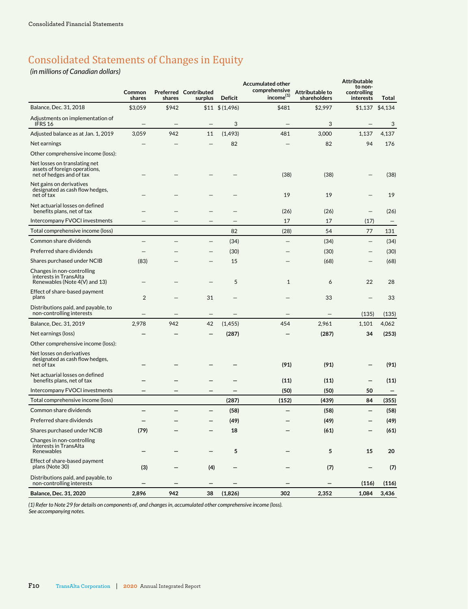## Consolidated Statements of Changes in Equity

*(in millions of Canadian dollars)*

|                                                                                            | Common<br>shares | shares | Preferred Contributed<br>surplus | <b>Deficit</b>    | <b>Accumulated other</b><br>comprehensive<br>income <sup>(1)</sup> | Attributable to<br>shareholders | <b>Attributable</b><br>to non-<br>controlling<br>interests | Total           |
|--------------------------------------------------------------------------------------------|------------------|--------|----------------------------------|-------------------|--------------------------------------------------------------------|---------------------------------|------------------------------------------------------------|-----------------|
| Balance, Dec. 31, 2018                                                                     | \$3,059          | \$942  |                                  | $$11$ $$ (1,496)$ | \$481                                                              | \$2,997                         |                                                            | \$1,137 \$4,134 |
| Adjustments on implementation of<br>IFRS 16                                                |                  |        |                                  | 3                 |                                                                    | 3                               |                                                            | 3               |
| Adjusted balance as at Jan. 1, 2019                                                        | 3,059            | 942    | 11                               | (1, 493)          | 481                                                                | 3,000                           | 1,137                                                      | 4,137           |
| Net earnings                                                                               |                  |        |                                  | 82                |                                                                    | 82                              | 94                                                         | 176             |
| Other comprehensive income (loss):                                                         |                  |        |                                  |                   |                                                                    |                                 |                                                            |                 |
| Net losses on translating net<br>assets of foreign operations,<br>net of hedges and of tax |                  |        |                                  |                   | (38)                                                               | (38)                            |                                                            | (38)            |
| Net gains on derivatives<br>designated as cash flow hedges,<br>net of tax                  |                  |        |                                  |                   | 19                                                                 | 19                              |                                                            | 19              |
| Net actuarial losses on defined<br>benefits plans, net of tax                              |                  |        |                                  |                   | (26)                                                               | (26)                            |                                                            | (26)            |
| Intercompany FVOCI investments                                                             |                  |        |                                  |                   | 17                                                                 | 17                              | (17)                                                       |                 |
| Total comprehensive income (loss)                                                          |                  |        |                                  | 82                | (28)                                                               | 54                              | 77                                                         | 131             |
| Common share dividends                                                                     |                  |        |                                  | (34)              | —                                                                  | (34)                            |                                                            | (34)            |
| Preferred share dividends                                                                  |                  |        |                                  | (30)              |                                                                    | (30)                            |                                                            | (30)            |
| Shares purchased under NCIB                                                                | (83)             |        |                                  | 15                |                                                                    | (68)                            |                                                            | (68)            |
| Changes in non-controlling<br>interests in TransAlta<br>Renewables (Note 4(V) and 13)      |                  |        |                                  | 5                 | $\mathbf{1}$                                                       | 6                               | 22                                                         | 28              |
| Effect of share-based payment<br>plans                                                     | $\overline{2}$   |        | 31                               |                   |                                                                    | 33                              |                                                            | 33              |
| Distributions paid, and payable, to<br>non-controlling interests                           |                  |        |                                  |                   |                                                                    |                                 | (135)                                                      | (135)           |
| Balance, Dec. 31, 2019                                                                     | 2,978            | 942    | 42                               | (1, 455)          | 454                                                                | 2,961                           | 1,101                                                      | 4,062           |
| Net earnings (loss)                                                                        |                  |        |                                  | (287)             |                                                                    | (287)                           | 34                                                         | (253)           |
| Other comprehensive income (loss):                                                         |                  |        |                                  |                   |                                                                    |                                 |                                                            |                 |
| Net losses on derivatives<br>designated as cash flow hedges,<br>net of tax                 |                  |        |                                  |                   | (91)                                                               | (91)                            |                                                            | (91)            |
| Net actuarial losses on defined<br>benefits plans, net of tax                              |                  |        |                                  |                   | (11)                                                               | (11)                            |                                                            | (11)            |
| Intercompany FVOCI investments                                                             |                  |        |                                  |                   | (50)                                                               | (50)                            | 50                                                         |                 |
| Total comprehensive income (loss)                                                          |                  |        |                                  | (287)             | (152)                                                              | (439)                           | 84                                                         | (355)           |
| Common share dividends                                                                     |                  |        |                                  | (58)              |                                                                    | (58)                            |                                                            | (58)            |
| Preferred share dividends                                                                  |                  |        |                                  | (49)              |                                                                    | (49)                            |                                                            | (49)            |
| Shares purchased under NCIB                                                                | (79)             |        |                                  | 18                |                                                                    | (61)                            |                                                            | (61)            |
| Changes in non-controlling<br>interests in TransAlta<br>Renewables                         |                  |        |                                  | 5                 |                                                                    | 5                               | 15                                                         | 20              |
| Effect of share-based payment<br>plans (Note 30)                                           | (3)              |        | (4)                              |                   |                                                                    | (7)                             |                                                            | (7)             |
| Distributions paid, and payable, to<br>non-controlling interests                           | —                |        |                                  |                   |                                                                    |                                 | (116)                                                      | (116)           |
| <b>Balance, Dec. 31, 2020</b>                                                              | 2,896            | 942    | 38                               | (1,826)           | 302                                                                | 2,352                           | 1,084                                                      | 3,436           |

*(1) Refer to Note 29 for details on components of, and changes in, accumulated other comprehensive income (loss). See accompanying notes.*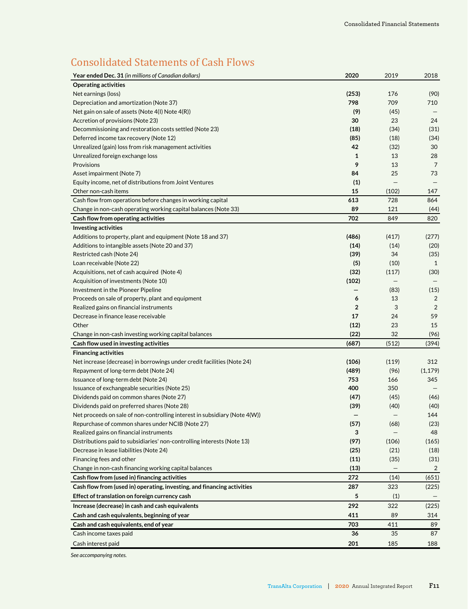# Consolidated Statements of Cash Flows

| <b>Year ended Dec. 31</b> (in millions of Canadian dollars)                | 2020           | 2019       | 2018         |
|----------------------------------------------------------------------------|----------------|------------|--------------|
| <b>Operating activities</b>                                                |                |            |              |
| Net earnings (loss)                                                        | (253)          | 176        | (90)         |
| Depreciation and amortization (Note 37)                                    | 798            | 709        | 710          |
| Net gain on sale of assets (Note 4(I) Note 4(R))                           | (9)            | (45)       |              |
| Accretion of provisions (Note 23)                                          | 30             | 23         | 24           |
| Decommissioning and restoration costs settled (Note 23)                    | (18)           | (34)       | (31)         |
| Deferred income tax recovery (Note 12)                                     | (85)           | (18)       | (34)         |
| Unrealized (gain) loss from risk management activities                     | 42             | (32)       | 30           |
| Unrealized foreign exchange loss                                           | 1              | 13         | 28           |
| Provisions                                                                 | 9              | 13         | 7            |
| Asset impairment (Note 7)                                                  | 84             | 25         | 73           |
| Equity income, net of distributions from Joint Ventures                    | (1)            |            |              |
| Other non-cash items                                                       | 15             | (102)      | 147          |
| Cash flow from operations before changes in working capital                | 613            | 728        | 864          |
| Change in non-cash operating working capital balances (Note 33)            | 89             | 121        | (44)         |
| Cash flow from operating activities                                        | 702            | 849        | 820          |
| <b>Investing activities</b>                                                |                |            |              |
|                                                                            | (486)          | (417)      | (277)        |
| Additions to property, plant and equipment (Note 18 and 37)                |                |            |              |
| Additions to intangible assets (Note 20 and 37)                            | (14)<br>(39)   | (14)<br>34 | (20)         |
| Restricted cash (Note 24)                                                  |                |            | (35)         |
| Loan receivable (Note 22)                                                  | (5)            | (10)       | $\mathbf{1}$ |
| Acquisitions, net of cash acquired (Note 4)                                | (32)           | (117)      | (30)         |
| Acquisition of investments (Note 10)                                       | (102)          |            |              |
| Investment in the Pioneer Pipeline                                         |                | (83)       | (15)         |
| Proceeds on sale of property, plant and equipment                          | 6              | 13         | 2            |
| Realized gains on financial instruments                                    | $\overline{2}$ | 3          | 2            |
| Decrease in finance lease receivable                                       | 17             | 24         | 59           |
| Other                                                                      | (12)           | 23         | 15           |
| Change in non-cash investing working capital balances                      | (22)           | 32         | (96)         |
| Cash flow used in investing activities                                     | (687)          | (512)      | (394)        |
| <b>Financing activities</b>                                                |                |            |              |
| Net increase (decrease) in borrowings under credit facilities (Note 24)    | (106)          | (119)      | 312          |
| Repayment of long-term debt (Note 24)                                      | (489)          | (96)       | (1, 179)     |
| Issuance of long-term debt (Note 24)                                       | 753            | 166        | 345          |
| Issuance of exchangeable securities (Note 25)                              | 400            | 350        |              |
| Dividends paid on common shares (Note 27)                                  | (47)           | (45)       | (46)         |
| Dividends paid on preferred shares (Note 28)                               | (39)           | (40)       | (40)         |
| Net proceeds on sale of non-controlling interest in subsidiary (Note 4(W)) |                |            | 144          |
| Repurchase of common shares under NCIB (Note 27)                           | (57)           | (68)       | (23)         |
| Realized gains on financial instruments                                    | 3              |            | 48           |
| Distributions paid to subsidiaries' non-controlling interests (Note 13)    | (97)           | (106)      | (165)        |
| Decrease in lease liabilities (Note 24)                                    | (25)           | (21)       | (18)         |
| Financing fees and other                                                   | (11)           | (35)       | (31)         |
| Change in non-cash financing working capital balances                      | (13)           |            | 2            |
| Cash flow from (used in) financing activities                              | 272            | (14)       | (651)        |
| Cash flow from (used in) operating, investing, and financing activities    | 287            | 323        | (225)        |
| Effect of translation on foreign currency cash                             | 5              | (1)        |              |
| Increase (decrease) in cash and cash equivalents                           | 292            | 322        | (225)        |
| Cash and cash equivalents, beginning of year                               | 411            | 89         | 314          |
| Cash and cash equivalents, end of year                                     | 703            | 411        | 89           |
| Cash income taxes paid                                                     | 36             | 35         | 87           |
| Cash interest paid                                                         | 201            | 185        | 188          |
|                                                                            |                |            |              |

*See accompanying notes.*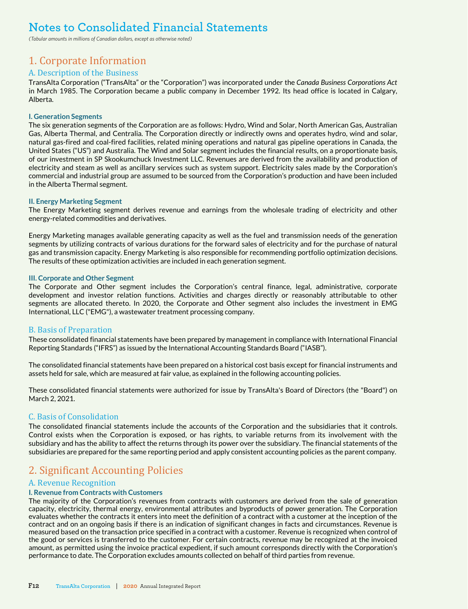#### Notes to Consolidated Financial Statements **Notes to Consolidated Financial Statements**

*(Tabular amounts in millions of Canadian dollars, except as otherwise noted)*

## 1. Corporate Information

## A. Description of the Business

TransAlta Corporation ("TransAlta" or the "Corporation") was incorporated under the *Canada Business Corporations Act* in March 1985. The Corporation became a public company in December 1992. Its head office is located in Calgary, Alberta.

### **I. Generation Segments**

The six generation segments of the Corporation are as follows: Hydro, Wind and Solar, North American Gas, Australian Gas, Alberta Thermal, and Centralia. The Corporation directly or indirectly owns and operates hydro, wind and solar, natural gas-fired and coal-fired facilities, related mining operations and natural gas pipeline operations in Canada, the United States ("US") and Australia. The Wind and Solar segment includes the financial results, on a proportionate basis, of our investment in SP Skookumchuck Investment LLC. Revenues are derived from the availability and production of electricity and steam as well as ancillary services such as system support. Electricity sales made by the Corporation's commercial and industrial group are assumed to be sourced from the Corporation's production and have been included in the Alberta Thermal segment.

#### **II. Energy Marketing Segment**

The Energy Marketing segment derives revenue and earnings from the wholesale trading of electricity and other energy-related commodities and derivatives.

Energy Marketing manages available generating capacity as well as the fuel and transmission needs of the generation segments by utilizing contracts of various durations for the forward sales of electricity and for the purchase of natural gas and transmission capacity. Energy Marketing is also responsible for recommending portfolio optimization decisions. The results of these optimization activities are included in each generation segment.

#### **III. Corporate and Other Segment**

The Corporate and Other segment includes the Corporation's central finance, legal, administrative, corporate development and investor relation functions. Activities and charges directly or reasonably attributable to other segments are allocated thereto. In 2020, the Corporate and Other segment also includes the investment in EMG International, LLC ("EMG"), a wastewater treatment processing company.

## B. Basis of Preparation

These consolidated financial statements have been prepared by management in compliance with International Financial Reporting Standards ("IFRS") as issued by the International Accounting Standards Board ("IASB").

The consolidated financial statements have been prepared on a historical cost basis except for financial instruments and assets held for sale, which are measured at fair value, as explained in the following accounting policies.

These consolidated financial statements were authorized for issue by TransAlta's Board of Directors (the "Board") on March 2, 2021.

## C. Basis of Consolidation

The consolidated financial statements include the accounts of the Corporation and the subsidiaries that it controls. Control exists when the Corporation is exposed, or has rights, to variable returns from its involvement with the subsidiary and has the ability to affect the returns through its power over the subsidiary. The financial statements of the subsidiaries are prepared for the same reporting period and apply consistent accounting policies as the parent company.

## 2. Significant Accounting Policies

## A. Revenue Recognition

## **I. Revenue from Contracts with Customers**

The majority of the Corporation's revenues from contracts with customers are derived from the sale of generation capacity, electricity, thermal energy, environmental attributes and byproducts of power generation. The Corporation evaluates whether the contracts it enters into meet the definition of a contract with a customer at the inception of the contract and on an ongoing basis if there is an indication of significant changes in facts and circumstances. Revenue is measured based on the transaction price specified in a contract with a customer. Revenue is recognized when control of the good or services is transferred to the customer. For certain contracts, revenue may be recognized at the invoiced amount, as permitted using the invoice practical expedient, if such amount corresponds directly with the Corporation's performance to date. The Corporation excludes amounts collected on behalf of third parties from revenue.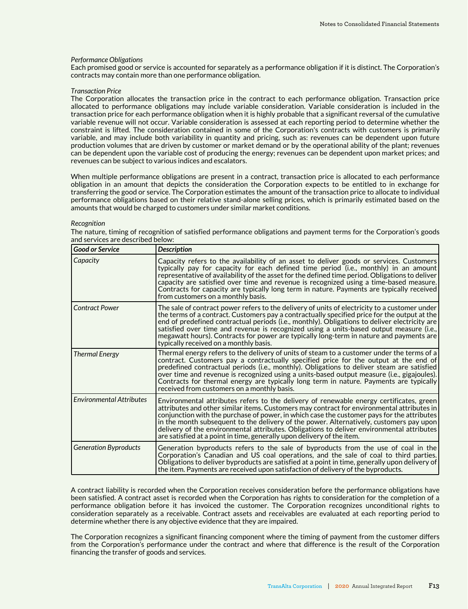#### *Performance Obligations*

Each promised good or service is accounted for separately as a performance obligation if it is distinct. The Corporation's contracts may contain more than one performance obligation.

#### *Transaction Price*

The Corporation allocates the transaction price in the contract to each performance obligation. Transaction price allocated to performance obligations may include variable consideration. Variable consideration is included in the transaction price for each performance obligation when it is highly probable that a significant reversal of the cumulative variable revenue will not occur. Variable consideration is assessed at each reporting period to determine whether the constraint is lifted. The consideration contained in some of the Corporation's contracts with customers is primarily variable, and may include both variability in quantity and pricing, such as: revenues can be dependent upon future production volumes that are driven by customer or market demand or by the operational ability of the plant; revenues can be dependent upon the variable cost of producing the energy; revenues can be dependent upon market prices; and revenues can be subject to various indices and escalators.

When multiple performance obligations are present in a contract, transaction price is allocated to each performance obligation in an amount that depicts the consideration the Corporation expects to be entitled to in exchange for transferring the good or service. The Corporation estimates the amount of the transaction price to allocate to individual performance obligations based on their relative stand-alone selling prices, which is primarily estimated based on the amounts that would be charged to customers under similar market conditions.

#### *Recognition*

The nature, timing of recognition of satisfied performance obligations and payment terms for the Corporation's goods and services are described below:

| <b>Good or Service</b>          | <b>Description</b>                                                                                                                                                                                                                                                                                                                                                                                                                                                                                                                                    |
|---------------------------------|-------------------------------------------------------------------------------------------------------------------------------------------------------------------------------------------------------------------------------------------------------------------------------------------------------------------------------------------------------------------------------------------------------------------------------------------------------------------------------------------------------------------------------------------------------|
| Capacity                        | Capacity refers to the availability of an asset to deliver goods or services. Customers<br>typically pay for capacity for each defined time period (i.e., monthly) in an amount<br>representative of availability of the asset for the defined time period. Obligations to deliver<br>capacity are satisfied over time and revenue is recognized using a time-based measure.<br>Contracts for capacity are typically long term in nature. Payments are typically received<br>from customers on a monthly basis.                                       |
| <b>Contract Power</b>           | The sale of contract power refers to the delivery of units of electricity to a customer under<br>the terms of a contract. Customers pay a contractually specified price for the output at the<br>end of predefined contractual periods (i.e., monthly). Obligations to deliver electricity are<br>satisfied over time and revenue is recognized using a units-based output measure (i.e.,<br>megawatt hours). Contracts for power are typically long-term in nature and payments are<br>typically received on a monthly basis.                        |
| <b>Thermal Energy</b>           | Thermal energy refers to the delivery of units of steam to a customer under the terms of a<br>contract. Customers pay a contractually specified price for the output at the end of<br>predefined contractual periods (i.e., monthly). Obligations to deliver steam are satisfied<br>over time and revenue is recognized using a units-based output measure (i.e., gigajoules).<br>Contracts for thermal energy are typically long term in nature. Payments are typically<br>received from customers on a monthly basis.                               |
| <b>Environmental Attributes</b> | Environmental attributes refers to the delivery of renewable energy certificates, green<br>attributes and other similar items. Customers may contract for environmental attributes in<br>conjunction with the purchase of power, in which case the customer pays for the attributes<br>in the month subsequent to the delivery of the power. Alternatively, customers pay upon<br>delivery of the environmental attributes. Obligations to deliver environmental attributes<br>are satisfied at a point in time, generally upon delivery of the item. |
| <b>Generation Byproducts</b>    | Generation byproducts refers to the sale of byproducts from the use of coal in the<br>Corporation's Canadian and US coal operations, and the sale of coal to third parties.<br>Obligations to deliver byproducts are satisfied at a point in time, generally upon delivery of<br>the item. Payments are received upon satisfaction of delivery of the byproducts.                                                                                                                                                                                     |

A contract liability is recorded when the Corporation receives consideration before the performance obligations have been satisfied. A contract asset is recorded when the Corporation has rights to consideration for the completion of a performance obligation before it has invoiced the customer. The Corporation recognizes unconditional rights to consideration separately as a receivable. Contract assets and receivables are evaluated at each reporting period to determine whether there is any objective evidence that they are impaired.

The Corporation recognizes a significant financing component where the timing of payment from the customer differs from the Corporation's performance under the contract and where that difference is the result of the Corporation financing the transfer of goods and services.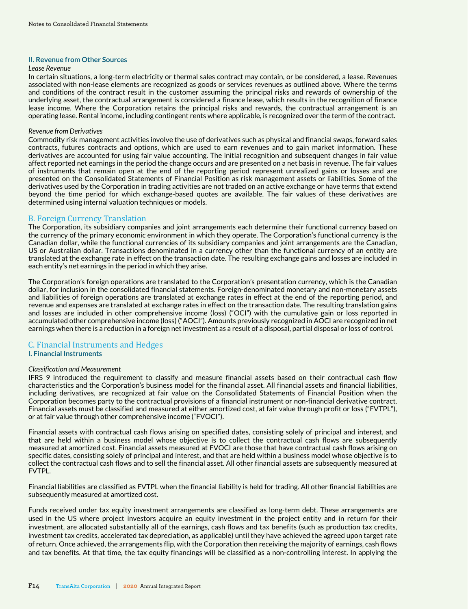#### **II. Revenue from Other Sources**

#### *Lease Revenue*

In certain situations, a long-term electricity or thermal sales contract may contain, or be considered, a lease. Revenues associated with non-lease elements are recognized as goods or services revenues as outlined above. Where the terms and conditions of the contract result in the customer assuming the principal risks and rewards of ownership of the underlying asset, the contractual arrangement is considered a finance lease, which results in the recognition of finance lease income. Where the Corporation retains the principal risks and rewards, the contractual arrangement is an operating lease. Rental income, including contingent rents where applicable, is recognized over the term of the contract.

#### *Revenue from Derivatives*

Commodity risk management activities involve the use of derivatives such as physical and financial swaps, forward sales contracts, futures contracts and options, which are used to earn revenues and to gain market information. These derivatives are accounted for using fair value accounting. The initial recognition and subsequent changes in fair value affect reported net earnings in the period the change occurs and are presented on a net basis in revenue. The fair values of instruments that remain open at the end of the reporting period represent unrealized gains or losses and are presented on the Consolidated Statements of Financial Position as risk management assets or liabilities. Some of the derivatives used by the Corporation in trading activities are not traded on an active exchange or have terms that extend beyond the time period for which exchange-based quotes are available. The fair values of these derivatives are determined using internal valuation techniques or models.

### B. Foreign Currency Translation

The Corporation, its subsidiary companies and joint arrangements each determine their functional currency based on the currency of the primary economic environment in which they operate. The Corporation's functional currency is the Canadian dollar, while the functional currencies of its subsidiary companies and joint arrangements are the Canadian, US or Australian dollar. Transactions denominated in a currency other than the functional currency of an entity are translated at the exchange rate in effect on the transaction date. The resulting exchange gains and losses are included in each entity's net earnings in the period in which they arise.

The Corporation's foreign operations are translated to the Corporation's presentation currency, which is the Canadian dollar, for inclusion in the consolidated financial statements. Foreign-denominated monetary and non-monetary assets and liabilities of foreign operations are translated at exchange rates in effect at the end of the reporting period, and revenue and expenses are translated at exchange rates in effect on the transaction date. The resulting translation gains and losses are included in other comprehensive income (loss) ("OCI") with the cumulative gain or loss reported in accumulated other comprehensive income (loss) ("AOCI"). Amounts previously recognized in AOCI are recognized in net earnings when there is a reduction in a foreign net investment as a result of a disposal, partial disposal or loss of control.

#### C. Financial Instruments and Hedges **I. Financial Instruments**

## *Classification and Measurement*

IFRS 9 introduced the requirement to classify and measure financial assets based on their contractual cash flow characteristics and the Corporation's business model for the financial asset. All financial assets and financial liabilities, including derivatives, are recognized at fair value on the Consolidated Statements of Financial Position when the Corporation becomes party to the contractual provisions of a financial instrument or non-financial derivative contract. Financial assets must be classified and measured at either amortized cost, at fair value through profit or loss ("FVTPL"), or at fair value through other comprehensive income ("FVOCI").

Financial assets with contractual cash flows arising on specified dates, consisting solely of principal and interest, and that are held within a business model whose objective is to collect the contractual cash flows are subsequently measured at amortized cost. Financial assets measured at FVOCI are those that have contractual cash flows arising on specific dates, consisting solely of principal and interest, and that are held within a business model whose objective is to collect the contractual cash flows and to sell the financial asset. All other financial assets are subsequently measured at FVTPL.

Financial liabilities are classified as FVTPL when the financial liability is held for trading. All other financial liabilities are subsequently measured at amortized cost.

Funds received under tax equity investment arrangements are classified as long-term debt. These arrangements are used in the US where project investors acquire an equity investment in the project entity and in return for their investment, are allocated substantially all of the earnings, cash flows and tax benefits (such as production tax credits, investment tax credits, accelerated tax depreciation, as applicable) until they have achieved the agreed upon target rate of return. Once achieved, the arrangements flip, with the Corporation then receiving the majority of earnings, cash flows and tax benefits. At that time, the tax equity financings will be classified as a non-controlling interest. In applying the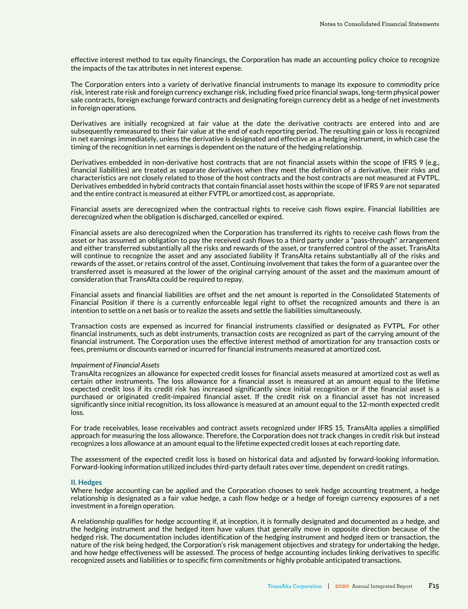effective interest method to tax equity financings, the Corporation has made an accounting policy choice to recognize the impacts of the tax attributes in net interest expense.

The Corporation enters into a variety of derivative financial instruments to manage its exposure to commodity price risk, interest rate risk and foreign currency exchange risk, including fixed price financial swaps, long-term physical power sale contracts, foreign exchange forward contracts and designating foreign currency debt as a hedge of net investments in foreign operations.

Derivatives are initially recognized at fair value at the date the derivative contracts are entered into and are subsequently remeasured to their fair value at the end of each reporting period. The resulting gain or loss is recognized in net earnings immediately, unless the derivative is designated and effective as a hedging instrument, in which case the timing of the recognition in net earnings is dependent on the nature of the hedging relationship.

Derivatives embedded in non-derivative host contracts that are not financial assets within the scope of IFRS 9 (e.g., financial liabilities) are treated as separate derivatives when they meet the definition of a derivative, their risks and characteristics are not closely related to those of the host contracts and the host contracts are not measured at FVTPL. Derivatives embedded in hybrid contracts that contain financial asset hosts within the scope of IFRS 9 are not separated and the entire contract is measured at either FVTPL or amortized cost, as appropriate.

Financial assets are derecognized when the contractual rights to receive cash flows expire. Financial liabilities are derecognized when the obligation is discharged, cancelled or expired.

Financial assets are also derecognized when the Corporation has transferred its rights to receive cash flows from the asset or has assumed an obligation to pay the received cash flows to a third party under a "pass-through" arrangement and either transferred substantially all the risks and rewards of the asset, or transferred control of the asset. TransAlta will continue to recognize the asset and any associated liability if TransAlta retains substantially all of the risks and rewards of the asset, or retains control of the asset. Continuing involvement that takes the form of a guarantee over the transferred asset is measured at the lower of the original carrying amount of the asset and the maximum amount of consideration that TransAlta could be required to repay.

Financial assets and financial liabilities are offset and the net amount is reported in the Consolidated Statements of Financial Position if there is a currently enforceable legal right to offset the recognized amounts and there is an intention to settle on a net basis or to realize the assets and settle the liabilities simultaneously.

Transaction costs are expensed as incurred for financial instruments classified or designated as FVTPL. For other financial instruments, such as debt instruments, transaction costs are recognized as part of the carrying amount of the financial instrument. The Corporation uses the effective interest method of amortization for any transaction costs or fees, premiums or discounts earned or incurred for financial instruments measured at amortized cost.

#### *Impairment of Financial Assets*

TransAlta recognizes an allowance for expected credit losses for financial assets measured at amortized cost as well as certain other instruments. The loss allowance for a financial asset is measured at an amount equal to the lifetime expected credit loss if its credit risk has increased significantly since initial recognition or if the financial asset is a purchased or originated credit-impaired financial asset. If the credit risk on a financial asset has not increased significantly since initial recognition, its loss allowance is measured at an amount equal to the 12-month expected credit loss.

For trade receivables, lease receivables and contract assets recognized under IFRS 15, TransAlta applies a simplified approach for measuring the loss allowance. Therefore, the Corporation does not track changes in credit risk but instead recognizes a loss allowance at an amount equal to the lifetime expected credit losses at each reporting date.

The assessment of the expected credit loss is based on historical data and adjusted by forward-looking information. Forward-looking information utilized includes third-party default rates over time, dependent on credit ratings.

#### **II. Hedges**

Where hedge accounting can be applied and the Corporation chooses to seek hedge accounting treatment, a hedge relationship is designated as a fair value hedge, a cash flow hedge or a hedge of foreign currency exposures of a net investment in a foreign operation.

A relationship qualifies for hedge accounting if, at inception, it is formally designated and documented as a hedge, and the hedging instrument and the hedged item have values that generally move in opposite direction because of the hedged risk. The documentation includes identification of the hedging instrument and hedged item or transaction, the nature of the risk being hedged, the Corporation's risk management objectives and strategy for undertaking the hedge, and how hedge effectiveness will be assessed. The process of hedge accounting includes linking derivatives to specific recognized assets and liabilities or to specific firm commitments or highly probable anticipated transactions.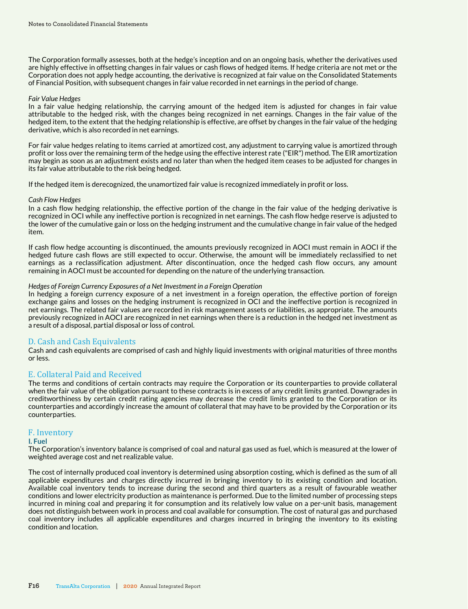The Corporation formally assesses, both at the hedge's inception and on an ongoing basis, whether the derivatives used are highly effective in offsetting changes in fair values or cash flows of hedged items. If hedge criteria are not met or the Corporation does not apply hedge accounting, the derivative is recognized at fair value on the Consolidated Statements of Financial Position, with subsequent changes in fair value recorded in net earnings in the period of change.

#### *Fair Value Hedges*

In a fair value hedging relationship, the carrying amount of the hedged item is adjusted for changes in fair value attributable to the hedged risk, with the changes being recognized in net earnings. Changes in the fair value of the hedged item, to the extent that the hedging relationship is effective, are offset by changes in the fair value of the hedging derivative, which is also recorded in net earnings.

For fair value hedges relating to items carried at amortized cost, any adjustment to carrying value is amortized through profit or loss over the remaining term of the hedge using the effective interest rate ("EIR") method. The EIR amortization may begin as soon as an adjustment exists and no later than when the hedged item ceases to be adjusted for changes in its fair value attributable to the risk being hedged.

If the hedged item is derecognized, the unamortized fair value is recognized immediately in profit or loss.

#### *Cash Flow Hedges*

In a cash flow hedging relationship, the effective portion of the change in the fair value of the hedging derivative is recognized in OCI while any ineffective portion is recognized in net earnings. The cash flow hedge reserve is adjusted to the lower of the cumulative gain or loss on the hedging instrument and the cumulative change in fair value of the hedged item.

If cash flow hedge accounting is discontinued, the amounts previously recognized in AOCI must remain in AOCI if the hedged future cash flows are still expected to occur. Otherwise, the amount will be immediately reclassified to net earnings as a reclassification adjustment. After discontinuation, once the hedged cash flow occurs, any amount remaining in AOCI must be accounted for depending on the nature of the underlying transaction.

#### *Hedges of Foreign Currency Exposures of a Net Investment in a Foreign Operation*

In hedging a foreign currency exposure of a net investment in a foreign operation, the effective portion of foreign exchange gains and losses on the hedging instrument is recognized in OCI and the ineffective portion is recognized in net earnings. The related fair values are recorded in risk management assets or liabilities, as appropriate. The amounts previously recognized in AOCI are recognized in net earnings when there is a reduction in the hedged net investment as a result of a disposal, partial disposal or loss of control.

#### D. Cash and Cash Equivalents

Cash and cash equivalents are comprised of cash and highly liquid investments with original maturities of three months or less.

### E. Collateral Paid and Received

The terms and conditions of certain contracts may require the Corporation or its counterparties to provide collateral when the fair value of the obligation pursuant to these contracts is in excess of any credit limits granted. Downgrades in creditworthiness by certain credit rating agencies may decrease the credit limits granted to the Corporation or its counterparties and accordingly increase the amount of collateral that may have to be provided by the Corporation or its counterparties.

#### F. Inventory

#### **I. Fuel**

The Corporation's inventory balance is comprised of coal and natural gas used as fuel, which is measured at the lower of weighted average cost and net realizable value.

The cost of internally produced coal inventory is determined using absorption costing, which is defined as the sum of all applicable expenditures and charges directly incurred in bringing inventory to its existing condition and location. Available coal inventory tends to increase during the second and third quarters as a result of favourable weather conditions and lower electricity production as maintenance is performed. Due to the limited number of processing steps incurred in mining coal and preparing it for consumption and its relatively low value on a per-unit basis, management does not distinguish between work in process and coal available for consumption. The cost of natural gas and purchased coal inventory includes all applicable expenditures and charges incurred in bringing the inventory to its existing condition and location.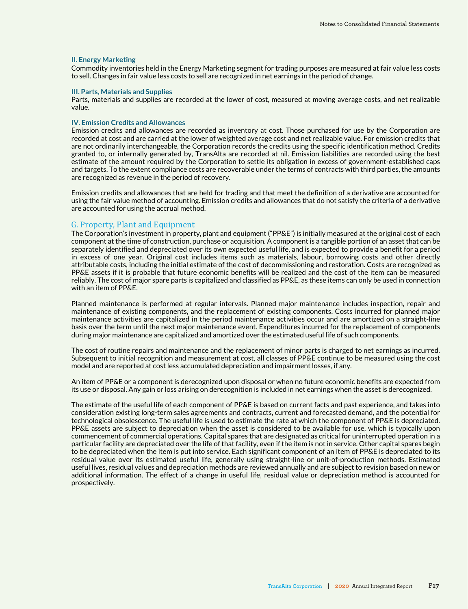#### **II. Energy Marketing**

Commodity inventories held in the Energy Marketing segment for trading purposes are measured at fair value less costs to sell. Changes in fair value less costs to sell are recognized in net earnings in the period of change.

#### **III. Parts, Materials and Supplies**

Parts, materials and supplies are recorded at the lower of cost, measured at moving average costs, and net realizable value.

#### **IV. Emission Credits and Allowances**

Emission credits and allowances are recorded as inventory at cost. Those purchased for use by the Corporation are recorded at cost and are carried at the lower of weighted average cost and net realizable value. For emission credits that are not ordinarily interchangeable, the Corporation records the credits using the specific identification method. Credits granted to, or internally generated by, TransAlta are recorded at nil. Emission liabilities are recorded using the best estimate of the amount required by the Corporation to settle its obligation in excess of government-established caps and targets. To the extent compliance costs are recoverable under the terms of contracts with third parties, the amounts are recognized as revenue in the period of recovery.

Emission credits and allowances that are held for trading and that meet the definition of a derivative are accounted for using the fair value method of accounting. Emission credits and allowances that do not satisfy the criteria of a derivative are accounted for using the accrual method.

#### G. Property, Plant and Equipment

The Corporation's investment in property, plant and equipment ("PP&E") is initially measured at the original cost of each component at the time of construction, purchase or acquisition. A component is a tangible portion of an asset that can be separately identified and depreciated over its own expected useful life, and is expected to provide a benefit for a period in excess of one year. Original cost includes items such as materials, labour, borrowing costs and other directly attributable costs, including the initial estimate of the cost of decommissioning and restoration. Costs are recognized as PP&E assets if it is probable that future economic benefits will be realized and the cost of the item can be measured reliably. The cost of major spare parts is capitalized and classified as PP&E, as these items can only be used in connection with an item of PP&E.

Planned maintenance is performed at regular intervals. Planned major maintenance includes inspection, repair and maintenance of existing components, and the replacement of existing components. Costs incurred for planned major maintenance activities are capitalized in the period maintenance activities occur and are amortized on a straight-line basis over the term until the next major maintenance event. Expenditures incurred for the replacement of components during major maintenance are capitalized and amortized over the estimated useful life of such components.

The cost of routine repairs and maintenance and the replacement of minor parts is charged to net earnings as incurred. Subsequent to initial recognition and measurement at cost, all classes of PP&E continue to be measured using the cost model and are reported at cost less accumulated depreciation and impairment losses, if any.

An item of PP&E or a component is derecognized upon disposal or when no future economic benefits are expected from its use or disposal. Any gain or loss arising on derecognition is included in net earnings when the asset is derecognized.

The estimate of the useful life of each component of PP&E is based on current facts and past experience, and takes into consideration existing long-term sales agreements and contracts, current and forecasted demand, and the potential for technological obsolescence. The useful life is used to estimate the rate at which the component of PP&E is depreciated. PP&E assets are subject to depreciation when the asset is considered to be available for use, which is typically upon commencement of commercial operations. Capital spares that are designated as critical for uninterrupted operation in a particular facility are depreciated over the life of that facility, even if the item is not in service. Other capital spares begin to be depreciated when the item is put into service. Each significant component of an item of PP&E is depreciated to its residual value over its estimated useful life, generally using straight-line or unit-of-production methods. Estimated useful lives, residual values and depreciation methods are reviewed annually and are subject to revision based on new or additional information. The effect of a change in useful life, residual value or depreciation method is accounted for prospectively.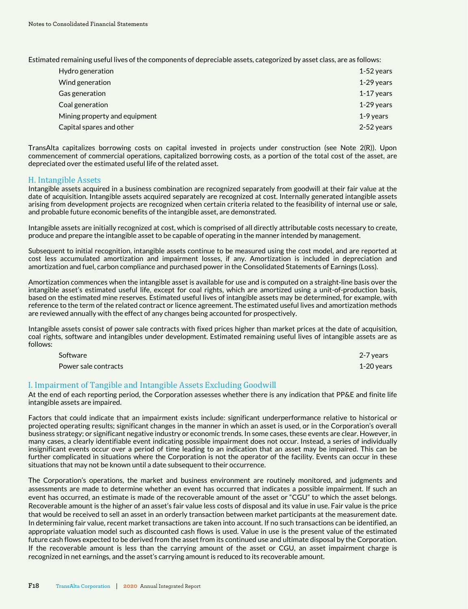Estimated remaining useful lives of the components of depreciable assets, categorized by asset class, are as follows:

| Hydro generation              | $1-52$ years |
|-------------------------------|--------------|
| Wind generation               | 1-29 years   |
| Gas generation                | $1-17$ years |
| Coal generation               | 1-29 years   |
| Mining property and equipment | 1-9 years    |
| Capital spares and other      | 2-52 years   |

TransAlta capitalizes borrowing costs on capital invested in projects under construction (see Note 2(R)). Upon commencement of commercial operations, capitalized borrowing costs, as a portion of the total cost of the asset, are depreciated over the estimated useful life of the related asset.

### H. Intangible Assets

Intangible assets acquired in a business combination are recognized separately from goodwill at their fair value at the date of acquisition. Intangible assets acquired separately are recognized at cost. Internally generated intangible assets arising from development projects are recognized when certain criteria related to the feasibility of internal use or sale, and probable future economic benefits of the intangible asset, are demonstrated.

Intangible assets are initially recognized at cost, which is comprised of all directly attributable costs necessary to create, produce and prepare the intangible asset to be capable of operating in the manner intended by management.

Subsequent to initial recognition, intangible assets continue to be measured using the cost model, and are reported at cost less accumulated amortization and impairment losses, if any. Amortization is included in depreciation and amortization and fuel, carbon compliance and purchased power in the Consolidated Statements of Earnings (Loss).

Amortization commences when the intangible asset is available for use and is computed on a straight-line basis over the intangible asset's estimated useful life, except for coal rights, which are amortized using a unit-of-production basis, based on the estimated mine reserves. Estimated useful lives of intangible assets may be determined, for example, with reference to the term of the related contract or licence agreement. The estimated useful lives and amortization methods are reviewed annually with the effect of any changes being accounted for prospectively.

Intangible assets consist of power sale contracts with fixed prices higher than market prices at the date of acquisition, coal rights, software and intangibles under development. Estimated remaining useful lives of intangible assets are as follows:

| Software             | 2-7 years  |
|----------------------|------------|
| Power sale contracts | 1-20 years |

## I. Impairment of Tangible and Intangible Assets Excluding Goodwill

At the end of each reporting period, the Corporation assesses whether there is any indication that PP&E and finite life intangible assets are impaired.

Factors that could indicate that an impairment exists include: significant underperformance relative to historical or projected operating results; significant changes in the manner in which an asset is used, or in the Corporation's overall business strategy; or significant negative industry or economic trends. In some cases, these events are clear. However, in many cases, a clearly identifiable event indicating possible impairment does not occur. Instead, a series of individually insignificant events occur over a period of time leading to an indication that an asset may be impaired. This can be further complicated in situations where the Corporation is not the operator of the facility. Events can occur in these situations that may not be known until a date subsequent to their occurrence.

The Corporation's operations, the market and business environment are routinely monitored, and judgments and assessments are made to determine whether an event has occurred that indicates a possible impairment. If such an event has occurred, an estimate is made of the recoverable amount of the asset or "CGU" to which the asset belongs. Recoverable amount is the higher of an asset's fair value less costs of disposal and its value in use. Fair value is the price that would be received to sell an asset in an orderly transaction between market participants at the measurement date. In determining fair value, recent market transactions are taken into account. If no such transactions can be identified, an appropriate valuation model such as discounted cash flows is used. Value in use is the present value of the estimated future cash flows expected to be derived from the asset from its continued use and ultimate disposal by the Corporation. If the recoverable amount is less than the carrying amount of the asset or CGU, an asset impairment charge is recognized in net earnings, and the asset's carrying amount is reduced to its recoverable amount.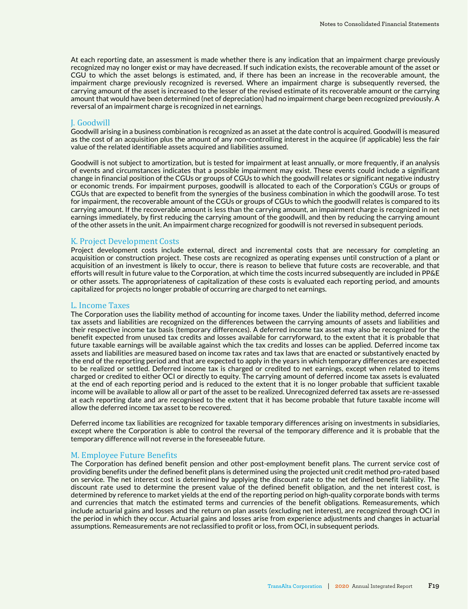At each reporting date, an assessment is made whether there is any indication that an impairment charge previously recognized may no longer exist or may have decreased. If such indication exists, the recoverable amount of the asset or CGU to which the asset belongs is estimated, and, if there has been an increase in the recoverable amount, the impairment charge previously recognized is reversed. Where an impairment charge is subsequently reversed, the carrying amount of the asset is increased to the lesser of the revised estimate of its recoverable amount or the carrying amount that would have been determined (net of depreciation) had no impairment charge been recognized previously. A reversal of an impairment charge is recognized in net earnings.

#### J. Goodwill

Goodwill arising in a business combination is recognized as an asset at the date control is acquired. Goodwill is measured as the cost of an acquisition plus the amount of any non-controlling interest in the acquiree (if applicable) less the fair value of the related identifiable assets acquired and liabilities assumed.

Goodwill is not subject to amortization, but is tested for impairment at least annually, or more frequently, if an analysis of events and circumstances indicates that a possible impairment may exist. These events could include a significant change in financial position of the CGUs or groups of CGUs to which the goodwill relates or significant negative industry or economic trends. For impairment purposes, goodwill is allocated to each of the Corporation's CGUs or groups of CGUs that are expected to benefit from the synergies of the business combination in which the goodwill arose. To test for impairment, the recoverable amount of the CGUs or groups of CGUs to which the goodwill relates is compared to its carrying amount. If the recoverable amount is less than the carrying amount, an impairment charge is recognized in net earnings immediately, by first reducing the carrying amount of the goodwill, and then by reducing the carrying amount of the other assets in the unit. An impairment charge recognized for goodwill is not reversed in subsequent periods.

#### K. Project Development Costs

Project development costs include external, direct and incremental costs that are necessary for completing an acquisition or construction project. These costs are recognized as operating expenses until construction of a plant or acquisition of an investment is likely to occur, there is reason to believe that future costs are recoverable, and that efforts will result in future value to the Corporation, at which time the costs incurred subsequently are included in PP&E or other assets. The appropriateness of capitalization of these costs is evaluated each reporting period, and amounts capitalized for projects no longer probable of occurring are charged to net earnings.

#### L. Income Taxes

The Corporation uses the liability method of accounting for income taxes. Under the liability method, deferred income tax assets and liabilities are recognized on the differences between the carrying amounts of assets and liabilities and their respective income tax basis (temporary differences). A deferred income tax asset may also be recognized for the benefit expected from unused tax credits and losses available for carryforward, to the extent that it is probable that future taxable earnings will be available against which the tax credits and losses can be applied. Deferred income tax assets and liabilities are measured based on income tax rates and tax laws that are enacted or substantively enacted by the end of the reporting period and that are expected to apply in the years in which temporary differences are expected to be realized or settled. Deferred income tax is charged or credited to net earnings, except when related to items charged or credited to either OCI or directly to equity. The carrying amount of deferred income tax assets is evaluated at the end of each reporting period and is reduced to the extent that it is no longer probable that sufficient taxable income will be available to allow all or part of the asset to be realized. Unrecognized deferred tax assets are re-assessed at each reporting date and are recognised to the extent that it has become probable that future taxable income will allow the deferred income tax asset to be recovered.

Deferred income tax liabilities are recognized for taxable temporary differences arising on investments in subsidiaries, except where the Corporation is able to control the reversal of the temporary difference and it is probable that the temporary difference will not reverse in the foreseeable future.

#### M. Employee Future Benefits

The Corporation has defined benefit pension and other post-employment benefit plans. The current service cost of providing benefits under the defined benefit plans is determined using the projected unit credit method pro-rated based on service. The net interest cost is determined by applying the discount rate to the net defined benefit liability. The discount rate used to determine the present value of the defined benefit obligation, and the net interest cost, is determined by reference to market yields at the end of the reporting period on high-quality corporate bonds with terms and currencies that match the estimated terms and currencies of the benefit obligations. Remeasurements, which include actuarial gains and losses and the return on plan assets (excluding net interest), are recognized through OCI in the period in which they occur. Actuarial gains and losses arise from experience adjustments and changes in actuarial assumptions. Remeasurements are not reclassified to profit or loss, from OCI, in subsequent periods.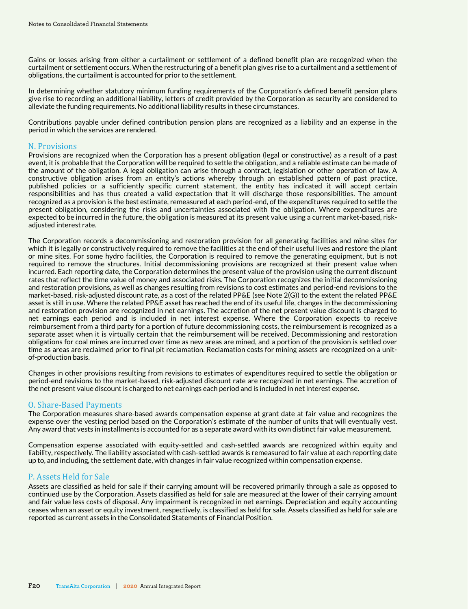Gains or losses arising from either a curtailment or settlement of a defined benefit plan are recognized when the curtailment or settlement occurs. When the restructuring of a benefit plan gives rise to a curtailment and a settlement of obligations, the curtailment is accounted for prior to the settlement.

In determining whether statutory minimum funding requirements of the Corporation's defined benefit pension plans give rise to recording an additional liability, letters of credit provided by the Corporation as security are considered to alleviate the funding requirements. No additional liability results in these circumstances.

Contributions payable under defined contribution pension plans are recognized as a liability and an expense in the period in which the services are rendered.

#### N. Provisions

Provisions are recognized when the Corporation has a present obligation (legal or constructive) as a result of a past event, it is probable that the Corporation will be required to settle the obligation, and a reliable estimate can be made of the amount of the obligation. A legal obligation can arise through a contract, legislation or other operation of law. A constructive obligation arises from an entity's actions whereby through an established pattern of past practice, published policies or a sufficiently specific current statement, the entity has indicated it will accept certain responsibilities and has thus created a valid expectation that it will discharge those responsibilities. The amount recognized as a provision is the best estimate, remeasured at each period-end, of the expenditures required to settle the present obligation, considering the risks and uncertainties associated with the obligation. Where expenditures are expected to be incurred in the future, the obligation is measured at its present value using a current market-based, riskadjusted interest rate.

The Corporation records a decommissioning and restoration provision for all generating facilities and mine sites for which it is legally or constructively required to remove the facilities at the end of their useful lives and restore the plant or mine sites. For some hydro facilities, the Corporation is required to remove the generating equipment, but is not required to remove the structures. Initial decommissioning provisions are recognized at their present value when incurred. Each reporting date, the Corporation determines the present value of the provision using the current discount rates that reflect the time value of money and associated risks. The Corporation recognizes the initial decommissioning and restoration provisions, as well as changes resulting from revisions to cost estimates and period-end revisions to the market-based, risk-adjusted discount rate, as a cost of the related PP&E (see Note 2(G)) to the extent the related PP&E asset is still in use. Where the related PP&E asset has reached the end of its useful life, changes in the decommissioning and restoration provision are recognized in net earnings. The accretion of the net present value discount is charged to net earnings each period and is included in net interest expense. Where the Corporation expects to receive reimbursement from a third party for a portion of future decommissioning costs, the reimbursement is recognized as a separate asset when it is virtually certain that the reimbursement will be received. Decommissioning and restoration obligations for coal mines are incurred over time as new areas are mined, and a portion of the provision is settled over time as areas are reclaimed prior to final pit reclamation. Reclamation costs for mining assets are recognized on a unitof-production basis.

Changes in other provisions resulting from revisions to estimates of expenditures required to settle the obligation or period-end revisions to the market-based, risk-adjusted discount rate are recognized in net earnings. The accretion of the net present value discount is charged to net earnings each period and is included in net interest expense.

#### O. Share-Based Payments

The Corporation measures share-based awards compensation expense at grant date at fair value and recognizes the expense over the vesting period based on the Corporation's estimate of the number of units that will eventually vest. Any award that vests in installments is accounted for as a separate award with its own distinct fair value measurement.

Compensation expense associated with equity-settled and cash-settled awards are recognized within equity and liability, respectively. The liability associated with cash-settled awards is remeasured to fair value at each reporting date up to, and including, the settlement date, with changes in fair value recognized within compensation expense.

## P. Assets Held for Sale

Assets are classified as held for sale if their carrying amount will be recovered primarily through a sale as opposed to continued use by the Corporation. Assets classified as held for sale are measured at the lower of their carrying amount and fair value less costs of disposal. Any impairment is recognized in net earnings. Depreciation and equity accounting ceases when an asset or equity investment, respectively, is classified as held for sale. Assets classified as held for sale are reported as current assets in the Consolidated Statements of Financial Position.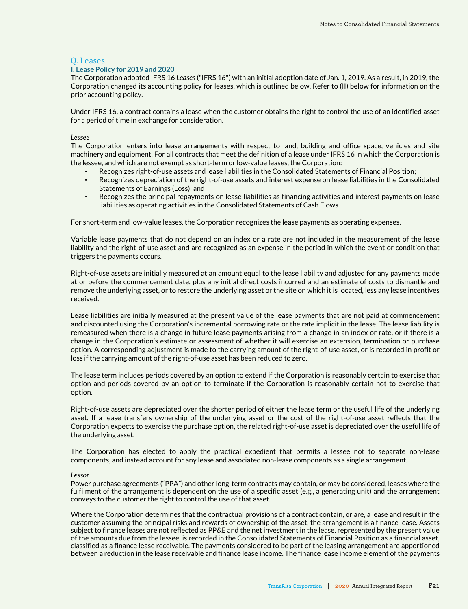### Q. Leases

### **I. Lease Policy for 2019 and 2020**

The Corporation adopted IFRS 16 *Leases* ("IFRS 16") with an initial adoption date of Jan. 1, 2019. As a result, in 2019, the Corporation changed its accounting policy for leases, which is outlined below. Refer to (II) below for information on the prior accounting policy.

Under IFRS 16, a contract contains a lease when the customer obtains the right to control the use of an identified asset for a period of time in exchange for consideration.

#### *Lessee*

The Corporation enters into lease arrangements with respect to land, building and office space, vehicles and site machinery and equipment. For all contracts that meet the definition of a lease under IFRS 16 in which the Corporation is the lessee, and which are not exempt as short-term or low-value leases, the Corporation:

- Recognizes right-of-use assets and lease liabilities in the Consolidated Statements of Financial Position;
- Recognizes depreciation of the right-of-use assets and interest expense on lease liabilities in the Consolidated Statements of Earnings (Loss); and
- Recognizes the principal repayments on lease liabilities as financing activities and interest payments on lease liabilities as operating activities in the Consolidated Statements of Cash Flows.

For short-term and low-value leases, the Corporation recognizes the lease payments as operating expenses.

Variable lease payments that do not depend on an index or a rate are not included in the measurement of the lease liability and the right-of-use asset and are recognized as an expense in the period in which the event or condition that triggers the payments occurs.

Right-of-use assets are initially measured at an amount equal to the lease liability and adjusted for any payments made at or before the commencement date, plus any initial direct costs incurred and an estimate of costs to dismantle and remove the underlying asset, or to restore the underlying asset or the site on which it is located, less any lease incentives received.

Lease liabilities are initially measured at the present value of the lease payments that are not paid at commencement and discounted using the Corporation's incremental borrowing rate or the rate implicit in the lease. The lease liability is remeasured when there is a change in future lease payments arising from a change in an index or rate, or if there is a change in the Corporation's estimate or assessment of whether it will exercise an extension, termination or purchase option. A corresponding adjustment is made to the carrying amount of the right-of-use asset, or is recorded in profit or loss if the carrying amount of the right-of-use asset has been reduced to zero.

The lease term includes periods covered by an option to extend if the Corporation is reasonably certain to exercise that option and periods covered by an option to terminate if the Corporation is reasonably certain not to exercise that option.

Right-of-use assets are depreciated over the shorter period of either the lease term or the useful life of the underlying asset. If a lease transfers ownership of the underlying asset or the cost of the right-of-use asset reflects that the Corporation expects to exercise the purchase option, the related right-of-use asset is depreciated over the useful life of the underlying asset.

The Corporation has elected to apply the practical expedient that permits a lessee not to separate non-lease components, and instead account for any lease and associated non-lease components as a single arrangement.

#### *Lessor*

Power purchase agreements ("PPA") and other long-term contracts may contain, or may be considered, leases where the fulfilment of the arrangement is dependent on the use of a specific asset (e.g., a generating unit) and the arrangement conveys to the customer the right to control the use of that asset.

Where the Corporation determines that the contractual provisions of a contract contain, or are, a lease and result in the customer assuming the principal risks and rewards of ownership of the asset, the arrangement is a finance lease. Assets subject to finance leases are not reflected as PP&E and the net investment in the lease, represented by the present value of the amounts due from the lessee, is recorded in the Consolidated Statements of Financial Position as a financial asset, classified as a finance lease receivable. The payments considered to be part of the leasing arrangement are apportioned between a reduction in the lease receivable and finance lease income. The finance lease income element of the payments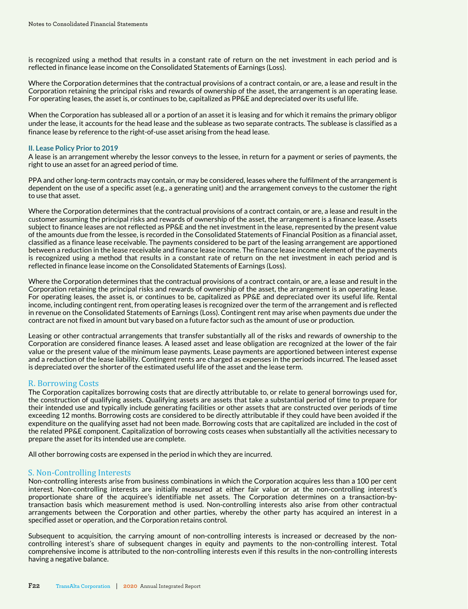is recognized using a method that results in a constant rate of return on the net investment in each period and is reflected in finance lease income on the Consolidated Statements of Earnings (Loss).

Where the Corporation determines that the contractual provisions of a contract contain, or are, a lease and result in the Corporation retaining the principal risks and rewards of ownership of the asset, the arrangement is an operating lease. For operating leases, the asset is, or continues to be, capitalized as PP&E and depreciated over its useful life.

When the Corporation has subleased all or a portion of an asset it is leasing and for which it remains the primary obligor under the lease, it accounts for the head lease and the sublease as two separate contracts. The sublease is classified as a finance lease by reference to the right-of-use asset arising from the head lease.

#### **II. Lease Policy Prior to 2019**

A lease is an arrangement whereby the lessor conveys to the lessee, in return for a payment or series of payments, the right to use an asset for an agreed period of time.

PPA and other long-term contracts may contain, or may be considered, leases where the fulfilment of the arrangement is dependent on the use of a specific asset (e.g., a generating unit) and the arrangement conveys to the customer the right to use that asset.

Where the Corporation determines that the contractual provisions of a contract contain, or are, a lease and result in the customer assuming the principal risks and rewards of ownership of the asset, the arrangement is a finance lease. Assets subject to finance leases are not reflected as PP&E and the net investment in the lease, represented by the present value of the amounts due from the lessee, is recorded in the Consolidated Statements of Financial Position as a financial asset, classified as a finance lease receivable. The payments considered to be part of the leasing arrangement are apportioned between a reduction in the lease receivable and finance lease income. The finance lease income element of the payments is recognized using a method that results in a constant rate of return on the net investment in each period and is reflected in finance lease income on the Consolidated Statements of Earnings (Loss).

Where the Corporation determines that the contractual provisions of a contract contain, or are, a lease and result in the Corporation retaining the principal risks and rewards of ownership of the asset, the arrangement is an operating lease. For operating leases, the asset is, or continues to be, capitalized as PP&E and depreciated over its useful life. Rental income, including contingent rent, from operating leases is recognized over the term of the arrangement and is reflected in revenue on the Consolidated Statements of Earnings (Loss). Contingent rent may arise when payments due under the contract are not fixed in amount but vary based on a future factor such as the amount of use or production.

Leasing or other contractual arrangements that transfer substantially all of the risks and rewards of ownership to the Corporation are considered finance leases. A leased asset and lease obligation are recognized at the lower of the fair value or the present value of the minimum lease payments. Lease payments are apportioned between interest expense and a reduction of the lease liability. Contingent rents are charged as expenses in the periods incurred. The leased asset is depreciated over the shorter of the estimated useful life of the asset and the lease term.

#### R. Borrowing Costs

The Corporation capitalizes borrowing costs that are directly attributable to, or relate to general borrowings used for, the construction of qualifying assets. Qualifying assets are assets that take a substantial period of time to prepare for their intended use and typically include generating facilities or other assets that are constructed over periods of time exceeding 12 months. Borrowing costs are considered to be directly attributable if they could have been avoided if the expenditure on the qualifying asset had not been made. Borrowing costs that are capitalized are included in the cost of the related PP&E component. Capitalization of borrowing costs ceases when substantially all the activities necessary to prepare the asset for its intended use are complete.

All other borrowing costs are expensed in the period in which they are incurred.

#### S. Non-Controlling Interests

Non-controlling interests arise from business combinations in which the Corporation acquires less than a 100 per cent interest. Non-controlling interests are initially measured at either fair value or at the non-controlling interest's proportionate share of the acquiree's identifiable net assets. The Corporation determines on a transaction-bytransaction basis which measurement method is used. Non-controlling interests also arise from other contractual arrangements between the Corporation and other parties, whereby the other party has acquired an interest in a specified asset or operation, and the Corporation retains control.

Subsequent to acquisition, the carrying amount of non-controlling interests is increased or decreased by the noncontrolling interest's share of subsequent changes in equity and payments to the non-controlling interest. Total comprehensive income is attributed to the non-controlling interests even if this results in the non-controlling interests having a negative balance.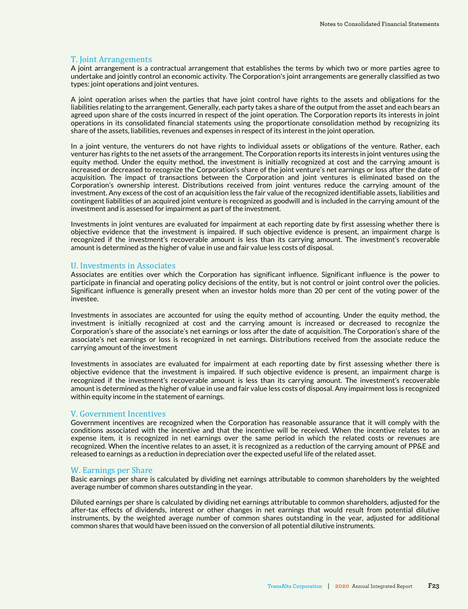#### T. Joint Arrangements

A joint arrangement is a contractual arrangement that establishes the terms by which two or more parties agree to undertake and jointly control an economic activity. The Corporation's joint arrangements are generally classified as two types: joint operations and joint ventures.

A joint operation arises when the parties that have joint control have rights to the assets and obligations for the liabilities relating to the arrangement. Generally, each party takes a share of the output from the asset and each bears an agreed upon share of the costs incurred in respect of the joint operation. The Corporation reports its interests in joint operations in its consolidated financial statements using the proportionate consolidation method by recognizing its share of the assets, liabilities, revenues and expenses in respect of its interest in the joint operation.

In a joint venture, the venturers do not have rights to individual assets or obligations of the venture. Rather, each venturer has rights to the net assets of the arrangement. The Corporation reports its interests in joint ventures using the equity method. Under the equity method, the investment is initially recognized at cost and the carrying amount is increased or decreased to recognize the Corporation's share of the joint venture's net earnings or loss after the date of acquisition. The impact of transactions between the Corporation and joint ventures is eliminated based on the Corporation's ownership interest. Distributions received from joint ventures reduce the carrying amount of the investment. Any excess of the cost of an acquisition less the fair value of the recognized identifiable assets, liabilities and contingent liabilities of an acquired joint venture is recognized as goodwill and is included in the carrying amount of the investment and is assessed for impairment as part of the investment.

Investments in joint ventures are evaluated for impairment at each reporting date by first assessing whether there is objective evidence that the investment is impaired. If such objective evidence is present, an impairment charge is recognized if the investment's recoverable amount is less than its carrying amount. The investment's recoverable amount is determined as the higher of value in use and fair value less costs of disposal.

#### U. Investments in Associates

Associates are entities over which the Corporation has significant influence. Significant influence is the power to participate in financial and operating policy decisions of the entity, but is not control or joint control over the policies. Significant influence is generally present when an investor holds more than 20 per cent of the voting power of the investee.

Investments in associates are accounted for using the equity method of accounting. Under the equity method, the investment is initially recognized at cost and the carrying amount is increased or decreased to recognize the Corporation's share of the associate's net earnings or loss after the date of acquisition. The Corporation's share of the associate's net earnings or loss is recognized in net earnings. Distributions received from the associate reduce the carrying amount of the investment

Investments in associates are evaluated for impairment at each reporting date by first assessing whether there is objective evidence that the investment is impaired. If such objective evidence is present, an impairment charge is recognized if the investment's recoverable amount is less than its carrying amount. The investment's recoverable amount is determined as the higher of value in use and fair value less costs of disposal. Any impairment loss is recognized within equity income in the statement of earnings.

#### V. Government Incentives

Government incentives are recognized when the Corporation has reasonable assurance that it will comply with the conditions associated with the incentive and that the incentive will be received. When the incentive relates to an expense item, it is recognized in net earnings over the same period in which the related costs or revenues are recognized. When the incentive relates to an asset, it is recognized as a reduction of the carrying amount of PP&E and released to earnings as a reduction in depreciation over the expected useful life of the related asset.

#### W. Earnings per Share

Basic earnings per share is calculated by dividing net earnings attributable to common shareholders by the weighted average number of common shares outstanding in the year.

Diluted earnings per share is calculated by dividing net earnings attributable to common shareholders, adjusted for the after-tax effects of dividends, interest or other changes in net earnings that would result from potential dilutive instruments, by the weighted average number of common shares outstanding in the year, adjusted for additional common shares that would have been issued on the conversion of all potential dilutive instruments.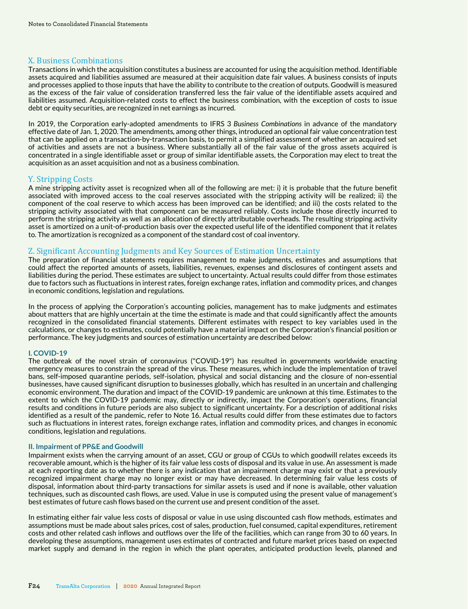## X. Business Combinations

Transactions in which the acquisition constitutes a business are accounted for using the acquisition method. Identifiable assets acquired and liabilities assumed are measured at their acquisition date fair values. A business consists of inputs and processes applied to those inputs that have the ability to contribute to the creation of outputs. Goodwill is measured as the excess of the fair value of consideration transferred less the fair value of the identifiable assets acquired and liabilities assumed. Acquisition-related costs to effect the business combination, with the exception of costs to issue debt or equity securities, are recognized in net earnings as incurred.

In 2019, the Corporation early-adopted amendments to IFRS 3 *Business Combinations* in advance of the mandatory effective date of Jan. 1, 2020. The amendments*,* among other things, introduced an optional fair value concentration test that can be applied on a transaction-by-transaction basis, to permit a simplified assessment of whether an acquired set of activities and assets are not a business. Where substantially all of the fair value of the gross assets acquired is concentrated in a single identifiable asset or group of similar identifiable assets, the Corporation may elect to treat the acquisition as an asset acquisition and not as a business combination.

## Y. Stripping Costs

A mine stripping activity asset is recognized when all of the following are met: i) it is probable that the future benefit associated with improved access to the coal reserves associated with the stripping activity will be realized; ii) the component of the coal reserve to which access has been improved can be identified; and iii) the costs related to the stripping activity associated with that component can be measured reliably. Costs include those directly incurred to perform the stripping activity as well as an allocation of directly attributable overheads. The resulting stripping activity asset is amortized on a unit-of-production basis over the expected useful life of the identified component that it relates to. The amortization is recognized as a component of the standard cost of coal inventory.

### Z. Significant Accounting Judgments and Key Sources of Estimation Uncertainty

The preparation of financial statements requires management to make judgments, estimates and assumptions that could affect the reported amounts of assets, liabilities, revenues, expenses and disclosures of contingent assets and liabilities during the period. These estimates are subject to uncertainty. Actual results could differ from those estimates due to factors such as fluctuations in interest rates, foreign exchange rates, inflation and commodity prices, and changes in economic conditions, legislation and regulations.

In the process of applying the Corporation's accounting policies, management has to make judgments and estimates about matters that are highly uncertain at the time the estimate is made and that could significantly affect the amounts recognized in the consolidated financial statements. Different estimates with respect to key variables used in the calculations, or changes to estimates, could potentially have a material impact on the Corporation's financial position or performance. The key judgments and sources of estimation uncertainty are described below:

#### **I. COVID-19**

The outbreak of the novel strain of coronavirus ("COVID-19") has resulted in governments worldwide enacting emergency measures to constrain the spread of the virus. These measures, which include the implementation of travel bans, self-imposed quarantine periods, self-isolation, physical and social distancing and the closure of non-essential businesses, have caused significant disruption to businesses globally, which has resulted in an uncertain and challenging economic environment. The duration and impact of the COVID-19 pandemic are unknown at this time. Estimates to the extent to which the COVID-19 pandemic may, directly or indirectly, impact the Corporation's operations, financial results and conditions in future periods are also subject to significant uncertainty. For a description of additional risks identified as a result of the pandemic, refer to Note 16. Actual results could differ from these estimates due to factors such as fluctuations in interest rates, foreign exchange rates, inflation and commodity prices, and changes in economic conditions, legislation and regulations.

#### **II. Impairment of PP&E and Goodwill**

Impairment exists when the carrying amount of an asset, CGU or group of CGUs to which goodwill relates exceeds its recoverable amount, which is the higher of its fair value less costs of disposal and its value in use. An assessment is made at each reporting date as to whether there is any indication that an impairment charge may exist or that a previously recognized impairment charge may no longer exist or may have decreased. In determining fair value less costs of disposal, information about third-party transactions for similar assets is used and if none is available, other valuation techniques, such as discounted cash flows, are used. Value in use is computed using the present value of management's best estimates of future cash flows based on the current use and present condition of the asset.

In estimating either fair value less costs of disposal or value in use using discounted cash flow methods, estimates and assumptions must be made about sales prices, cost of sales, production, fuel consumed, capital expenditures, retirement costs and other related cash inflows and outflows over the life of the facilities, which can range from 30 to 60 years. In developing these assumptions, management uses estimates of contracted and future market prices based on expected market supply and demand in the region in which the plant operates, anticipated production levels, planned and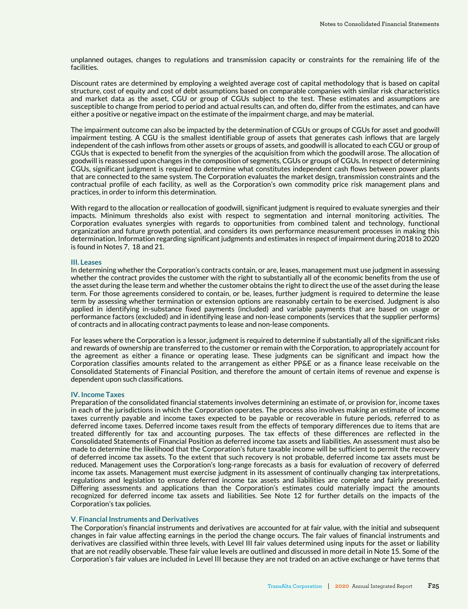unplanned outages, changes to regulations and transmission capacity or constraints for the remaining life of the facilities.

Discount rates are determined by employing a weighted average cost of capital methodology that is based on capital structure, cost of equity and cost of debt assumptions based on comparable companies with similar risk characteristics and market data as the asset, CGU or group of CGUs subject to the test. These estimates and assumptions are susceptible to change from period to period and actual results can, and often do, differ from the estimates, and can have either a positive or negative impact on the estimate of the impairment charge, and may be material.

The impairment outcome can also be impacted by the determination of CGUs or groups of CGUs for asset and goodwill impairment testing. A CGU is the smallest identifiable group of assets that generates cash inflows that are largely independent of the cash inflows from other assets or groups of assets, and goodwill is allocated to each CGU or group of CGUs that is expected to benefit from the synergies of the acquisition from which the goodwill arose. The allocation of goodwill is reassessed upon changes in the composition of segments, CGUs or groups of CGUs. In respect of determining CGUs, significant judgment is required to determine what constitutes independent cash flows between power plants that are connected to the same system. The Corporation evaluates the market design, transmission constraints and the contractual profile of each facility, as well as the Corporation's own commodity price risk management plans and practices, in order to inform this determination.

With regard to the allocation or reallocation of goodwill, significant judgment is required to evaluate synergies and their impacts. Minimum thresholds also exist with respect to segmentation and internal monitoring activities. The Corporation evaluates synergies with regards to opportunities from combined talent and technology, functional organization and future growth potential, and considers its own performance measurement processes in making this determination. Information regarding significant judgments and estimates in respect of impairment during 2018 to 2020 is found in Notes 7, 18 and 21.

#### **III. Leases**

In determining whether the Corporation's contracts contain, or are, leases, management must use judgment in assessing whether the contract provides the customer with the right to substantially all of the economic benefits from the use of the asset during the lease term and whether the customer obtains the right to direct the use of the asset during the lease term. For those agreements considered to contain, or be, leases, further judgment is required to determine the lease term by assessing whether termination or extension options are reasonably certain to be exercised. Judgment is also applied in identifying in-substance fixed payments (included) and variable payments that are based on usage or performance factors (excluded) and in identifying lease and non-lease components (services that the supplier performs) of contracts and in allocating contract payments to lease and non-lease components.

For leases where the Corporation is a lessor, judgment is required to determine if substantially all of the significant risks and rewards of ownership are transferred to the customer or remain with the Corporation, to appropriately account for the agreement as either a finance or operating lease. These judgments can be significant and impact how the Corporation classifies amounts related to the arrangement as either PP&E or as a finance lease receivable on the Consolidated Statements of Financial Position, and therefore the amount of certain items of revenue and expense is dependent upon such classifications.

#### **IV. Income Taxes**

Preparation of the consolidated financial statements involves determining an estimate of, or provision for, income taxes in each of the jurisdictions in which the Corporation operates. The process also involves making an estimate of income taxes currently payable and income taxes expected to be payable or recoverable in future periods, referred to as deferred income taxes. Deferred income taxes result from the effects of temporary differences due to items that are treated differently for tax and accounting purposes. The tax effects of these differences are reflected in the Consolidated Statements of Financial Position as deferred income tax assets and liabilities. An assessment must also be made to determine the likelihood that the Corporation's future taxable income will be sufficient to permit the recovery of deferred income tax assets. To the extent that such recovery is not probable, deferred income tax assets must be reduced. Management uses the Corporation's long-range forecasts as a basis for evaluation of recovery of deferred income tax assets. Management must exercise judgment in its assessment of continually changing tax interpretations, regulations and legislation to ensure deferred income tax assets and liabilities are complete and fairly presented. Differing assessments and applications than the Corporation's estimates could materially impact the amounts recognized for deferred income tax assets and liabilities. See Note 12 for further details on the impacts of the Corporation's tax policies.

#### **V. Financial Instruments and Derivatives**

The Corporation's financial instruments and derivatives are accounted for at fair value, with the initial and subsequent changes in fair value affecting earnings in the period the change occurs. The fair values of financial instruments and derivatives are classified within three levels, with Level III fair values determined using inputs for the asset or liability that are not readily observable. These fair value levels are outlined and discussed in more detail in Note 15. Some of the Corporation's fair values are included in Level III because they are not traded on an active exchange or have terms that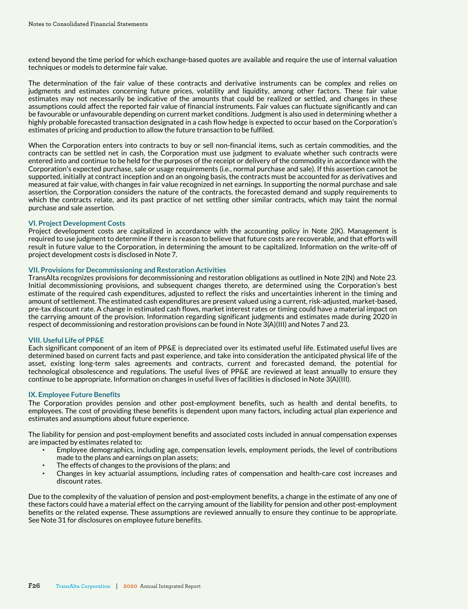extend beyond the time period for which exchange-based quotes are available and require the use of internal valuation techniques or models to determine fair value.

The determination of the fair value of these contracts and derivative instruments can be complex and relies on judgments and estimates concerning future prices, volatility and liquidity, among other factors. These fair value estimates may not necessarily be indicative of the amounts that could be realized or settled, and changes in these assumptions could affect the reported fair value of financial instruments. Fair values can fluctuate significantly and can be favourable or unfavourable depending on current market conditions. Judgment is also used in determining whether a highly probable forecasted transaction designated in a cash flow hedge is expected to occur based on the Corporation's estimates of pricing and production to allow the future transaction to be fulfiled.

When the Corporation enters into contracts to buy or sell non-financial items, such as certain commodities, and the contracts can be settled net in cash, the Corporation must use judgment to evaluate whether such contracts were entered into and continue to be held for the purposes of the receipt or delivery of the commodity in accordance with the Corporation's expected purchase, sale or usage requirements (i.e., normal purchase and sale). If this assertion cannot be supported, initially at contract inception and on an ongoing basis, the contracts must be accounted for as derivatives and measured at fair value, with changes in fair value recognized in net earnings. In supporting the normal purchase and sale assertion, the Corporation considers the nature of the contracts, the forecasted demand and supply requirements to which the contracts relate, and its past practice of net settling other similar contracts, which may taint the normal purchase and sale assertion.

#### **VI. Project Development Costs**

Project development costs are capitalized in accordance with the accounting policy in Note 2(K). Management is required to use judgment to determine if there is reason to believe that future costs are recoverable, and that efforts will result in future value to the Corporation, in determining the amount to be capitalized. Information on the write-off of project development costs is disclosed in Note 7.

#### **VII. Provisions for Decommissioning and Restoration Activities**

TransAlta recognizes provisions for decommissioning and restoration obligations as outlined in Note 2(N) and Note 23. Initial decommissioning provisions, and subsequent changes thereto, are determined using the Corporation's best estimate of the required cash expenditures, adjusted to reflect the risks and uncertainties inherent in the timing and amount of settlement. The estimated cash expenditures are present valued using a current, risk-adjusted, market-based, pre-tax discount rate. A change in estimated cash flows, market interest rates or timing could have a material impact on the carrying amount of the provision. Information regarding significant judgments and estimates made during 2020 in respect of decommissioning and restoration provisions can be found in Note 3(A)(III) and Notes 7 and 23.

#### **VIII. Useful Life of PP&E**

Each significant component of an item of PP&E is depreciated over its estimated useful life. Estimated useful lives are determined based on current facts and past experience, and take into consideration the anticipated physical life of the asset, existing long-term sales agreements and contracts, current and forecasted demand, the potential for technological obsolescence and regulations. The useful lives of PP&E are reviewed at least annually to ensure they continue to be appropriate. Information on changes in useful lives of facilities is disclosed in Note 3(A)(III).

#### **IX. Employee Future Benefits**

The Corporation provides pension and other post-employment benefits, such as health and dental benefits, to employees. The cost of providing these benefits is dependent upon many factors, including actual plan experience and estimates and assumptions about future experience.

The liability for pension and post-employment benefits and associated costs included in annual compensation expenses are impacted by estimates related to:

- Employee demographics, including age, compensation levels, employment periods, the level of contributions made to the plans and earnings on plan assets;;
- The effects of changes to the provisions of the plans; and
- Changes in key actuarial assumptions, including rates of compensation and health-care cost increases and discount rates.

Due to the complexity of the valuation of pension and post-employment benefits, a change in the estimate of any one of these factors could have a material effect on the carrying amount of the liability for pension and other post-employment benefits or the related expense. These assumptions are reviewed annually to ensure they continue to be appropriate. See Note 31 for disclosures on employee future benefits.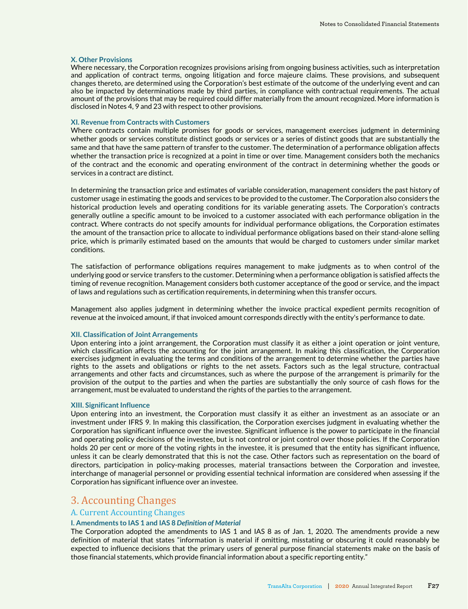#### **X. Other Provisions**

Where necessary, the Corporation recognizes provisions arising from ongoing business activities, such as interpretation and application of contract terms, ongoing litigation and force majeure claims. These provisions, and subsequent changes thereto, are determined using the Corporation's best estimate of the outcome of the underlying event and can also be impacted by determinations made by third parties, in compliance with contractual requirements. The actual amount of the provisions that may be required could differ materially from the amount recognized. More information is disclosed in Notes 4, 9 and 23 with respect to other provisions.

#### **XI. Revenue from Contracts with Customers**

Where contracts contain multiple promises for goods or services, management exercises judgment in determining whether goods or services constitute distinct goods or services or a series of distinct goods that are substantially the same and that have the same pattern of transfer to the customer. The determination of a performance obligation affects whether the transaction price is recognized at a point in time or over time. Management considers both the mechanics of the contract and the economic and operating environment of the contract in determining whether the goods or services in a contract are distinct.

In determining the transaction price and estimates of variable consideration, management considers the past history of customer usage in estimating the goods and services to be provided to the customer. The Corporation also considers the historical production levels and operating conditions for its variable generating assets. The Corporation's contracts generally outline a specific amount to be invoiced to a customer associated with each performance obligation in the contract. Where contracts do not specify amounts for individual performance obligations, the Corporation estimates the amount of the transaction price to allocate to individual performance obligations based on their stand-alone selling price, which is primarily estimated based on the amounts that would be charged to customers under similar market conditions.

The satisfaction of performance obligations requires management to make judgments as to when control of the underlying good or service transfers to the customer. Determining when a performance obligation is satisfied affects the timing of revenue recognition. Management considers both customer acceptance of the good or service, and the impact of laws and regulations such as certification requirements, in determining when this transfer occurs.

Management also applies judgment in determining whether the invoice practical expedient permits recognition of revenue at the invoiced amount, if that invoiced amount corresponds directly with the entity's performance to date.

#### **XII. Classification of Joint Arrangements**

Upon entering into a joint arrangement, the Corporation must classify it as either a joint operation or joint venture, which classification affects the accounting for the joint arrangement. In making this classification, the Corporation exercises judgment in evaluating the terms and conditions of the arrangement to determine whether the parties have rights to the assets and obligations or rights to the net assets. Factors such as the legal structure, contractual arrangements and other facts and circumstances, such as where the purpose of the arrangement is primarily for the provision of the output to the parties and when the parties are substantially the only source of cash flows for the arrangement, must be evaluated to understand the rights of the parties to the arrangement.

#### **XIII. Significant Influence**

Upon entering into an investment, the Corporation must classify it as either an investment as an associate or an investment under IFRS 9. In making this classification, the Corporation exercises judgment in evaluating whether the Corporation has significant influence over the investee. Significant influence is the power to participate in the financial and operating policy decisions of the investee, but is not control or joint control over those policies. If the Corporation holds 20 per cent or more of the voting rights in the investee, it is presumed that the entity has significant influence, unless it can be clearly demonstrated that this is not the case. Other factors such as representation on the board of directors, participation in policy-making processes, material transactions between the Corporation and investee, interchange of managerial personnel or providing essential technical information are considered when assessing if the Corporation has significant influence over an investee.

## 3. Accounting Changes

### A. Current Accounting Changes

#### **I. Amendments to IAS 1 and IAS 8** *Definition of Material*

The Corporation adopted the amendments to IAS 1 and IAS 8 as of Jan. 1, 2020. The amendments provide a new definition of material that states "information is material if omitting, misstating or obscuring it could reasonably be expected to influence decisions that the primary users of general purpose financial statements make on the basis of those financial statements, which provide financial information about a specific reporting entity."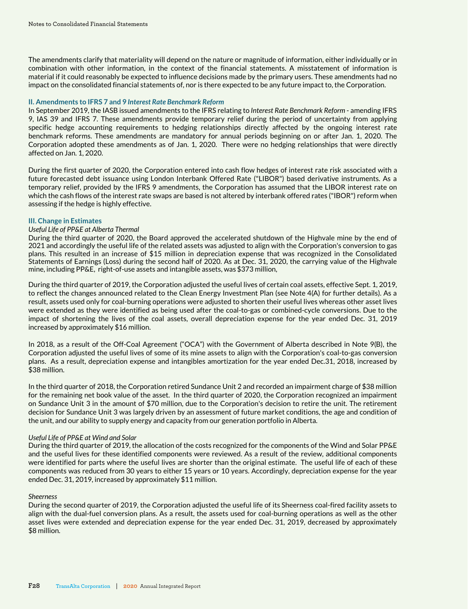The amendments clarify that materiality will depend on the nature or magnitude of information, either individually or in combination with other information, in the context of the financial statements. A misstatement of information is material if it could reasonably be expected to influence decisions made by the primary users. These amendments had no impact on the consolidated financial statements of, nor is there expected to be any future impact to, the Corporation.

#### **II. Amendments to IFRS 7 and 9** *Interest Rate Benchmark Reform*

In September 2019, the IASB issued amendments to the IFRS relating to *Interest Rate Benchmark Reform* - amending IFRS 9, IAS 39 and IFRS 7. These amendments provide temporary relief during the period of uncertainty from applying specific hedge accounting requirements to hedging relationships directly affected by the ongoing interest rate benchmark reforms. These amendments are mandatory for annual periods beginning on or after Jan. 1, 2020. The Corporation adopted these amendments as of Jan. 1, 2020. There were no hedging relationships that were directly affected on Jan. 1, 2020.

During the first quarter of 2020, the Corporation entered into cash flow hedges of interest rate risk associated with a future forecasted debt issuance using London Interbank Offered Rate ("LIBOR") based derivative instruments. As a temporary relief, provided by the IFRS 9 amendments, the Corporation has assumed that the LIBOR interest rate on which the cash flows of the interest rate swaps are based is not altered by interbank offered rates ("IBOR") reform when assessing if the hedge is highly effective.

#### **III. Change in Estimates**

#### *Useful Life of PP&E at Alberta Thermal*

During the third quarter of 2020, the Board approved the accelerated shutdown of the Highvale mine by the end of 2021 and accordingly the useful life of the related assets was adjusted to align with the Corporation's conversion to gas plans. This resulted in an increase of \$15 million in depreciation expense that was recognized in the Consolidated Statements of Earnings (Loss) during the second half of 2020. As at Dec. 31, 2020, the carrying value of the Highvale mine, including PP&E, right-of-use assets and intangible assets, was \$373 million,

During the third quarter of 2019, the Corporation adjusted the useful lives of certain coal assets, effective Sept. 1, 2019, to reflect the changes announced related to the Clean Energy Investment Plan (see Note 4(A) for further details). As a result, assets used only for coal-burning operations were adjusted to shorten their useful lives whereas other asset lives were extended as they were identified as being used after the coal-to-gas or combined-cycle conversions. Due to the impact of shortening the lives of the coal assets, overall depreciation expense for the year ended Dec. 31, 2019 increased by approximately \$16 million.

In 2018, as a result of the Off-Coal Agreement ("OCA") with the Government of Alberta described in Note 9(B), the Corporation adjusted the useful lives of some of its mine assets to align with the Corporation's coal-to-gas conversion plans. As a result, depreciation expense and intangibles amortization for the year ended Dec.31, 2018, increased by \$38 million.

In the third quarter of 2018, the Corporation retired Sundance Unit 2 and recorded an impairment charge of \$38 million for the remaining net book value of the asset. In the third quarter of 2020, the Corporation recognized an impairment on Sundance Unit 3 in the amount of \$70 million, due to the Corporation's decision to retire the unit. The retirement decision for Sundance Unit 3 was largely driven by an assessment of future market conditions, the age and condition of the unit, and our ability to supply energy and capacity from our generation portfolio in Alberta.

#### *Useful Life of PP&E at Wind and Solar*

During the third quarter of 2019, the allocation of the costs recognized for the components of the Wind and Solar PP&E and the useful lives for these identified components were reviewed. As a result of the review, additional components were identified for parts where the useful lives are shorter than the original estimate. The useful life of each of these components was reduced from 30 years to either 15 years or 10 years. Accordingly, depreciation expense for the year ended Dec. 31, 2019, increased by approximately \$11 million.

#### *Sheerness*

During the second quarter of 2019, the Corporation adjusted the useful life of its Sheerness coal-fired facility assets to align with the dual-fuel conversion plans. As a result, the assets used for coal-burning operations as well as the other asset lives were extended and depreciation expense for the year ended Dec. 31, 2019, decreased by approximately \$8 million.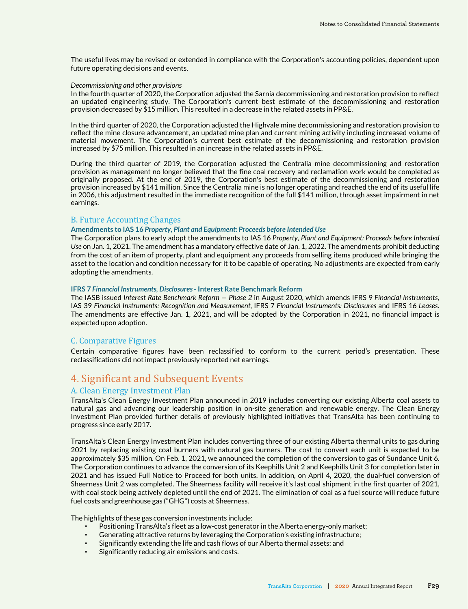The useful lives may be revised or extended in compliance with the Corporation's accounting policies, dependent upon future operating decisions and events.

#### *Decommissioning and other provisions*

In the fourth quarter of 2020, the Corporation adjusted the Sarnia decommissioning and restoration provision to reflect an updated engineering study. The Corporation's current best estimate of the decommissioning and restoration provision decreased by \$15 million. This resulted in a decrease in the related assets in PP&E.

In the third quarter of 2020, the Corporation adjusted the Highvale mine decommissioning and restoration provision to reflect the mine closure advancement, an updated mine plan and current mining activity including increased volume of material movement. The Corporation's current best estimate of the decommissioning and restoration provision increased by \$75 million. This resulted in an increase in the related assets in PP&E.

During the third quarter of 2019, the Corporation adjusted the Centralia mine decommissioning and restoration provision as management no longer believed that the fine coal recovery and reclamation work would be completed as originally proposed. At the end of 2019, the Corporation's best estimate of the decommissioning and restoration provision increased by \$141 million. Since the Centralia mine is no longer operating and reached the end of its useful life in 2006, this adjustment resulted in the immediate recognition of the full \$141 million, through asset impairment in net earnings.

#### B. Future Accounting Changes

#### **Amendments to IAS 16** *Property, Plant and Equipment: Proceeds before Intended Use*

The Corporation plans to early adopt the amendments to IAS 16 *Property, Plant and Equipment: Proceeds before Intended Use* on Jan. 1, 2021. The amendment has a mandatory effective date of Jan. 1, 2022. The amendments prohibit deducting from the cost of an item of property, plant and equipment any proceeds from selling items produced while bringing the asset to the location and condition necessary for it to be capable of operating. No adjustments are expected from early adopting the amendments.

#### **IFRS 7** *Financial Instruments, Disclosures* **- Interest Rate Benchmark Reform**

The IASB issued *Interest Rate Benchmark Reform — Phase 2* in August 2020, which amends IFRS 9 *Financial Instruments,* IAS 39 *Financial Instruments: Recognition and Measurement,* IFRS 7 *Financial Instruments: Disclosures* and IFRS 16 *Leases*. The amendments are effective Jan. 1, 2021, and will be adopted by the Corporation in 2021, no financial impact is expected upon adoption.

#### C. Comparative Figures

Certain comparative figures have been reclassified to conform to the current period's presentation. These reclassifications did not impact previously reported net earnings.

## 4. Significant and Subsequent Events

#### A. Clean Energy Investment Plan

TransAlta's Clean Energy Investment Plan announced in 2019 includes converting our existing Alberta coal assets to natural gas and advancing our leadership position in on-site generation and renewable energy. The Clean Energy Investment Plan provided further details of previously highlighted initiatives that TransAlta has been continuing to progress since early 2017.

TransAlta's Clean Energy Investment Plan includes converting three of our existing Alberta thermal units to gas during 2021 by replacing existing coal burners with natural gas burners. The cost to convert each unit is expected to be approximately \$35 million. On Feb. 1, 2021, we announced the completion of the conversion to gas of Sundance Unit 6. The Corporation continues to advance the conversion of its Keephills Unit 2 and Keephills Unit 3 for completion later in 2021 and has issued Full Notice to Proceed for both units. In addition, on April 4, 2020, the dual-fuel conversion of Sheerness Unit 2 was completed. The Sheerness facility will receive it's last coal shipment in the first quarter of 2021, with coal stock being actively depleted until the end of 2021. The elimination of coal as a fuel source will reduce future fuel costs and greenhouse gas ("GHG") costs at Sheerness.

The highlights of these gas conversion investments include:

- Positioning TransAlta's fleet as a low-cost generator in the Alberta energy-only market;
- Generating attractive returns by leveraging the Corporation's existing infrastructure;
- Significantly extending the life and cash flows of our Alberta thermal assets; and
- Significantly reducing air emissions and costs.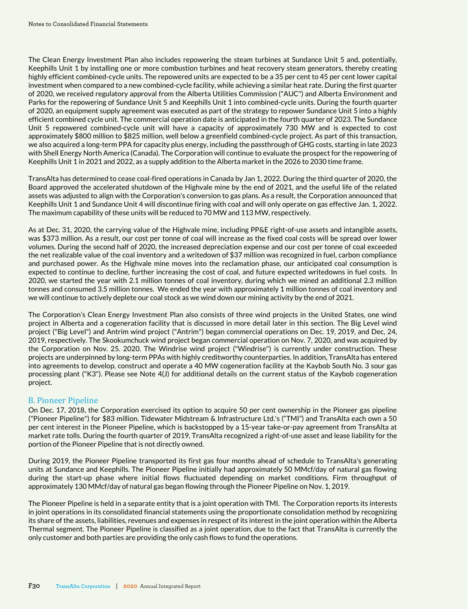The Clean Energy Investment Plan also includes repowering the steam turbines at Sundance Unit 5 and, potentially, Keephills Unit 1 by installing one or more combustion turbines and heat recovery steam generators, thereby creating highly efficient combined-cycle units. The repowered units are expected to be a 35 per cent to 45 per cent lower capital investment when compared to a new combined-cycle facility, while achieving a similar heat rate. During the first quarter of 2020, we received regulatory approval from the Alberta Utilities Commission ("AUC") and Alberta Environment and Parks for the repowering of Sundance Unit 5 and Keephills Unit 1 into combined-cycle units. During the fourth quarter of 2020, an equipment supply agreement was executed as part of the strategy to repower Sundance Unit 5 into a highly efficient combined cycle unit. The commercial operation date is anticipated in the fourth quarter of 2023. The Sundance Unit 5 repowered combined-cycle unit will have a capacity of approximately 730 MW and is expected to cost approximately \$800 million to \$825 million, well below a greenfield combined-cycle project. As part of this transaction, we also acquired a long-term PPA for capacity plus energy, including the passthrough of GHG costs, starting in late 2023 with Shell Energy North America (Canada). The Corporation will continue to evaluate the prospect for the repowering of Keephills Unit 1 in 2021 and 2022, as a supply addition to the Alberta market in the 2026 to 2030 time frame.

TransAlta has determined to cease coal-fired operations in Canada by Jan 1, 2022. During the third quarter of 2020, the Board approved the accelerated shutdown of the Highvale mine by the end of 2021, and the useful life of the related assets was adjusted to align with the Corporation's conversion to gas plans. As a result, the Corporation announced that Keephills Unit 1 and Sundance Unit 4 will discontinue firing with coal and will only operate on gas effective Jan. 1, 2022. The maximum capability of these units will be reduced to 70 MW and 113 MW, respectively.

As at Dec. 31, 2020, the carrying value of the Highvale mine, including PP&E right-of-use assets and intangible assets, was \$373 million. As a result, our cost per tonne of coal will increase as the fixed coal costs will be spread over lower volumes. During the second half of 2020, the increased depreciation expense and our cost per tonne of coal exceeded the net realizable value of the coal inventory and a writedown of \$37 million was recognized in fuel, carbon compliance and purchased power. As the Highvale mine moves into the reclamation phase, our anticipated coal consumption is expected to continue to decline, further increasing the cost of coal, and future expected writedowns in fuel costs. In 2020, we started the year with 2.1 million tonnes of coal inventory, during which we mined an additional 2.3 million tonnes and consumed 3.5 million tonnes. We ended the year with approximately 1 million tonnes of coal inventory and we will continue to actively deplete our coal stock as we wind down our mining activity by the end of 2021.

The Corporation's Clean Energy Investment Plan also consists of three wind projects in the United States, one wind project in Alberta and a cogeneration facility that is discussed in more detail later in this section. The Big Level wind project ("Big Level") and Antrim wind project ("Antrim") began commercial operations on Dec. 19, 2019, and Dec, 24, 2019, respectively. The Skookumchuck wind project began commercial operation on Nov. 7, 2020, and was acquired by the Corporation on Nov. 25. 2020. The Windrise wind project ("Windrise") is currently under construction. These projects are underpinned by long-term PPAs with highly creditworthy counterparties. In addition, TransAlta has entered into agreements to develop, construct and operate a 40 MW cogeneration facility at the Kaybob South No. 3 sour gas processing plant ("K3"). Please see Note 4(J) for additional details on the current status of the Kaybob cogeneration project.

## B. Pioneer Pipeline

On Dec. 17, 2018, the Corporation exercised its option to acquire 50 per cent ownership in the Pioneer gas pipeline ("Pioneer Pipeline") for \$83 million. Tidewater Midstream & Infrastructure Ltd.'s ("TMI") and TransAlta each own a 50 per cent interest in the Pioneer Pipeline, which is backstopped by a 15-year take-or-pay agreement from TransAlta at market rate tolls. During the fourth quarter of 2019, TransAlta recognized a right-of-use asset and lease liability for the portion of the Pioneer Pipeline that is not directly owned.

During 2019, the Pioneer Pipeline transported its first gas four months ahead of schedule to TransAlta's generating units at Sundance and Keephills. The Pioneer Pipeline initially had approximately 50 MMcf/day of natural gas flowing during the start-up phase where initial flows fluctuated depending on market conditions. Firm throughput of approximately 130 MMcf/day of natural gas began flowing through the Pioneer Pipeline on Nov. 1, 2019.

The Pioneer Pipeline is held in a separate entity that is a joint operation with TMI. The Corporation reports its interests in joint operations in its consolidated financial statements using the proportionate consolidation method by recognizing its share of the assets, liabilities, revenues and expenses in respect of its interest in the joint operation within the Alberta Thermal segment. The Pioneer Pipeline is classified as a joint operation, due to the fact that TransAlta is currently the only customer and both parties are providing the only cash flows to fund the operations.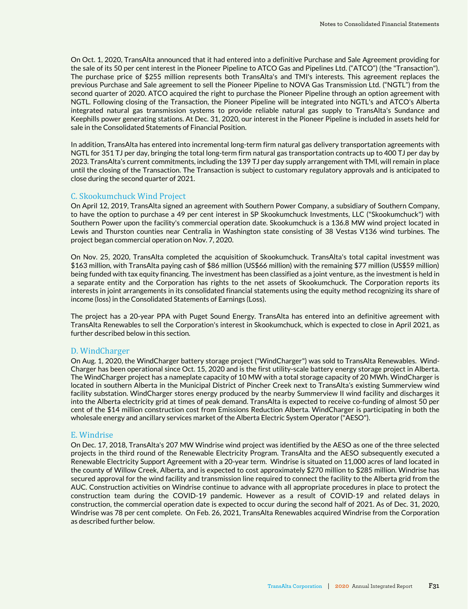On Oct. 1, 2020, TransAlta announced that it had entered into a definitive Purchase and Sale Agreement providing for the sale of its 50 per cent interest in the Pioneer Pipeline to ATCO Gas and Pipelines Ltd. ("ATCO") (the "Transaction"). The purchase price of \$255 million represents both TransAlta's and TMI's interests. This agreement replaces the previous Purchase and Sale agreement to sell the Pioneer Pipeline to NOVA Gas Transmission Ltd. ("NGTL") from the second quarter of 2020. ATCO acquired the right to purchase the Pioneer Pipeline through an option agreement with NGTL. Following closing of the Transaction, the Pioneer Pipeline will be integrated into NGTL's and ATCO's Alberta integrated natural gas transmission systems to provide reliable natural gas supply to TransAlta's Sundance and Keephills power generating stations. At Dec. 31, 2020, our interest in the Pioneer Pipeline is included in assets held for sale in the Consolidated Statements of Financial Position.

In addition, TransAlta has entered into incremental long-term firm natural gas delivery transportation agreements with NGTL for 351 TJ per day, bringing the total long-term firm natural gas transportation contracts up to 400 TJ per day by 2023. TransAlta's current commitments, including the 139 TJ per day supply arrangement with TMI, will remain in place until the closing of the Transaction. The Transaction is subject to customary regulatory approvals and is anticipated to close during the second quarter of 2021.

### C. Skookumchuck Wind Project

On April 12, 2019, TransAlta signed an agreement with Southern Power Company, a subsidiary of Southern Company, to have the option to purchase a 49 per cent interest in SP Skookumchuck Investments, LLC ("Skookumchuck") with Southern Power upon the facility's commercial operation date. Skookumchuck is a 136.8 MW wind project located in Lewis and Thurston counties near Centralia in Washington state consisting of 38 Vestas V136 wind turbines. The project began commercial operation on Nov. 7, 2020.

On Nov. 25, 2020, TransAlta completed the acquisition of Skookumchuck. TransAlta's total capital investment was \$163 million, with TransAlta paying cash of \$86 million (US\$66 million) with the remaining \$77 million (US\$59 million) being funded with tax equity financing. The investment has been classified as a joint venture, as the investment is held in a separate entity and the Corporation has rights to the net assets of Skookumchuck. The Corporation reports its interests in joint arrangements in its consolidated financial statements using the equity method recognizing its share of income (loss) in the Consolidated Statements of Earnings (Loss).

The project has a 20-year PPA with Puget Sound Energy. TransAlta has entered into an definitive agreement with TransAlta Renewables to sell the Corporation's interest in Skookumchuck, which is expected to close in April 2021, as further described below in this section.

#### D. WindCharger

On Aug. 1, 2020, the WindCharger battery storage project ("WindCharger") was sold to TransAlta Renewables. Wind-Charger has been operational since Oct. 15, 2020 and is the first utility-scale battery energy storage project in Alberta. The WindCharger project has a nameplate capacity of 10 MW with a total storage capacity of 20 MWh. WindCharger is located in southern Alberta in the Municipal District of Pincher Creek next to TransAlta's existing Summerview wind facility substation. WindCharger stores energy produced by the nearby Summerview II wind facility and discharges it into the Alberta electricity grid at times of peak demand. TransAlta is expected to receive co-funding of almost 50 per cent of the \$14 million construction cost from Emissions Reduction Alberta. WindCharger is participating in both the wholesale energy and ancillary services market of the Alberta Electric System Operator ("AESO").

#### E. Windrise

On Dec. 17, 2018, TransAlta's 207 MW Windrise wind project was identified by the AESO as one of the three selected projects in the third round of the Renewable Electricity Program. TransAlta and the AESO subsequently executed a Renewable Electricity Support Agreement with a 20-year term. Windrise is situated on 11,000 acres of land located in the county of Willow Creek, Alberta, and is expected to cost approximately \$270 million to \$285 million. Windrise has secured approval for the wind facility and transmission line required to connect the facility to the Alberta grid from the AUC. Construction activities on Windrise continue to advance with all appropriate procedures in place to protect the construction team during the COVID-19 pandemic. However as a result of COVID-19 and related delays in construction, the commercial operation date is expected to occur during the second half of 2021. As of Dec. 31, 2020, Windrise was 78 per cent complete. On Feb. 26, 2021, TransAlta Renewables acquired Windrise from the Corporation as described further below.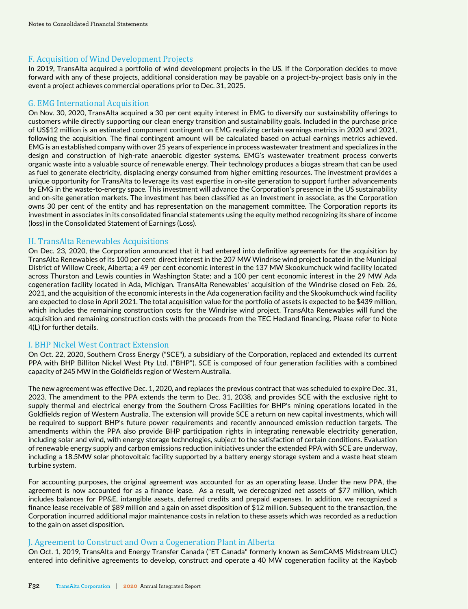## F. Acquisition of Wind Development Projects

In 2019, TransAlta acquired a portfolio of wind development projects in the US. If the Corporation decides to move forward with any of these projects, additional consideration may be payable on a project-by-project basis only in the event a project achieves commercial operations prior to Dec. 31, 2025.

## G. EMG International Acquisition

On Nov. 30, 2020, TransAlta acquired a 30 per cent equity interest in EMG to diversify our sustainability offerings to customers while directly supporting our clean energy transition and sustainability goals. Included in the purchase price of US\$12 million is an estimated component contingent on EMG realizing certain earnings metrics in 2020 and 2021, following the acquisition. The final contingent amount will be calculated based on actual earnings metrics achieved. EMG is an established company with over 25 years of experience in process wastewater treatment and specializes in the design and construction of high-rate anaerobic digester systems. EMG's wastewater treatment process converts organic waste into a valuable source of renewable energy. Their technology produces a biogas stream that can be used as fuel to generate electricity, displacing energy consumed from higher emitting resources. The investment provides a unique opportunity for TransAlta to leverage its vast expertise in on-site generation to support further advancements by EMG in the waste-to-energy space. This investment will advance the Corporation's presence in the US sustainability and on-site generation markets. The investment has been classified as an Investment in associate, as the Corporation owns 30 per cent of the entity and has representation on the management committee. The Corporation reports its investment in associates in its consolidated financial statements using the equity method recognizing its share of income (loss) in the Consolidated Statement of Earnings (Loss).

### H. TransAlta Renewables Acquisitions

On Dec. 23, 2020, the Corporation announced that it had entered into definitive agreements for the acquisition by TransAlta Renewables of its 100 per cent direct interest in the 207 MW Windrise wind project located in the Municipal District of Willow Creek, Alberta; a 49 per cent economic interest in the 137 MW Skookumchuck wind facility located across Thurston and Lewis counties in Washington State; and a 100 per cent economic interest in the 29 MW Ada cogeneration facility located in Ada, Michigan. TransAlta Renewables' acquisition of the Windrise closed on Feb. 26, 2021, and the acquisition of the economic interests in the Ada cogeneration facility and the Skookumchuck wind facility are expected to close in April 2021. The total acquisition value for the portfolio of assets is expected to be \$439 million, which includes the remaining construction costs for the Windrise wind project. TransAlta Renewables will fund the acquisition and remaining construction costs with the proceeds from the TEC Hedland financing. Please refer to Note 4(L) for further details.

#### I. BHP Nickel West Contract Extension

On Oct. 22, 2020, Southern Cross Energy ("SCE"), a subsidiary of the Corporation, replaced and extended its current PPA with BHP Billiton Nickel West Pty Ltd. ("BHP"). SCE is composed of four generation facilities with a combined capacity of 245 MW in the Goldfields region of Western Australia.

The new agreement was effective Dec. 1, 2020, and replaces the previous contract that was scheduled to expire Dec. 31, 2023. The amendment to the PPA extends the term to Dec. 31, 2038, and provides SCE with the exclusive right to supply thermal and electrical energy from the Southern Cross Facilities for BHP's mining operations located in the Goldfields region of Western Australia. The extension will provide SCE a return on new capital investments, which will be required to support BHP's future power requirements and recently announced emission reduction targets. The amendments within the PPA also provide BHP participation rights in integrating renewable electricity generation, including solar and wind, with energy storage technologies, subject to the satisfaction of certain conditions. Evaluation of renewable energy supply and carbon emissions reduction initiatives under the extended PPA with SCE are underway, including a 18.5MW solar photovoltaic facility supported by a battery energy storage system and a waste heat steam turbine system.

For accounting purposes, the original agreement was accounted for as an operating lease. Under the new PPA, the agreement is now accounted for as a finance lease. As a result, we derecognized net assets of \$77 million, which includes balances for PP&E, intangible assets, deferred credits and prepaid expenses. In addition, we recognized a finance lease receivable of \$89 million and a gain on asset disposition of \$12 million. Subsequent to the transaction, the Corporation incurred additional major maintenance costs in relation to these assets which was recorded as a reduction to the gain on asset disposition.

## J. Agreement to Construct and Own a Cogeneration Plant in Alberta

On Oct. 1, 2019, TransAlta and Energy Transfer Canada ("ET Canada" formerly known as SemCAMS Midstream ULC) entered into definitive agreements to develop, construct and operate a 40 MW cogeneration facility at the Kaybob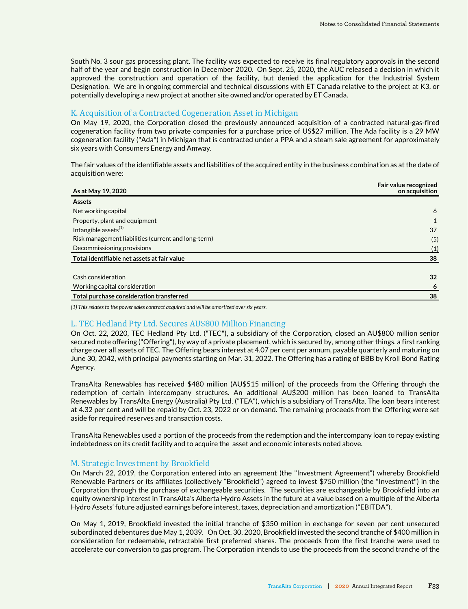South No. 3 sour gas processing plant. The facility was expected to receive its final regulatory approvals in the second half of the year and begin construction in December 2020. On Sept. 25, 2020, the AUC released a decision in which it approved the construction and operation of the facility, but denied the application for the Industrial System Designation. We are in ongoing commercial and technical discussions with ET Canada relative to the project at K3, or potentially developing a new project at another site owned and/or operated by ET Canada.

## K. Acquisition of a Contracted Cogeneration Asset in Michigan

On May 19, 2020, the Corporation closed the previously announced acquisition of a contracted natural-gas-fired cogeneration facility from two private companies for a purchase price of US\$27 million. The Ada facility is a 29 MW cogeneration facility ("Ada") in Michigan that is contracted under a PPA and a steam sale agreement for approximately six years with Consumers Energy and Amway.

The fair values of the identifiable assets and liabilities of the acquired entity in the business combination as at the date of acquisition were:

| As at May 19, 2020                                  | Fair value recognized<br>on acquisition |
|-----------------------------------------------------|-----------------------------------------|
| <b>Assets</b>                                       |                                         |
| Net working capital                                 | 6                                       |
| Property, plant and equipment                       |                                         |
| Intangible assets <sup>(1)</sup>                    | 37                                      |
| Risk management liabilities (current and long-term) | (5)                                     |
| Decommissioning provisions                          | (1)                                     |
| Total identifiable net assets at fair value         | 38                                      |
|                                                     |                                         |
| Cash consideration                                  | 32 <sub>2</sub>                         |
| Working capital consideration                       | 6                                       |
| Total purchase consideration transferred            | 38                                      |

*(1) This relates to the power sales contract acquired and will be amortized over six years.*

## L. TEC Hedland Pty Ltd. Secures AU\$800 Million Financing

On Oct. 22, 2020, TEC Hedland Pty Ltd. ("TEC"), a subsidiary of the Corporation, closed an AU\$800 million senior secured note offering ("Offering"), by way of a private placement, which is secured by, among other things, a first ranking charge over all assets of TEC. The Offering bears interest at 4.07 per cent per annum, payable quarterly and maturing on June 30, 2042, with principal payments starting on Mar. 31, 2022. The Offering has a rating of BBB by Kroll Bond Rating Agency.

TransAlta Renewables has received \$480 million (AU\$515 million) of the proceeds from the Offering through the redemption of certain intercompany structures. An additional AU\$200 million has been loaned to TransAlta Renewables by TransAlta Energy (Australia) Pty Ltd. ("TEA"), which is a subsidiary of TransAlta. The loan bears interest at 4.32 per cent and will be repaid by Oct. 23, 2022 or on demand. The remaining proceeds from the Offering were set aside for required reserves and transaction costs.

TransAlta Renewables used a portion of the proceeds from the redemption and the intercompany loan to repay existing indebtedness on its credit facility and to acquire the asset and economic interests noted above.

#### M. Strategic Investment by Brookfield

On March 22, 2019, the Corporation entered into an agreement (the "Investment Agreement") whereby Brookfield Renewable Partners or its affiliates (collectively "Brookfield") agreed to invest \$750 million (the "Investment") in the Corporation through the purchase of exchangeable securities. The securities are exchangeable by Brookfield into an equity ownership interest in TransAlta's Alberta Hydro Assets in the future at a value based on a multiple of the Alberta Hydro Assets' future adjusted earnings before interest, taxes, depreciation and amortization ("EBITDA").

On May 1, 2019, Brookfield invested the initial tranche of \$350 million in exchange for seven per cent unsecured subordinated debentures due May 1, 2039. On Oct. 30, 2020, Brookfield invested the second tranche of \$400 million in consideration for redeemable, retractable first preferred shares. The proceeds from the first tranche were used to accelerate our conversion to gas program. The Corporation intends to use the proceeds from the second tranche of the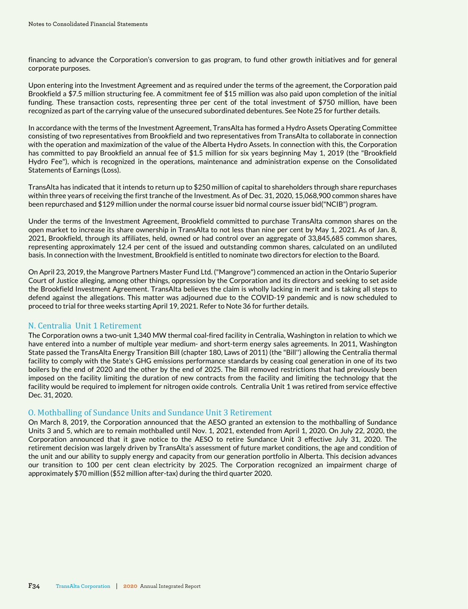financing to advance the Corporation's conversion to gas program, to fund other growth initiatives and for general corporate purposes.

Upon entering into the Investment Agreement and as required under the terms of the agreement, the Corporation paid Brookfield a \$7.5 million structuring fee. A commitment fee of \$15 million was also paid upon completion of the initial funding. These transaction costs, representing three per cent of the total investment of \$750 million, have been recognized as part of the carrying value of the unsecured subordinated debentures. See Note 25 for further details.

In accordance with the terms of the Investment Agreement, TransAlta has formed a Hydro Assets Operating Committee consisting of two representatives from Brookfield and two representatives from TransAlta to collaborate in connection with the operation and maximization of the value of the Alberta Hydro Assets. In connection with this, the Corporation has committed to pay Brookfield an annual fee of \$1.5 million for six years beginning May 1, 2019 (the "Brookfield Hydro Fee"), which is recognized in the operations, maintenance and administration expense on the Consolidated Statements of Earnings (Loss).

TransAlta has indicated that it intends to return up to \$250 million of capital to shareholders through share repurchases within three years of receiving the first tranche of the Investment. As of Dec. 31, 2020, 15,068,900 common shares have been repurchased and \$129 million under the normal course issuer bid normal course issuer bid("NCIB") program.

Under the terms of the Investment Agreement, Brookfield committed to purchase TransAlta common shares on the open market to increase its share ownership in TransAlta to not less than nine per cent by May 1, 2021. As of Jan. 8, 2021, Brookfield, through its affiliates, held, owned or had control over an aggregate of 33,845,685 common shares, representing approximately 12.4 per cent of the issued and outstanding common shares, calculated on an undiluted basis. In connection with the Investment, Brookfield is entitled to nominate two directors for election to the Board.

On April 23, 2019, the Mangrove Partners Master Fund Ltd. ("Mangrove") commenced an action in the Ontario Superior Court of Justice alleging, among other things, oppression by the Corporation and its directors and seeking to set aside the Brookfield Investment Agreement. TransAlta believes the claim is wholly lacking in merit and is taking all steps to defend against the allegations. This matter was adjourned due to the COVID-19 pandemic and is now scheduled to proceed to trial for three weeks starting April 19, 2021. Refer to Note 36 for further details.

## N. Centralia Unit 1 Retirement

The Corporation owns a two-unit 1,340 MW thermal coal-fired facility in Centralia, Washington in relation to which we have entered into a number of multiple year medium- and short-term energy sales agreements. In 2011, Washington State passed the TransAlta Energy Transition Bill (chapter 180, Laws of 2011) (the "Bill'') allowing the Centralia thermal facility to comply with the State's GHG emissions performance standards by ceasing coal generation in one of its two boilers by the end of 2020 and the other by the end of 2025. The Bill removed restrictions that had previously been imposed on the facility limiting the duration of new contracts from the facility and limiting the technology that the facility would be required to implement for nitrogen oxide controls. Centralia Unit 1 was retired from service effective Dec. 31, 2020.

## O. Mothballing of Sundance Units and Sundance Unit 3 Retirement

On March 8, 2019, the Corporation announced that the AESO granted an extension to the mothballing of Sundance Units 3 and 5, which are to remain mothballed until Nov. 1, 2021, extended from April 1, 2020. On July 22, 2020, the Corporation announced that it gave notice to the AESO to retire Sundance Unit 3 effective July 31, 2020. The retirement decision was largely driven by TransAlta's assessment of future market conditions, the age and condition of the unit and our ability to supply energy and capacity from our generation portfolio in Alberta. This decision advances our transition to 100 per cent clean electricity by 2025. The Corporation recognized an impairment charge of approximately \$70 million (\$52 million after-tax) during the third quarter 2020.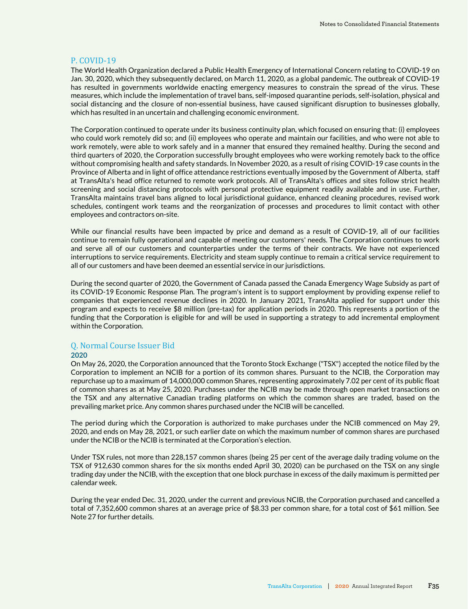#### P. COVID-19

The World Health Organization declared a Public Health Emergency of International Concern relating to COVID-19 on Jan. 30, 2020, which they subsequently declared, on March 11, 2020, as a global pandemic. The outbreak of COVID-19 has resulted in governments worldwide enacting emergency measures to constrain the spread of the virus. These measures, which include the implementation of travel bans, self-imposed quarantine periods, self-isolation, physical and social distancing and the closure of non-essential business, have caused significant disruption to businesses globally, which has resulted in an uncertain and challenging economic environment.

The Corporation continued to operate under its business continuity plan, which focused on ensuring that: (i) employees who could work remotely did so; and (ii) employees who operate and maintain our facilities, and who were not able to work remotely, were able to work safely and in a manner that ensured they remained healthy. During the second and third quarters of 2020, the Corporation successfully brought employees who were working remotely back to the office without compromising health and safety standards. In November 2020, as a result of rising COVID-19 case counts in the Province of Alberta and in light of office attendance restrictions eventually imposed by the Government of Alberta, staff at TransAlta's head office returned to remote work protocols. All of TransAlta's offices and sites follow strict health screening and social distancing protocols with personal protective equipment readily available and in use. Further, TransAlta maintains travel bans aligned to local jurisdictional guidance, enhanced cleaning procedures, revised work schedules, contingent work teams and the reorganization of processes and procedures to limit contact with other employees and contractors on-site.

While our financial results have been impacted by price and demand as a result of COVID-19, all of our facilities continue to remain fully operational and capable of meeting our customers' needs. The Corporation continues to work and serve all of our customers and counterparties under the terms of their contracts. We have not experienced interruptions to service requirements. Electricity and steam supply continue to remain a critical service requirement to all of our customers and have been deemed an essential service in our jurisdictions.

During the second quarter of 2020, the Government of Canada passed the Canada Emergency Wage Subsidy as part of its COVID-19 Economic Response Plan. The program's intent is to support employment by providing expense relief to companies that experienced revenue declines in 2020. In January 2021, TransAlta applied for support under this program and expects to receive \$8 million (pre-tax) for application periods in 2020. This represents a portion of the funding that the Corporation is eligible for and will be used in supporting a strategy to add incremental employment within the Corporation.

## Q. Normal Course Issuer Bid

#### **2020**

On May 26, 2020, the Corporation announced that the Toronto Stock Exchange ("TSX") accepted the notice filed by the Corporation to implement an NCIB for a portion of its common shares. Pursuant to the NCIB, the Corporation may repurchase up to a maximum of 14,000,000 common Shares, representing approximately 7.02 per cent of its public float of common shares as at May 25, 2020. Purchases under the NCIB may be made through open market transactions on the TSX and any alternative Canadian trading platforms on which the common shares are traded, based on the prevailing market price. Any common shares purchased under the NCIB will be cancelled.

The period during which the Corporation is authorized to make purchases under the NCIB commenced on May 29, 2020, and ends on May 28, 2021, or such earlier date on which the maximum number of common shares are purchased under the NCIB or the NCIB is terminated at the Corporation's election.

Under TSX rules, not more than 228,157 common shares (being 25 per cent of the average daily trading volume on the TSX of 912,630 common shares for the six months ended April 30, 2020) can be purchased on the TSX on any single trading day under the NCIB, with the exception that one block purchase in excess of the daily maximum is permitted per calendar week.

During the year ended Dec. 31, 2020, under the current and previous NCIB, the Corporation purchased and cancelled a total of 7,352,600 common shares at an average price of \$8.33 per common share, for a total cost of \$61 million. See Note 27 for further details.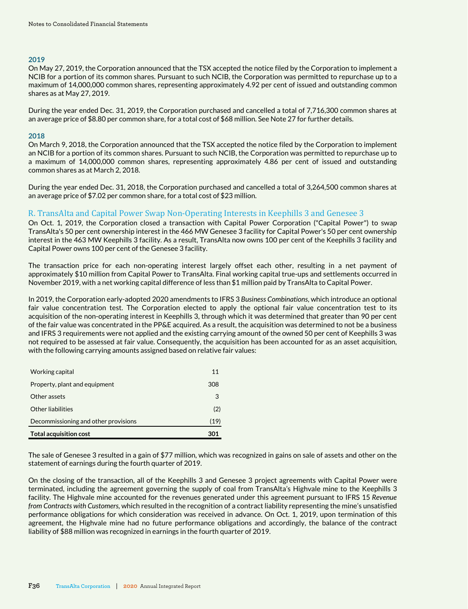## **2019**

On May 27, 2019, the Corporation announced that the TSX accepted the notice filed by the Corporation to implement a NCIB for a portion of its common shares. Pursuant to such NCIB, the Corporation was permitted to repurchase up to a maximum of 14,000,000 common shares, representing approximately 4.92 per cent of issued and outstanding common shares as at May 27, 2019.

During the year ended Dec. 31, 2019, the Corporation purchased and cancelled a total of 7,716,300 common shares at an average price of \$8.80 per common share, for a total cost of \$68 million. See Note 27 for further details.

#### **2018**

On March 9, 2018, the Corporation announced that the TSX accepted the notice filed by the Corporation to implement an NCIB for a portion of its common shares. Pursuant to such NCIB, the Corporation was permitted to repurchase up to a maximum of 14,000,000 common shares, representing approximately 4.86 per cent of issued and outstanding common shares as at March 2, 2018.

During the year ended Dec. 31, 2018, the Corporation purchased and cancelled a total of 3,264,500 common shares at an average price of \$7.02 per common share, for a total cost of \$23 million.

## R. TransAlta and Capital Power Swap Non-Operating Interests in Keephills 3 and Genesee 3

On Oct. 1, 2019, the Corporation closed a transaction with Capital Power Corporation ("Capital Power") to swap TransAlta's 50 per cent ownership interest in the 466 MW Genesee 3 facility for Capital Power's 50 per cent ownership interest in the 463 MW Keephills 3 facility. As a result, TransAlta now owns 100 per cent of the Keephills 3 facility and Capital Power owns 100 per cent of the Genesee 3 facility.

The transaction price for each non-operating interest largely offset each other, resulting in a net payment of approximately \$10 million from Capital Power to TransAlta. Final working capital true-ups and settlements occurred in November 2019, with a net working capital difference of less than \$1 million paid by TransAlta to Capital Power.

In 2019, the Corporation early-adopted 2020 amendments to IFRS 3 *Business Combinations*, which introduce an optional fair value concentration test. The Corporation elected to apply the optional fair value concentration test to its acquisition of the non-operating interest in Keephills 3, through which it was determined that greater than 90 per cent of the fair value was concentrated in the PP&E acquired. As a result, the acquisition was determined to not be a business and IFRS 3 requirements were not applied and the existing carrying amount of the owned 50 per cent of Keephills 3 was not required to be assessed at fair value. Consequently, the acquisition has been accounted for as an asset acquisition, with the following carrying amounts assigned based on relative fair values:

| <b>Total acquisition cost</b>        | 301  |
|--------------------------------------|------|
| Decommissioning and other provisions | (19) |
| Other liabilities                    | (2)  |
| Other assets                         | 3    |
| Property, plant and equipment        | 308  |
| Working capital                      | 11   |

The sale of Genesee 3 resulted in a gain of \$77 million, which was recognized in gains on sale of assets and other on the statement of earnings during the fourth quarter of 2019.

On the closing of the transaction, all of the Keephills 3 and Genesee 3 project agreements with Capital Power were terminated, including the agreement governing the supply of coal from TransAlta's Highvale mine to the Keephills 3 facility. The Highvale mine accounted for the revenues generated under this agreement pursuant to IFRS 15 *Revenue from Contracts with Customers*, which resulted in the recognition of a contract liability representing the mine's unsatisfied performance obligations for which consideration was received in advance. On Oct. 1, 2019, upon termination of this agreement, the Highvale mine had no future performance obligations and accordingly, the balance of the contract liability of \$88 million was recognized in earnings in the fourth quarter of 2019.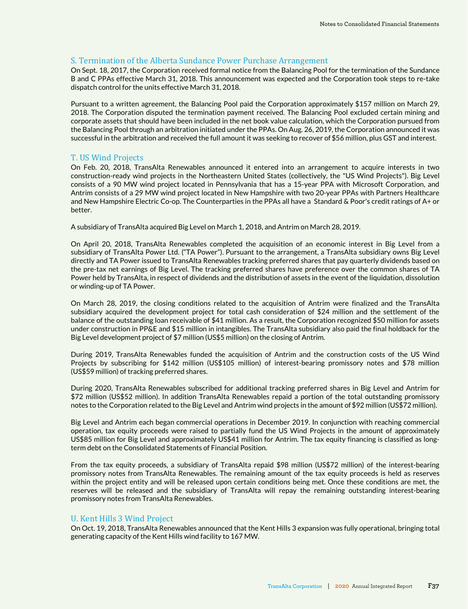## S. Termination of the Alberta Sundance Power Purchase Arrangement

On Sept. 18, 2017, the Corporation received formal notice from the Balancing Pool for the termination of the Sundance B and C PPAs effective March 31, 2018. This announcement was expected and the Corporation took steps to re-take dispatch control for the units effective March 31, 2018.

Pursuant to a written agreement, the Balancing Pool paid the Corporation approximately \$157 million on March 29, 2018. The Corporation disputed the termination payment received. The Balancing Pool excluded certain mining and corporate assets that should have been included in the net book value calculation, which the Corporation pursued from the Balancing Pool through an arbitration initiated under the PPAs. On Aug. 26, 2019, the Corporation announced it was successful in the arbitration and received the full amount it was seeking to recover of \$56 million, plus GST and interest.

## T. US Wind Projects

On Feb. 20, 2018, TransAlta Renewables announced it entered into an arrangement to acquire interests in two construction-ready wind projects in the Northeastern United States (collectively, the "US Wind Projects"). Big Level consists of a 90 MW wind project located in Pennsylvania that has a 15-year PPA with Microsoft Corporation, and Antrim consists of a 29 MW wind project located in New Hampshire with two 20-year PPAs with Partners Healthcare and New Hampshire Electric Co-op. The Counterparties in the PPAs all have a Standard & Poor's credit ratings of A+ or better.

A subsidiary of TransAlta acquired Big Level on March 1, 2018, and Antrim on March 28, 2019.

On April 20, 2018, TransAlta Renewables completed the acquisition of an economic interest in Big Level from a subsidiary of TransAlta Power Ltd. ("TA Power"). Pursuant to the arrangement, a TransAlta subsidiary owns Big Level directly and TA Power issued to TransAlta Renewables tracking preferred shares that pay quarterly dividends based on the pre-tax net earnings of Big Level. The tracking preferred shares have preference over the common shares of TA Power held by TransAlta, in respect of dividends and the distribution of assets in the event of the liquidation, dissolution or winding-up of TA Power.

On March 28, 2019, the closing conditions related to the acquisition of Antrim were finalized and the TransAlta subsidiary acquired the development project for total cash consideration of \$24 million and the settlement of the balance of the outstanding loan receivable of \$41 million. As a result, the Corporation recognized \$50 million for assets under construction in PP&E and \$15 million in intangibles. The TransAlta subsidiary also paid the final holdback for the Big Level development project of \$7 million (US\$5 million) on the closing of Antrim.

During 2019, TransAlta Renewables funded the acquisition of Antrim and the construction costs of the US Wind Projects by subscribing for \$142 million (US\$105 million) of interest-bearing promissory notes and \$78 million (US\$59 million) of tracking preferred shares.

During 2020, TransAlta Renewables subscribed for additional tracking preferred shares in Big Level and Antrim for \$72 million (US\$52 million). In addition TransAlta Renewables repaid a portion of the total outstanding promissory notes to the Corporation related to the Big Level and Antrim wind projects in the amount of \$92 million (US\$72 million).

Big Level and Antrim each began commercial operations in December 2019. In conjunction with reaching commercial operation, tax equity proceeds were raised to partially fund the US Wind Projects in the amount of approximately US\$85 million for Big Level and approximately US\$41 million for Antrim. The tax equity financing is classified as longterm debt on the Consolidated Statements of Financial Position.

From the tax equity proceeds, a subsidiary of TransAlta repaid \$98 million (US\$72 million) of the interest-bearing promissory notes from TransAlta Renewables. The remaining amount of the tax equity proceeds is held as reserves within the project entity and will be released upon certain conditions being met. Once these conditions are met, the reserves will be released and the subsidiary of TransAlta will repay the remaining outstanding interest-bearing promissory notes from TransAlta Renewables.

## U. Kent Hills 3 Wind Project

On Oct. 19, 2018, TransAlta Renewables announced that the Kent Hills 3 expansion was fully operational, bringing total generating capacity of the Kent Hills wind facility to 167 MW.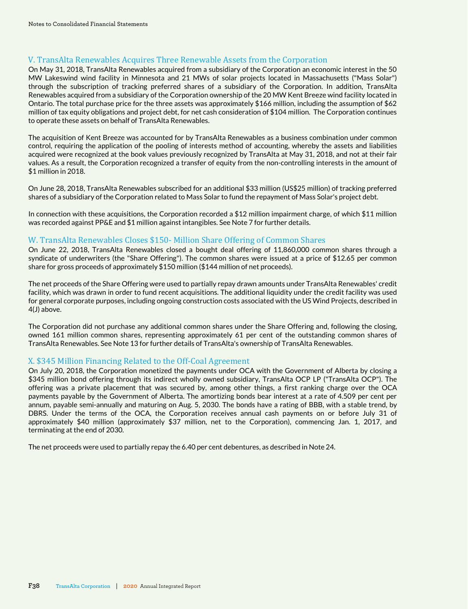## V. TransAlta Renewables Acquires Three Renewable Assets from the Corporation

On May 31, 2018, TransAlta Renewables acquired from a subsidiary of the Corporation an economic interest in the 50 MW Lakeswind wind facility in Minnesota and 21 MWs of solar projects located in Massachusetts ("Mass Solar") through the subscription of tracking preferred shares of a subsidiary of the Corporation. In addition, TransAlta Renewables acquired from a subsidiary of the Corporation ownership of the 20 MW Kent Breeze wind facility located in Ontario. The total purchase price for the three assets was approximately \$166 million, including the assumption of \$62 million of tax equity obligations and project debt, for net cash consideration of \$104 million. The Corporation continues to operate these assets on behalf of TransAlta Renewables.

The acquisition of Kent Breeze was accounted for by TransAlta Renewables as a business combination under common control, requiring the application of the pooling of interests method of accounting, whereby the assets and liabilities acquired were recognized at the book values previously recognized by TransAlta at May 31, 2018, and not at their fair values. As a result, the Corporation recognized a transfer of equity from the non-controlling interests in the amount of \$1 million in 2018.

On June 28, 2018, TransAlta Renewables subscribed for an additional \$33 million (US\$25 million) of tracking preferred shares of a subsidiary of the Corporation related to Mass Solar to fund the repayment of Mass Solar's project debt.

In connection with these acquisitions, the Corporation recorded a \$12 million impairment charge, of which \$11 million was recorded against PP&E and \$1 million against intangibles. See Note 7 for further details.

## W. TransAlta Renewables Closes \$150- Million Share Offering of Common Shares

On June 22, 2018, TransAlta Renewables closed a bought deal offering of 11,860,000 common shares through a syndicate of underwriters (the "Share Offering"). The common shares were issued at a price of \$12.65 per common share for gross proceeds of approximately \$150 million (\$144 million of net proceeds).

The net proceeds of the Share Offering were used to partially repay drawn amounts under TransAlta Renewables' credit facility, which was drawn in order to fund recent acquisitions. The additional liquidity under the credit facility was used for general corporate purposes, including ongoing construction costs associated with the US Wind Projects, described in 4(J) above.

The Corporation did not purchase any additional common shares under the Share Offering and, following the closing, owned 161 million common shares, representing approximately 61 per cent of the outstanding common shares of TransAlta Renewables. See Note 13 for further details of TransAlta's ownership of TransAlta Renewables.

## X. \$345 Million Financing Related to the Off-Coal Agreement

On July 20, 2018, the Corporation monetized the payments under OCA with the Government of Alberta by closing a \$345 million bond offering through its indirect wholly owned subsidiary, TransAlta OCP LP ("TransAlta OCP"). The offering was a private placement that was secured by, among other things, a first ranking charge over the OCA payments payable by the Government of Alberta. The amortizing bonds bear interest at a rate of 4.509 per cent per annum, payable semi-annually and maturing on Aug. 5, 2030. The bonds have a rating of BBB, with a stable trend, by DBRS. Under the terms of the OCA, the Corporation receives annual cash payments on or before July 31 of approximately \$40 million (approximately \$37 million, net to the Corporation), commencing Jan. 1, 2017, and terminating at the end of 2030.

The net proceeds were used to partially repay the 6.40 per cent debentures, as described in Note 24.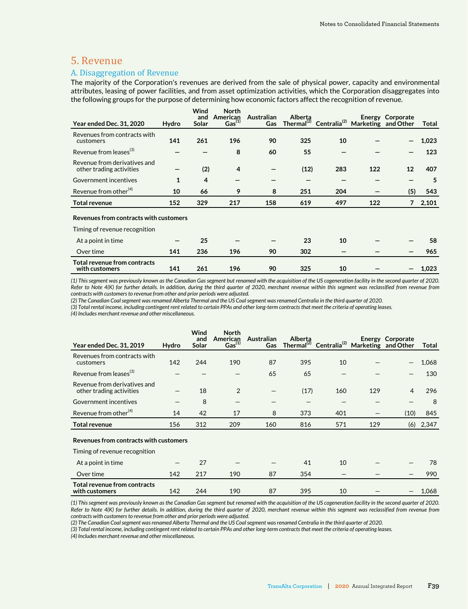# 5. Revenue

## A. Disaggregation of Revenue

The majority of the Corporation's revenues are derived from the sale of physical power, capacity and environmental attributes, leasing of power facilities, and from asset optimization activities, which the Corporation disaggregates into the following groups for the purpose of determining how economic factors affect the recognition of revenue.

| <b>Year ended Dec. 31, 2020</b>                          | Hydro        | Wind<br>and<br>Solar | <b>North</b><br>American<br>Gas <sup>(1)</sup> | Australian<br>Gas | Alberta<br>Thermal <sup>(2)</sup> | Centralia <sup>(2)</sup> | <b>Marketing</b> | <b>Energy Corporate</b><br>and Other | Total |
|----------------------------------------------------------|--------------|----------------------|------------------------------------------------|-------------------|-----------------------------------|--------------------------|------------------|--------------------------------------|-------|
| Revenues from contracts with<br>customers                | 141          | 261                  | 196                                            | 90                | 325                               | 10                       |                  | $\overline{\phantom{m}}$             | 1,023 |
| Revenue from leases <sup>(3)</sup>                       |              |                      | 8                                              | 60                | 55                                |                          |                  |                                      | 123   |
| Revenue from derivatives and<br>other trading activities |              | (2)                  | 4                                              |                   | (12)                              | 283                      | 122              | 12                                   | 407   |
| Government incentives                                    | $\mathbf{1}$ | 4                    |                                                |                   |                                   |                          |                  |                                      | 5     |
| Revenue from other $(4)$                                 | 10           | 66                   | 9                                              | 8                 | 251                               | 204                      |                  | (5)                                  | 543   |
| <b>Total revenue</b>                                     | 152          | 329                  | 217                                            | 158               | 619                               | 497                      | 122              | $\overline{7}$                       | 2,101 |
| Revenues from contracts with customers                   |              |                      |                                                |                   |                                   |                          |                  |                                      |       |
| Timing of revenue recognition                            |              |                      |                                                |                   |                                   |                          |                  |                                      |       |
| At a point in time                                       |              | 25                   |                                                |                   | 23                                | 10                       |                  |                                      | 58    |
| Over time                                                | 141          | 236                  | 196                                            | 90                | 302                               |                          |                  |                                      | 965   |
| <b>Total revenue from contracts</b>                      |              |                      |                                                |                   |                                   |                          |                  |                                      |       |

 **with customers 141 261 196 90 325 10 — — 1,023**  *(1) This segment was previously known as the Canadian Gas segment but renamed with the acquisition of the US cogeneration facility in the second quarter of 2020. Refer to Note 4(K) for further details. In addition, during the third quarter of 2020, merchant revenue within this segment was reclassified from revenue from* 

*contracts with customers to revenue from other and prior periods were adjusted.*

*(2) The Canadian Coal segment was renamed Alberta Thermal and the US Coal segment was renamed Centralia in the third quarter of 2020.*

*(3) Total rental income, including contingent rent related to certain PPAs and other long-term contracts that meet the criteria of operating leases.* 

*(4) Includes merchant revenue and other miscellaneous.*

| <b>Year ended Dec. 31, 2019</b>                          | Hydro | Wind<br>and<br>Solar | <b>North</b><br>American<br>Gas <sup>(1)</sup> | Australian<br>Gas | Alberta<br>Thermal $^{(2)}$ | Centralia <sup>(2)</sup> |     | <b>Energy Corporate</b><br>Marketing and Other | Total |
|----------------------------------------------------------|-------|----------------------|------------------------------------------------|-------------------|-----------------------------|--------------------------|-----|------------------------------------------------|-------|
| Revenues from contracts with<br>customers                | 142   | 244                  | 190                                            | 87                | 395                         | 10                       |     |                                                | 1,068 |
| Revenue from leases <sup>(3)</sup>                       |       |                      |                                                | 65                | 65                          |                          |     |                                                | 130   |
| Revenue from derivatives and<br>other trading activities |       | 18                   | 2                                              |                   | (17)                        | 160                      | 129 | 4                                              | 296   |
| Government incentives                                    |       | 8                    |                                                |                   |                             |                          |     |                                                | 8     |
| Revenue from other <sup>(4)</sup>                        | 14    | 42                   | 17                                             | 8                 | 373                         | 401                      |     | (10)                                           | 845   |
| <b>Total revenue</b>                                     | 156   | 312                  | 209                                            | 160               | 816                         | 571                      | 129 | (6)                                            | 2,347 |
| Revenues from contracts with customers                   |       |                      |                                                |                   |                             |                          |     |                                                |       |
| Timing of revenue recognition                            |       |                      |                                                |                   |                             |                          |     |                                                |       |
| At a point in time                                       |       | 27                   |                                                |                   | 41                          | 10                       |     |                                                | 78    |

|                                                |     | --  |     |    | .   | -- | . .   |
|------------------------------------------------|-----|-----|-----|----|-----|----|-------|
| Over time                                      | 142 | へィフ | 190 | 87 | 354 |    | 990   |
| Total revenue from contracts<br>with customers | 142 | 244 | 190 | 87 | 395 | 10 | 1.068 |

*(1) This segment was previously known as the Canadian Gas segment but renamed with the acquisition of the US cogeneration facility in the second quarter of 2020. Refer to Note 4(K) for further details. In addition, during the third quarter of 2020, merchant revenue within this segment was reclassified from revenue from contracts with customers to revenue from other and prior periods were adjusted.*

*(2) The Canadian Coal segment was renamed Alberta Thermal and the US Coal segment was renamed Centralia in the third quarter of 2020.*

*(3) Total rental income, including contingent rent related to certain PPAs and other long-term contracts that meet the criteria of operating leases.*

*(4) Includes merchant revenue and other miscellaneous.*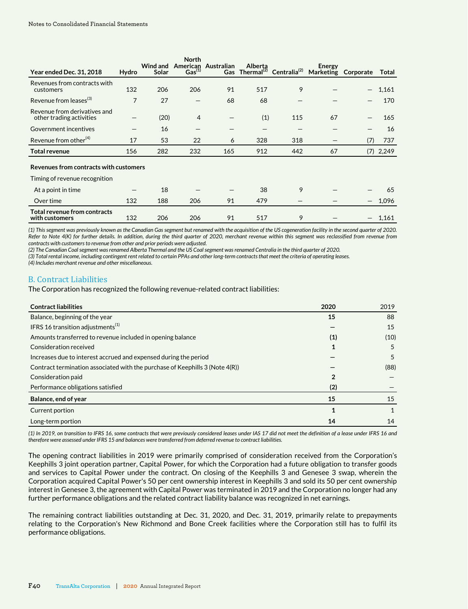| <b>Year ended Dec. 31, 2018</b>                          | Hydro | Wind and<br>Solar | <b>North</b><br>Gas <sup>(1)</sup> | American Australian<br><b>Gas</b> | Alberta<br>Thermal $^{(2)}$ | Centralia <sup>(2)</sup> | Energy<br><b>Marketing</b> | Corporate                | Total |
|----------------------------------------------------------|-------|-------------------|------------------------------------|-----------------------------------|-----------------------------|--------------------------|----------------------------|--------------------------|-------|
| Revenues from contracts with<br>customers                | 132   | 206               | 206                                | 91                                | 517                         | 9                        |                            | $\overline{\phantom{m}}$ | 1,161 |
| Revenue from leases <sup>(3)</sup>                       | 7     | 27                |                                    | 68                                | 68                          |                          |                            |                          | 170   |
| Revenue from derivatives and<br>other trading activities |       | (20)              | $\overline{4}$                     |                                   | (1)                         | 115                      | 67                         |                          | 165   |
| Government incentives                                    |       | 16                |                                    |                                   |                             |                          |                            |                          | 16    |
| Revenue from other <sup>(4)</sup>                        | 17    | 53                | 22                                 | 6                                 | 328                         | 318                      |                            | (7)                      | 737   |
| <b>Total revenue</b>                                     | 156   | 282               | 232                                | 165                               | 912                         | 442                      | 67                         | (7)                      | 2,249 |
| Revenues from contracts with customers                   |       |                   |                                    |                                   |                             |                          |                            |                          |       |
| Timing of revenue recognition                            |       |                   |                                    |                                   |                             |                          |                            |                          |       |
| At a point in time                                       |       | 18                |                                    |                                   | 38                          | 9                        |                            |                          | 65    |
| Over time                                                | 132   | 188               | 206                                | 91                                | 479                         |                          |                            |                          | 1,096 |
| Total revenue from contracts<br>with customers           | 132   | 206               | 206                                | 91                                | 517                         | 9                        |                            | —                        | 1,161 |

*(1) This segment was previously known as the Canadian Gas segment but renamed with the acquisition of the US cogeneration facility in the second quarter of 2020. Refer to Note 4(K) for further details. In addition, during the third quarter of 2020, merchant revenue within this segment was reclassified from revenue from contracts with customers to revenue from other and prior periods were adjusted.*

*(2) The Canadian Coal segment was renamed Alberta Thermal and the US Coal segment was renamed Centralia in the third quarter of 2020.*

*(3) Total rental income, including contingent rent related to certain PPAs and other long-term contracts that meet the criteria of operating leases.*

*(4) Includes merchant revenue and other miscellaneous.*

## B. Contract Liabilities

The Corporation has recognized the following revenue-related contract liabilities:

| <b>Contract liabilities</b>                                                  | 2020 | 2019 |
|------------------------------------------------------------------------------|------|------|
| Balance, beginning of the year                                               | 15   | 88   |
| IFRS 16 transition adjustments $(1)$                                         |      | 15   |
| Amounts transferred to revenue included in opening balance                   | (1)  | (10) |
| Consideration received                                                       |      | 5    |
| Increases due to interest accrued and expensed during the period             |      | 5    |
| Contract termination associated with the purchase of Keephills 3 (Note 4(R)) |      | (88) |
| Consideration paid                                                           | 2    |      |
| Performance obligations satisfied                                            | (2)  |      |
| Balance, end of year                                                         | 15   | 15   |
| Current portion                                                              |      |      |
| Long-term portion                                                            | 14   | 14   |

*(1) In 2019, on transition to IFRS 16, some contracts that were previously considered leases under IAS 17 did not meet the definition of a lease under IFRS 16 and therefore were assessed under IFRS 15 and balances were transferred from deferred revenue to contract liabilities.* 

The opening contract liabilities in 2019 were primarily comprised of consideration received from the Corporation's Keephills 3 joint operation partner, Capital Power, for which the Corporation had a future obligation to transfer goods and services to Capital Power under the contract. On closing of the Keephills 3 and Genesee 3 swap, wherein the Corporation acquired Capital Power's 50 per cent ownership interest in Keephills 3 and sold its 50 per cent ownership interest in Genesee 3, the agreement with Capital Power was terminated in 2019 and the Corporation no longer had any further performance obligations and the related contract liability balance was recognized in net earnings.

The remaining contract liabilities outstanding at Dec. 31, 2020, and Dec. 31, 2019, primarily relate to prepayments relating to the Corporation's New Richmond and Bone Creek facilities where the Corporation still has to fulfil its performance obligations.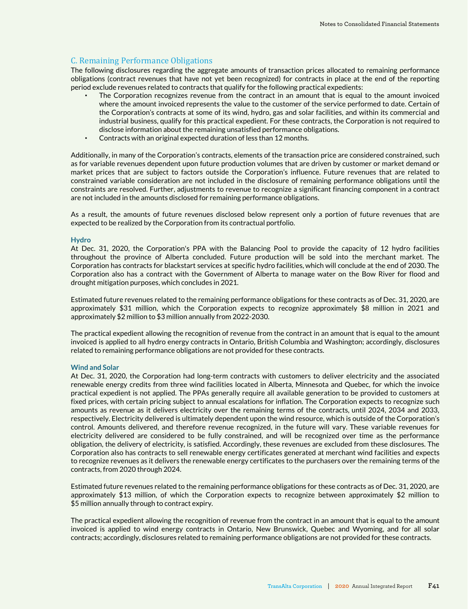## C. Remaining Performance Obligations

The following disclosures regarding the aggregate amounts of transaction prices allocated to remaining performance obligations (contract revenues that have not yet been recognized) for contracts in place at the end of the reporting period exclude revenues related to contracts that qualify for the following practical expedients:

- The Corporation recognizes revenue from the contract in an amount that is equal to the amount invoiced where the amount invoiced represents the value to the customer of the service performed to date. Certain of the Corporation's contracts at some of its wind, hydro, gas and solar facilities, and within its commercial and industrial business, qualify for this practical expedient. For these contracts, the Corporation is not required to disclose information about the remaining unsatisfied performance obligations.
- Contracts with an original expected duration of less than 12 months.

Additionally, in many of the Corporation's contracts, elements of the transaction price are considered constrained, such as for variable revenues dependent upon future production volumes that are driven by customer or market demand or market prices that are subject to factors outside the Corporation's influence. Future revenues that are related to constrained variable consideration are not included in the disclosure of remaining performance obligations until the constraints are resolved. Further, adjustments to revenue to recognize a significant financing component in a contract are not included in the amounts disclosed for remaining performance obligations.

As a result, the amounts of future revenues disclosed below represent only a portion of future revenues that are expected to be realized by the Corporation from its contractual portfolio.

### **Hydro**

At Dec. 31, 2020, the Corporation's PPA with the Balancing Pool to provide the capacity of 12 hydro facilities throughout the province of Alberta concluded. Future production will be sold into the merchant market. The Corporation has contracts for blackstart services at specific hydro facilities, which will conclude at the end of 2030. The Corporation also has a contract with the Government of Alberta to manage water on the Bow River for flood and drought mitigation purposes, which concludes in 2021.

Estimated future revenues related to the remaining performance obligations for these contracts as of Dec. 31, 2020, are approximately \$31 million, which the Corporation expects to recognize approximately \$8 million in 2021 and approximately \$2 million to \$3 million annually from 2022-2030.

The practical expedient allowing the recognition of revenue from the contract in an amount that is equal to the amount invoiced is applied to all hydro energy contracts in Ontario, British Columbia and Washington; accordingly, disclosures related to remaining performance obligations are not provided for these contracts.

#### **Wind and Solar**

At Dec. 31, 2020, the Corporation had long-term contracts with customers to deliver electricity and the associated renewable energy credits from three wind facilities located in Alberta, Minnesota and Quebec, for which the invoice practical expedient is not applied. The PPAs generally require all available generation to be provided to customers at fixed prices, with certain pricing subject to annual escalations for inflation. The Corporation expects to recognize such amounts as revenue as it delivers electricity over the remaining terms of the contracts, until 2024, 2034 and 2033, respectively. Electricity delivered is ultimately dependent upon the wind resource, which is outside of the Corporation's control. Amounts delivered, and therefore revenue recognized, in the future will vary. These variable revenues for electricity delivered are considered to be fully constrained, and will be recognized over time as the performance obligation, the delivery of electricity, is satisfied. Accordingly, these revenues are excluded from these disclosures. The Corporation also has contracts to sell renewable energy certificates generated at merchant wind facilities and expects to recognize revenues as it delivers the renewable energy certificates to the purchasers over the remaining terms of the contracts, from 2020 through 2024.

Estimated future revenues related to the remaining performance obligations for these contracts as of Dec. 31, 2020, are approximately \$13 million, of which the Corporation expects to recognize between approximately \$2 million to \$5 million annually through to contract expiry.

The practical expedient allowing the recognition of revenue from the contract in an amount that is equal to the amount invoiced is applied to wind energy contracts in Ontario, New Brunswick, Quebec and Wyoming, and for all solar contracts; accordingly, disclosures related to remaining performance obligations are not provided for these contracts.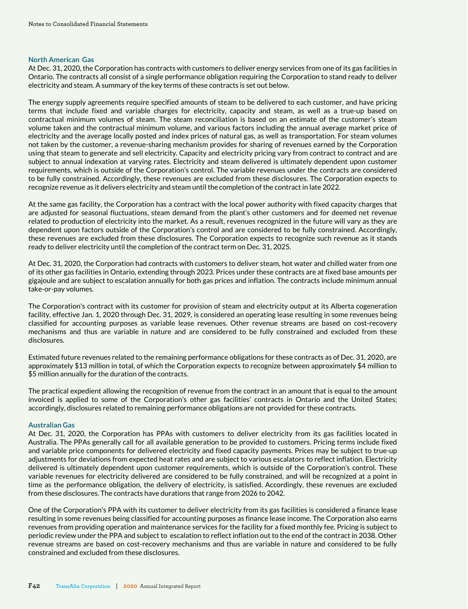#### **North American Gas**

At Dec. 31, 2020, the Corporation has contracts with customers to deliver energy services from one of its gas facilities in Ontario. The contracts all consist of a single performance obligation requiring the Corporation to stand ready to deliver electricity and steam. A summary of the key terms of these contracts is set out below.

The energy supply agreements require specified amounts of steam to be delivered to each customer, and have pricing terms that include fixed and variable charges for electricity, capacity and steam, as well as a true-up based on contractual minimum volumes of steam. The steam reconciliation is based on an estimate of the customer's steam volume taken and the contractual minimum volume, and various factors including the annual average market price of electricity and the average locally posted and index prices of natural gas, as well as transportation. For steam volumes not taken by the customer, a revenue-sharing mechanism provides for sharing of revenues earned by the Corporation using that steam to generate and sell electricity. Capacity and electricity pricing vary from contract to contract and are subject to annual indexation at varying rates. Electricity and steam delivered is ultimately dependent upon customer requirements, which is outside of the Corporation's control. The variable revenues under the contracts are considered to be fully constrained. Accordingly, these revenues are excluded from these disclosures. The Corporation expects to recognize revenue as it delivers electricity and steam until the completion of the contract in late 2022.

At the same gas facility, the Corporation has a contract with the local power authority with fixed capacity charges that are adjusted for seasonal fluctuations, steam demand from the plant's other customers and for deemed net revenue related to production of electricity into the market. As a result, revenues recognized in the future will vary as they are dependent upon factors outside of the Corporation's control and are considered to be fully constrained. Accordingly, these revenues are excluded from these disclosures. The Corporation expects to recognize such revenue as it stands ready to deliver electricity until the completion of the contract term on Dec. 31, 2025.

At Dec. 31, 2020, the Corporation had contracts with customers to deliver steam, hot water and chilled water from one of its other gas facilities in Ontario, extending through 2023. Prices under these contracts are at fixed base amounts per gigajoule and are subject to escalation annually for both gas prices and inflation. The contracts include minimum annual take-or-pay volumes.

The Corporation's contract with its customer for provision of steam and electricity output at its Alberta cogeneration facility, effective Jan. 1, 2020 through Dec. 31, 2029, is considered an operating lease resulting in some revenues being classified for accounting purposes as variable lease revenues. Other revenue streams are based on cost-recovery mechanisms and thus are variable in nature and are considered to be fully constrained and excluded from these disclosures.

Estimated future revenues related to the remaining performance obligations for these contracts as of Dec. 31, 2020, are approximately \$13 million in total, of which the Corporation expects to recognize between approximately \$4 million to \$5 million annually for the duration of the contracts.

The practical expedient allowing the recognition of revenue from the contract in an amount that is equal to the amount invoiced is applied to some of the Corporation's other gas facilities' contracts in Ontario and the United States; accordingly, disclosures related to remaining performance obligations are not provided for these contracts.

#### **Australian Gas**

At Dec. 31, 2020, the Corporation has PPAs with customers to deliver electricity from its gas facilities located in Australia. The PPAs generally call for all available generation to be provided to customers. Pricing terms include fixed and variable price components for delivered electricity and fixed capacity payments. Prices may be subject to true-up adjustments for deviations from expected heat rates and are subject to various escalators to reflect inflation. Electricity delivered is ultimately dependent upon customer requirements, which is outside of the Corporation's control. These variable revenues for electricity delivered are considered to be fully constrained, and will be recognized at a point in time as the performance obligation, the delivery of electricity, is satisfied. Accordingly, these revenues are excluded from these disclosures. The contracts have durations that range from 2026 to 2042.

One of the Corporation's PPA with its customer to deliver electricity from its gas facilities is considered a finance lease resulting in some revenues being classified for accounting purposes as finance lease income. The Corporation also earns revenues from providing operation and maintenance services for the facility for a fixed monthly fee. Pricing is subject to periodic review under the PPA and subject to escalation to reflect inflation out to the end of the contract in 2038. Other revenue streams are based on cost-recovery mechanisms and thus are variable in nature and considered to be fully constrained and excluded from these disclosures.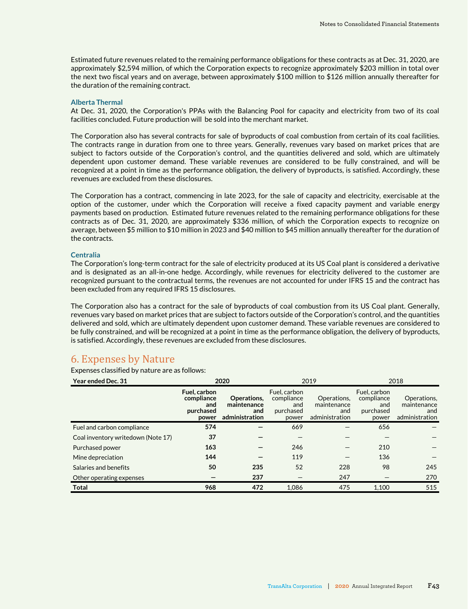Estimated future revenues related to the remaining performance obligations for these contracts as at Dec. 31, 2020, are approximately \$2,594 million, of which the Corporation expects to recognize approximately \$203 million in total over the next two fiscal years and on average, between approximately \$100 million to \$126 million annually thereafter for the duration of the remaining contract.

#### **Alberta Thermal**

At Dec. 31, 2020, the Corporation's PPAs with the Balancing Pool for capacity and electricity from two of its coal facilities concluded. Future production will be sold into the merchant market.

The Corporation also has several contracts for sale of byproducts of coal combustion from certain of its coal facilities. The contracts range in duration from one to three years. Generally, revenues vary based on market prices that are subject to factors outside of the Corporation's control, and the quantities delivered and sold, which are ultimately dependent upon customer demand. These variable revenues are considered to be fully constrained, and will be recognized at a point in time as the performance obligation, the delivery of byproducts, is satisfied. Accordingly, these revenues are excluded from these disclosures.

The Corporation has a contract, commencing in late 2023, for the sale of capacity and electricity, exercisable at the option of the customer, under which the Corporation will receive a fixed capacity payment and variable energy payments based on production. Estimated future revenues related to the remaining performance obligations for these contracts as of Dec. 31, 2020, are approximately \$336 million, of which the Corporation expects to recognize on average, between \$5 million to \$10 million in 2023 and \$40 million to \$45 million annually thereafter for the duration of the contracts.

#### **Centralia**

The Corporation's long-term contract for the sale of electricity produced at its US Coal plant is considered a derivative and is designated as an all-in-one hedge. Accordingly, while revenues for electricity delivered to the customer are recognized pursuant to the contractual terms, the revenues are not accounted for under IFRS 15 and the contract has been excluded from any required IFRS 15 disclosures.

The Corporation also has a contract for the sale of byproducts of coal combustion from its US Coal plant. Generally, revenues vary based on market prices that are subject to factors outside of the Corporation's control, and the quantities delivered and sold, which are ultimately dependent upon customer demand. These variable revenues are considered to be fully constrained, and will be recognized at a point in time as the performance obligation, the delivery of byproducts, is satisfied. Accordingly, these revenues are excluded from these disclosures.

## 6. Expenses by Nature

Expenses classified by nature are as follows:

| Year ended Dec. 31                 | 2020                                                    |                                                     | 2019                                                    |                                                     | 2018                                                    |                                                     |
|------------------------------------|---------------------------------------------------------|-----------------------------------------------------|---------------------------------------------------------|-----------------------------------------------------|---------------------------------------------------------|-----------------------------------------------------|
|                                    | Fuel, carbon<br>compliance<br>and<br>purchased<br>power | Operations.<br>maintenance<br>and<br>administration | Fuel, carbon<br>compliance<br>and<br>purchased<br>power | Operations.<br>maintenance<br>and<br>administration | Fuel, carbon<br>compliance<br>and<br>purchased<br>power | Operations,<br>maintenance<br>and<br>administration |
| Fuel and carbon compliance         | 574                                                     |                                                     | 669                                                     |                                                     | 656                                                     |                                                     |
| Coal inventory writedown (Note 17) | 37                                                      |                                                     |                                                         |                                                     |                                                         |                                                     |
| Purchased power                    | 163                                                     |                                                     | 246                                                     |                                                     | 210                                                     |                                                     |
| Mine depreciation                  | 144                                                     |                                                     | 119                                                     |                                                     | 136                                                     |                                                     |
| Salaries and benefits              | 50                                                      | 235                                                 | 52                                                      | 228                                                 | 98                                                      | 245                                                 |
| Other operating expenses           |                                                         | 237                                                 |                                                         | 247                                                 |                                                         | 270                                                 |
| <b>Total</b>                       | 968                                                     | 472                                                 | 1,086                                                   | 475                                                 | 1,100                                                   | 515                                                 |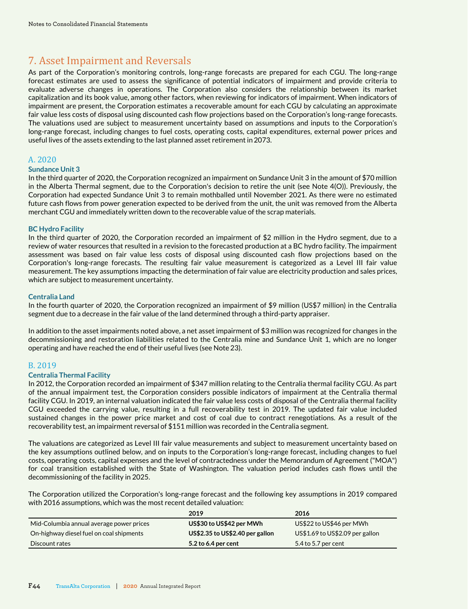# 7. Asset Impairment and Reversals

As part of the Corporation's monitoring controls, long-range forecasts are prepared for each CGU. The long-range forecast estimates are used to assess the significance of potential indicators of impairment and provide criteria to evaluate adverse changes in operations. The Corporation also considers the relationship between its market capitalization and its book value, among other factors, when reviewing for indicators of impairment. When indicators of impairment are present, the Corporation estimates a recoverable amount for each CGU by calculating an approximate fair value less costs of disposal using discounted cash flow projections based on the Corporation's long-range forecasts. The valuations used are subject to measurement uncertainty based on assumptions and inputs to the Corporation's long-range forecast, including changes to fuel costs, operating costs, capital expenditures, external power prices and useful lives of the assets extending to the last planned asset retirement in 2073.

## A. 2020

### **Sundance Unit 3**

In the third quarter of 2020, the Corporation recognized an impairment on Sundance Unit 3 in the amount of \$70 million in the Alberta Thermal segment, due to the Corporation's decision to retire the unit (see Note 4(O)). Previously, the Corporation had expected Sundance Unit 3 to remain mothballed until November 2021. As there were no estimated future cash flows from power generation expected to be derived from the unit, the unit was removed from the Alberta merchant CGU and immediately written down to the recoverable value of the scrap materials.

## **BC Hydro Facility**

In the third quarter of 2020, the Corporation recorded an impairment of \$2 million in the Hydro segment, due to a review of water resources that resulted in a revision to the forecasted production at a BC hydro facility. The impairment assessment was based on fair value less costs of disposal using discounted cash flow projections based on the Corporation's long-range forecasts. The resulting fair value measurement is categorized as a Level III fair value measurement. The key assumptions impacting the determination of fair value are electricity production and sales prices, which are subject to measurement uncertainty.

## **Centralia Land**

In the fourth quarter of 2020, the Corporation recognized an impairment of \$9 million (US\$7 million) in the Centralia segment due to a decrease in the fair value of the land determined through a third-party appraiser.

In addition to the asset impairments noted above, a net asset impairment of \$3 million was recognized for changes in the decommissioning and restoration liabilities related to the Centralia mine and Sundance Unit 1, which are no longer operating and have reached the end of their useful lives (see Note 23).

## B. 2019

## **Centralia Thermal Facility**

In 2012, the Corporation recorded an impairment of \$347 million relating to the Centralia thermal facility CGU. As part of the annual impairment test, the Corporation considers possible indicators of impairment at the Centralia thermal facility CGU. In 2019, an internal valuation indicated the fair value less costs of disposal of the Centralia thermal facility CGU exceeded the carrying value, resulting in a full recoverability test in 2019. The updated fair value included sustained changes in the power price market and cost of coal due to contract renegotiations. As a result of the recoverability test, an impairment reversal of \$151 million was recorded in the Centralia segment.

The valuations are categorized as Level III fair value measurements and subject to measurement uncertainty based on the key assumptions outlined below, and on inputs to the Corporation's long-range forecast, including changes to fuel costs, operating costs, capital expenses and the level of contractedness under the Memorandum of Agreement ("MOA") for coal transition established with the State of Washington. The valuation period includes cash flows until the decommissioning of the facility in 2025.

The Corporation utilized the Corporation's long-range forecast and the following key assumptions in 2019 compared with 2016 assumptions, which was the most recent detailed valuation:

|                                          | 2019                            | 2016                            |
|------------------------------------------|---------------------------------|---------------------------------|
| Mid-Columbia annual average power prices | US\$30 to US\$42 per MWh        | US\$22 to US\$46 per MWh        |
| On-highway diesel fuel on coal shipments | US\$2.35 to US\$2.40 per gallon | US\$1.69 to US\$2.09 per gallon |
| Discount rates                           | 5.2 to 6.4 per cent             | 5.4 to 5.7 per cent             |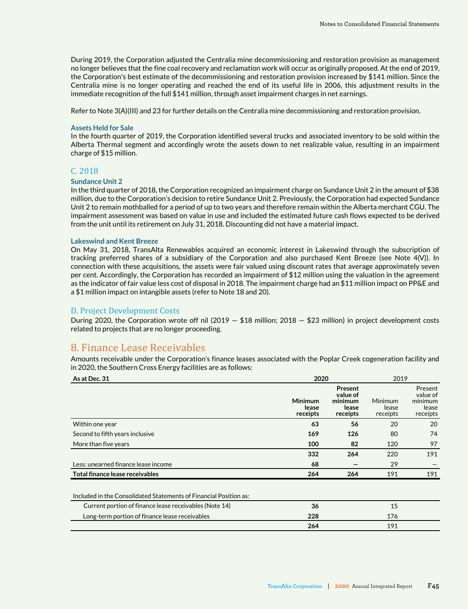During 2019, the Corporation adjusted the Centralia mine decommissioning and restoration provision as management no longer believes that the fine coal recovery and reclamation work will occur as originally proposed. At the end of 2019, the Corporation's best estimate of the decommissioning and restoration provision increased by \$141 million. Since the Centralia mine is no longer operating and reached the end of its useful life in 2006, this adjustment results in the immediate recognition of the full \$141 million, through asset impairment charges in net earnings.

Refer to Note 3(A)(III) and 23 for further details on the Centralia mine decommissioning and restoration provision.

#### **Assets Held for Sale**

In the fourth quarter of 2019, the Corporation identified several trucks and associated inventory to be sold within the Alberta Thermal segment and accordingly wrote the assets down to net realizable value, resulting in an impairment charge of \$15 million.

## C. 2018

## **Sundance Unit 2**

In the third quarter of 2018, the Corporation recognized an impairment charge on Sundance Unit 2 in the amount of \$38 million, due to the Corporation's decision to retire Sundance Unit 2. Previously, the Corporation had expected Sundance Unit 2 to remain mothballed for a period of up to two years and therefore remain within the Alberta merchant CGU. The impairment assessment was based on value in use and included the estimated future cash flows expected to be derived from the unit until its retirement on July 31, 2018. Discounting did not have a material impact.

#### **Lakeswind and Kent Breeze**

On May 31, 2018, TransAlta Renewables acquired an economic interest in Lakeswind through the subscription of tracking preferred shares of a subsidiary of the Corporation and also purchased Kent Breeze (see Note 4(V)). In connection with these acquisitions, the assets were fair valued using discount rates that average approximately seven per cent. Accordingly, the Corporation has recorded an impairment of \$12 million using the valuation in the agreement as the indicator of fair value less cost of disposal in 2018. The impairment charge had an \$11 million impact on PP&E and a \$1 million impact on intangible assets (refer to Note 18 and 20).

## D. Project Development Costs

During 2020, the Corporation wrote off nil (2019 — \$18 million; 2018 — \$23 million) in project development costs related to projects that are no longer proceeding.

# 8. Finance Lease Receivables

Amounts receivable under the Corporation's finance leases associated with the Poplar Creek cogeneration facility and in 2020, the Southern Cross Energy facilities are as follows:

| As at Dec. 31                                                     | 2020                                | 2019                                                |                              |                                                     |
|-------------------------------------------------------------------|-------------------------------------|-----------------------------------------------------|------------------------------|-----------------------------------------------------|
|                                                                   | <b>Minimum</b><br>lease<br>receipts | Present<br>value of<br>minimum<br>lease<br>receipts | Minimum<br>lease<br>receipts | Present<br>value of<br>minimum<br>lease<br>receipts |
| Within one year                                                   | 63                                  | 56                                                  | 20                           | 20                                                  |
| Second to fifth years inclusive                                   | 169                                 | 126                                                 | 80                           | 74                                                  |
| More than five years                                              | 100                                 | 82                                                  | 120                          | 97                                                  |
|                                                                   | 332                                 | 264                                                 | 220                          | 191                                                 |
| Less: unearned finance lease income                               | 68                                  |                                                     | 29                           |                                                     |
| Total finance lease receivables                                   | 264                                 | 264                                                 | 191                          | 191                                                 |
| Included in the Consolidated Statements of Financial Position as: |                                     |                                                     |                              |                                                     |

| Current portion of finance lease receivables (Note 14) | 36  |  |
|--------------------------------------------------------|-----|--|
| Long-term portion of finance lease receivables         | 228 |  |
|                                                        | 264 |  |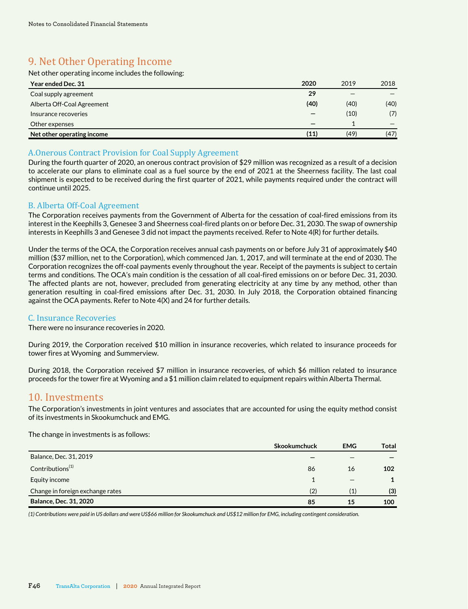# 9. Net Other Operating Income

Net other operating income includes the following:

| Year ended Dec. 31         | 2020                     | 2019 | 2018 |
|----------------------------|--------------------------|------|------|
| Coal supply agreement      | 29                       |      |      |
| Alberta Off-Coal Agreement | (40)                     | (40) | (40) |
| Insurance recoveries       | $\overline{\phantom{0}}$ | (10) | (7)  |
| Other expenses             |                          |      |      |
| Net other operating income | (11)                     | (49) | (47) |

## A.Onerous Contract Provision for Coal Supply Agreement

During the fourth quarter of 2020, an onerous contract provision of \$29 million was recognized as a result of a decision to accelerate our plans to eliminate coal as a fuel source by the end of 2021 at the Sheerness facility. The last coal shipment is expected to be received during the first quarter of 2021, while payments required under the contract will continue until 2025.

## B. Alberta Off-Coal Agreement

The Corporation receives payments from the Government of Alberta for the cessation of coal-fired emissions from its interest in the Keephills 3, Genesee 3 and Sheerness coal-fired plants on or before Dec. 31, 2030. The swap of ownership interests in Keephills 3 and Genesee 3 did not impact the payments received. Refer to Note 4(R) for further details.

Under the terms of the OCA, the Corporation receives annual cash payments on or before July 31 of approximately \$40 million (\$37 million, net to the Corporation), which commenced Jan. 1, 2017, and will terminate at the end of 2030. The Corporation recognizes the off-coal payments evenly throughout the year. Receipt of the payments is subject to certain terms and conditions. The OCA's main condition is the cessation of all coal-fired emissions on or before Dec. 31, 2030. The affected plants are not, however, precluded from generating electricity at any time by any method, other than generation resulting in coal-fired emissions after Dec. 31, 2030. In July 2018, the Corporation obtained financing against the OCA payments. Refer to Note 4(X) and 24 for further details.

## C. Insurance Recoveries

There were no insurance recoveries in 2020.

During 2019, the Corporation received \$10 million in insurance recoveries, which related to insurance proceeds for tower fires at Wyoming and Summerview.

During 2018, the Corporation received \$7 million in insurance recoveries, of which \$6 million related to insurance proceeds for the tower fire at Wyoming and a \$1 million claim related to equipment repairs within Alberta Thermal.

## 10. Investments

The Corporation's investments in joint ventures and associates that are accounted for using the equity method consist of its investments in Skookumchuck and EMG.

The change in investments is as follows:

|                                  | <b>Skookumchuck</b> | <b>EMG</b> | <b>Total</b> |
|----------------------------------|---------------------|------------|--------------|
| Balance, Dec. 31, 2019           |                     |            |              |
| Contributions <sup>(1)</sup>     | 86                  | 16         | 102          |
| Equity income                    |                     |            |              |
| Change in foreign exchange rates | (2)                 | (1)        | (3)          |
| <b>Balance, Dec. 31, 2020</b>    | 85                  | 15         | 100          |

*(1) Contributions were paid in US dollars and were US\$66 million for Skookumchuck and US\$12 million for EMG, including contingent consideration.*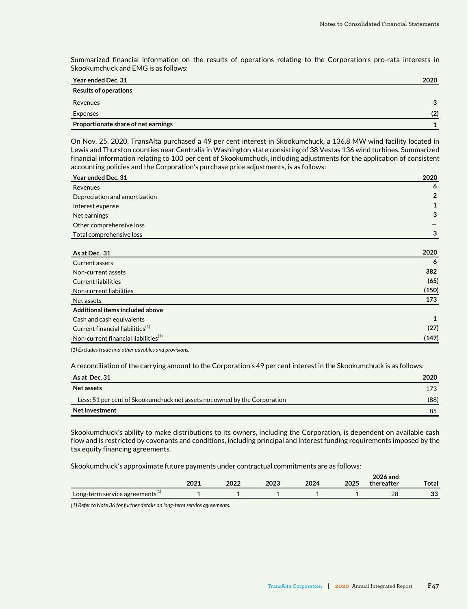Summarized financial information on the results of operations relating to the Corporation's pro-rata interests in Skookumchuck and EMG is as follows:

| Year ended Dec. 31                  | 2020         |
|-------------------------------------|--------------|
| <b>Results of operations</b>        |              |
| Revenues                            | $\mathbf{3}$ |
| Expenses                            | (2)          |
| Proportionate share of net earnings |              |

On Nov. 25, 2020, TransAlta purchased a 49 per cent interest in Skookumchuck, a 136.8 MW wind facility located in Lewis and Thurston counties near Centralia in Washington state consisting of 38 Vestas 136 wind turbines. Summarized financial information relating to 100 per cent of Skookumchuck, including adjustments for the application of consistent accounting policies and the Corporation's purchase price adjustments, is as follows:

| Year ended Dec. 31            | 2020                |
|-------------------------------|---------------------|
| Revenues                      | $\ddot{\mathbf{c}}$ |
| Depreciation and amortization | $\overline{2}$      |
| Interest expense              |                     |
| Net earnings                  | 3                   |
| Other comprehensive loss      |                     |
| Total comprehensive loss      | 3                   |

| As at Dec. 31                                    | 2020  |
|--------------------------------------------------|-------|
| Current assets                                   | 6     |
| Non-current assets                               | 382   |
| <b>Current liabilities</b>                       | (65)  |
| Non-current liabilities                          | (150) |
| Net assets                                       | 173   |
| Additional items included above                  |       |
| Cash and cash equivalents                        | 1     |
| Current financial liabilities <sup>(1)</sup>     | (27)  |
| Non-current financial liabilities <sup>(1)</sup> | (147) |

*(1) Excludes trade and other payables and provisions.*

A reconciliation of the carrying amount to the Corporation's 49 per cent interest in the Skookumchuck is as follows:

| As at Dec. 31                                                             | 2020 |
|---------------------------------------------------------------------------|------|
| Net assets                                                                | 173  |
| Less: 51 per cent of Skookumchuck net assets not owned by the Corporation | (88) |
| Net investment                                                            | 85   |

Skookumchuck's ability to make distributions to its owners, including the Corporation, is dependent on available cash flow and is restricted by covenants and conditions, including principal and interest funding requirements imposed by the tax equity financing agreements.

Skookumchuck's approximate future payments under contractual commitments are as follows:

|                                          | 2021 | າດາາ<br>ZUZZ | 2023 | 2024 | 2025 | 2026 and<br>thereafter | <b>Total</b> |
|------------------------------------------|------|--------------|------|------|------|------------------------|--------------|
| Long-term service agreements $^{\prime}$ |      |              |      |      |      | ററ<br>za               | າາ<br>აა     |

*(1) Refer to Note 36 for further details on long-term service agreements.*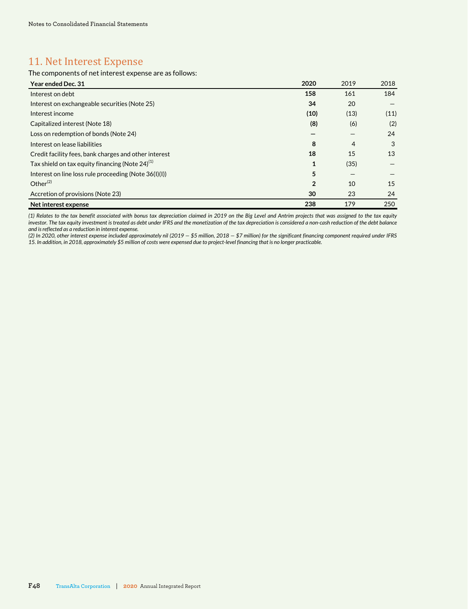# 11. Net Interest Expense

## The components of net interest expense are as follows:

| Year ended Dec. 31                                          | 2020           | 2019 | 2018 |
|-------------------------------------------------------------|----------------|------|------|
| Interest on debt                                            | 158            | 161  | 184  |
| Interest on exchangeable securities (Note 25)               | 34             | 20   |      |
| Interest income                                             | (10)           | (13) | (11) |
| Capitalized interest (Note 18)                              | (8)            | (6)  | (2)  |
| Loss on redemption of bonds (Note 24)                       |                |      | 24   |
| Interest on lease liabilities                               | 8              | 4    | 3    |
| Credit facility fees, bank charges and other interest       | 18             | 15   | 13   |
| Tax shield on tax equity financing (Note 24) <sup>(1)</sup> | 1              | (35) |      |
| Interest on line loss rule proceeding (Note 36(I)(I))       | 5              |      |      |
| Other $(2)$                                                 | $\overline{2}$ | 10   | 15   |
| Accretion of provisions (Note 23)                           | 30             | 23   | 24   |
| Net interest expense                                        | 238            | 179  | 250  |

*(1) Relates to the tax benefit associated with bonus tax depreciation claimed in 2019 on the Big Level and Antrim projects that was assigned to the tax equity investor. The tax equity investment is treated as debt under IFRS and the monetization of the tax depreciation is considered a non-cash reduction of the debt balance and is reflected as a reduction in interest expense.*

*(2) In 2020, other interest expense included approximately nil (2019 — \$5 million, 2018 — \$7 million) for the significant financing component required under IFRS 15. In addition, in 2018, approximately \$5 million of costs were expensed due to project-level financing that is no longer practicable.*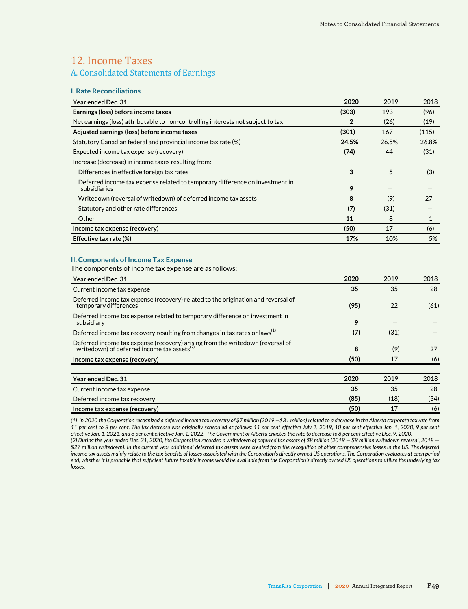# 12. Income Taxes

## A. Consolidated Statements of Earnings

## **I. Rate Reconciliations**

| Year ended Dec. 31                                                                           | 2020  | 2019  | 2018  |
|----------------------------------------------------------------------------------------------|-------|-------|-------|
| Earnings (loss) before income taxes                                                          | (303) | 193   | (96)  |
| Net earnings (loss) attributable to non-controlling interests not subject to tax             | 2     | (26)  | (19)  |
| Adjusted earnings (loss) before income taxes                                                 | (301) | 167   | (115) |
| Statutory Canadian federal and provincial income tax rate (%)                                | 24.5% | 26.5% | 26.8% |
| Expected income tax expense (recovery)                                                       | (74)  | 44    | (31)  |
| Increase (decrease) in income taxes resulting from:                                          |       |       |       |
| Differences in effective foreign tax rates                                                   | 3     | 5     | (3)   |
| Deferred income tax expense related to temporary difference on investment in<br>subsidiaries | 9     |       |       |
| Writedown (reversal of writedown) of deferred income tax assets                              | 8     | (9)   | 27    |
| Statutory and other rate differences                                                         | (7)   | (31)  |       |
| Other                                                                                        | 11    | 8     | 1     |
| Income tax expense (recovery)                                                                | (50)  | 17    | (6)   |
| Effective tax rate (%)                                                                       | 17%   | 10%   | 5%    |

#### **II. Components of Income Tax Expense**

The components of income tax expense are as follows:

| Year ended Dec. 31                                                                                                                     | 2020 | 2019 | 2018 |
|----------------------------------------------------------------------------------------------------------------------------------------|------|------|------|
| Current income tax expense                                                                                                             | 35   | 35   | 28   |
| Deferred income tax expense (recovery) related to the origination and reversal of<br>temporary differences                             | (95) | 22   | (61) |
| Deferred income tax expense related to temporary difference on investment in<br>subsidiary                                             | 9    |      |      |
| Deferred income tax recovery resulting from changes in tax rates or laws <sup>(1)</sup>                                                | (7)  | (31) |      |
| Deferred income tax expense (recovery) arising from the writedown (reversal of writedown) of deferred income tax assets <sup>(2)</sup> | 8    | (9)  | 27   |
| Income tax expense (recovery)                                                                                                          | (50) | 17   | (6)  |
|                                                                                                                                        |      |      |      |
| Year ended Dec. 31                                                                                                                     | 2020 | 2019 | 2018 |
| Current income tax expense                                                                                                             | 35   | 35   | 28   |
| Deferred income tax recovery                                                                                                           | (85) | (18) | (34) |
| Income tax expense (recovery)                                                                                                          | (50) | 17   | (6)  |

*(1) In 2020 the Corporation recognized a deferred income tax recovery of \$7 million (2019 —\$31 million) related to a decrease in the Alberta corporate tax rate from 11 per cent to 8 per cent. The tax decrease was originally scheduled as follows: 11 per cent effective July 1, 2019, 10 per cent effective Jan. 1, 2020, 9 per cent effective Jan. 1, 2021, and 8 per cent effective Jan. 1, 2022. The Government of Alberta enacted the rate to decrease to 8 per cent effective Dec. 9, 2020. (2) During the year ended Dec. 31, 2020, the Corporation recorded a writedown of deferred tax assets of \$8 million (2019 — \$9 million writedown reversal, 2018 —* 

*\$27 million writedown). In the current year additional deferred tax assets were created from the recognition of other comprehensive losses in the US. The deferred income tax assets mainly relate to the tax benefits of losses associated with the Corporation's directly owned US operations. The Corporation evaluates at each period end, whether it is probable that sufficient future taxable income would be available from the Corporation's directly owned US operations to utilize the underlying tax losses.*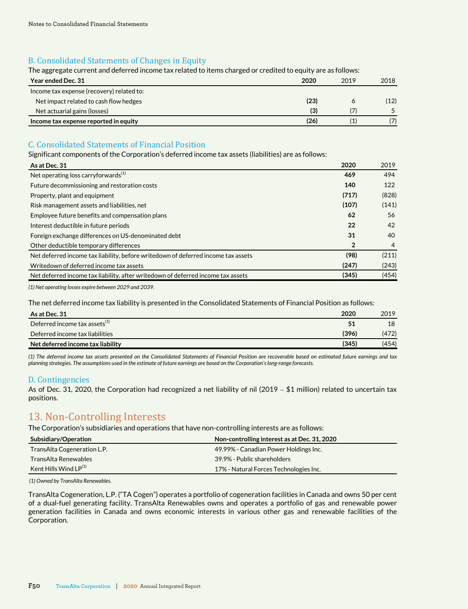## B. Consolidated Statements of Changes in Equity

The aggregate current and deferred income tax related to items charged or credited to equity are as follows:

| Year ended Dec. 31                        | 2020 | 2019 | 2018 |
|-------------------------------------------|------|------|------|
| Income tax expense (recovery) related to: |      |      |      |
| Net impact related to cash flow hedges    | (23) |      | (12) |
| Net actuarial gains (losses)              | (3)  | די   |      |
| Income tax expense reported in equity     | (26) | (1   | (7)  |

## C. Consolidated Statements of Financial Position

Significant components of the Corporation's deferred income tax assets (liabilities) are as follows:

| As at Dec. 31                                                                     | 2020           | 2019           |
|-----------------------------------------------------------------------------------|----------------|----------------|
| Net operating loss carryforwards <sup>(1)</sup>                                   | 469            | 494            |
| Future decommissioning and restoration costs                                      | 140            | 122            |
| Property, plant and equipment                                                     | (717)          | (828)          |
| Risk management assets and liabilities, net                                       | (107)          | (141)          |
| Employee future benefits and compensation plans                                   | 62             | 56             |
| Interest deductible in future periods                                             | 22             | 42             |
| Foreign exchange differences on US-denominated debt                               | 31             | 40             |
| Other deductible temporary differences                                            | $\overline{2}$ | $\overline{4}$ |
| Net deferred income tax liability, before writedown of deferred income tax assets | (98)           | (211)          |
| Writedown of deferred income tax assets                                           | (247)          | (243)          |
| Net deferred income tax liability, after writedown of deferred income tax assets  | (345)          | (454)          |

*(1) Net operating losses expire between 2029 and 2039.*

The net deferred income tax liability is presented in the Consolidated Statements of Financial Position as follows:

| As at Dec. 31                       | 2020  | 2019  |
|-------------------------------------|-------|-------|
| Deferred income tax assets $^{(1)}$ |       | 18    |
| Deferred income tax liabilities     | (396) | (472) |
| Net deferred income tax liability   | (345) | (454) |

*(1) The deferred income tax assets presented on the Consolidated Statements of Financial Position are recoverable based on estimated future earnings and tax planning strategies. The assumptions used in the estimate of future earnings are based on the Corporation's long-range forecasts.*

## D. Contingencies

As of Dec. 31, 2020, the Corporation had recognized a net liability of nil (2019 *—* \$1 million) related to uncertain tax positions.

# 13. Non-Controlling Interests

The Corporation's subsidiaries and operations that have non-controlling interests are as follows:

| Subsidiary/Operation        | Non-controlling interest as at Dec. 31, 2020 |
|-----------------------------|----------------------------------------------|
| TransAlta Cogeneration L.P. | 49.99% - Canadian Power Holdings Inc.        |
| TransAlta Renewables        | 39.9% - Public shareholders                  |
| Kent Hills Wind $LP^{(1)}$  | 17% - Natural Forces Technologies Inc.       |
|                             |                                              |

*(1) Owned by TransAlta Renewables.*

TransAlta Cogeneration, L.P. ("TA Cogen") operates a portfolio of cogeneration facilities in Canada and owns 50 per cent of a dual-fuel generating facility. TransAlta Renewables owns and operates a portfolio of gas and renewable power generation facilities in Canada and owns economic interests in various other gas and renewable facilities of the Corporation.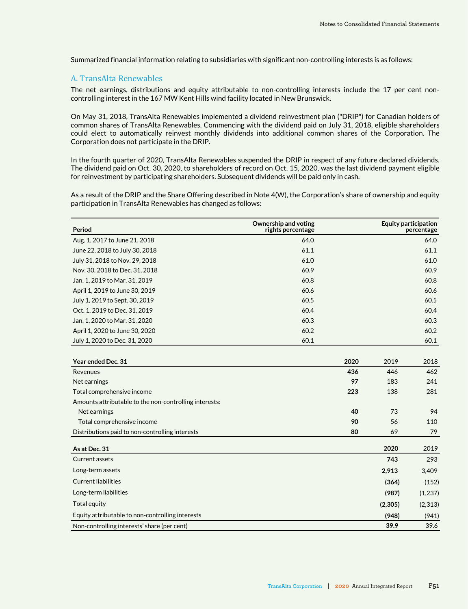Summarized financial information relating to subsidiaries with significant non-controlling interests is as follows:

## A. TransAlta Renewables

The net earnings, distributions and equity attributable to non-controlling interests include the 17 per cent noncontrolling interest in the 167 MW Kent Hills wind facility located in New Brunswick.

On May 31, 2018, TransAlta Renewables implemented a dividend reinvestment plan ("DRIP") for Canadian holders of common shares of TransAlta Renewables. Commencing with the dividend paid on July 31, 2018, eligible shareholders could elect to automatically reinvest monthly dividends into additional common shares of the Corporation. The Corporation does not participate in the DRIP.

In the fourth quarter of 2020, TransAlta Renewables suspended the DRIP in respect of any future declared dividends. The dividend paid on Oct. 30, 2020, to shareholders of record on Oct. 15, 2020, was the last dividend payment eligible for reinvestment by participating shareholders. Subsequent dividends will be paid only in cash.

As a result of the DRIP and the Share Offering described in Note 4(W), the Corporation's share of ownership and equity participation in TransAlta Renewables has changed as follows:

| Period                         | Ownership and voting<br>rights percentage | <b>Equity participation</b><br>percentage |
|--------------------------------|-------------------------------------------|-------------------------------------------|
| Aug. 1, 2017 to June 21, 2018  | 64.0                                      | 64.0                                      |
| June 22, 2018 to July 30, 2018 | 61.1                                      | 61.1                                      |
| July 31, 2018 to Nov. 29, 2018 | 61.0                                      | 61.0                                      |
| Nov. 30, 2018 to Dec. 31, 2018 | 60.9                                      | 60.9                                      |
| Jan. 1. 2019 to Mar. 31, 2019  | 60.8                                      | 60.8                                      |
| April 1, 2019 to June 30, 2019 | 60.6                                      | 60.6                                      |
| July 1, 2019 to Sept. 30, 2019 | 60.5                                      | 60.5                                      |
| Oct. 1. 2019 to Dec. 31, 2019  | 60.4                                      | 60.4                                      |
| Jan. 1, 2020 to Mar. 31, 2020  | 60.3                                      | 60.3                                      |
| April 1, 2020 to June 30, 2020 | 60.2                                      | 60.2                                      |
| July 1, 2020 to Dec. 31, 2020  | 60.1                                      | 60.1                                      |

| Year ended Dec. 31                                     | 2020 | 2019    | 2018    |
|--------------------------------------------------------|------|---------|---------|
| Revenues                                               | 436  | 446     | 462     |
| Net earnings                                           | 97   | 183     | 241     |
| Total comprehensive income                             | 223  | 138     | 281     |
| Amounts attributable to the non-controlling interests: |      |         |         |
| Net earnings                                           | 40   | 73      | 94      |
| Total comprehensive income                             | 90   | 56      | 110     |
| Distributions paid to non-controlling interests        | 80   | 69      | 79      |
| As at Dec. 31                                          |      | 2020    | 2019    |
| Current assets                                         |      | 743     | 293     |
| Long-term assets                                       |      | 2,913   | 3,409   |
| <b>Current liabilities</b>                             |      | (364)   | (152)   |
| Long-term liabilities                                  |      | (987)   | (1,237) |
| Total equity                                           |      | (2,305) | (2,313) |
| Equity attributable to non-controlling interests       |      | (948)   | (941)   |
| Non-controlling interests' share (per cent)            |      | 39.9    | 39.6    |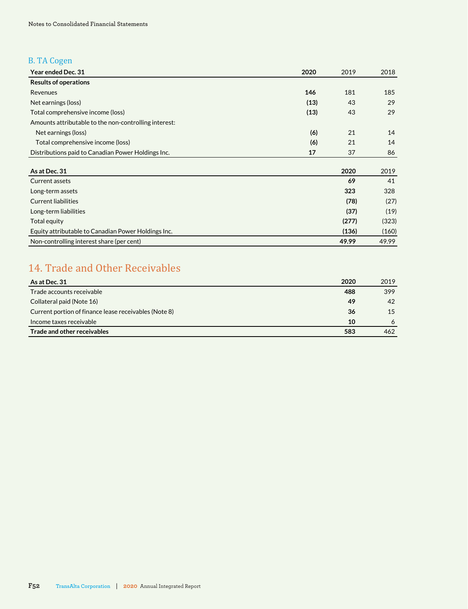# B. TA Cogen

| <b>Year ended Dec. 31</b>                             | 2020 | 2019 | 2018 |
|-------------------------------------------------------|------|------|------|
| <b>Results of operations</b>                          |      |      |      |
| Revenues                                              | 146  | 181  | 185  |
| Net earnings (loss)                                   | (13) | 43   | 29   |
| Total comprehensive income (loss)                     | (13) | 43   | 29   |
| Amounts attributable to the non-controlling interest: |      |      |      |
| Net earnings (loss)                                   | (6)  | 21   | 14   |
| Total comprehensive income (loss)                     | (6)  | 21   | 14   |
| Distributions paid to Canadian Power Holdings Inc.    | 17   | 37   | 86   |

| As at Dec. 31                                       | 2020  | 2019  |
|-----------------------------------------------------|-------|-------|
| Current assets                                      | 69    | 41    |
| Long-term assets                                    | 323   | 328   |
| <b>Current liabilities</b>                          | (78)  | (27)  |
| Long-term liabilities                               | (37)  | (19)  |
| Total equity                                        | (277) | (323) |
| Equity attributable to Canadian Power Holdings Inc. | (136) | (160) |
| Non-controlling interest share (per cent)           | 49.99 | 49.99 |

# 14. Trade and Other Receivables

| As at Dec. 31                                         | 2020 | 2019 |
|-------------------------------------------------------|------|------|
| Trade accounts receivable                             | 488  | 399  |
| Collateral paid (Note 16)                             | 49   | 42   |
| Current portion of finance lease receivables (Note 8) | 36   | 15   |
| Income taxes receivable                               | 10   | 6    |
| Trade and other receivables                           | 583  | 462  |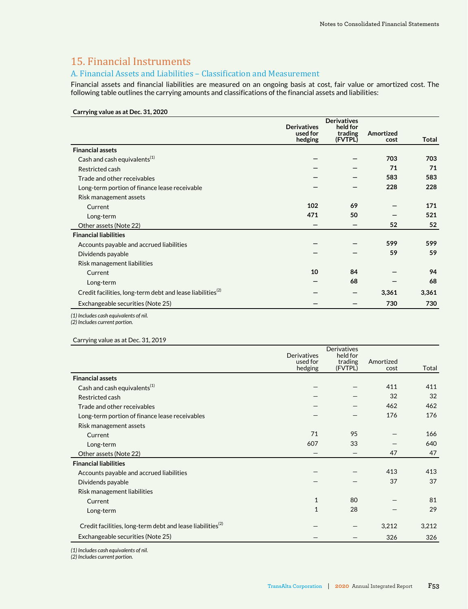# 15. Financial Instruments

## A. Financial Assets and Liabilities – Classification and Measurement

Financial assets and financial liabilities are measured on an ongoing basis at cost, fair value or amortized cost. The following table outlines the carrying amounts and classifications of the financial assets and liabilities:

|                                                                        | <b>Derivatives</b><br>used for<br>hedging | <b>Derivatives</b><br>held for<br>trading<br>(FVTPL) | Amortized<br>cost | <b>Total</b> |
|------------------------------------------------------------------------|-------------------------------------------|------------------------------------------------------|-------------------|--------------|
| <b>Financial assets</b>                                                |                                           |                                                      |                   |              |
| Cash and cash equivalents <sup>(1)</sup>                               |                                           |                                                      | 703               | 703          |
| Restricted cash                                                        |                                           |                                                      | 71                | 71           |
| Trade and other receivables                                            |                                           |                                                      | 583               | 583          |
| Long-term portion of finance lease receivable                          |                                           |                                                      | 228               | 228          |
| Risk management assets                                                 |                                           |                                                      |                   |              |
| Current                                                                | 102                                       | 69                                                   |                   | 171          |
| Long-term                                                              | 471                                       | 50                                                   |                   | 521          |
| Other assets (Note 22)                                                 |                                           |                                                      | 52                | 52           |
| <b>Financial liabilities</b>                                           |                                           |                                                      |                   |              |
| Accounts payable and accrued liabilities                               |                                           |                                                      | 599               | 599          |
| Dividends payable                                                      |                                           |                                                      | 59                | 59           |
| Risk management liabilities                                            |                                           |                                                      |                   |              |
| Current                                                                | 10                                        | 84                                                   |                   | 94           |
| Long-term                                                              |                                           | 68                                                   |                   | 68           |
| Credit facilities, long-term debt and lease liabilities <sup>(2)</sup> |                                           |                                                      | 3,361             | 3,361        |
| Exchangeable securities (Note 25)                                      |                                           |                                                      | 730               | 730          |

**Carrying value as at Dec. 31, 2020**

*(1) Includes cash equivalents of nil.*

*(2) Includes current portion.*

## Carrying value as at Dec. 31, 2019

|                                                                        | <b>Derivatives</b>  | <b>Derivatives</b><br>held for |                   |       |
|------------------------------------------------------------------------|---------------------|--------------------------------|-------------------|-------|
|                                                                        | used for<br>hedging | trading<br>(FVTPL)             | Amortized<br>cost | Total |
| <b>Financial assets</b>                                                |                     |                                |                   |       |
| Cash and cash equivalents <sup>(1)</sup>                               |                     |                                | 411               | 411   |
| Restricted cash                                                        |                     |                                | 32                | 32    |
| Trade and other receivables                                            |                     |                                | 462               | 462   |
| Long-term portion of finance lease receivables                         |                     |                                | 176               | 176   |
| Risk management assets                                                 |                     |                                |                   |       |
| Current                                                                | 71                  | 95                             |                   | 166   |
| Long-term                                                              | 607                 | 33                             |                   | 640   |
| Other assets (Note 22)                                                 |                     |                                | 47                | 47    |
| <b>Financial liabilities</b>                                           |                     |                                |                   |       |
| Accounts payable and accrued liabilities                               |                     |                                | 413               | 413   |
| Dividends payable                                                      |                     |                                | 37                | 37    |
| Risk management liabilities                                            |                     |                                |                   |       |
| Current                                                                | 1                   | 80                             |                   | 81    |
| Long-term                                                              | 1                   | 28                             |                   | 29    |
| Credit facilities, long-term debt and lease liabilities <sup>(2)</sup> |                     |                                | 3,212             | 3,212 |
| Exchangeable securities (Note 25)                                      |                     |                                | 326               | 326   |

*(1) Includes cash equivalents of nil.*

*(2) Includes current portion.*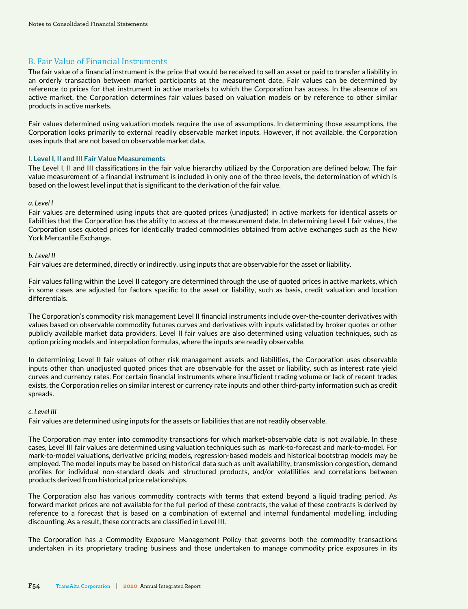## B. Fair Value of Financial Instruments

The fair value of a financial instrument is the price that would be received to sell an asset or paid to transfer a liability in an orderly transaction between market participants at the measurement date. Fair values can be determined by reference to prices for that instrument in active markets to which the Corporation has access. In the absence of an active market, the Corporation determines fair values based on valuation models or by reference to other similar products in active markets.

Fair values determined using valuation models require the use of assumptions. In determining those assumptions, the Corporation looks primarily to external readily observable market inputs. However, if not available, the Corporation uses inputs that are not based on observable market data.

### **I. Level I, II and III Fair Value Measurements**

The Level I, II and III classifications in the fair value hierarchy utilized by the Corporation are defined below. The fair value measurement of a financial instrument is included in only one of the three levels, the determination of which is based on the lowest level input that is significant to the derivation of the fair value.

### *a. Level I*

Fair values are determined using inputs that are quoted prices (unadjusted) in active markets for identical assets or liabilities that the Corporation has the ability to access at the measurement date. In determining Level I fair values, the Corporation uses quoted prices for identically traded commodities obtained from active exchanges such as the New York Mercantile Exchange.

### *b. Level II*

Fair values are determined, directly or indirectly, using inputs that are observable for the asset or liability.

Fair values falling within the Level II category are determined through the use of quoted prices in active markets, which in some cases are adjusted for factors specific to the asset or liability, such as basis, credit valuation and location differentials.

The Corporation's commodity risk management Level II financial instruments include over-the-counter derivatives with values based on observable commodity futures curves and derivatives with inputs validated by broker quotes or other publicly available market data providers. Level II fair values are also determined using valuation techniques, such as option pricing models and interpolation formulas, where the inputs are readily observable.

In determining Level II fair values of other risk management assets and liabilities, the Corporation uses observable inputs other than unadjusted quoted prices that are observable for the asset or liability, such as interest rate yield curves and currency rates. For certain financial instruments where insufficient trading volume or lack of recent trades exists, the Corporation relies on similar interest or currency rate inputs and other third-party information such as credit spreads.

#### *c. Level III*

Fair values are determined using inputs for the assets or liabilities that are not readily observable.

The Corporation may enter into commodity transactions for which market-observable data is not available. In these cases, Level III fair values are determined using valuation techniques such as mark-to-forecast and mark-to-model. For mark-to-model valuations, derivative pricing models, regression-based models and historical bootstrap models may be employed. The model inputs may be based on historical data such as unit availability, transmission congestion, demand profiles for individual non-standard deals and structured products, and/or volatilities and correlations between products derived from historical price relationships.

The Corporation also has various commodity contracts with terms that extend beyond a liquid trading period. As forward market prices are not available for the full period of these contracts, the value of these contracts is derived by reference to a forecast that is based on a combination of external and internal fundamental modelling, including discounting. As a result, these contracts are classified in Level III.

The Corporation has a Commodity Exposure Management Policy that governs both the commodity transactions undertaken in its proprietary trading business and those undertaken to manage commodity price exposures in its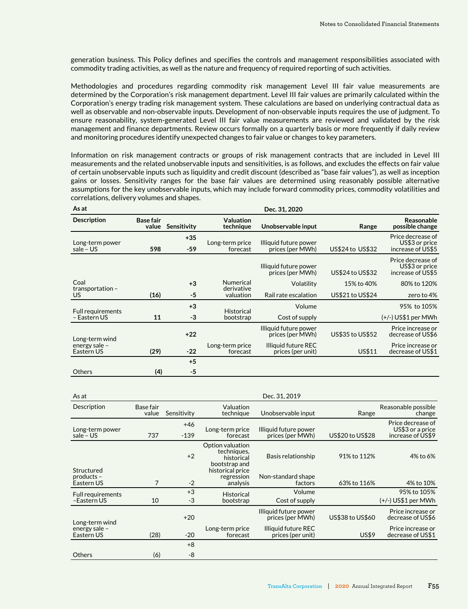generation business. This Policy defines and specifies the controls and management responsibilities associated with commodity trading activities, as well as the nature and frequency of required reporting of such activities.

Methodologies and procedures regarding commodity risk management Level III fair value measurements are determined by the Corporation's risk management department. Level III fair values are primarily calculated within the Corporation's energy trading risk management system. These calculations are based on underlying contractual data as well as observable and non-observable inputs. Development of non-observable inputs requires the use of judgment. To ensure reasonability, system-generated Level III fair value measurements are reviewed and validated by the risk management and finance departments. Review occurs formally on a quarterly basis or more frequently if daily review and monitoring procedures identify unexpected changes to fair value or changes to key parameters.

Information on risk management contracts or groups of risk management contracts that are included in Level III measurements and the related unobservable inputs and sensitivities, is as follows, and excludes the effects on fair value of certain unobservable inputs such as liquidity and credit discount (described as "base fair values"), as well as inception gains or losses. Sensitivity ranges for the base fair values are determined using reasonably possible alternative assumptions for the key unobservable inputs, which may include forward commodity prices, commodity volatilities and correlations, delivery volumes and shapes.

| As at                        |                           |                |                               | Dec. 31, 2020                             |                  |                                                          |
|------------------------------|---------------------------|----------------|-------------------------------|-------------------------------------------|------------------|----------------------------------------------------------|
| <b>Description</b>           | <b>Base fair</b><br>value | Sensitivity    | <b>Valuation</b><br>technique | Unobservable input                        | Range            | Reasonable<br>possible change                            |
| Long-term power<br>sale - US | 598                       | $+35$<br>$-59$ | Long-term price<br>forecast   | Illiquid future power<br>prices (per MWh) | US\$24 to US\$32 | Price decrease of<br>US\$3 or price<br>increase of US\$5 |
|                              |                           |                |                               | Illiquid future power<br>prices (per MWh) | US\$24 to US\$32 | Price decrease of<br>US\$3 or price<br>increase of US\$5 |
| Coal<br>transportation -     |                           | $+3$           | Numerical<br>derivative       | Volatility                                | 15% to 40%       | 80% to 120%                                              |
| <b>US</b>                    | (16)                      | $-5$           | valuation                     | Rail rate escalation                      | US\$21 to US\$24 | zero to 4%                                               |
| <b>Full requirements</b>     |                           | $+3$           | <b>Historical</b>             | Volume                                    |                  | 95% to 105%                                              |
| – Eastern US                 | 11                        | $-3$           | bootstrap                     | Cost of supply                            |                  | (+/-) US\$1 per MWh                                      |
| Long-term wind               |                           | $+22$          |                               | Illiquid future power<br>prices (per MWh) | US\$35 to US\$52 | Price increase or<br>decrease of US\$6                   |
| energy sale –<br>Eastern US  | (29)                      | $-22$          | Long-term price<br>forecast   | Illiquid future REC<br>prices (per unit)  | US\$11           | Price increase or<br>decrease of US\$1                   |
|                              |                           | $+5$           |                               |                                           |                  |                                                          |
| <b>Others</b>                | (4)                       | $-5$           |                               |                                           |                  |                                                          |

| As at                                   |                    |                 |                                                                                    | Dec. 31, 2019                             |                  |                                                            |
|-----------------------------------------|--------------------|-----------------|------------------------------------------------------------------------------------|-------------------------------------------|------------------|------------------------------------------------------------|
| Description                             | Base fair<br>value | Sensitivity     | Valuation<br>technique                                                             | Unobservable input                        | Range            | Reasonable possible<br>change                              |
| Long-term power<br>sale – $US$          | 737                | $+46$<br>$-139$ | Long-term price<br>forecast                                                        | Illiquid future power<br>prices (per MWh) | US\$20 to US\$28 | Price decrease of<br>US\$3 or a price<br>increase of US\$9 |
| Structured                              |                    | $+2$            | Option valuation<br>techniques,<br>historical<br>bootstrap and<br>historical price | Basis relationship                        | 91% to 112%      | 4% to 6%                                                   |
| products -<br>Eastern US                | 7                  | $-2$            | regression<br>analysis                                                             | Non-standard shape<br>factors             | 63% to 116%      | 4% to 10%                                                  |
| <b>Full requirements</b><br>-Eastern US | 10                 | $+3$<br>$-3$    | <b>Historical</b><br>bootstrap                                                     | Volume<br>Cost of supply                  |                  | 95% to 105%<br>$(+/-)$ US\$1 per MWh                       |
| Long-term wind                          |                    | $+20$           |                                                                                    | Illiquid future power<br>prices (per MWh) | US\$38 to US\$60 | Price increase or<br>decrease of US\$6                     |
| energy sale -<br>Eastern US             | (28)               | $-20$           | Long-term price<br>forecast                                                        | Illiquid future REC<br>prices (per unit)  | <b>US\$9</b>     | Price increase or<br>decrease of US\$1                     |
|                                         |                    | $+8$            |                                                                                    |                                           |                  |                                                            |
| <b>Others</b>                           | (6)                | $-8$            |                                                                                    |                                           |                  |                                                            |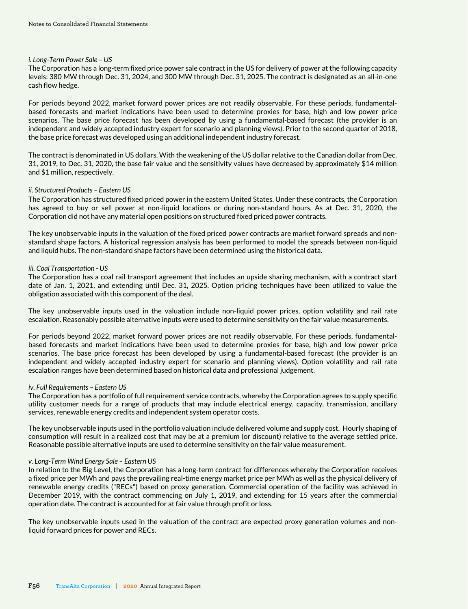### *i. Long-Term Power Sale – US*

The Corporation has a long-term fixed price power sale contract in the US for delivery of power at the following capacity levels: 380 MW through Dec. 31, 2024, and 300 MW through Dec. 31, 2025. The contract is designated as an all-in-one cash flow hedge.

For periods beyond 2022, market forward power prices are not readily observable. For these periods, fundamentalbased forecasts and market indications have been used to determine proxies for base, high and low power price scenarios. The base price forecast has been developed by using a fundamental-based forecast (the provider is an independent and widely accepted industry expert for scenario and planning views). Prior to the second quarter of 2018, the base price forecast was developed using an additional independent industry forecast.

The contract is denominated in US dollars. With the weakening of the US dollar relative to the Canadian dollar from Dec. 31, 2019, to Dec. 31, 2020, the base fair value and the sensitivity values have decreased by approximately \$14 million and \$1 million, respectively.

## *ii. Structured Products – Eastern US*

The Corporation has structured fixed priced power in the eastern United States. Under these contracts, the Corporation has agreed to buy or sell power at non-liquid locations or during non-standard hours. As at Dec. 31, 2020, the Corporation did not have any material open positions on structured fixed priced power contracts.

The key unobservable inputs in the valuation of the fixed priced power contracts are market forward spreads and nonstandard shape factors. A historical regression analysis has been performed to model the spreads between non-liquid and liquid hubs. The non-standard shape factors have been determined using the historical data.

## *iii. Coal Transportation - US*

The Corporation has a coal rail transport agreement that includes an upside sharing mechanism, with a contract start date of Jan. 1, 2021, and extending until Dec. 31, 2025. Option pricing techniques have been utilized to value the obligation associated with this component of the deal.

The key unobservable inputs used in the valuation include non-liquid power prices, option volatility and rail rate escalation. Reasonably possible alternative inputs were used to determine sensitivity on the fair value measurements.

For periods beyond 2022, market forward power prices are not readily observable. For these periods, fundamentalbased forecasts and market indications have been used to determine proxies for base, high and low power price scenarios. The base price forecast has been developed by using a fundamental-based forecast (the provider is an independent and widely accepted industry expert for scenario and planning views). Option volatility and rail rate escalation ranges have been determined based on historical data and professional judgement.

#### *iv. Full Requirements – Eastern US*

The Corporation has a portfolio of full requirement service contracts, whereby the Corporation agrees to supply specific utility customer needs for a range of products that may include electrical energy, capacity, transmission, ancillary services, renewable energy credits and independent system operator costs.

The key unobservable inputs used in the portfolio valuation include delivered volume and supply cost. Hourly shaping of consumption will result in a realized cost that may be at a premium (or discount) relative to the average settled price. Reasonable possible alternative inputs are used to determine sensitivity on the fair value measurement.

## *v. Long-Term Wind Energy Sale – Eastern US*

In relation to the Big Level, the Corporation has a long-term contract for differences whereby the Corporation receives a fixed price per MWh and pays the prevailing real-time energy market price per MWh as well as the physical delivery of renewable energy credits ("RECs") based on proxy generation. Commercial operation of the facility was achieved in December 2019, with the contract commencing on July 1, 2019, and extending for 15 years after the commercial operation date. The contract is accounted for at fair value through profit or loss.

The key unobservable inputs used in the valuation of the contract are expected proxy generation volumes and nonliquid forward prices for power and RECs.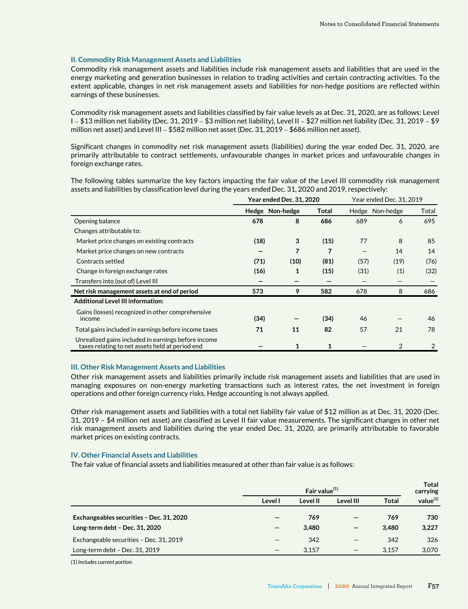## **II. Commodity Risk Management Assets and Liabilities**

Commodity risk management assets and liabilities include risk management assets and liabilities that are used in the energy marketing and generation businesses in relation to trading activities and certain contracting activities. To the extent applicable, changes in net risk management assets and liabilities for non-hedge positions are reflected within earnings of these businesses.

Commodity risk management assets and liabilities classified by fair value levels as at Dec. 31, 2020, are as follows: Level I *—* \$13 million net liability (Dec. 31, 2019 *—* \$3 million net liability), Level II *—* \$27 million net liability (Dec. 31, 2019 *—* \$9 million net asset) and Level III *—* \$582 million net asset (Dec. 31, 2019 *—* \$686 million net asset).

Significant changes in commodity net risk management assets (liabilities) during the year ended Dec. 31, 2020, are primarily attributable to contract settlements, unfavourable changes in market prices and unfavourable changes in foreign exchange rates.

The following tables summarize the key factors impacting the fair value of the Level III commodity risk management assets and liabilities by classification level during the years ended Dec. 31, 2020 and 2019, respectively:

|                                                                                                        | <b>Year ended Dec. 31, 2020</b> |                 |       |      | Year ended Dec. 31, 2019 |       |
|--------------------------------------------------------------------------------------------------------|---------------------------------|-----------------|-------|------|--------------------------|-------|
|                                                                                                        |                                 | Hedge Non-hedge | Total |      | Hedge Non-hedge          | Total |
| Opening balance                                                                                        | 678                             | 8               | 686   | 689  | 6                        | 695   |
| Changes attributable to:                                                                               |                                 |                 |       |      |                          |       |
| Market price changes on existing contracts                                                             | (18)                            | 3               | (15)  | 77   | 8                        | 85    |
| Market price changes on new contracts                                                                  |                                 | 7               | 7     |      | 14                       | 14    |
| Contracts settled                                                                                      | (71)                            | (10)            | (81)  | (57) | (19)                     | (76)  |
| Change in foreign exchange rates                                                                       | (16)                            | 1               | (15)  | (31) | (1)                      | (32)  |
| Transfers into (out of) Level III                                                                      |                                 |                 |       |      |                          |       |
| Net risk management assets at end of period                                                            | 573                             | 9               | 582   | 678  | 8                        | 686   |
| <b>Additional Level III information:</b>                                                               |                                 |                 |       |      |                          |       |
| Gains (losses) recognized in other comprehensive<br>income                                             | (34)                            |                 | (34)  | 46   |                          | 46    |
| Total gains included in earnings before income taxes                                                   | 71                              | 11              | 82    | 57   | 21                       | 78    |
| Unrealized gains included in earnings before income<br>taxes relating to net assets held at period end |                                 | 1               | 1     |      | 2                        |       |

## **III. Other Risk Management Assets and Liabilities**

Other risk management assets and liabilities primarily include risk management assets and liabilities that are used in managing exposures on non-energy marketing transactions such as interest rates, the net investment in foreign operations and other foreign currency risks. Hedge accounting is not always applied.

Other risk management assets and liabilities with a total net liability fair value of \$12 million as at Dec. 31, 2020 (Dec. 31, 2019 – \$4 million net asset) are classified as Level II fair value measurements. The significant changes in other net risk management assets and liabilities during the year ended Dec. 31, 2020, are primarily attributable to favorable market prices on existing contracts.

## **IV. Other Financial Assets and Liabilities**

The fair value of financial assets and liabilities measured at other than fair value is as follows:

|                                          | Fair value $(1)$ |          |           |              | <b>Total</b><br>carrying |
|------------------------------------------|------------------|----------|-----------|--------------|--------------------------|
|                                          | Level I          | Level II | Level III | <b>Total</b> | value <sup>(1)</sup>     |
|                                          |                  |          |           |              |                          |
| Exchangeables securities - Dec. 31, 2020 |                  | 769      |           | 769          | 730                      |
| Long-term debt - Dec. 31, 2020           |                  | 3,480    |           | 3,480        | 3,227                    |
| Exchangeable securities - Dec. 31, 2019  | —                | 342      |           | 342          | 326                      |
| Long-term debt - Dec. 31, 2019           |                  | 3,157    |           | 3,157        | 3,070                    |

*(1) Includes current portion.*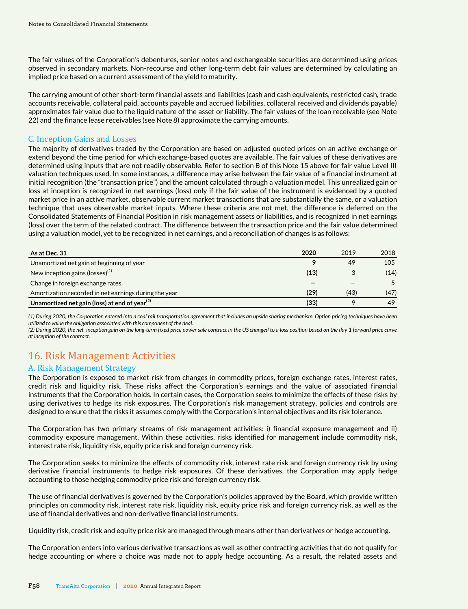The fair values of the Corporation's debentures, senior notes and exchangeable securities are determined using prices observed in secondary markets. Non-recourse and other long-term debt fair values are determined by calculating an implied price based on a current assessment of the yield to maturity.

The carrying amount of other short-term financial assets and liabilities (cash and cash equivalents, restricted cash, trade accounts receivable, collateral paid, accounts payable and accrued liabilities, collateral received and dividends payable) approximates fair value due to the liquid nature of the asset or liability. The fair values of the loan receivable (see Note 22) and the finance lease receivables (see Note 8) approximate the carrying amounts.

## C. Inception Gains and Losses

The majority of derivatives traded by the Corporation are based on adjusted quoted prices on an active exchange or extend beyond the time period for which exchange-based quotes are available. The fair values of these derivatives are determined using inputs that are not readily observable. Refer to section B of this Note 15 above for fair value Level III valuation techniques used. In some instances, a difference may arise between the fair value of a financial instrument at initial recognition (the "transaction price") and the amount calculated through a valuation model. This unrealized gain or loss at inception is recognized in net earnings (loss) only if the fair value of the instrument is evidenced by a quoted market price in an active market, observable current market transactions that are substantially the same, or a valuation technique that uses observable market inputs. Where these criteria are not met, the difference is deferred on the Consolidated Statements of Financial Position in risk management assets or liabilities, and is recognized in net earnings (loss) over the term of the related contract. The difference between the transaction price and the fair value determined using a valuation model, yet to be recognized in net earnings, and a reconciliation of changes is as follows:

| As at Dec. 31                                         | 2020 | 2019 | 2018 |
|-------------------------------------------------------|------|------|------|
| Unamortized net gain at beginning of year             | 9    | 49   | 105  |
| New inception gains (losses) $(1)$                    | (13) | 3    | (14) |
| Change in foreign exchange rates                      |      |      | .5   |
| Amortization recorded in net earnings during the year | (29) | (43) | (47) |
| Unamortized net gain (loss) at end of year $^{(2)}$   | (33) |      | 49   |

*(1) During 2020, the Corporation entered into a coal rail transportation agreement that includes an upside sharing mechanism. Option pricing techniques have been utilized to value the obligation associated with this component of the deal.*

*(2) During 2020, the net inception gain on the long-term fixed price power sale contract in the US changed to a loss position based on the day 1 forward price curve at inception of the contract.*

# 16. Risk Management Activities

## A. Risk Management Strategy

The Corporation is exposed to market risk from changes in commodity prices, foreign exchange rates, interest rates, credit risk and liquidity risk. These risks affect the Corporation's earnings and the value of associated financial instruments that the Corporation holds. In certain cases, the Corporation seeks to minimize the effects of these risks by using derivatives to hedge its risk exposures. The Corporation's risk management strategy, policies and controls are designed to ensure that the risks it assumes comply with the Corporation's internal objectives and its risk tolerance.

The Corporation has two primary streams of risk management activities: i) financial exposure management and ii) commodity exposure management. Within these activities, risks identified for management include commodity risk, interest rate risk, liquidity risk, equity price risk and foreign currency risk.

The Corporation seeks to minimize the effects of commodity risk, interest rate risk and foreign currency risk by using derivative financial instruments to hedge risk exposures. Of these derivatives, the Corporation may apply hedge accounting to those hedging commodity price risk and foreign currency risk.

The use of financial derivatives is governed by the Corporation's policies approved by the Board, which provide written principles on commodity risk, interest rate risk, liquidity risk, equity price risk and foreign currency risk, as well as the use of financial derivatives and non-derivative financial instruments.

Liquidity risk, credit risk and equity price risk are managed through means other than derivatives or hedge accounting.

The Corporation enters into various derivative transactions as well as other contracting activities that do not qualify for hedge accounting or where a choice was made not to apply hedge accounting. As a result, the related assets and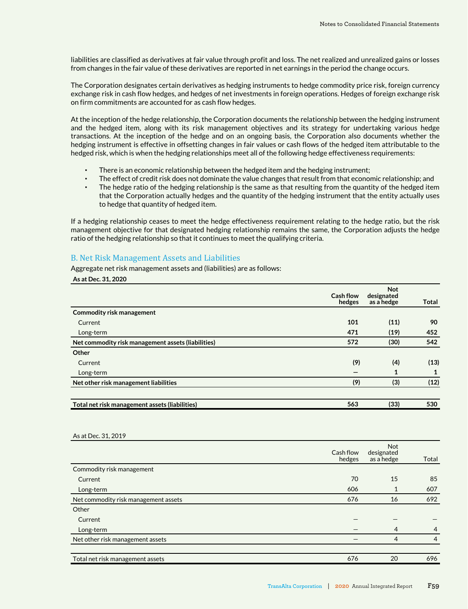liabilities are classified as derivatives at fair value through profit and loss. The net realized and unrealized gains or losses from changes in the fair value of these derivatives are reported in net earnings in the period the change occurs.

The Corporation designates certain derivatives as hedging instruments to hedge commodity price risk, foreign currency exchange risk in cash flow hedges, and hedges of net investments in foreign operations. Hedges of foreign exchange risk on firm commitments are accounted for as cash flow hedges.

At the inception of the hedge relationship, the Corporation documents the relationship between the hedging instrument and the hedged item, along with its risk management objectives and its strategy for undertaking various hedge transactions. At the inception of the hedge and on an ongoing basis, the Corporation also documents whether the hedging instrument is effective in offsetting changes in fair values or cash flows of the hedged item attributable to the hedged risk, which is when the hedging relationships meet all of the following hedge effectiveness requirements:

- There is an economic relationship between the hedged item and the hedging instrument;
- The effect of credit risk does not dominate the value changes that result from that economic relationship; and
- The hedge ratio of the hedging relationship is the same as that resulting from the quantity of the hedged item that the Corporation actually hedges and the quantity of the hedging instrument that the entity actually uses to hedge that quantity of hedged item.

If a hedging relationship ceases to meet the hedge effectiveness requirement relating to the hedge ratio, but the risk management objective for that designated hedging relationship remains the same, the Corporation adjusts the hedge ratio of the hedging relationship so that it continues to meet the qualifying criteria.

## B. Net Risk Management Assets and Liabilities

Aggregate net risk management assets and (liabilities) are as follows:

| As at Dec. 31, 2020                                |                     |                                        |              |
|----------------------------------------------------|---------------------|----------------------------------------|--------------|
|                                                    | Cash flow<br>hedges | <b>Not</b><br>designated<br>as a hedge | <b>Total</b> |
| <b>Commodity risk management</b>                   |                     |                                        |              |
| Current                                            | 101                 | (11)                                   | 90           |
| Long-term                                          | 471                 | (19)                                   | 452          |
| Net commodity risk management assets (liabilities) | 572                 | (30)                                   | 542          |
| Other                                              |                     |                                        |              |
| Current                                            | (9)                 | (4)                                    | (13)         |
| Long-term                                          |                     | 1                                      | 1            |
| Net other risk management liabilities              | (9)                 | (3)                                    | (12)         |
| Total net risk management assets (liabilities)     | 563                 | (33)                                   | 530          |

| As at Dec. 31, 2019 |  |
|---------------------|--|
|---------------------|--|

|                                      | Cash flow<br>hedges | <b>Not</b><br>designated<br>as a hedge | Total          |
|--------------------------------------|---------------------|----------------------------------------|----------------|
| Commodity risk management            |                     |                                        |                |
| Current                              | 70                  | 15                                     | 85             |
| Long-term                            | 606                 |                                        | 607            |
| Net commodity risk management assets | 676                 | 16                                     | 692            |
| Other                                |                     |                                        |                |
| Current                              |                     |                                        |                |
| Long-term                            |                     | $\overline{4}$                         | $\overline{4}$ |
| Net other risk management assets     |                     | $\overline{4}$                         | $\overline{4}$ |
|                                      |                     |                                        |                |
| Total net risk management assets     | 676                 | 20                                     | 696            |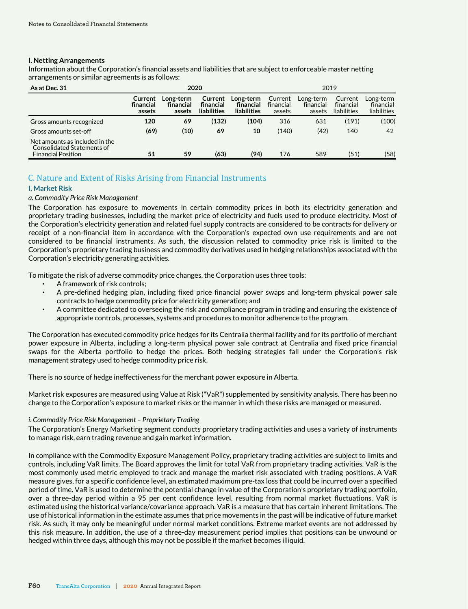### **I. Netting Arrangements**

Information about the Corporation's financial assets and liabilities that are subject to enforceable master netting arrangements or similar agreements is as follows:

| As at Dec. 31                                                                             |                                |                                  | 2019<br>2020                        |                                       |                                |                                  |                                     |                                       |
|-------------------------------------------------------------------------------------------|--------------------------------|----------------------------------|-------------------------------------|---------------------------------------|--------------------------------|----------------------------------|-------------------------------------|---------------------------------------|
|                                                                                           | Current<br>financial<br>assets | Long-term<br>financial<br>assets | Current<br>financial<br>liabilities | Long-term<br>financial<br>liabilities | Current<br>financial<br>assets | Long-term<br>financial<br>assets | Current<br>financial<br>liabilities | Long-term<br>financial<br>liabilities |
| Gross amounts recognized                                                                  | 120                            | 69                               | (132)                               | (104)                                 | 316                            | 631                              | (191)                               | (100)                                 |
| Gross amounts set-off                                                                     | (69)                           | (10)                             | 69                                  | 10                                    | (140)                          | (42)                             | 140                                 | 42                                    |
| Net amounts as included in the<br>Consolidated Statements of<br><b>Financial Position</b> | 51                             | 59                               | (63)                                | (94)                                  | 176                            | 589                              | (51)                                | (58)                                  |

## C. Nature and Extent of Risks Arising from Financial Instruments

## **I. Market Risk**

## *a. Commodity Price Risk Management*

The Corporation has exposure to movements in certain commodity prices in both its electricity generation and proprietary trading businesses, including the market price of electricity and fuels used to produce electricity. Most of the Corporation's electricity generation and related fuel supply contracts are considered to be contracts for delivery or receipt of a non-financial item in accordance with the Corporation's expected own use requirements and are not considered to be financial instruments. As such, the discussion related to commodity price risk is limited to the Corporation's proprietary trading business and commodity derivatives used in hedging relationships associated with the Corporation's electricity generating activities.

To mitigate the risk of adverse commodity price changes, the Corporation uses three tools:

- A framework of risk controls;
- A pre-defined hedging plan, including fixed price financial power swaps and long-term physical power sale contracts to hedge commodity price for electricity generation; and
- A committee dedicated to overseeing the risk and compliance program in trading and ensuring the existence of appropriate controls, processes, systems and procedures to monitor adherence to the program.

The Corporation has executed commodity price hedges for its Centralia thermal facility and for its portfolio of merchant power exposure in Alberta, including a long-term physical power sale contract at Centralia and fixed price financial swaps for the Alberta portfolio to hedge the prices. Both hedging strategies fall under the Corporation's risk management strategy used to hedge commodity price risk.

There is no source of hedge ineffectiveness for the merchant power exposure in Alberta.

Market risk exposures are measured using Value at Risk ("VaR") supplemented by sensitivity analysis. There has been no change to the Corporation's exposure to market risks or the manner in which these risks are managed or measured.

## *i. Commodity Price Risk Management – Proprietary Trading*

The Corporation's Energy Marketing segment conducts proprietary trading activities and uses a variety of instruments to manage risk, earn trading revenue and gain market information.

In compliance with the Commodity Exposure Management Policy, proprietary trading activities are subject to limits and controls, including VaR limits. The Board approves the limit for total VaR from proprietary trading activities. VaR is the most commonly used metric employed to track and manage the market risk associated with trading positions. A VaR measure gives, for a specific confidence level, an estimated maximum pre-tax loss that could be incurred over a specified period of time. VaR is used to determine the potential change in value of the Corporation's proprietary trading portfolio, over a three-day period within a 95 per cent confidence level, resulting from normal market fluctuations. VaR is estimated using the historical variance/covariance approach. VaR is a measure that has certain inherent limitations. The use of historical information in the estimate assumes that price movements in the past will be indicative of future market risk. As such, it may only be meaningful under normal market conditions. Extreme market events are not addressed by this risk measure. In addition, the use of a three-day measurement period implies that positions can be unwound or hedged within three days, although this may not be possible if the market becomes illiquid.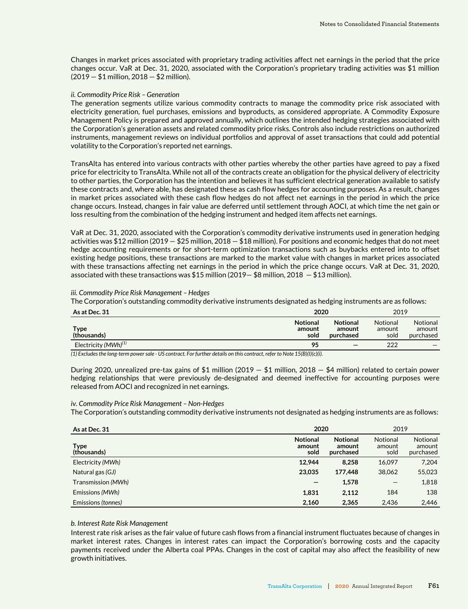Changes in market prices associated with proprietary trading activities affect net earnings in the period that the price changes occur. VaR at Dec. 31, 2020, associated with the Corporation's proprietary trading activities was \$1 million (2019 — \$1 million, 2018 — \$2 million).

#### *ii. Commodity Price Risk – Generation*

The generation segments utilize various commodity contracts to manage the commodity price risk associated with electricity generation, fuel purchases, emissions and byproducts, as considered appropriate. A Commodity Exposure Management Policy is prepared and approved annually, which outlines the intended hedging strategies associated with the Corporation's generation assets and related commodity price risks. Controls also include restrictions on authorized instruments, management reviews on individual portfolios and approval of asset transactions that could add potential volatility to the Corporation's reported net earnings.

TransAlta has entered into various contracts with other parties whereby the other parties have agreed to pay a fixed price for electricity to TransAlta. While not all of the contracts create an obligation for the physical delivery of electricity to other parties, the Corporation has the intention and believes it has sufficient electrical generation available to satisfy these contracts and, where able, has designated these as cash flow hedges for accounting purposes. As a result, changes in market prices associated with these cash flow hedges do not affect net earnings in the period in which the price change occurs. Instead, changes in fair value are deferred until settlement through AOCI, at which time the net gain or loss resulting from the combination of the hedging instrument and hedged item affects net earnings.

VaR at Dec. 31, 2020, associated with the Corporation's commodity derivative instruments used in generation hedging activities was \$12 million (2019 – \$25 million, 2018 – \$18 million). For positions and economic hedges that do not meet hedge accounting requirements or for short-term optimization transactions such as buybacks entered into to offset existing hedge positions, these transactions are marked to the market value with changes in market prices associated with these transactions affecting net earnings in the period in which the price change occurs. VaR at Dec. 31, 2020, associated with these transactions was \$15 million (2019 - \$8 million, 2018  $-$  \$13 million).

#### *iii. Commodity Price Risk Management – Hedges*

The Corporation's outstanding commodity derivative instruments designated as hedging instruments are as follows:

| As at Dec. 31                                                                                                             | 2020                              |                                        | 2019                       |                                 |
|---------------------------------------------------------------------------------------------------------------------------|-----------------------------------|----------------------------------------|----------------------------|---------------------------------|
| Type<br>(thousands)                                                                                                       | <b>Notional</b><br>amount<br>sold | <b>Notional</b><br>amount<br>purchased | Notional<br>amount<br>sold | Notional<br>amount<br>purchased |
| Electricity $(MWh)^{(1)}$                                                                                                 | 95                                |                                        | 222                        |                                 |
| (4) Fuch dealers have to we warranted a till continued Fourfundhous details an this contuent usfaute Nets 4 F(D)(I)(a)(i) |                                   |                                        |                            |                                 |

*(1) Excludes the long-term power sale - US contract. For further details on this contract, refer to Note 15(B)(I)(c)(i).*

During 2020, unrealized pre-tax gains of \$1 million (2019 — \$1 million, 2018 — \$4 million) related to certain power hedging relationships that were previously de-designated and deemed ineffective for accounting purposes were released from AOCI and recognized in net earnings.

### *iv. Commodity Price Risk Management – Non-Hedges*

The Corporation's outstanding commodity derivative instruments not designated as hedging instruments are as follows:

| As at Dec. 31              | 2020                              |                                        | 2019                       |                                 |
|----------------------------|-----------------------------------|----------------------------------------|----------------------------|---------------------------------|
| <b>Type</b><br>(thousands) | <b>Notional</b><br>amount<br>sold | <b>Notional</b><br>amount<br>purchased | Notional<br>amount<br>sold | Notional<br>amount<br>purchased |
| Electricity (MWh)          | 12.944                            | 8.258                                  | 16,097                     | 7,204                           |
| Natural gas $(GJ)$         | 23,035                            | 177.448                                | 38.062                     | 55,023                          |
| Transmission (MWh)         | $\overline{\phantom{m}}$          | 1,578                                  | —                          | 1,818                           |
| Emissions (MWh)            | 1,831                             | 2,112                                  | 184                        | 138                             |
| Emissions (tonnes)         | 2,160                             | 2,365                                  | 2.436                      | 2,446                           |

#### *b. Interest Rate Risk Management*

Interest rate risk arises as the fair value of future cash flows from a financial instrument fluctuates because of changes in market interest rates. Changes in interest rates can impact the Corporation's borrowing costs and the capacity payments received under the Alberta coal PPAs. Changes in the cost of capital may also affect the feasibility of new growth initiatives.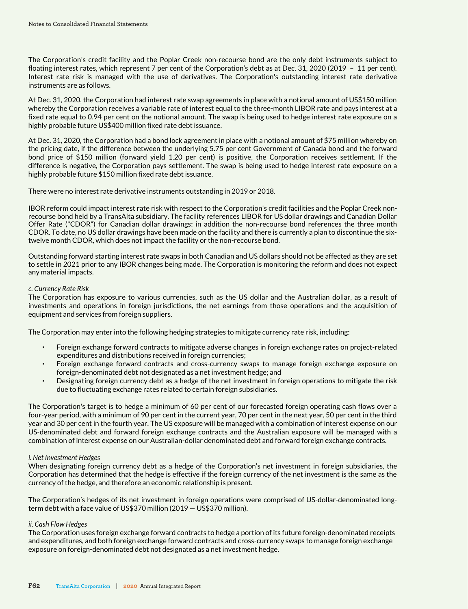The Corporation's credit facility and the Poplar Creek non-recourse bond are the only debt instruments subject to floating interest rates, which represent 7 per cent of the Corporation's debt as at Dec. 31, 2020 (2019 – 11 per cent). Interest rate risk is managed with the use of derivatives. The Corporation's outstanding interest rate derivative instruments are as follows.

At Dec. 31, 2020, the Corporation had interest rate swap agreements in place with a notional amount of US\$150 million whereby the Corporation receives a variable rate of interest equal to the three-month LIBOR rate and pays interest at a fixed rate equal to 0.94 per cent on the notional amount. The swap is being used to hedge interest rate exposure on a highly probable future US\$400 million fixed rate debt issuance.

At Dec. 31, 2020, the Corporation had a bond lock agreement in place with a notional amount of \$75 million whereby on the pricing date, if the difference between the underlying 5.75 per cent Government of Canada bond and the forward bond price of \$150 million (forward yield 1.20 per cent) is positive, the Corporation receives settlement. If the difference is negative, the Corporation pays settlement. The swap is being used to hedge interest rate exposure on a highly probable future \$150 million fixed rate debt issuance.

There were no interest rate derivative instruments outstanding in 2019 or 2018.

IBOR reform could impact interest rate risk with respect to the Corporation's credit facilities and the Poplar Creek nonrecourse bond held by a TransAlta subsidiary. The facility references LIBOR for US dollar drawings and Canadian Dollar Offer Rate ("CDOR") for Canadian dollar drawings: in addition the non-recourse bond references the three month CDOR. To date, no US dollar drawings have been made on the facility and there is currently a plan to discontinue the sixtwelve month CDOR, which does not impact the facility or the non-recourse bond.

Outstanding forward starting interest rate swaps in both Canadian and US dollars should not be affected as they are set to settle in 2021 prior to any IBOR changes being made. The Corporation is monitoring the reform and does not expect any material impacts.

## *c. Currency Rate Risk*

The Corporation has exposure to various currencies, such as the US dollar and the Australian dollar, as a result of investments and operations in foreign jurisdictions, the net earnings from those operations and the acquisition of equipment and services from foreign suppliers.

The Corporation may enter into the following hedging strategies to mitigate currency rate risk, including:

- Foreign exchange forward contracts to mitigate adverse changes in foreign exchange rates on project-related expenditures and distributions received in foreign currencies;
- Foreign exchange forward contracts and cross-currency swaps to manage foreign exchange exposure on foreign-denominated debt not designated as a net investment hedge; and
- Designating foreign currency debt as a hedge of the net investment in foreign operations to mitigate the risk due to fluctuating exchange rates related to certain foreign subsidiaries.

The Corporation's target is to hedge a minimum of 60 per cent of our forecasted foreign operating cash flows over a four-year period, with a minimum of 90 per cent in the current year, 70 per cent in the next year, 50 per cent in the third year and 30 per cent in the fourth year. The US exposure will be managed with a combination of interest expense on our US-denominated debt and forward foreign exchange contracts and the Australian exposure will be managed with a combination of interest expense on our Australian-dollar denominated debt and forward foreign exchange contracts.

## *i. Net Investment Hedges*

When designating foreign currency debt as a hedge of the Corporation's net investment in foreign subsidiaries, the Corporation has determined that the hedge is effective if the foreign currency of the net investment is the same as the currency of the hedge, and therefore an economic relationship is present.

The Corporation's hedges of its net investment in foreign operations were comprised of US-dollar-denominated longterm debt with a face value of US\$370 million (2019 — US\$370 million).

## *ii. Cash Flow Hedges*

The Corporation uses foreign exchange forward contracts to hedge a portion of its future foreign-denominated receipts and expenditures, and both foreign exchange forward contracts and cross-currency swaps to manage foreign exchange exposure on foreign-denominated debt not designated as a net investment hedge.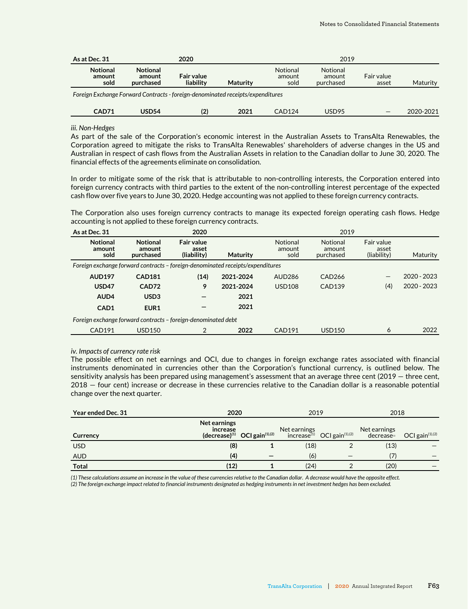| As at Dec. 31                                                                  |                                        | 2020                           | 2019            |                            |                                 |                     |           |
|--------------------------------------------------------------------------------|----------------------------------------|--------------------------------|-----------------|----------------------------|---------------------------------|---------------------|-----------|
| <b>Notional</b><br>amount<br>sold                                              | <b>Notional</b><br>amount<br>purchased | <b>Fair value</b><br>liability | <b>Maturity</b> | Notional<br>amount<br>sold | Notional<br>amount<br>purchased | Fair value<br>asset | Maturity  |
| Foreign Exchange Forward Contracts - foreign-denominated receipts/expenditures |                                        |                                |                 |                            |                                 |                     |           |
| CAD71                                                                          | USD54                                  | (2)                            | 2021            | CAD <sub>124</sub>         | USD95                           |                     | 2020-2021 |

## *iii. Non-Hedges*

As part of the sale of the Corporation's economic interest in the Australian Assets to TransAlta Renewables, the Corporation agreed to mitigate the risks to TransAlta Renewables' shareholders of adverse changes in the US and Australian in respect of cash flows from the Australian Assets in relation to the Canadian dollar to June 30, 2020. The financial effects of the agreements eliminate on consolidation.

In order to mitigate some of the risk that is attributable to non-controlling interests, the Corporation entered into foreign currency contracts with third parties to the extent of the non-controlling interest percentage of the expected cash flow over five years to June 30, 2020. Hedge accounting was not applied to these foreign currency contracts.

The Corporation also uses foreign currency contracts to manage its expected foreign operating cash flows. Hedge accounting is not applied to these foreign currency contracts.

| As at Dec. 31                                                                  |                                        | 2020                                      |                 | 2019                       |                                 |                                    |             |
|--------------------------------------------------------------------------------|----------------------------------------|-------------------------------------------|-----------------|----------------------------|---------------------------------|------------------------------------|-------------|
| <b>Notional</b><br>amount<br>sold                                              | <b>Notional</b><br>amount<br>purchased | <b>Fair value</b><br>asset<br>(liability) | <b>Maturity</b> | Notional<br>amount<br>sold | Notional<br>amount<br>purchased | Fair value<br>asset<br>(liability) | Maturity    |
| Foreign exchange forward contracts - foreign-denominated receipts/expenditures |                                        |                                           |                 |                            |                                 |                                    |             |
| <b>AUD197</b>                                                                  | <b>CAD181</b>                          | (14)                                      | 2021-2024       | <b>AUD286</b>              | CAD <sub>266</sub>              |                                    | 2020 - 2023 |
| <b>USD47</b>                                                                   | CAD72                                  | 9                                         | 2021-2024       | <b>USD108</b>              | <b>CAD139</b>                   | (4)                                | 2020 - 2023 |
| AUD <sub>4</sub>                                                               | USD <sub>3</sub>                       |                                           | 2021            |                            |                                 |                                    |             |
| CAD <sub>1</sub>                                                               | EUR <sub>1</sub>                       |                                           | 2021            |                            |                                 |                                    |             |
| Foreign exchange forward contracts - foreign-denominated debt                  |                                        |                                           |                 |                            |                                 |                                    |             |
| <b>CAD191</b>                                                                  | <b>USD150</b>                          | 2                                         | 2022            | CAD191                     | <b>USD150</b>                   | 6                                  | 2022        |

#### *iv. Impacts of currency rate risk*

The possible effect on net earnings and OCI, due to changes in foreign exchange rates associated with financial instruments denominated in currencies other than the Corporation's functional currency, is outlined below. The sensitivity analysis has been prepared using management's assessment that an average three cent (2019 — three cent, 2018 — four cent) increase or decrease in these currencies relative to the Canadian dollar is a reasonable potential change over the next quarter.

| Year ended Dec. 31 | 2020                     |                                                 | 2019         |                                                     | 2018                     |                    |
|--------------------|--------------------------|-------------------------------------------------|--------------|-----------------------------------------------------|--------------------------|--------------------|
| Currency           | Net earnings<br>increase | $(\text{decrease})^{(1)}$ OCI gain $^{(1),(2)}$ | Net earnings | increase <sup>(1)</sup> OCI gain <sup>(1),(2)</sup> | Net earnings<br>decrease | OCI gain $(1),(2)$ |
| <b>USD</b>         | (8)                      |                                                 | (18)         |                                                     | (13)                     |                    |
| <b>AUD</b>         | (4)                      | –                                               | (6)          |                                                     |                          | —                  |
| <b>Total</b>       | (12)                     |                                                 | (24)         |                                                     | (20)                     |                    |

*(1) These calculations assume an increase in the value of these currencies relative to the Canadian dollar. A decrease would have the opposite effect. (2) The foreign exchange impact related to financial instruments designated as hedging instruments in net investment hedges has been excluded.*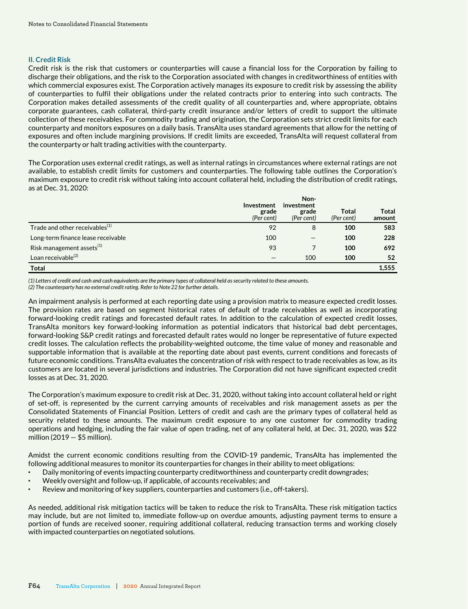## **II. Credit Risk**

Credit risk is the risk that customers or counterparties will cause a financial loss for the Corporation by failing to discharge their obligations, and the risk to the Corporation associated with changes in creditworthiness of entities with which commercial exposures exist. The Corporation actively manages its exposure to credit risk by assessing the ability of counterparties to fulfil their obligations under the related contracts prior to entering into such contracts. The Corporation makes detailed assessments of the credit quality of all counterparties and, where appropriate, obtains corporate guarantees, cash collateral, third-party credit insurance and/or letters of credit to support the ultimate collection of these receivables. For commodity trading and origination, the Corporation sets strict credit limits for each counterparty and monitors exposures on a daily basis. TransAlta uses standard agreements that allow for the netting of exposures and often include margining provisions. If credit limits are exceeded, TransAlta will request collateral from the counterparty or halt trading activities with the counterparty.

The Corporation uses external credit ratings, as well as internal ratings in circumstances where external ratings are not available, to establish credit limits for customers and counterparties. The following table outlines the Corporation's maximum exposure to credit risk without taking into account collateral held, including the distribution of credit ratings, as at Dec. 31, 2020:

|                                            | Investment<br>grade<br>(Per cent) | Non-<br>investment<br>grade<br>(Per cent) | <b>Total</b><br>(Per cent) | <b>Total</b><br>amount |
|--------------------------------------------|-----------------------------------|-------------------------------------------|----------------------------|------------------------|
| Trade and other receivables <sup>(1)</sup> | 92                                | 8                                         | 100                        | 583                    |
| Long-term finance lease receivable         | 100                               |                                           | 100                        | 228                    |
| Risk management assets <sup>(1)</sup>      | 93                                |                                           | 100                        | 692                    |
| Loan receivable <sup>(2)</sup>             |                                   | 100                                       | 100                        | 52                     |
| <b>Total</b>                               |                                   |                                           |                            | 1,555                  |

*(1) Letters of credit and cash and cash equivalents are the primary types of collateral held as security related to these amounts.* 

*(2) The counterparty has no external credit rating. Refer to Note 22 for further details.* 

An impairment analysis is performed at each reporting date using a provision matrix to measure expected credit losses. The provision rates are based on segment historical rates of default of trade receivables as well as incorporating forward-looking credit ratings and forecasted default rates. In addition to the calculation of expected credit losses, TransAlta monitors key forward-looking information as potential indicators that historical bad debt percentages, forward-looking S&P credit ratings and forecasted default rates would no longer be representative of future expected credit losses. The calculation reflects the probability-weighted outcome, the time value of money and reasonable and supportable information that is available at the reporting date about past events, current conditions and forecasts of future economic conditions. TransAlta evaluates the concentration of risk with respect to trade receivables as low, as its customers are located in several jurisdictions and industries. The Corporation did not have significant expected credit losses as at Dec. 31, 2020.

The Corporation's maximum exposure to credit risk at Dec. 31, 2020, without taking into account collateral held or right of set-off, is represented by the current carrying amounts of receivables and risk management assets as per the Consolidated Statements of Financial Position. Letters of credit and cash are the primary types of collateral held as security related to these amounts. The maximum credit exposure to any one customer for commodity trading operations and hedging, including the fair value of open trading, net of any collateral held, at Dec. 31, 2020, was \$22 million (2019  $-$  \$5 million).

Amidst the current economic conditions resulting from the COVID-19 pandemic, TransAlta has implemented the following additional measures to monitor its counterparties for changes in their ability to meet obligations:

- Daily monitoring of events impacting counterparty creditworthiness and counterparty credit downgrades;
- Weekly oversight and follow-up, if applicable, of accounts receivables; and
- Review and monitoring of key suppliers, counterparties and customers (i.e., off-takers).

As needed, additional risk mitigation tactics will be taken to reduce the risk to TransAlta. These risk mitigation tactics may include, but are not limited to, immediate follow-up on overdue amounts, adjusting payment terms to ensure a portion of funds are received sooner, requiring additional collateral, reducing transaction terms and working closely with impacted counterparties on negotiated solutions.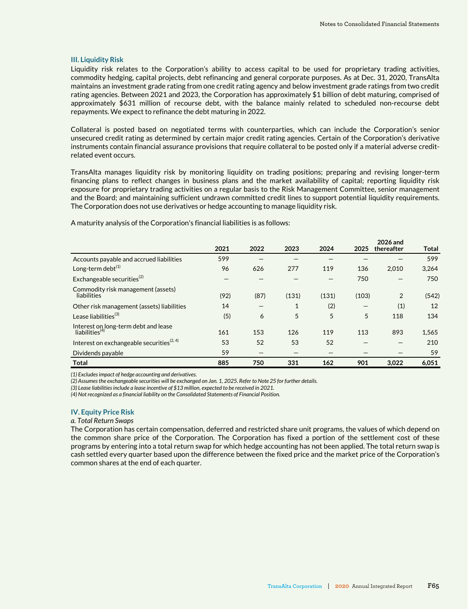#### **III. Liquidity Risk**

Liquidity risk relates to the Corporation's ability to access capital to be used for proprietary trading activities, commodity hedging, capital projects, debt refinancing and general corporate purposes. As at Dec. 31, 2020, TransAlta maintains an investment grade rating from one credit rating agency and below investment grade ratings from two credit rating agencies. Between 2021 and 2023, the Corporation has approximately \$1 billion of debt maturing, comprised of approximately \$631 million of recourse debt, with the balance mainly related to scheduled non-recourse debt repayments. We expect to refinance the debt maturing in 2022.

Collateral is posted based on negotiated terms with counterparties, which can include the Corporation's senior unsecured credit rating as determined by certain major credit rating agencies. Certain of the Corporation's derivative instruments contain financial assurance provisions that require collateral to be posted only if a material adverse creditrelated event occurs.

TransAlta manages liquidity risk by monitoring liquidity on trading positions; preparing and revising longer-term financing plans to reflect changes in business plans and the market availability of capital; reporting liquidity risk exposure for proprietary trading activities on a regular basis to the Risk Management Committee, senior management and the Board; and maintaining sufficient undrawn committed credit lines to support potential liquidity requirements. The Corporation does not use derivatives or hedge accounting to manage liquidity risk.

**2021 2022 2023 2024 2025 2026 and thereafter Total** Accounts payable and accrued liabilities  $599 - 20 = -20$   $- 599 - 599$ Long-term debt<sup>(1)</sup> 8,264 626 96 626 277 119 136 2,010 3,264 Exchangeable securities<sup>(2)</sup> — — — — 750 — 750 Commodity risk management (assets) liabilities (92) (87) (131) (131) (103) 2 (542) Other risk management (assets) liabilities 14 — 1 (2) — (1) 12 Lease liabilities<sup>(3)</sup> 118 134 Interest on long-term debt and lease<br>liabilities<sup>(4)</sup> liabilities(4) 161 153 126 119 113 893 1,565 Interest on exchangeable securities<sup> $(2, 4)$ </sup> 53 52 53 52  $-$  210 Dividends payable  $59 - - - - - - - - - 59$ **Total 885 750 331 162 901 3,022 6,051** 

A maturity analysis of the Corporation's financial liabilities is as follows:

*(1) Excludes impact of hedge accounting and derivatives.*

*(2) Assumes the exchangeable securities will be exchanged on Jan. 1, 2025. Refer to Note 25 for further details.* 

*(3) Lease liabilities include a lease incentive of \$13 million, expected to be received in 2021.*

*(4) Not recognized as a financial liability on the Consolidated Statements of Financial Position.*

#### **IV. Equity Price Risk**

*a. Total Return Swaps* 

The Corporation has certain compensation, deferred and restricted share unit programs, the values of which depend on the common share price of the Corporation. The Corporation has fixed a portion of the settlement cost of these programs by entering into a total return swap for which hedge accounting has not been applied. The total return swap is cash settled every quarter based upon the difference between the fixed price and the market price of the Corporation's common shares at the end of each quarter.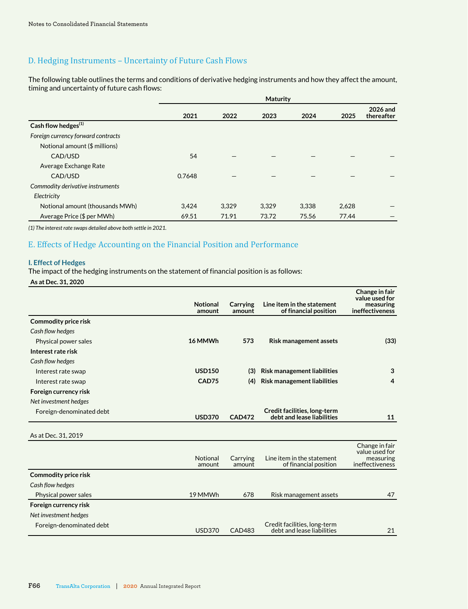## D. Hedging Instruments – Uncertainty of Future Cash Flows

The following table outlines the terms and conditions of derivative hedging instruments and how they affect the amount, timing and uncertainty of future cash flows:

|                                    | <b>Maturity</b> |       |       |       |       |                        |
|------------------------------------|-----------------|-------|-------|-------|-------|------------------------|
|                                    | 2021            | 2022  | 2023  | 2024  | 2025  | 2026 and<br>thereafter |
| Cash flow hedges <sup>(1)</sup>    |                 |       |       |       |       |                        |
| Foreign currency forward contracts |                 |       |       |       |       |                        |
| Notional amount (\$ millions)      |                 |       |       |       |       |                        |
| CAD/USD                            | 54              |       |       |       |       |                        |
| Average Exchange Rate              |                 |       |       |       |       |                        |
| CAD/USD                            | 0.7648          |       |       |       |       |                        |
| Commodity derivative instruments   |                 |       |       |       |       |                        |
| Electricity                        |                 |       |       |       |       |                        |
| Notional amount (thousands MWh)    | 3,424           | 3,329 | 3,329 | 3,338 | 2,628 |                        |
| Average Price (\$ per MWh)         | 69.51           | 71.91 | 73.72 | 75.56 | 77.44 |                        |

*(1) The interest rate swaps detailed above both settle in 2021.*

## E. Effects of Hedge Accounting on the Financial Position and Performance

## **I. Effect of Hedges**

The impact of the hedging instruments on the statement of financial position is as follows:

**As at Dec. 31, 2020**

|                          | <b>Notional</b><br>amount | Carrying<br>amount | Line item in the statement<br>of financial position        | Change in fair<br>value used for<br>measuring<br><b>ineffectiveness</b> |
|--------------------------|---------------------------|--------------------|------------------------------------------------------------|-------------------------------------------------------------------------|
| Commodity price risk     |                           |                    |                                                            |                                                                         |
| Cash flow hedges         |                           |                    |                                                            |                                                                         |
| Physical power sales     | 16 MMWh                   | 573                | Risk management assets                                     | (33)                                                                    |
| Interest rate risk       |                           |                    |                                                            |                                                                         |
| Cash flow hedges         |                           |                    |                                                            |                                                                         |
| Interest rate swap       | <b>USD150</b>             | (3)                | <b>Risk management liabilities</b>                         | 3                                                                       |
| Interest rate swap       | CAD75                     | (4)                | <b>Risk management liabilities</b>                         | 4                                                                       |
| Foreign currency risk    |                           |                    |                                                            |                                                                         |
| Net investment hedges    |                           |                    |                                                            |                                                                         |
| Foreign-denominated debt | <b>USD370</b>             | <b>CAD472</b>      | Credit facilities, long-term<br>debt and lease liabilities | 11                                                                      |
|                          |                           |                    |                                                            |                                                                         |

As at Dec. 31, 2019

|                          | Notional<br>amount | Carrying<br>amount | Line item in the statement<br>of financial position        | Change in fair<br>value used for<br>measuring<br>ineffectiveness |
|--------------------------|--------------------|--------------------|------------------------------------------------------------|------------------------------------------------------------------|
| Commodity price risk     |                    |                    |                                                            |                                                                  |
| Cash flow hedges         |                    |                    |                                                            |                                                                  |
| Physical power sales     | 19 MMWh            | 678                | Risk management assets                                     | 47                                                               |
| Foreign currency risk    |                    |                    |                                                            |                                                                  |
| Net investment hedges    |                    |                    |                                                            |                                                                  |
| Foreign-denominated debt | USD370             | CAD483             | Credit facilities, long-term<br>debt and lease liabilities | 21                                                               |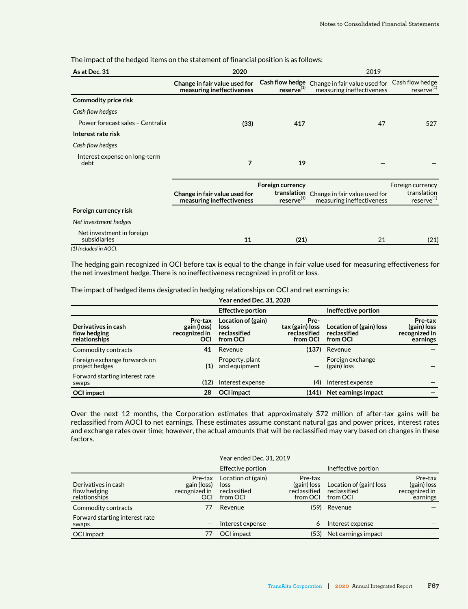The impact of the hedged items on the statement of financial position is as follows:

| As at Dec. 31                             | 2020                                                       |                                     | 2019                                                                   |                                                    |
|-------------------------------------------|------------------------------------------------------------|-------------------------------------|------------------------------------------------------------------------|----------------------------------------------------|
|                                           | Change in fair value used for<br>measuring ineffectiveness | Cash flow hedge<br>$reserve^{(1)}$  | Change in fair value used for<br>measuring ineffectiveness             | Cash flow hedge<br>$reserve^{(1)}$                 |
| Commodity price risk                      |                                                            |                                     |                                                                        |                                                    |
| Cash flow hedges                          |                                                            |                                     |                                                                        |                                                    |
| Power forecast sales - Centralia          | (33)                                                       | 417                                 | 47                                                                     | 527                                                |
| Interest rate risk                        |                                                            |                                     |                                                                        |                                                    |
| Cash flow hedges                          |                                                            |                                     |                                                                        |                                                    |
| Interest expense on long-term<br>debt     | 7                                                          | 19                                  |                                                                        |                                                    |
|                                           | Change in fair value used for<br>measuring ineffectiveness | Foreign currency<br>$reserve^{(1)}$ | translation Change in fair value used for<br>measuring ineffectiveness | Foreign currency<br>translation<br>$reserve^{(1)}$ |
| Foreign currency risk                     |                                                            |                                     |                                                                        |                                                    |
| Net investment hedges                     |                                                            |                                     |                                                                        |                                                    |
| Net investment in foreign<br>subsidiaries | 11                                                         | (21)                                | 21                                                                     | (21)                                               |

*(1) Included in AOCI.*

The hedging gain recognized in OCI before tax is equal to the change in fair value used for measuring effectiveness for the net investment hedge. There is no ineffectiveness recognized in profit or loss.

**Year ended Dec. 31, 2020**

The impact of hedged items designated in hedging relationships on OCI and net earnings is:

| Pre-tax<br>(gain) loss<br>recognized in<br>earnings |
|-----------------------------------------------------|
|                                                     |
|                                                     |
|                                                     |
|                                                     |
|                                                     |

Over the next 12 months, the Corporation estimates that approximately \$72 million of after-tax gains will be reclassified from AOCI to net earnings. These estimates assume constant natural gas and power prices, interest rates and exchange rates over time; however, the actual amounts that will be reclassified may vary based on changes in these factors.

|                                                      |                                                | Year ended Dec. 31, 2019                               |                                                    |                                                     |                                                     |  |
|------------------------------------------------------|------------------------------------------------|--------------------------------------------------------|----------------------------------------------------|-----------------------------------------------------|-----------------------------------------------------|--|
|                                                      |                                                | Effective portion                                      |                                                    | Ineffective portion                                 |                                                     |  |
| Derivatives in cash<br>flow hedging<br>relationships | Pre-tax<br>gain (loss)<br>recognized in<br>OCI | Location of (gain)<br>loss<br>reclassified<br>from OCI | Pre-tax<br>(gain) loss<br>reclassified<br>from OCI | Location of (gain) loss<br>reclassified<br>from OCI | Pre-tax<br>(gain) loss<br>recognized in<br>earnings |  |
| Commodity contracts                                  | 77                                             | Revenue                                                | (59)                                               | Revenue                                             |                                                     |  |
| Forward starting interest rate<br>swaps              |                                                | Interest expense                                       | 6                                                  | Interest expense                                    |                                                     |  |
| OCI impact                                           |                                                | OCI impact                                             | (53)                                               | Net earnings impact                                 |                                                     |  |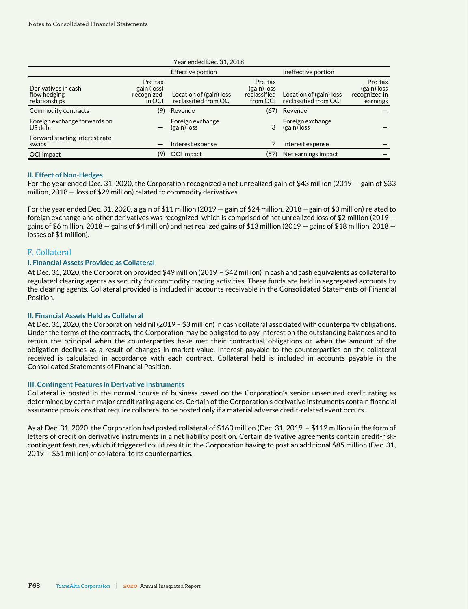|                                                      |                                                | Year ended Dec. 31, 2018                         |                                                    |                                                  |                                                     |
|------------------------------------------------------|------------------------------------------------|--------------------------------------------------|----------------------------------------------------|--------------------------------------------------|-----------------------------------------------------|
|                                                      |                                                | Effective portion                                |                                                    | Ineffective portion                              |                                                     |
| Derivatives in cash<br>flow hedging<br>relationships | Pre-tax<br>gain (loss)<br>recognized<br>in OCI | Location of (gain) loss<br>reclassified from OCI | Pre-tax<br>(gain) loss<br>reclassified<br>from OCI | Location of (gain) loss<br>reclassified from OCI | Pre-tax<br>(gain) loss<br>recognized in<br>earnings |
| Commodity contracts                                  | (9)                                            | Revenue                                          | (67)                                               | Revenue                                          |                                                     |
| Foreign exchange forwards on<br>US debt              |                                                | Foreign exchange<br>(gain) loss                  | 3                                                  | Foreign exchange<br>(gain) loss                  |                                                     |
| Forward starting interest rate<br>swaps              |                                                | Interest expense                                 |                                                    | Interest expense                                 |                                                     |
| OCI impact                                           | (9)                                            | OCI impact                                       | (57)                                               | Net earnings impact                              |                                                     |
|                                                      |                                                |                                                  |                                                    |                                                  |                                                     |

# **II. Effect of Non-Hedges**

For the year ended Dec. 31, 2020, the Corporation recognized a net unrealized gain of \$43 million (2019 — gain of \$33 million, 2018 — loss of \$29 million) related to commodity derivatives.

For the year ended Dec. 31, 2020, a gain of \$11 million (2019 — gain of \$24 million, 2018 —gain of \$3 million) related to foreign exchange and other derivatives was recognized, which is comprised of net unrealized loss of \$2 million (2019 gains of \$6 million, 2018 – gains of \$4 million) and net realized gains of \$13 million (2019 – gains of \$18 million, 2018 – losses of \$1 million).

## F. Collateral

## **I. Financial Assets Provided as Collateral**

At Dec. 31, 2020, the Corporation provided \$49 million (2019 – \$42 million) in cash and cash equivalents as collateral to regulated clearing agents as security for commodity trading activities. These funds are held in segregated accounts by the clearing agents. Collateral provided is included in accounts receivable in the Consolidated Statements of Financial Position.

## **II. Financial Assets Held as Collateral**

At Dec. 31, 2020, the Corporation held nil (2019 – \$3 million) in cash collateral associated with counterparty obligations. Under the terms of the contracts, the Corporation may be obligated to pay interest on the outstanding balances and to return the principal when the counterparties have met their contractual obligations or when the amount of the obligation declines as a result of changes in market value. Interest payable to the counterparties on the collateral received is calculated in accordance with each contract. Collateral held is included in accounts payable in the Consolidated Statements of Financial Position.

## **III. Contingent Features in Derivative Instruments**

Collateral is posted in the normal course of business based on the Corporation's senior unsecured credit rating as determined by certain major credit rating agencies. Certain of the Corporation's derivative instruments contain financial assurance provisions that require collateral to be posted only if a material adverse credit-related event occurs.

As at Dec. 31, 2020, the Corporation had posted collateral of \$163 million (Dec. 31, 2019 – \$112 million) in the form of letters of credit on derivative instruments in a net liability position. Certain derivative agreements contain credit-riskcontingent features, which if triggered could result in the Corporation having to post an additional \$85 million (Dec. 31, 2019 – \$51 million) of collateral to its counterparties.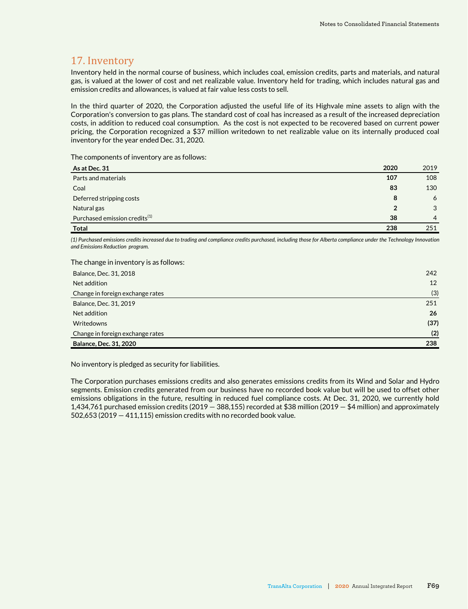# 17. Inventory

Inventory held in the normal course of business, which includes coal, emission credits, parts and materials, and natural gas, is valued at the lower of cost and net realizable value. Inventory held for trading, which includes natural gas and emission credits and allowances, is valued at fair value less costs to sell.

In the third quarter of 2020, the Corporation adjusted the useful life of its Highvale mine assets to align with the Corporation's conversion to gas plans. The standard cost of coal has increased as a result of the increased depreciation costs, in addition to reduced coal consumption. As the cost is not expected to be recovered based on current power pricing, the Corporation recognized a \$37 million writedown to net realizable value on its internally produced coal inventory for the year ended Dec. 31, 2020.

The components of inventory are as follows:

| As at Dec. 31                             | 2020           | 2019           |
|-------------------------------------------|----------------|----------------|
| Parts and materials                       | 107            | 108            |
| Coal                                      | 83             | 130            |
| Deferred stripping costs                  | 8              | 6              |
| Natural gas                               | $\overline{2}$ | $\mathbf{3}$   |
| Purchased emission credits <sup>(1)</sup> | 38             | $\overline{4}$ |
| <b>Total</b>                              | 238            | 251            |

*(1) Purchased emissions credits increased due to trading and compliance credits purchased, including those for Alberta compliance under the Technology Innovation and Emissions Reduction program.*

The change in inventory is as follows:

| Balance, Dec. 31, 2018           | 242  |
|----------------------------------|------|
| Net addition                     | 12   |
| Change in foreign exchange rates | (3)  |
| Balance, Dec. 31, 2019           | 251  |
| Net addition                     | 26   |
| Writedowns                       | (37) |
| Change in foreign exchange rates | (2)  |
| <b>Balance, Dec. 31, 2020</b>    | 238  |
|                                  |      |

No inventory is pledged as security for liabilities.

The Corporation purchases emissions credits and also generates emissions credits from its Wind and Solar and Hydro segments. Emission credits generated from our business have no recorded book value but will be used to offset other emissions obligations in the future, resulting in reduced fuel compliance costs. At Dec. 31, 2020, we currently hold 1,434,761 purchased emission credits (2019 — 388,155) recorded at \$38 million (2019 — \$4 million) and approximately 502,653 (2019 — 411,115) emission credits with no recorded book value.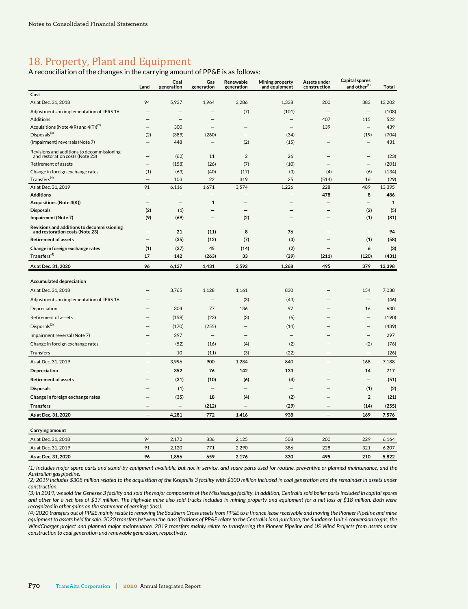# 18. Property, Plant and Equipment

A reconciliation of the changes in the carrying amount of PP&E is as follows:

|                                                                               | Land                     | Coal<br>generation       | Gas<br>generation        | Renewable<br>generation | Mining property<br>and equipment | Assets under<br>construction | <b>Capital spares</b><br>and other <sup>(1)</sup> | Total        |
|-------------------------------------------------------------------------------|--------------------------|--------------------------|--------------------------|-------------------------|----------------------------------|------------------------------|---------------------------------------------------|--------------|
| Cost                                                                          |                          |                          |                          |                         |                                  |                              |                                                   |              |
| As at Dec. 31, 2018                                                           | 94                       | 5,937                    | 1,964                    | 3,286                   | 1,338                            | 200                          | 383                                               | 13,202       |
| Adjustments on implementation of IFRS 16                                      | $\overline{\phantom{0}}$ |                          |                          | (7)                     | (101)                            | $\overline{\phantom{0}}$     | $\overline{\phantom{0}}$                          | (108)        |
| Additions                                                                     | $\overline{\phantom{0}}$ | ۳                        |                          |                         | $\overline{\phantom{0}}$         | 407                          | 115                                               | 522          |
| Acquisitions (Note $4(R)$ and $4(T)^{(2)}$                                    | $\overline{\phantom{0}}$ | 300                      | $\overline{\phantom{0}}$ |                         | $\overline{\phantom{0}}$         | 139                          | $\overline{\phantom{0}}$                          | 439          |
| Disposals <sup>(3)</sup>                                                      | (2)                      | (389)                    | (260)                    |                         | (34)                             |                              | (19)                                              | (704)        |
| (Impairment) reversals (Note 7)                                               | $\overline{\phantom{0}}$ | 448                      |                          | (2)                     | (15)                             |                              |                                                   | 431          |
| Revisions and additions to decommissioning<br>and restoration costs (Note 23) |                          | (62)                     | 11                       | $\overline{2}$          | 26                               |                              |                                                   | (23)         |
| Retirement of assets                                                          |                          | (158)                    | (26)                     | (7)                     | (10)                             |                              |                                                   | (201)        |
| Change in foreign exchange rates                                              | (1)                      | (63)                     | (40)                     | (17)                    | (3)                              | (4)                          | (6)                                               | (134)        |
| Transfers <sup>(4)</sup>                                                      | -                        | 103                      | 22                       | 319                     | 25                               | (514)                        | 16                                                | (29)         |
| As at Dec. 31, 2019                                                           | 91                       | 6,116                    | 1,671                    | 3,574                   | 1,226                            | 228                          | 489                                               | 13,395       |
| <b>Additions</b>                                                              | $\overline{\phantom{0}}$ |                          |                          |                         |                                  | 478                          | 8                                                 | 486          |
| Acquisitions (Note 4(K))                                                      | -                        |                          | $\mathbf{1}$             |                         |                                  |                              | —                                                 | $\mathbf{1}$ |
| <b>Disposals</b>                                                              | (2)                      | (1)                      |                          |                         |                                  |                              | (2)                                               | (5)          |
| Impairment (Note 7)                                                           | (9)                      | (69)                     |                          | (2)                     |                                  |                              | (1)                                               | (81)         |
| Revisions and additions to decommissioning<br>and restoration costs (Note 23) |                          | 21                       | (11)                     | 8                       | 76                               |                              |                                                   | 94           |
| <b>Retirement of assets</b>                                                   |                          | (35)                     | (12)                     | (7)                     | (3)                              |                              | (1)                                               | (58)         |
| Change in foreign exchange rates                                              | (1)                      | (37)                     | 45                       | (14)                    | (2)                              |                              | 6                                                 | (3)          |
| Transfers <sup>(4)</sup>                                                      | 17                       | 142                      | (263)                    | 33                      | (29)                             | (211)                        | (120)                                             | (431)        |
| As at Dec. 31, 2020                                                           | 96                       | 6,137                    | 1,431                    | 3,592                   | 1,268                            | 495                          | 379                                               | 13,398       |
|                                                                               |                          |                          |                          |                         |                                  |                              |                                                   |              |
| <b>Accumulated depreciation</b>                                               |                          |                          |                          |                         |                                  |                              |                                                   |              |
| As at Dec. 31, 2018                                                           |                          | 3,765                    | 1,128                    | 1,161                   | 830                              |                              | 154                                               | 7,038        |
| Adjustments on implementation of IFRS 16                                      |                          | $\overline{\phantom{0}}$ | $\overline{\phantom{0}}$ | (3)                     | (43)                             |                              | $\overline{\phantom{0}}$                          | (46)         |
| Depreciation                                                                  |                          | 304                      | 77                       | 136                     | 97                               |                              | 16                                                | 630          |
| Retirement of assets                                                          |                          | (158)                    | (23)                     | (3)                     | (6)                              |                              |                                                   | (190)        |
| Disposals <sup>(3)</sup>                                                      |                          | (170)                    | (255)                    |                         | (14)                             |                              |                                                   | (439)        |
| Impairment reversal (Note 7)                                                  |                          | 297                      | $\overline{\phantom{0}}$ |                         | $\overline{\phantom{0}}$         |                              | $\overline{\phantom{0}}$                          | 297          |
| Change in foreign exchange rates                                              |                          | (52)                     | (16)                     | (4)                     | (2)                              |                              | (2)                                               | (76)         |
| Transfers                                                                     |                          | 10                       | (11)                     | (3)                     | (22)                             |                              | $\overline{\phantom{0}}$                          | (26)         |
| As at Dec. 31, 2019                                                           | ۳                        | 3,996                    | 900                      | 1,284                   | 840                              |                              | 168                                               | 7,188        |
| <b>Depreciation</b>                                                           | -                        | 352                      | 76                       | 142                     | 133                              |                              | 14                                                | 717          |
| <b>Retirement of assets</b>                                                   |                          | (31)                     | (10)                     | (6)                     | (4)                              |                              |                                                   | (51)         |
| <b>Disposals</b>                                                              |                          | (1)                      | -                        |                         |                                  |                              | (1)                                               | (2)          |
| Change in foreign exchange rates                                              |                          | (35)                     | 18                       | (4)                     | (2)                              |                              | $\overline{2}$                                    | (21)         |
| <b>Transfers</b>                                                              | -                        |                          | (212)                    |                         | (29)                             |                              | (14)                                              | (255)        |
| As at Dec. 31, 2020                                                           |                          | 4,281                    | 772                      | 1,416                   | 938                              |                              | 169                                               | 7,576        |
|                                                                               |                          |                          |                          |                         |                                  |                              |                                                   |              |
| Carrying amount                                                               |                          |                          |                          |                         |                                  |                              |                                                   |              |
| As at Dec. 31, 2018                                                           | 94                       | 2,172                    | 836                      | 2,125                   | 508                              | 200                          | 229                                               | 6,164        |
| As at Dec. 31, 2019                                                           | 91                       | 2.120                    | 771                      | 2,290                   | 386                              | 228                          | 321                                               | 6,207        |
| As at Dec. 31, 2020                                                           | 96                       | 1.856                    | 659                      | 2.176                   | 330                              | 495                          | 210                                               | 5.822        |

*(1) Includes major spare parts and stand-by equipment available, but not in service, and spare parts used for routine, preventive or planned maintenance, and the Australian gas pipeline.*

*(2) 2019 includes \$308 million related to the acquisition of the Keephills 3 facility with \$300 million included in coal generation and the remainder in assets under construction.*

*(3) In 2019, we sold the Genesee 3 facility and sold the major components of the Mississauga facility. In addition, Centralia sold boiler parts included in capital spares*  and other for a net loss of \$17 million. The Highvale mine also sold trucks included in mining property and equipment for a net loss of \$18 million. Both were *recognized in other gains on the statement of earnings (loss).*

*(4) 2020 transfers out of PP&E mainly relate to removing the Southern Cross assets from PP&E to a finance lease receivable and moving the Pioneer Pipeline and mine*  equipment to assets held for sale. 2020 transfers between the classifications of PP&E relate to the Centralia land purchase, the Sundance Unit 6 conversion to gas, the WindCharger project and planned major maintenance. 2019 transfers mainly relate to transferring the Pioneer Pipeline and US Wind Projects from assets under *construction to coal generation and renewable generation, respectively.*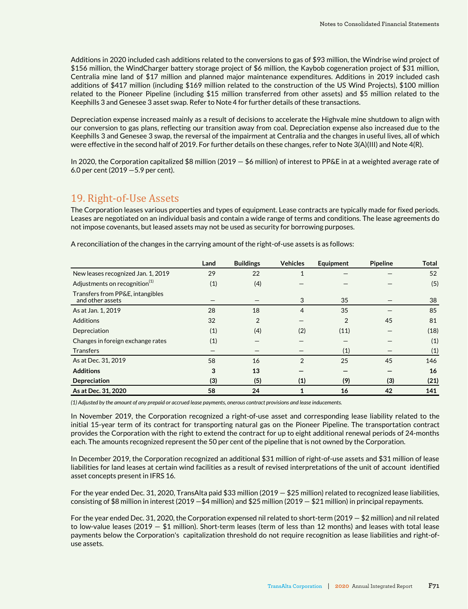Additions in 2020 included cash additions related to the conversions to gas of \$93 million, the Windrise wind project of \$156 million, the WindCharger battery storage project of \$6 million, the Kaybob cogeneration project of \$31 million, Centralia mine land of \$17 million and planned major maintenance expenditures. Additions in 2019 included cash additions of \$417 million (including \$169 million related to the construction of the US Wind Projects), \$100 million related to the Pioneer Pipeline (including \$15 million transferred from other assets) and \$5 million related to the Keephills 3 and Genesee 3 asset swap. Refer to Note 4 for further details of these transactions.

Depreciation expense increased mainly as a result of decisions to accelerate the Highvale mine shutdown to align with our conversion to gas plans, reflecting our transition away from coal. Depreciation expense also increased due to the Keephills 3 and Genesee 3 swap, the reversal of the impairment at Centralia and the changes in useful lives, all of which were effective in the second half of 2019. For further details on these changes, refer to Note 3(A)(III) and Note 4(R).

In 2020, the Corporation capitalized \$8 million (2019 — \$6 million) of interest to PP&E in at a weighted average rate of 6.0 per cent (2019 —5.9 per cent).

# 19. Right-of-Use Assets

The Corporation leases various properties and types of equipment. Lease contracts are typically made for fixed periods. Leases are negotiated on an individual basis and contain a wide range of terms and conditions. The lease agreements do not impose covenants, but leased assets may not be used as security for borrowing purposes.

|                                                      | Land | <b>Buildings</b> | <b>Vehicles</b> | Equipment | Pipeline | <b>Total</b> |
|------------------------------------------------------|------|------------------|-----------------|-----------|----------|--------------|
| New leases recognized Jan. 1, 2019                   | 29   | 22               |                 |           |          | 52           |
| Adjustments on recognition <sup>(1)</sup>            | (1)  | (4)              |                 |           |          | (5)          |
| Transfers from PP&E, intangibles<br>and other assets |      |                  | 3               | 35        |          | 38           |
| As at Jan. 1, 2019                                   | 28   | 18               | 4               | 35        |          | 85           |
| Additions                                            | 32   | 2                |                 | 2         | 45       | 81           |
| Depreciation                                         | (1)  | (4)              | (2)             | (11)      |          | (18)         |
| Changes in foreign exchange rates                    | (1)  |                  |                 |           |          | (1)          |
| <b>Transfers</b>                                     |      |                  |                 | (1)       |          | (1)          |
| As at Dec. 31, 2019                                  | 58   | 16               | $\mathfrak{D}$  | 25        | 45       | 146          |
| <b>Additions</b>                                     | 3    | 13               |                 |           |          | 16           |
| <b>Depreciation</b>                                  | (3)  | (5)              | (1)             | (9)       | (3)      | (21)         |
| As at Dec. 31, 2020                                  | 58   | 24               |                 | 16        | 42       | 141          |

A reconciliation of the changes in the carrying amount of the right-of-use assets is as follows:

*(1) Adjusted by the amount of any prepaid or accrued lease payments, onerous contract provisions and lease inducements.* 

In November 2019, the Corporation recognized a right-of-use asset and corresponding lease liability related to the initial 15-year term of its contract for transporting natural gas on the Pioneer Pipeline. The transportation contract provides the Corporation with the right to extend the contract for up to eight additional renewal periods of 24-months each. The amounts recognized represent the 50 per cent of the pipeline that is not owned by the Corporation.

In December 2019, the Corporation recognized an additional \$31 million of right-of-use assets and \$31 million of lease liabilities for land leases at certain wind facilities as a result of revised interpretations of the unit of account identified asset concepts present in IFRS 16.

For the year ended Dec. 31, 2020, TransAlta paid \$33 million (2019 — \$25 million) related to recognized lease liabilities, consisting of \$8 million in interest (2019 – \$4 million) and \$25 million (2019 – \$21 million) in principal repayments.

For the year ended Dec. 31, 2020, the Corporation expensed nil related to short-term (2019 — \$2 million) and nil related to low-value leases (2019  $-$  \$1 million). Short-term leases (term of less than 12 months) and leases with total lease payments below the Corporation's capitalization threshold do not require recognition as lease liabilities and right-ofuse assets.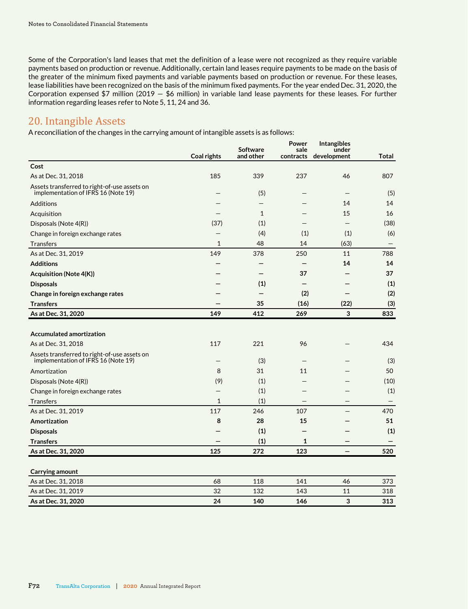Some of the Corporation's land leases that met the definition of a lease were not recognized as they require variable payments based on production or revenue. Additionally, certain land leases require payments to be made on the basis of the greater of the minimum fixed payments and variable payments based on production or revenue. For these leases, lease liabilities have been recognized on the basis of the minimum fixed payments. For the year ended Dec. 31, 2020, the Corporation expensed \$7 million (2019 — \$6 million) in variable land lease payments for these leases. For further information regarding leases refer to Note 5, 11, 24 and 36.

# 20. Intangible Assets

A reconciliation of the changes in the carrying amount of intangible assets is as follows:

|                                                                                     | Coal rights  | <b>Software</b><br>and other | <b>Power</b><br>sale<br>contracts | Intangibles<br>under<br>development | <b>Total</b> |
|-------------------------------------------------------------------------------------|--------------|------------------------------|-----------------------------------|-------------------------------------|--------------|
| Cost                                                                                |              |                              |                                   |                                     |              |
| As at Dec. 31, 2018                                                                 | 185          | 339                          | 237                               | 46                                  | 807          |
| Assets transferred to right-of-use assets on<br>implementation of IFRS 16 (Note 19) |              | (5)                          |                                   |                                     | (5)          |
| Additions                                                                           |              |                              |                                   | 14                                  | 14           |
| Acquisition                                                                         |              | $\mathbf{1}$                 |                                   | 15                                  | 16           |
| Disposals (Note 4(R))                                                               | (37)         | (1)                          |                                   |                                     | (38)         |
| Change in foreign exchange rates                                                    |              | (4)                          | (1)                               | (1)                                 | (6)          |
| <b>Transfers</b>                                                                    | $\mathbf{1}$ | 48                           | 14                                | (63)                                |              |
| As at Dec. 31, 2019                                                                 | 149          | 378                          | 250                               | 11                                  | 788          |
| <b>Additions</b>                                                                    |              |                              |                                   | 14                                  | 14           |
| Acquisition (Note 4(K))                                                             |              |                              | 37                                |                                     | 37           |
| <b>Disposals</b>                                                                    |              | (1)                          |                                   |                                     | (1)          |
| Change in foreign exchange rates                                                    |              |                              | (2)                               |                                     | (2)          |
| <b>Transfers</b>                                                                    |              | 35                           | (16)                              | (22)                                | (3)          |
| As at Dec. 31, 2020                                                                 | 149          | 412                          | 269                               | 3                                   | 833          |
|                                                                                     |              |                              |                                   |                                     |              |
| <b>Accumulated amortization</b>                                                     |              |                              |                                   |                                     |              |
| As at Dec. 31, 2018                                                                 | 117          | 221                          | 96                                |                                     | 434          |
| Assets transferred to right-of-use assets on<br>implementation of IFRS 16 (Note 19) |              | (3)                          |                                   |                                     | (3)          |
| Amortization                                                                        | 8            | 31                           | 11                                |                                     | 50           |
| Disposals (Note 4(R))                                                               | (9)          | (1)                          |                                   |                                     | (10)         |
| Change in foreign exchange rates                                                    |              | (1)                          |                                   |                                     | (1)          |
| <b>Transfers</b>                                                                    | $\mathbf{1}$ | (1)                          |                                   |                                     |              |
| As at Dec. 31, 2019                                                                 | 117          | 246                          | 107                               | —                                   | 470          |
| Amortization                                                                        | 8            | 28                           | 15                                |                                     | 51           |
| <b>Disposals</b>                                                                    |              | (1)                          |                                   |                                     | (1)          |
| <b>Transfers</b>                                                                    |              | (1)                          | $\mathbf{1}$                      |                                     |              |
| As at Dec. 31, 2020                                                                 | 125          | 272                          | 123                               | $\overline{\phantom{0}}$            | 520          |
|                                                                                     |              |                              |                                   |                                     |              |
| <b>Carrying amount</b>                                                              |              |                              |                                   |                                     |              |
| As at Dec. 31, 2018                                                                 | 68           | 118                          | 141                               | 46                                  | 373          |
| As at Dec. 31, 2019                                                                 | 32           | 132                          | 143                               | 11                                  | 318          |
| As at Dec. 31, 2020                                                                 | 24           | 140                          | 146                               | 3                                   | 313          |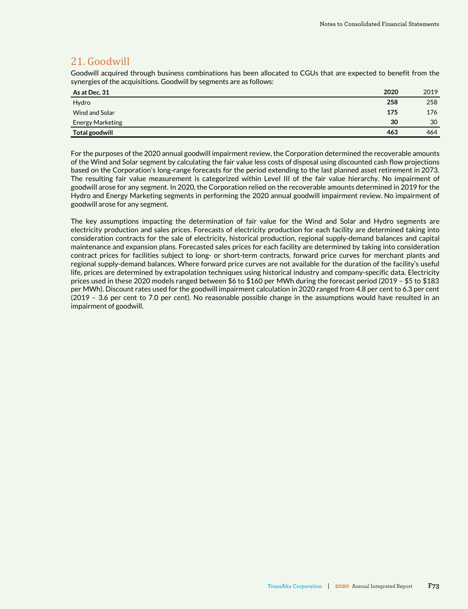# 21. Goodwill

Goodwill acquired through business combinations has been allocated to CGUs that are expected to benefit from the synergies of the acquisitions. Goodwill by segments are as follows:

| As at Dec. 31           | 2020 | 2019 |
|-------------------------|------|------|
| Hydro                   | 258  | 258  |
| Wind and Solar          | 175  | 176  |
| <b>Energy Marketing</b> | 30   | 30   |
| <b>Total goodwill</b>   | 463  | 464  |

For the purposes of the 2020 annual goodwill impairment review, the Corporation determined the recoverable amounts of the Wind and Solar segment by calculating the fair value less costs of disposal using discounted cash flow projections based on the Corporation's long-range forecasts for the period extending to the last planned asset retirement in 2073. The resulting fair value measurement is categorized within Level III of the fair value hierarchy. No impairment of goodwill arose for any segment. In 2020, the Corporation relied on the recoverable amounts determined in 2019 for the Hydro and Energy Marketing segments in performing the 2020 annual goodwill impairment review. No impairment of goodwill arose for any segment.

The key assumptions impacting the determination of fair value for the Wind and Solar and Hydro segments are electricity production and sales prices. Forecasts of electricity production for each facility are determined taking into consideration contracts for the sale of electricity, historical production, regional supply-demand balances and capital maintenance and expansion plans. Forecasted sales prices for each facility are determined by taking into consideration contract prices for facilities subject to long- or short-term contracts, forward price curves for merchant plants and regional supply-demand balances. Where forward price curves are not available for the duration of the facility's useful life, prices are determined by extrapolation techniques using historical industry and company-specific data. Electricity prices used in these 2020 models ranged between \$6 to \$160 per MWh during the forecast period (2019 – \$5 to \$183 per MWh). Discount rates used for the goodwill impairment calculation in 2020 ranged from 4.8 per cent to 6.3 per cent (2019 – 3.6 per cent to 7.0 per cent). No reasonable possible change in the assumptions would have resulted in an impairment of goodwill.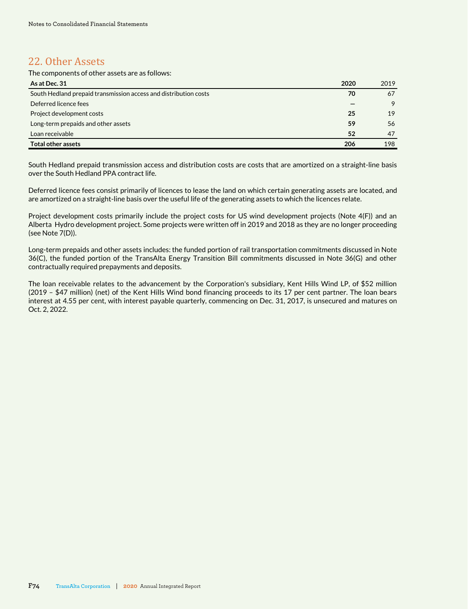# 22. Other Assets

The components of other assets are as follows:

| As at Dec. 31                                                    | 2020 | 2019 |
|------------------------------------------------------------------|------|------|
| South Hedland prepaid transmission access and distribution costs | 70   | 67   |
| Deferred licence fees                                            |      | 9    |
| Project development costs                                        | 25   | 19   |
| Long-term prepaids and other assets                              | 59   | 56   |
| Loan receivable                                                  | 52   | 47   |
| <b>Total other assets</b>                                        | 206  | 198  |

South Hedland prepaid transmission access and distribution costs are costs that are amortized on a straight-line basis over the South Hedland PPA contract life.

Deferred licence fees consist primarily of licences to lease the land on which certain generating assets are located, and are amortized on a straight-line basis over the useful life of the generating assets to which the licences relate.

Project development costs primarily include the project costs for US wind development projects (Note 4(F)) and an Alberta Hydro development project. Some projects were written off in 2019 and 2018 as they are no longer proceeding (see Note 7(D)).

Long-term prepaids and other assets includes: the funded portion of rail transportation commitments discussed in Note 36(C), the funded portion of the TransAlta Energy Transition Bill commitments discussed in Note 36(G) and other contractually required prepayments and deposits.

The loan receivable relates to the advancement by the Corporation's subsidiary, Kent Hills Wind LP, of \$52 million (2019 – \$47 million) (net) of the Kent Hills Wind bond financing proceeds to its 17 per cent partner. The loan bears interest at 4.55 per cent, with interest payable quarterly, commencing on Dec. 31, 2017, is unsecured and matures on Oct. 2, 2022.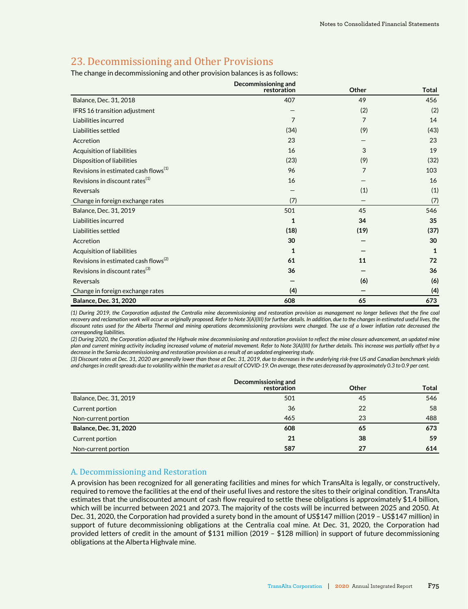# 23. Decommissioning and Other Provisions

The change in decommissioning and other provision balances is as follows:

|                                                  | Decommissioning and<br>restoration | Other | <b>Total</b> |
|--------------------------------------------------|------------------------------------|-------|--------------|
| Balance, Dec. 31, 2018                           | 407                                | 49    | 456          |
| IFRS 16 transition adjustment                    |                                    | (2)   | (2)          |
| Liabilities incurred                             | 7                                  | 7     | 14           |
| Liabilities settled                              | (34)                               | (9)   | (43)         |
| Accretion                                        | 23                                 |       | 23           |
| Acquisition of liabilities                       | 16                                 | 3     | 19           |
| Disposition of liabilities                       | (23)                               | (9)   | (32)         |
| Revisions in estimated cash flows <sup>(1)</sup> | 96                                 | 7     | 103          |
| Revisions in discount rates <sup>(1)</sup>       | 16                                 |       | 16           |
| Reversals                                        |                                    | (1)   | (1)          |
| Change in foreign exchange rates                 | (7)                                |       | (7)          |
| Balance, Dec. 31, 2019                           | 501                                | 45    | 546          |
| Liabilities incurred                             | 1                                  | 34    | 35           |
| Liabilities settled                              | (18)                               | (19)  | (37)         |
| Accretion                                        | 30                                 |       | 30           |
| Acquisition of liabilities                       | 1                                  |       | $\mathbf{1}$ |
| Revisions in estimated cash flows <sup>(2)</sup> | 61                                 | 11    | 72           |
| Revisions in discount rates <sup>(3)</sup>       | 36                                 |       | 36           |
| <b>Reversals</b>                                 |                                    | (6)   | (6)          |
| Change in foreign exchange rates                 | (4)                                |       | (4)          |
| <b>Balance, Dec. 31, 2020</b>                    | 608                                | 65    | 673          |

*(1) During 2019, the Corporation adjusted the Centralia mine decommissioning and restoration provision as management no longer believes that the fine coal*  recovery and reclamation work will occur as originally proposed. Refer to Note 3(A)(III) for further details. In addition, due to the changes in estimated useful lives, the *discount rates used for the Alberta Thermal and mining operations decommissioning provisions were changed. The use of a lower inflation rate decreased the corresponding liabilities.* 

*(2) During 2020, the Corporation adjusted the Highvale mine decommissioning and restoration provision to reflect the mine closure advancement, an updated mine plan and current mining activity including increased volume of material movement. Refer to Note 3(A)(III) for further details. This increase was partially offset by a decrease in the Sarnia decommissioning and restoration provision as a result of an updated engineering study.*

*(3) Discount rates at Dec. 31, 2020 are generally lower than those at Dec. 31, 2019, due to decreases in the underlying risk-free US and Canadian benchmark yields and changes in credit spreads due to volatility within the market as a result of COVID-19. On average, these rates decreased by approximately 0.3 to 0.9 per cent.* 

|                               | Decommissioning and |       |              |
|-------------------------------|---------------------|-------|--------------|
|                               | restoration         | Other | <b>Total</b> |
| Balance, Dec. 31, 2019        | 501                 | 45    | 546          |
| Current portion               | 36                  | 22    | 58           |
| Non-current portion           | 465                 | 23    | 488          |
| <b>Balance, Dec. 31, 2020</b> | 608                 | 65    | 673          |
| Current portion               | 21                  | 38    | 59           |
| Non-current portion           | 587                 | 27    | 614          |

### A. Decommissioning and Restoration

A provision has been recognized for all generating facilities and mines for which TransAlta is legally, or constructively, required to remove the facilities at the end of their useful lives and restore the sites to their original condition. TransAlta estimates that the undiscounted amount of cash flow required to settle these obligations is approximately \$1.4 billion, which will be incurred between 2021 and 2073. The majority of the costs will be incurred between 2025 and 2050. At Dec. 31, 2020, the Corporation had provided a surety bond in the amount of US\$147 million (2019 – US\$147 million) in support of future decommissioning obligations at the Centralia coal mine. At Dec. 31, 2020, the Corporation had provided letters of credit in the amount of \$131 million (2019 – \$128 million) in support of future decommissioning obligations at the Alberta Highvale mine.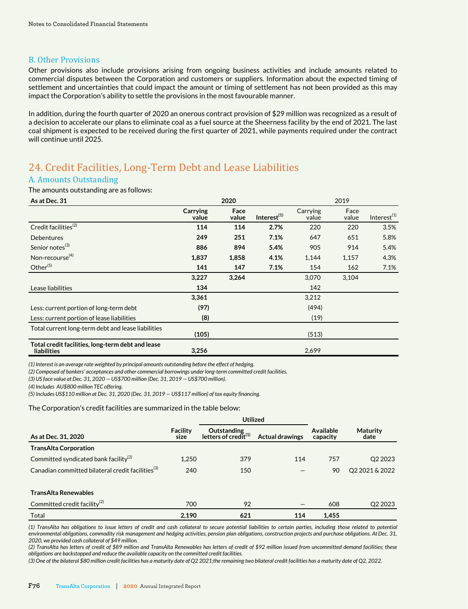## B. Other Provisions

Other provisions also include provisions arising from ongoing business activities and include amounts related to commercial disputes between the Corporation and customers or suppliers. Information about the expected timing of settlement and uncertainties that could impact the amount or timing of settlement has not been provided as this may impact the Corporation's ability to settle the provisions in the most favourable manner.

In addition, during the fourth quarter of 2020 an onerous contract provision of \$29 million was recognized as a result of a decision to accelerate our plans to eliminate coal as a fuel source at the Sheerness facility by the end of 2021. The last coal shipment is expected to be received during the first quarter of 2021, while payments required under the contract will continue until 2025.

# 24. Credit Facilities, Long-Term Debt and Lease Liabilities

## A. Amounts Outstanding

### The amounts outstanding are as follows:

| As at Dec. 31                                                    |                   | 2020          |                         |                   | 2019          |                         |
|------------------------------------------------------------------|-------------------|---------------|-------------------------|-------------------|---------------|-------------------------|
|                                                                  | Carrying<br>value | Face<br>value | Interest <sup>(1)</sup> | Carrying<br>value | Face<br>value | Interest <sup>(1)</sup> |
| Credit facilities <sup>(2)</sup>                                 | 114               | 114           | 2.7%                    | 220               | 220           | 3.5%                    |
| <b>Debentures</b>                                                | 249               | 251           | 7.1%                    | 647               | 651           | 5.8%                    |
| Senior notes <sup>(3)</sup>                                      | 886               | 894           | 5.4%                    | 905               | 914           | 5.4%                    |
| Non-recourse <sup>(4)</sup>                                      | 1,837             | 1,858         | 4.1%                    | 1,144             | 1,157         | 4.3%                    |
| Other <sup>(5)</sup>                                             | 141               | 147           | 7.1%                    | 154               | 162           | 7.1%                    |
|                                                                  | 3,227             | 3,264         |                         | 3,070             | 3,104         |                         |
| Lease liabilities                                                | 134               |               |                         | 142               |               |                         |
|                                                                  | 3,361             |               |                         | 3,212             |               |                         |
| Less: current portion of long-term debt                          | (97)              |               |                         | (494)             |               |                         |
| Less: current portion of lease liabilities                       | (8)               |               |                         | (19)              |               |                         |
| Total current long-term debt and lease liabilities               | (105)             |               |                         | (513)             |               |                         |
| Total credit facilities, long-term debt and lease<br>liabilities | 3,256             |               |                         | 2.699             |               |                         |

*(1) Interest is an average rate weighted by principal amounts outstanding before the effect of hedging.*

*(2) Composed of bankers' acceptances and other commercial borrowings under long-term committed credit facilities.*

*(3) US face value at Dec. 31, 2020 — US\$700 million (Dec. 31, 2019 — US\$700 million).*

*(4) Includes AU\$800 million TEC offering.*

*(5) Includes US\$110 million at Dec. 31, 2020 (Dec. 31, 2019 — US\$117 million) of tax equity financing.*

#### The Corporation's credit facilities are summarized in the table below:

|                                                               |                         | <b>Utilized</b>                     |                        |                              |                         |
|---------------------------------------------------------------|-------------------------|-------------------------------------|------------------------|------------------------------|-------------------------|
| As at Dec. 31, 2020                                           | <b>Facility</b><br>size | Outstanding<br>letters of credit(1) | <b>Actual drawings</b> | <b>Available</b><br>capacity | <b>Maturity</b><br>date |
| <b>TransAlta Corporation</b>                                  |                         |                                     |                        |                              |                         |
| Committed syndicated bank facility $^{(2)}$                   | 1,250                   | 379                                 | 114                    | 757                          | Q <sub>2</sub> 2023     |
| Canadian committed bilateral credit facilities <sup>(3)</sup> | 240                     | 150                                 |                        | 90                           | Q2 2021 & 2022          |
| <b>TransAlta Renewables</b>                                   |                         |                                     |                        |                              |                         |
| Committed credit facility <sup>(2)</sup>                      | 700                     | 92                                  |                        | 608                          | Q <sub>2</sub> 2023     |
| Total                                                         | 2.190                   | 621                                 | 114                    | 1.455                        |                         |

*(1) TransAlta has obligations to issue letters of credit and cash collateral to secure potential liabilities to certain parties, including those related to potential environmental obligations, commodity risk management and hedging activities, pension plan obligations, construction projects and purchase obligations. At Dec. 31, 2020, we provided cash collateral of \$49 million.*

*(2) TransAlta has letters of credit of \$89 million and TransAlta Renewables has letters of credit of \$92 million issued from uncommitted demand facilities; these obligations are backstopped and reduce the available capacity on the committed credit facilities.* 

*(3) One of the bilateral \$80 million credit facilities has a maturity date of Q2 2021;the remaining two bilateral credit facilities has a maturity date of Q2, 2022.*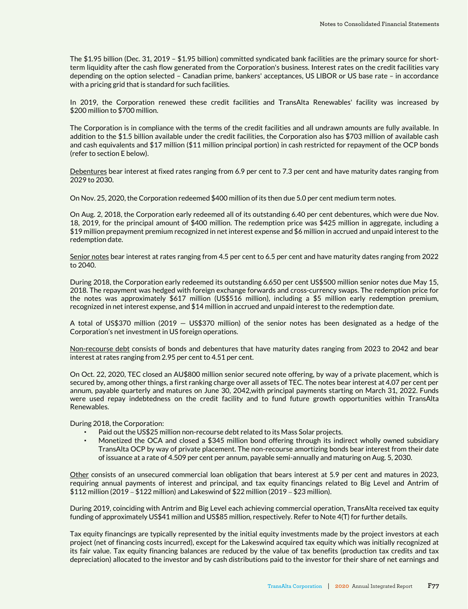The \$1.95 billion (Dec. 31, 2019 – \$1.95 billion) committed syndicated bank facilities are the primary source for shortterm liquidity after the cash flow generated from the Corporation's business. Interest rates on the credit facilities vary depending on the option selected – Canadian prime, bankers' acceptances, US LIBOR or US base rate – in accordance with a pricing grid that is standard for such facilities.

In 2019, the Corporation renewed these credit facilities and TransAlta Renewables' facility was increased by \$200 million to \$700 million.

The Corporation is in compliance with the terms of the credit facilities and all undrawn amounts are fully available. In addition to the \$1.5 billion available under the credit facilities, the Corporation also has \$703 million of available cash and cash equivalents and \$17 million (\$11 million principal portion) in cash restricted for repayment of the OCP bonds (refer to section E below).

Debentures bear interest at fixed rates ranging from 6.9 per cent to 7.3 per cent and have maturity dates ranging from 2029 to 2030.

On Nov. 25, 2020, the Corporation redeemed \$400 million of its then due 5.0 per cent medium term notes.

On Aug. 2, 2018, the Corporation early redeemed all of its outstanding 6.40 per cent debentures, which were due Nov. 18, 2019, for the principal amount of \$400 million. The redemption price was \$425 million in aggregate, including a \$19 million prepayment premium recognized in net interest expense and \$6 million in accrued and unpaid interest to the redemption date.

Senior notes bear interest at rates ranging from 4.5 per cent to 6.5 per cent and have maturity dates ranging from 2022 to 2040.

During 2018, the Corporation early redeemed its outstanding 6.650 per cent US\$500 million senior notes due May 15, 2018. The repayment was hedged with foreign exchange forwards and cross-currency swaps. The redemption price for the notes was approximately \$617 million (US\$516 million), including a \$5 million early redemption premium, recognized in net interest expense, and \$14 million in accrued and unpaid interest to the redemption date.

A total of US\$370 million (2019 — US\$370 million) of the senior notes has been designated as a hedge of the Corporation's net investment in US foreign operations.

Non-recourse debt consists of bonds and debentures that have maturity dates ranging from 2023 to 2042 and bear interest at rates ranging from 2.95 per cent to 4.51 per cent.

On Oct. 22, 2020, TEC closed an AU\$800 million senior secured note offering, by way of a private placement, which is secured by, among other things, a first ranking charge over all assets of TEC. The notes bear interest at 4.07 per cent per annum, payable quarterly and matures on June 30, 2042,with principal payments starting on March 31, 2022. Funds were used repay indebtedness on the credit facility and to fund future growth opportunities within TransAlta Renewables.

During 2018, the Corporation:

- Paid out the US\$25 million non-recourse debt related to its Mass Solar projects.
- Monetized the OCA and closed a \$345 million bond offering through its indirect wholly owned subsidiary TransAlta OCP by way of private placement. The non-recourse amortizing bonds bear interest from their date of issuance at a rate of 4.509 per cent per annum, payable semi-annually and maturing on Aug. 5, 2030.

Other consists of an unsecured commercial loan obligation that bears interest at 5.9 per cent and matures in 2023, requiring annual payments of interest and principal, and tax equity financings related to Big Level and Antrim of \$112 million (2019 *—* \$122 million) and Lakeswind of \$22 million (2019 *—* \$23 million).

During 2019, coinciding with Antrim and Big Level each achieving commercial operation, TransAlta received tax equity funding of approximately US\$41 million and US\$85 million, respectively. Refer to Note 4(T) for further details.

Tax equity financings are typically represented by the initial equity investments made by the project investors at each project (net of financing costs incurred), except for the Lakeswind acquired tax equity which was initially recognized at its fair value. Tax equity financing balances are reduced by the value of tax benefits (production tax credits and tax depreciation) allocated to the investor and by cash distributions paid to the investor for their share of net earnings and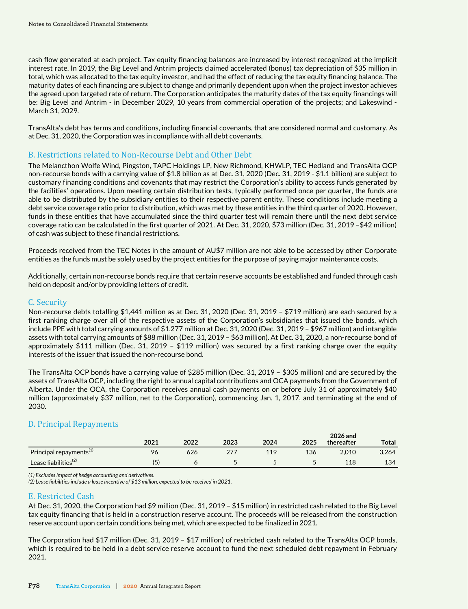cash flow generated at each project. Tax equity financing balances are increased by interest recognized at the implicit interest rate. In 2019, the Big Level and Antrim projects claimed accelerated (bonus) tax depreciation of \$35 million in total, which was allocated to the tax equity investor, and had the effect of reducing the tax equity financing balance. The maturity dates of each financing are subject to change and primarily dependent upon when the project investor achieves the agreed upon targeted rate of return. The Corporation anticipates the maturity dates of the tax equity financings will be: Big Level and Antrim - in December 2029, 10 years from commercial operation of the projects; and Lakeswind - March 31, 2029.

TransAlta's debt has terms and conditions, including financial covenants, that are considered normal and customary. As at Dec. 31, 2020, the Corporation was in compliance with all debt covenants.

# B. Restrictions related to Non-Recourse Debt and Other Debt

The Melancthon Wolfe Wind, Pingston, TAPC Holdings LP, New Richmond, KHWLP, TEC Hedland and TransAlta OCP non-recourse bonds with a carrying value of \$1.8 billion as at Dec. 31, 2020 (Dec. 31, 2019 - \$1.1 billion) are subject to customary financing conditions and covenants that may restrict the Corporation's ability to access funds generated by the facilities' operations. Upon meeting certain distribution tests, typically performed once per quarter, the funds are able to be distributed by the subsidiary entities to their respective parent entity. These conditions include meeting a debt service coverage ratio prior to distribution, which was met by these entities in the third quarter of 2020. However, funds in these entities that have accumulated since the third quarter test will remain there until the next debt service coverage ratio can be calculated in the first quarter of 2021. At Dec. 31, 2020, \$73 million (Dec. 31, 2019 –\$42 million) of cash was subject to these financial restrictions.

Proceeds received from the TEC Notes in the amount of AU\$7 million are not able to be accessed by other Corporate entities as the funds must be solely used by the project entities for the purpose of paying major maintenance costs.

Additionally, certain non-recourse bonds require that certain reserve accounts be established and funded through cash held on deposit and/or by providing letters of credit.

## C. Security

Non-recourse debts totalling \$1,441 million as at Dec. 31, 2020 (Dec. 31, 2019 – \$719 million) are each secured by a first ranking charge over all of the respective assets of the Corporation's subsidiaries that issued the bonds, which include PPE with total carrying amounts of \$1,277 million at Dec. 31, 2020 (Dec. 31, 2019 – \$967 million) and intangible assets with total carrying amounts of \$88 million (Dec. 31, 2019 – \$63 million). At Dec. 31, 2020, a non-recourse bond of approximately \$111 million (Dec. 31, 2019 – \$119 million) was secured by a first ranking charge over the equity interests of the issuer that issued the non-recourse bond.

The TransAlta OCP bonds have a carrying value of \$285 million (Dec. 31, 2019 – \$305 million) and are secured by the assets of TransAlta OCP, including the right to annual capital contributions and OCA payments from the Government of Alberta. Under the OCA, the Corporation receives annual cash payments on or before July 31 of approximately \$40 million (approximately \$37 million, net to the Corporation), commencing Jan. 1, 2017, and terminating at the end of 2030.

## D. Principal Repayments

|                                  | 2021 | 2022 | 2023                 | 2024                     | 2025 | 2026 and<br>thereafter | <b>Total</b> |
|----------------------------------|------|------|----------------------|--------------------------|------|------------------------|--------------|
| Principal repayments $(1)$       | 96   | 626  | クフフ<br>$\mathcal{L}$ | 119                      | 136  | 2.010                  | 3,264        |
| Lease liabilities <sup>(2)</sup> |      |      |                      | $\overline{\phantom{0}}$ |      | 118                    | 134          |

*(1) Excludes impact of hedge accounting and derivatives.*

*(2) Lease liabilities include a lease incentive of \$13 million, expected to be received in 2021.*

### E. Restricted Cash

At Dec. 31, 2020, the Corporation had \$9 million (Dec. 31, 2019 – \$15 million) in restricted cash related to the Big Level tax equity financing that is held in a construction reserve account. The proceeds will be released from the construction reserve account upon certain conditions being met, which are expected to be finalized in 2021.

The Corporation had \$17 million (Dec. 31, 2019 – \$17 million) of restricted cash related to the TransAlta OCP bonds, which is required to be held in a debt service reserve account to fund the next scheduled debt repayment in February 2021.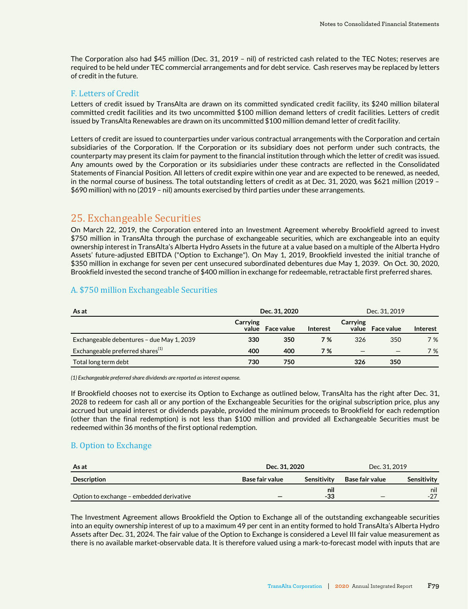The Corporation also had \$45 million (Dec. 31, 2019 – nil) of restricted cash related to the TEC Notes; reserves are required to be held under TEC commercial arrangements and for debt service. Cash reserves may be replaced by letters of credit in the future.

### F. Letters of Credit

Letters of credit issued by TransAlta are drawn on its committed syndicated credit facility, its \$240 million bilateral committed credit facilities and its two uncommitted \$100 million demand letters of credit facilities. Letters of credit issued by TransAlta Renewables are drawn on its uncommitted \$100 million demand letter of credit facility.

Letters of credit are issued to counterparties under various contractual arrangements with the Corporation and certain subsidiaries of the Corporation. If the Corporation or its subsidiary does not perform under such contracts, the counterparty may present its claim for payment to the financial institution through which the letter of credit was issued. Any amounts owed by the Corporation or its subsidiaries under these contracts are reflected in the Consolidated Statements of Financial Position. All letters of credit expire within one year and are expected to be renewed, as needed, in the normal course of business. The total outstanding letters of credit as at Dec. 31, 2020, was \$621 million (2019 – \$690 million) with no (2019 – nil) amounts exercised by third parties under these arrangements.

# 25. Exchangeable Securities

On March 22, 2019, the Corporation entered into an Investment Agreement whereby Brookfield agreed to invest \$750 million in TransAlta through the purchase of exchangeable securities, which are exchangeable into an equity ownership interest in TransAlta's Alberta Hydro Assets in the future at a value based on a multiple of the Alberta Hydro Assets' future-adjusted EBITDA ("Option to Exchange"). On May 1, 2019, Brookfield invested the initial tranche of \$350 million in exchange for seven per cent unsecured subordinated debentures due May 1, 2039. On Oct. 30, 2020, Brookfield invested the second tranche of \$400 million in exchange for redeemable, retractable first preferred shares.

# A. \$750 million Exchangeable Securities

| As at                                     | Dec. 31, 2020     |                   |          |          | Dec. 31, 2019    |                 |  |
|-------------------------------------------|-------------------|-------------------|----------|----------|------------------|-----------------|--|
|                                           | Carrying<br>value | <b>Face value</b> | Interest | Carrying | value Face value | <b>Interest</b> |  |
| Exchangeable debentures - due May 1, 2039 | 330               | 350               | 7 %      | 326      | 350              | 7 %             |  |
| Exchangeable preferred shares $(1)$       | 400               | 400               | 7 %      |          |                  | 7 %             |  |
| Total long term debt                      | 730               | 750               |          | 326      | 350              |                 |  |

*(1) Exchangeable preferred share dividends are reported as interest expense.*

If Brookfield chooses not to exercise its Option to Exchange as outlined below, TransAlta has the right after Dec. 31, 2028 to redeem for cash all or any portion of the Exchangeable Securities for the original subscription price, plus any accrued but unpaid interest or dividends payable, provided the minimum proceeds to Brookfield for each redemption (other than the final redemption) is not less than \$100 million and provided all Exchangeable Securities must be redeemed within 36 months of the first optional redemption.

## B. Option to Exchange

| As at                                    | Dec. 31, 2020          |              | Dec. 31, 2019   |                    |  |
|------------------------------------------|------------------------|--------------|-----------------|--------------------|--|
| Description                              | <b>Base fair value</b> | Sensitivity  | Base fair value | <b>Sensitivity</b> |  |
| Option to exchange – embedded derivative |                        | nil<br>$-33$ |                 | nil<br>$-27$       |  |

The Investment Agreement allows Brookfield the Option to Exchange all of the outstanding exchangeable securities into an equity ownership interest of up to a maximum 49 per cent in an entity formed to hold TransAlta's Alberta Hydro Assets after Dec. 31, 2024. The fair value of the Option to Exchange is considered a Level III fair value measurement as there is no available market-observable data. It is therefore valued using a mark-to-forecast model with inputs that are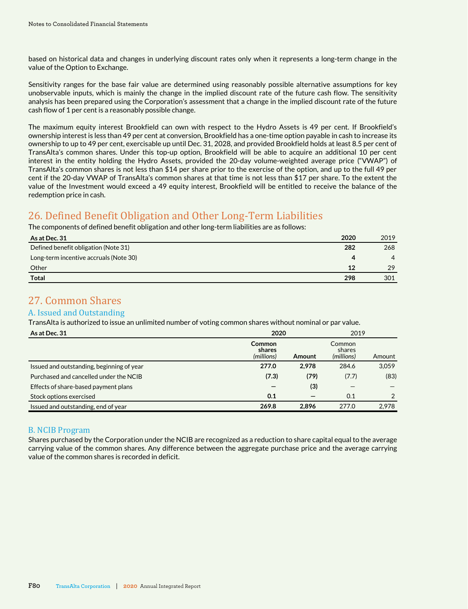based on historical data and changes in underlying discount rates only when it represents a long-term change in the value of the Option to Exchange.

Sensitivity ranges for the base fair value are determined using reasonably possible alternative assumptions for key unobservable inputs, which is mainly the change in the implied discount rate of the future cash flow. The sensitivity analysis has been prepared using the Corporation's assessment that a change in the implied discount rate of the future cash flow of 1 per cent is a reasonably possible change.

The maximum equity interest Brookfield can own with respect to the Hydro Assets is 49 per cent. If Brookfield's ownership interest is less than 49 per cent at conversion, Brookfield has a one-time option payable in cash to increase its ownership to up to 49 per cent, exercisable up until Dec. 31, 2028, and provided Brookfield holds at least 8.5 per cent of TransAlta's common shares. Under this top-up option, Brookfield will be able to acquire an additional 10 per cent interest in the entity holding the Hydro Assets, provided the 20-day volume-weighted average price ("VWAP") of TransAlta's common shares is not less than \$14 per share prior to the exercise of the option, and up to the full 49 per cent if the 20-day VWAP of TransAlta's common shares at that time is not less than \$17 per share. To the extent the value of the Investment would exceed a 49 equity interest, Brookfield will be entitled to receive the balance of the redemption price in cash.

# 26. Defined Benefit Obligation and Other Long-Term Liabilities

The components of defined benefit obligation and other long-term liabilities are as follows:

| As at Dec. 31                          | 2020 | 2019           |
|----------------------------------------|------|----------------|
| Defined benefit obligation (Note 31)   | 282  | 268            |
| Long-term incentive accruals (Note 30) | 4    | $\overline{4}$ |
| Other                                  | 12   | 29             |
| <b>Total</b>                           | 298  | 301            |

# 27. Common Shares

## A. Issued and Outstanding

TransAlta is authorized to issue an unlimited number of voting common shares without nominal or par value.

| As at Dec. 31                             | 2020                                  |                          | 2019                           |                |  |
|-------------------------------------------|---------------------------------------|--------------------------|--------------------------------|----------------|--|
|                                           | <b>Common</b><br>shares<br>(millions) | Amount                   | Common<br>shares<br>(millions) | Amount         |  |
| Issued and outstanding, beginning of year | 277.0                                 | 2.978                    | 284.6                          | 3,059          |  |
| Purchased and cancelled under the NCIB    | (7.3)                                 | (79)                     | (7.7)                          | (83)           |  |
| Effects of share-based payment plans      |                                       | (3)                      |                                |                |  |
| Stock options exercised                   | 0.1                                   | $\overline{\phantom{0}}$ | 0.1                            | $\mathfrak{D}$ |  |
| Issued and outstanding, end of year       | 269.8                                 | 2.896                    | 277.0                          | 2.978          |  |

## B. NCIB Program

Shares purchased by the Corporation under the NCIB are recognized as a reduction to share capital equal to the average carrying value of the common shares. Any difference between the aggregate purchase price and the average carrying value of the common shares is recorded in deficit.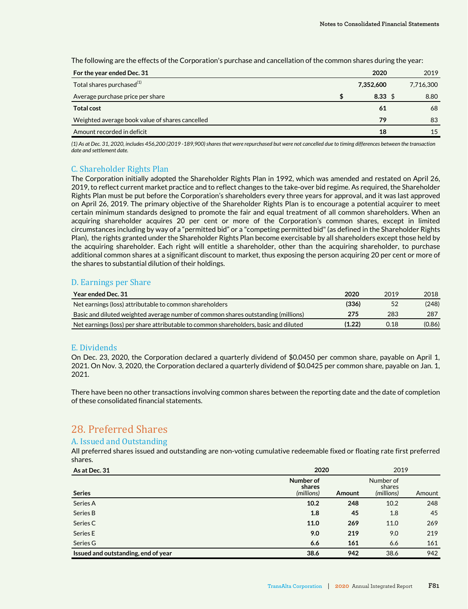The following are the effects of the Corporation's purchase and cancellation of the common shares during the year:

| For the year ended Dec. 31                      | 2020              | 2019      |
|-------------------------------------------------|-------------------|-----------|
| Total shares purchased <sup>(1)</sup>           | 7,352,600         | 7,716,300 |
| Average purchase price per share                | $8.33~\text{\AA}$ | 8.80      |
| <b>Total cost</b>                               | 61                | 68        |
| Weighted average book value of shares cancelled | 79                | 83        |
| Amount recorded in deficit                      | 18                | 15        |

*(1) As at Dec. 31, 2020, includes 456,200 (2019 -189,900) shares that were repurchased but were not cancelled due to timing differences between the transaction date and settlement date.*

### C. Shareholder Rights Plan

The Corporation initially adopted the Shareholder Rights Plan in 1992, which was amended and restated on April 26, 2019, to reflect current market practice and to reflect changes to the take-over bid regime. As required, the Shareholder Rights Plan must be put before the Corporation's shareholders every three years for approval, and it was last approved on April 26, 2019. The primary objective of the Shareholder Rights Plan is to encourage a potential acquirer to meet certain minimum standards designed to promote the fair and equal treatment of all common shareholders. When an acquiring shareholder acquires 20 per cent or more of the Corporation's common shares, except in limited circumstances including by way of a "permitted bid" or a "competing permitted bid" (as defined in the Shareholder Rights Plan), the rights granted under the Shareholder Rights Plan become exercisable by all shareholders except those held by the acquiring shareholder. Each right will entitle a shareholder, other than the acquiring shareholder, to purchase additional common shares at a significant discount to market, thus exposing the person acquiring 20 per cent or more of the shares to substantial dilution of their holdings.

### D. Earnings per Share

| Year ended Dec. 31                                                                   | 2020   | 2019 | 2018   |
|--------------------------------------------------------------------------------------|--------|------|--------|
| Net earnings (loss) attributable to common shareholders                              | (336)  | 52   | (248)  |
| Basic and diluted weighted average number of common shares outstanding (millions)    | 275    | 283  | 287    |
| Net earnings (loss) per share attributable to common shareholders, basic and diluted | (1.22) | 0.18 | (0.86) |

### E. Dividends

On Dec. 23, 2020, the Corporation declared a quarterly dividend of \$0.0450 per common share, payable on April 1, 2021. On Nov. 3, 2020, the Corporation declared a quarterly dividend of \$0.0425 per common share, payable on Jan. 1, 2021.

There have been no other transactions involving common shares between the reporting date and the date of completion of these consolidated financial statements.

# 28. Preferred Shares

### A. Issued and Outstanding

All preferred shares issued and outstanding are non-voting cumulative redeemable fixed or floating rate first preferred shares.

| As at Dec. 31                       | 2020                              |        | 2019                              |        |
|-------------------------------------|-----------------------------------|--------|-----------------------------------|--------|
| <b>Series</b>                       | Number of<br>shares<br>(millions) | Amount | Number of<br>shares<br>(millions) | Amount |
| Series A                            | 10.2                              | 248    | 10.2                              | 248    |
| Series B                            | 1.8                               | 45     | 1.8                               | 45     |
| Series C                            | 11.0                              | 269    | 11.0                              | 269    |
| Series E                            | 9.0                               | 219    | 9.0                               | 219    |
| Series G                            | 6.6                               | 161    | 6.6                               | 161    |
| Issued and outstanding, end of year | 38.6                              | 942    | 38.6                              | 942    |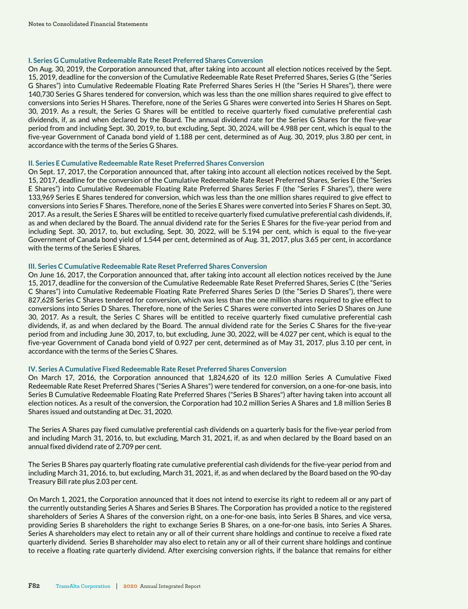#### **I. Series G Cumulative Redeemable Rate Reset Preferred Shares Conversion**

On Aug. 30, 2019, the Corporation announced that, after taking into account all election notices received by the Sept. 15, 2019, deadline for the conversion of the Cumulative Redeemable Rate Reset Preferred Shares, Series G (the "Series G Shares") into Cumulative Redeemable Floating Rate Preferred Shares Series H (the "Series H Shares"), there were 140,730 Series G Shares tendered for conversion, which was less than the one million shares required to give effect to conversions into Series H Shares. Therefore, none of the Series G Shares were converted into Series H Shares on Sept. 30, 2019. As a result, the Series G Shares will be entitled to receive quarterly fixed cumulative preferential cash dividends, if, as and when declared by the Board. The annual dividend rate for the Series G Shares for the five-year period from and including Sept. 30, 2019, to, but excluding, Sept. 30, 2024, will be 4.988 per cent, which is equal to the five-year Government of Canada bond yield of 1.188 per cent, determined as of Aug. 30, 2019, plus 3.80 per cent, in accordance with the terms of the Series G Shares.

#### **II. Series E Cumulative Redeemable Rate Reset Preferred Shares Conversion**

On Sept. 17, 2017, the Corporation announced that, after taking into account all election notices received by the Sept. 15, 2017, deadline for the conversion of the Cumulative Redeemable Rate Reset Preferred Shares, Series E (the "Series E Shares") into Cumulative Redeemable Floating Rate Preferred Shares Series F (the "Series F Shares"), there were 133,969 Series E Shares tendered for conversion, which was less than the one million shares required to give effect to conversions into Series F Shares. Therefore, none of the Series E Shares were converted into Series F Shares on Sept. 30, 2017. As a result, the Series E Shares will be entitled to receive quarterly fixed cumulative preferential cash dividends, if, as and when declared by the Board. The annual dividend rate for the Series E Shares for the five-year period from and including Sept. 30, 2017, to, but excluding, Sept. 30, 2022, will be 5.194 per cent, which is equal to the five-year Government of Canada bond yield of 1.544 per cent, determined as of Aug. 31, 2017, plus 3.65 per cent, in accordance with the terms of the Series E Shares.

### **III. Series C Cumulative Redeemable Rate Reset Preferred Shares Conversion**

On June 16, 2017, the Corporation announced that, after taking into account all election notices received by the June 15, 2017, deadline for the conversion of the Cumulative Redeemable Rate Reset Preferred Shares, Series C (the "Series C Shares") into Cumulative Redeemable Floating Rate Preferred Shares Series D (the "Series D Shares"), there were 827,628 Series C Shares tendered for conversion, which was less than the one million shares required to give effect to conversions into Series D Shares. Therefore, none of the Series C Shares were converted into Series D Shares on June 30, 2017. As a result, the Series C Shares will be entitled to receive quarterly fixed cumulative preferential cash dividends, if, as and when declared by the Board. The annual dividend rate for the Series C Shares for the five-year period from and including June 30, 2017, to, but excluding, June 30, 2022, will be 4.027 per cent, which is equal to the five-year Government of Canada bond yield of 0.927 per cent, determined as of May 31, 2017, plus 3.10 per cent, in accordance with the terms of the Series C Shares.

#### **IV. Series A Cumulative Fixed Redeemable Rate Reset Preferred Shares Conversion**

On March 17, 2016, the Corporation announced that 1,824,620 of its 12.0 million Series A Cumulative Fixed Redeemable Rate Reset Preferred Shares ("Series A Shares") were tendered for conversion, on a one-for-one basis, into Series B Cumulative Redeemable Floating Rate Preferred Shares ("Series B Shares") after having taken into account all election notices. As a result of the conversion, the Corporation had 10.2 million Series A Shares and 1.8 million Series B Shares issued and outstanding at Dec. 31, 2020.

The Series A Shares pay fixed cumulative preferential cash dividends on a quarterly basis for the five-year period from and including March 31, 2016, to, but excluding, March 31, 2021, if, as and when declared by the Board based on an annual fixed dividend rate of 2.709 per cent.

The Series B Shares pay quarterly floating rate cumulative preferential cash dividends for the five-year period from and including March 31, 2016, to, but excluding, March 31, 2021, if, as and when declared by the Board based on the 90-day Treasury Bill rate plus 2.03 per cent.

On March 1, 2021, the Corporation announced that it does not intend to exercise its right to redeem all or any part of the currently outstanding Series A Shares and Series B Shares. The Corporation has provided a notice to the registered shareholders of Series A Shares of the conversion right, on a one-for-one basis, into Series B Shares, and vice versa, providing Series B shareholders the right to exchange Series B Shares, on a one-for-one basis, into Series A Shares. Series A shareholders may elect to retain any or all of their current share holdings and continue to receive a fixed rate quarterly dividend. Series B shareholder may also elect to retain any or all of their current share holdings and continue to receive a floating rate quarterly dividend. After exercising conversion rights, if the balance that remains for either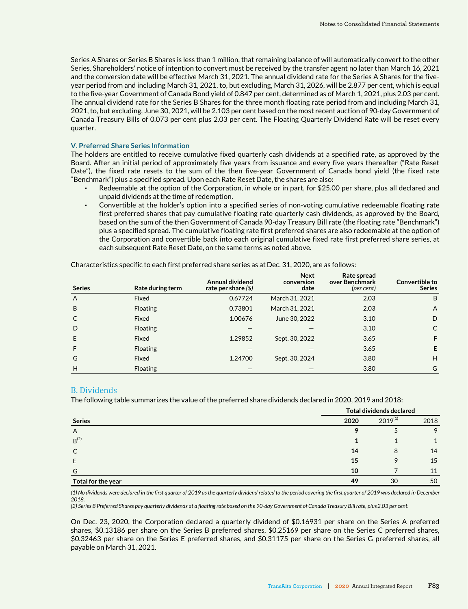Series A Shares or Series B Shares is less than 1 million, that remaining balance of will automatically convert to the other Series. Shareholders' notice of intention to convert must be received by the transfer agent no later than March 16, 2021 and the conversion date will be effective March 31, 2021. The annual dividend rate for the Series A Shares for the fiveyear period from and including March 31, 2021, to, but excluding, March 31, 2026, will be 2.877 per cent, which is equal to the five-year Government of Canada Bond yield of 0.847 per cent, determined as of March 1, 2021, plus 2.03 per cent. The annual dividend rate for the Series B Shares for the three month floating rate period from and including March 31, 2021, to, but excluding, June 30, 2021, will be 2.103 per cent based on the most recent auction of 90-day Government of Canada Treasury Bills of 0.073 per cent plus 2.03 per cent. The Floating Quarterly Dividend Rate will be reset every quarter.

#### **V. Preferred Share Series Information**

The holders are entitled to receive cumulative fixed quarterly cash dividends at a specified rate, as approved by the Board. After an initial period of approximately five years from issuance and every five years thereafter ("Rate Reset Date"), the fixed rate resets to the sum of the then five-year Government of Canada bond yield (the fixed rate "Benchmark") plus a specified spread. Upon each Rate Reset Date, the shares are also:

- Redeemable at the option of the Corporation, in whole or in part, for \$25.00 per share, plus all declared and unpaid dividends at the time of redemption.
- Convertible at the holder's option into a specified series of non-voting cumulative redeemable floating rate first preferred shares that pay cumulative floating rate quarterly cash dividends, as approved by the Board, based on the sum of the then Government of Canada 90-day Treasury Bill rate (the floating rate "Benchmark") plus a specified spread. The cumulative floating rate first preferred shares are also redeemable at the option of the Corporation and convertible back into each original cumulative fixed rate first preferred share series, at each subsequent Rate Reset Date, on the same terms as noted above.

**Next**

**Rate spread**

| <b>Series</b> | Rate during term | Annual dividend<br>rate per share $(\$)$ | <b>NEXT</b><br>conversion<br>date | <b>Rate spread</b><br>over Benchmark<br>(per cent) | Convertible to<br><b>Series</b> |
|---------------|------------------|------------------------------------------|-----------------------------------|----------------------------------------------------|---------------------------------|
| A             | Fixed            | 0.67724                                  | March 31, 2021                    | 2.03                                               | B                               |
| B             | <b>Floating</b>  | 0.73801                                  | March 31, 2021                    | 2.03                                               | A                               |
| C             | Fixed            | 1.00676                                  | June 30, 2022                     | 3.10                                               | D                               |
| D             | <b>Floating</b>  |                                          |                                   | 3.10                                               | C                               |
| E             | Fixed            | 1.29852                                  | Sept. 30, 2022                    | 3.65                                               | F                               |
| F             | <b>Floating</b>  |                                          |                                   | 3.65                                               | E                               |
| G             | Fixed            | 1.24700                                  | Sept. 30, 2024                    | 3.80                                               | H                               |
| H             | <b>Floating</b>  |                                          |                                   | 3.80                                               | G                               |
|               |                  |                                          |                                   |                                                    |                                 |

Characteristics specific to each first preferred share series as at Dec. 31, 2020, are as follows:

### B. Dividends

The following table summarizes the value of the preferred share dividends declared in 2020, 2019 and 2018:

|                    | Total dividends declared |              |      |
|--------------------|--------------------------|--------------|------|
| <b>Series</b>      | 2020                     | $2019^{(1)}$ | 2018 |
| A                  |                          |              | 9    |
| $B^{(2)}$          |                          |              |      |
| C                  | 14                       | 8            | 14   |
| E                  | 15                       | 9            | 15   |
| G                  | 10                       |              | 11   |
| Total for the year | 49                       | 30           | 50   |

*(1) No dividends were declared in the first quarter of 2019 as the quarterly dividend related to the period covering the first quarter of 2019 was declared in December 2018.*

*(2) Series B Preferred Shares pay quarterly dividends at a floating rate based on the 90-day Government of Canada Treasury Bill rate, plus 2.03 per cent.* 

On Dec. 23, 2020, the Corporation declared a quarterly dividend of \$0.16931 per share on the Series A preferred shares, \$0.13186 per share on the Series B preferred shares, \$0.25169 per share on the Series C preferred shares, \$0.32463 per share on the Series E preferred shares, and \$0.31175 per share on the Series G preferred shares, all payable on March 31, 2021.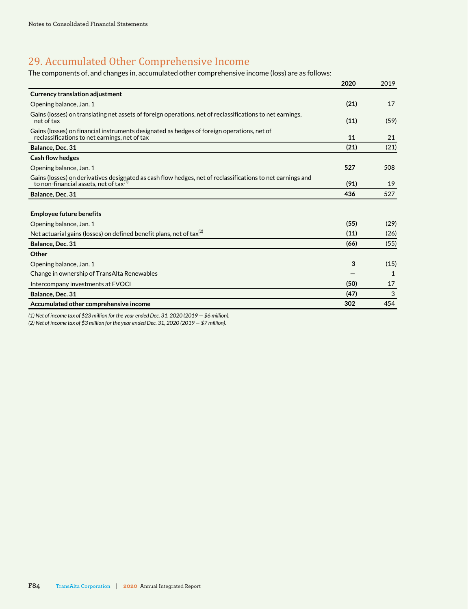# 29. Accumulated Other Comprehensive Income

The components of, and changes in, accumulated other comprehensive income (loss) are as follows:

|                                                                                                                                                                 | 2020 | 2019         |
|-----------------------------------------------------------------------------------------------------------------------------------------------------------------|------|--------------|
| <b>Currency translation adjustment</b>                                                                                                                          |      |              |
| Opening balance, Jan. 1                                                                                                                                         | (21) | 17           |
| Gains (losses) on translating net assets of foreign operations, net of reclassifications to net earnings,<br>net of tax                                         | (11) | (59)         |
| Gains (losses) on financial instruments designated as hedges of foreign operations, net of<br>reclassifications to net earnings, net of tax                     | 11   | 21           |
| Balance, Dec. 31                                                                                                                                                | (21) | (21)         |
| <b>Cash flow hedges</b>                                                                                                                                         |      |              |
| Opening balance, Jan. 1                                                                                                                                         | 527  | 508          |
| Gains (losses) on derivatives designated as cash flow hedges, net of reclassifications to net earnings and<br>to non-financial assets, net of tax <sup>(1</sup> | (91) | 19           |
| Balance, Dec. 31                                                                                                                                                | 436  | 527          |
|                                                                                                                                                                 |      |              |
| <b>Employee future benefits</b>                                                                                                                                 |      |              |
| Opening balance, Jan. 1                                                                                                                                         | (55) | (29)         |
| Net actuarial gains (losses) on defined benefit plans, net of tax $^{(2)}$                                                                                      | (11) | (26)         |
| Balance, Dec. 31                                                                                                                                                | (66) | (55)         |
| Other                                                                                                                                                           |      |              |
| Opening balance, Jan. 1                                                                                                                                         | 3    | (15)         |
| Change in ownership of TransAlta Renewables                                                                                                                     |      | $\mathbf{1}$ |
| Intercompany investments at FVOCI                                                                                                                               | (50) | 17           |
| Balance, Dec. 31                                                                                                                                                | (47) | 3            |
| Accumulated other comprehensive income                                                                                                                          | 302  | 454          |

*(1) Net of income tax of \$23 million for the year ended Dec. 31, 2020 (2019 — \$6 million). (2) Net of income tax of \$3 million for the year ended Dec. 31, 2020 (2019 — \$7 million).*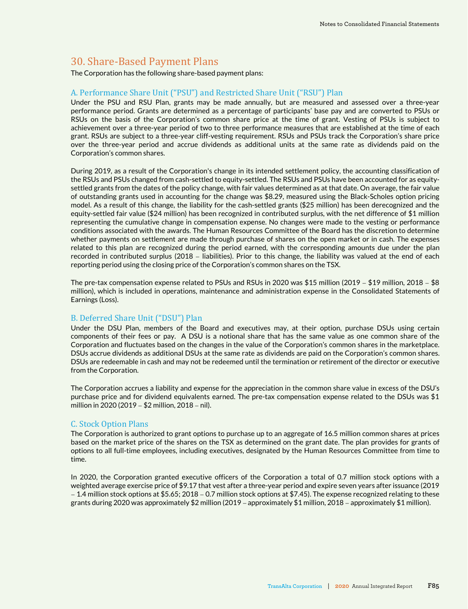# 30. Share-Based Payment Plans

The Corporation has the following share-based payment plans:

## A. Performance Share Unit ("PSU") and Restricted Share Unit ("RSU") Plan

Under the PSU and RSU Plan, grants may be made annually, but are measured and assessed over a three-year performance period. Grants are determined as a percentage of participants' base pay and are converted to PSUs or RSUs on the basis of the Corporation's common share price at the time of grant. Vesting of PSUs is subject to achievement over a three-year period of two to three performance measures that are established at the time of each grant. RSUs are subject to a three-year cliff-vesting requirement. RSUs and PSUs track the Corporation's share price over the three-year period and accrue dividends as additional units at the same rate as dividends paid on the Corporation's common shares.

During 2019, as a result of the Corporation's change in its intended settlement policy, the accounting classification of the RSUs and PSUs changed from cash-settled to equity-settled. The RSUs and PSUs have been accounted for as equitysettled grants from the dates of the policy change, with fair values determined as at that date. On average, the fair value of outstanding grants used in accounting for the change was \$8.29, measured using the Black-Scholes option pricing model. As a result of this change, the liability for the cash-settled grants (\$25 million) has been derecognized and the equity-settled fair value (\$24 million) has been recognized in contributed surplus, with the net difference of \$1 million representing the cumulative change in compensation expense. No changes were made to the vesting or performance conditions associated with the awards. The Human Resources Committee of the Board has the discretion to determine whether payments on settlement are made through purchase of shares on the open market or in cash. The expenses related to this plan are recognized during the period earned, with the corresponding amounts due under the plan recorded in contributed surplus (2018 *—* liabilities). Prior to this change, the liability was valued at the end of each reporting period using the closing price of the Corporation's common shares on the TSX.

The pre-tax compensation expense related to PSUs and RSUs in 2020 was \$15 million (2019 *—* \$19 million, 2018 *—* \$8 million), which is included in operations, maintenance and administration expense in the Consolidated Statements of Earnings (Loss).

### B. Deferred Share Unit ("DSU") Plan

Under the DSU Plan, members of the Board and executives may, at their option, purchase DSUs using certain components of their fees or pay. A DSU is a notional share that has the same value as one common share of the Corporation and fluctuates based on the changes in the value of the Corporation's common shares in the marketplace. DSUs accrue dividends as additional DSUs at the same rate as dividends are paid on the Corporation's common shares. DSUs are redeemable in cash and may not be redeemed until the termination or retirement of the director or executive from the Corporation.

The Corporation accrues a liability and expense for the appreciation in the common share value in excess of the DSU's purchase price and for dividend equivalents earned. The pre-tax compensation expense related to the DSUs was \$1 million in 2020 (2019 *—* \$2 million, 2018 *—* nil).

### C. Stock Option Plans

The Corporation is authorized to grant options to purchase up to an aggregate of 16.5 million common shares at prices based on the market price of the shares on the TSX as determined on the grant date. The plan provides for grants of options to all full-time employees, including executives, designated by the Human Resources Committee from time to time.

In 2020, the Corporation granted executive officers of the Corporation a total of 0.7 million stock options with a weighted average exercise price of \$9.17 that vest after a three-year period and expire seven years after issuance (2019 *—* 1.4 million stock options at \$5.65; 2018 *—* 0.7 million stock options at \$7.45). The expense recognized relating to these grants during 2020 was approximately \$2 million (2019 *—* approximately \$1 million, 2018 *—* approximately \$1 million).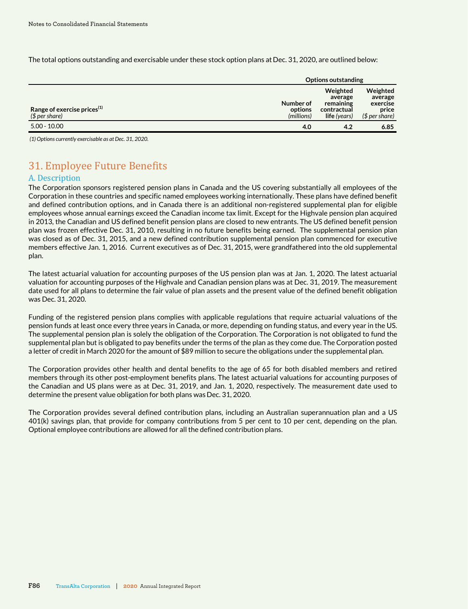The total options outstanding and exercisable under these stock option plans at Dec. 31, 2020, are outlined below:

|                                                         |                                    | <b>Options outstanding</b>                                             |                                                            |  |
|---------------------------------------------------------|------------------------------------|------------------------------------------------------------------------|------------------------------------------------------------|--|
| Range of exercise prices <sup>(1)</sup><br>\$per share) | Number of<br>options<br>(millions) | Weighted<br>average<br>remaining<br>contractual<br><b>life</b> (years) | Weighted<br>average<br>exercise<br>price<br>$$$ per share) |  |
| $5.00 - 10.00$                                          | 4.0                                | 4.2                                                                    | 6.85                                                       |  |

 *(1) Options currently exercisable as at Dec. 31, 2020.*

# 31. Employee Future Benefits

## A. Description

The Corporation sponsors registered pension plans in Canada and the US covering substantially all employees of the Corporation in these countries and specific named employees working internationally. These plans have defined benefit and defined contribution options, and in Canada there is an additional non-registered supplemental plan for eligible employees whose annual earnings exceed the Canadian income tax limit. Except for the Highvale pension plan acquired in 2013, the Canadian and US defined benefit pension plans are closed to new entrants. The US defined benefit pension plan was frozen effective Dec. 31, 2010, resulting in no future benefits being earned. The supplemental pension plan was closed as of Dec. 31, 2015, and a new defined contribution supplemental pension plan commenced for executive members effective Jan. 1, 2016. Current executives as of Dec. 31, 2015, were grandfathered into the old supplemental plan.

The latest actuarial valuation for accounting purposes of the US pension plan was at Jan. 1, 2020. The latest actuarial valuation for accounting purposes of the Highvale and Canadian pension plans was at Dec. 31, 2019. The measurement date used for all plans to determine the fair value of plan assets and the present value of the defined benefit obligation was Dec. 31, 2020.

Funding of the registered pension plans complies with applicable regulations that require actuarial valuations of the pension funds at least once every three years in Canada, or more, depending on funding status, and every year in the US. The supplemental pension plan is solely the obligation of the Corporation. The Corporation is not obligated to fund the supplemental plan but is obligated to pay benefits under the terms of the plan as they come due. The Corporation posted a letter of credit in March 2020 for the amount of \$89 million to secure the obligations under the supplemental plan.

The Corporation provides other health and dental benefits to the age of 65 for both disabled members and retired members through its other post-employment benefits plans. The latest actuarial valuations for accounting purposes of the Canadian and US plans were as at Dec. 31, 2019, and Jan. 1, 2020, respectively. The measurement date used to determine the present value obligation for both plans was Dec. 31, 2020.

The Corporation provides several defined contribution plans, including an Australian superannuation plan and a US 401(k) savings plan, that provide for company contributions from 5 per cent to 10 per cent, depending on the plan. Optional employee contributions are allowed for all the defined contribution plans.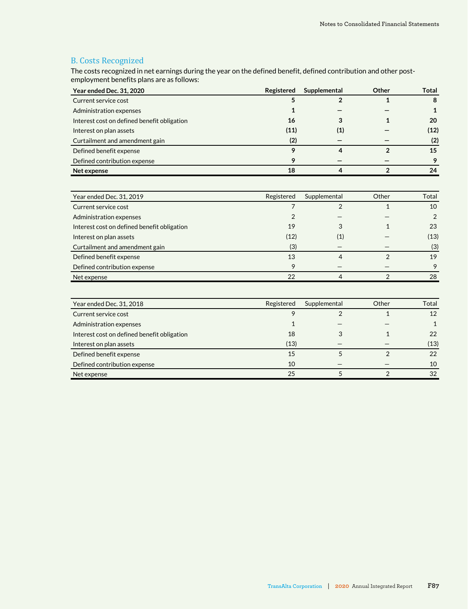# B. Costs Recognized

The costs recognized in net earnings during the year on the defined benefit, defined contribution and other postemployment benefits plans are as follows:

| <b>Year ended Dec. 31, 2020</b>             | Registered     | Supplemental   | Other          | <b>Total</b> |
|---------------------------------------------|----------------|----------------|----------------|--------------|
| Current service cost                        | 5              | $\overline{2}$ | 1              | 8            |
| Administration expenses                     | 1              |                |                | 1            |
| Interest cost on defined benefit obligation | 16             | 3              | 1              | 20           |
| Interest on plan assets                     | (11)           | (1)            |                | (12)         |
| Curtailment and amendment gain              | (2)            |                |                | (2)          |
| Defined benefit expense                     | 9              | 4              | $\overline{2}$ | 15           |
| Defined contribution expense                | 9              |                |                | 9            |
| Net expense                                 | 18             | 4              | $\overline{2}$ | 24           |
|                                             |                |                |                |              |
| Year ended Dec. 31, 2019                    | Registered     | Supplemental   | Other          | Total        |
| Current service cost                        | $\overline{7}$ | 2              | $\mathbf{1}$   | 10           |
| Administration expenses                     | 2              |                |                | 2            |
| Interest cost on defined benefit obligation | 19             | 3              | $\mathbf{1}$   | 23           |
| Interest on plan assets                     | (12)           | (1)            |                | (13)         |
| Curtailment and amendment gain              | (3)            |                |                | (3)          |
| Defined benefit expense                     | 13             | $\overline{4}$ | $\overline{2}$ | 19           |
| Defined contribution expense                | 9              |                |                | 9            |
| Net expense                                 | 22             | $\overline{4}$ | $\overline{2}$ | 28           |
|                                             |                |                |                |              |
| Year ended Dec. 31, 2018                    | Registered     | Supplemental   | Other          | Total        |
| Current service cost                        | 9              | 2              | $\mathbf{1}$   | 12           |
| Administration expenses                     | $\mathbf{1}$   |                |                | $\mathbf{1}$ |
| Interest cost on defined benefit obligation | 18             | 3              | 1              | 22           |
| Interest on plan assets                     | (13)           |                |                | (13)         |
| Defined benefit expense                     | 15             | 5              | $\overline{2}$ | 22           |
| Defined contribution expense                | 10             |                |                | 10           |
| Net expense                                 | 25             | 5              | $\overline{2}$ | 32           |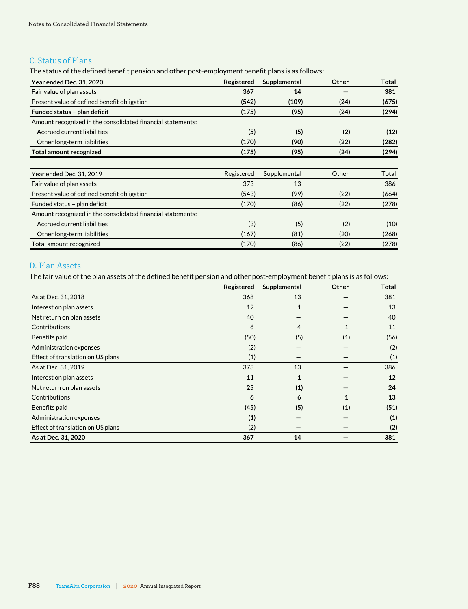# C. Status of Plans

The status of the defined benefit pension and other post-employment benefit plans is as follows:

| <b>Year ended Dec. 31, 2020</b>                             | Registered | Supplemental | Other | Total |
|-------------------------------------------------------------|------------|--------------|-------|-------|
| Fair value of plan assets                                   | 367        | 14           |       | 381   |
| Present value of defined benefit obligation                 | (542)      | (109)        | (24)  | (675) |
| Funded status - plan deficit                                | (175)      | (95)         | (24)  | (294) |
| Amount recognized in the consolidated financial statements: |            |              |       |       |
| Accrued current liabilities                                 | (5)        | (5)          | (2)   | (12)  |
| Other long-term liabilities                                 | (170)      | (90)         | (22)  | (282) |
| Total amount recognized                                     | (175)      | (95)         | (24)  | (294) |
|                                                             |            |              |       |       |
| Year ended Dec. 31, 2019                                    | Registered | Supplemental | Other | Total |
| Fair value of plan assets                                   | 373        | 13           |       | 386   |
| Present value of defined benefit obligation                 | (543)      | (99)         | (22)  | (664) |
| Funded status - plan deficit                                | (170)      | (86)         | (22)  | (278) |
| Amount recognized in the consolidated financial statements: |            |              |       |       |
| Accrued current liabilities                                 | (3)        | (5)          | (2)   | (10)  |
| Other long-term liabilities                                 | (167)      | (81)         | (20)  | (268) |
| Total amount recognized                                     | (170)      | (86)         | (22)  | (278) |

# D. Plan Assets

The fair value of the plan assets of the defined benefit pension and other post-employment benefit plans is as follows:

|                                   | Registered | Supplemental   | Other | Total             |
|-----------------------------------|------------|----------------|-------|-------------------|
| As at Dec. 31, 2018               | 368        | 13             |       | 381               |
| Interest on plan assets           | 12         | $\mathbf{1}$   |       | 13                |
| Net return on plan assets         | 40         |                |       | 40                |
| Contributions                     | 6          | $\overline{4}$ | 1     | 11                |
| Benefits paid                     | (50)       | (5)            | (1)   | (56)              |
| Administration expenses           | (2)        |                |       | (2)               |
| Effect of translation on US plans | (1)        |                |       | (1)               |
| As at Dec. 31, 2019               | 373        | 13             |       | 386               |
| Interest on plan assets           | 11         | $\mathbf{1}$   |       | $12 \overline{ }$ |
| Net return on plan assets         | 25         | (1)            |       | 24                |
| Contributions                     | 6          | 6              | 1     | 13                |
| Benefits paid                     | (45)       | (5)            | (1)   | (51)              |
| Administration expenses           | (1)        |                |       | (1)               |
| Effect of translation on US plans | (2)        |                |       | (2)               |
| As at Dec. 31, 2020               | 367        | 14             |       | 381               |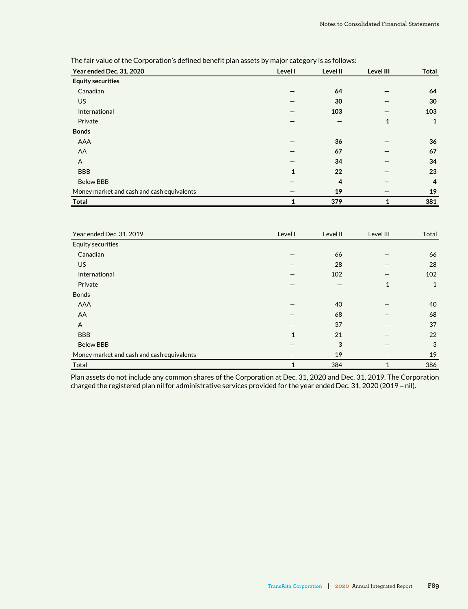| <b>Year ended Dec. 31, 2020</b>            | Level I | Level II       | Level III | Total          |
|--------------------------------------------|---------|----------------|-----------|----------------|
| <b>Equity securities</b>                   |         |                |           |                |
| Canadian                                   |         | 64             |           | 64             |
| <b>US</b>                                  |         | 30             |           | 30             |
| International                              |         | 103            |           | 103            |
| Private                                    |         |                | 1         | $\mathbf{1}$   |
| <b>Bonds</b>                               |         |                |           |                |
| AAA                                        |         | 36             |           | 36             |
| AA                                         |         | 67             |           | 67             |
| A                                          |         | 34             |           | 34             |
| <b>BBB</b>                                 | 1       | 22             |           | 23             |
| <b>Below BBB</b>                           |         | $\overline{4}$ |           | $\overline{4}$ |
| Money market and cash and cash equivalents |         | 19             |           | 19             |
| <b>Total</b>                               | 1       | 379            | 1         | 381            |

The fair value of the Corporation's defined benefit plan assets by major category is as follows:

| Year ended Dec. 31, 2019                   | Level I      | Level II | Level III    | Total |
|--------------------------------------------|--------------|----------|--------------|-------|
| Equity securities                          |              |          |              |       |
| Canadian                                   |              | 66       |              | 66    |
| <b>US</b>                                  |              | 28       |              | 28    |
| International                              |              | 102      |              | 102   |
| Private                                    |              |          | 1            | 1     |
| <b>Bonds</b>                               |              |          |              |       |
| <b>AAA</b>                                 |              | 40       |              | 40    |
| AA                                         |              | 68       |              | 68    |
| A                                          |              | 37       |              | 37    |
| <b>BBB</b>                                 | $\mathbf{1}$ | 21       |              | 22    |
| <b>Below BBB</b>                           |              | 3        |              | 3     |
| Money market and cash and cash equivalents |              | 19       |              | 19    |
| Total                                      | $\mathbf{1}$ | 384      | $\mathbf{1}$ | 386   |

Plan assets do not include any common shares of the Corporation at Dec. 31, 2020 and Dec. 31, 2019. The Corporation charged the registered plan nil for administrative services provided for the year ended Dec. 31, 2020 (2019 *—* nil).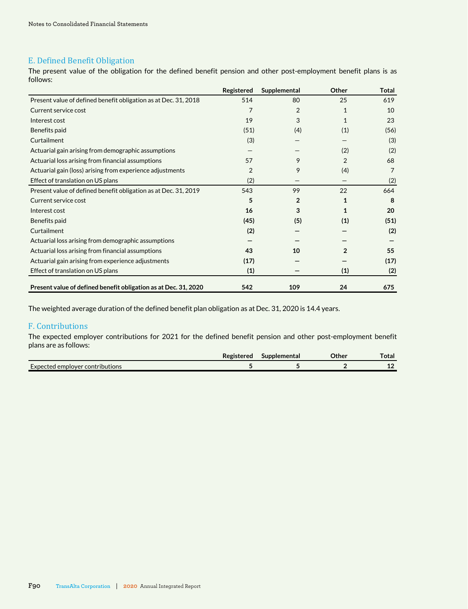# E. Defined Benefit Obligation

The present value of the obligation for the defined benefit pension and other post-employment benefit plans is as follows:

|                                                                 | Registered | Supplemental   | Other          | <b>Total</b> |
|-----------------------------------------------------------------|------------|----------------|----------------|--------------|
| Present value of defined benefit obligation as at Dec. 31, 2018 | 514        | 80             | 25             | 619          |
| Current service cost                                            | 7          | 2              | $\mathbf{1}$   | 10           |
| Interest cost                                                   | 19         | 3              | 1              | 23           |
| Benefits paid                                                   | (51)       | (4)            | (1)            | (56)         |
| Curtailment                                                     | (3)        |                |                | (3)          |
| Actuarial gain arising from demographic assumptions             |            |                | (2)            | (2)          |
| Actuarial loss arising from financial assumptions               | 57         | 9              | $\overline{2}$ | 68           |
| Actuarial gain (loss) arising from experience adjustments       | 2          | 9              | (4)            | 7            |
| Effect of translation on US plans                               | (2)        |                |                | (2)          |
| Present value of defined benefit obligation as at Dec. 31, 2019 | 543        | 99             | 22             | 664          |
| Current service cost                                            | 5          | $\overline{2}$ | 1              | 8            |
| Interest cost                                                   | 16         | 3              | 1              | 20           |
| Benefits paid                                                   | (45)       | (5)            | (1)            | (51)         |
| Curtailment                                                     | (2)        |                |                | (2)          |
| Actuarial loss arising from demographic assumptions             |            |                |                |              |
| Actuarial loss arising from financial assumptions               | 43         | 10             | 2              | 55           |
| Actuarial gain arising from experience adjustments              | (17)       |                |                | (17)         |
| Effect of translation on US plans                               | (1)        |                | (1)            | (2)          |
| Present value of defined benefit obligation as at Dec. 31, 2020 | 542        | 109            | 24             | 675          |

The weighted average duration of the defined benefit plan obligation as at Dec. 31, 2020 is 14.4 years.

### F. Contributions

The expected employer contributions for 2021 for the defined benefit pension and other post-employment benefit plans are as follows:

|                                 | Registered | Supplemental | Other | $\tau$ otal      |
|---------------------------------|------------|--------------|-------|------------------|
| Expected emplover contributions |            |              |       | $\sqrt{2}$<br>-- |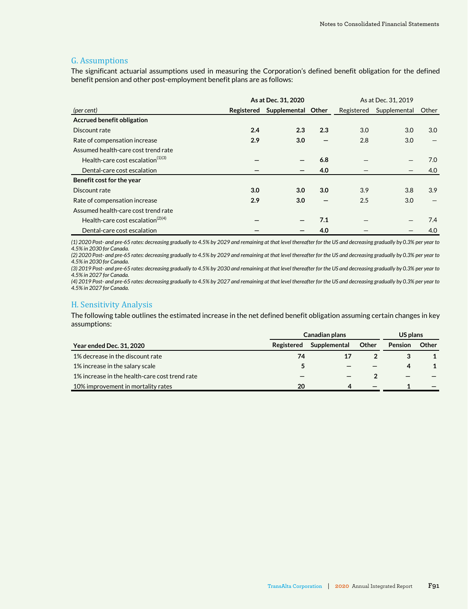## G. Assumptions

The significant actuarial assumptions used in measuring the Corporation's defined benefit obligation for the defined benefit pension and other post-employment benefit plans are as follows:

|                                               | As at Dec. 31, 2020 | As at Dec. 31, 2019 |     |            |              |       |
|-----------------------------------------------|---------------------|---------------------|-----|------------|--------------|-------|
| (per cent)                                    | Registered          | Supplemental Other  |     | Registered | Supplemental | Other |
| Accrued benefit obligation                    |                     |                     |     |            |              |       |
| Discount rate                                 | 2.4                 | 2.3                 | 2.3 | 3.0        | 3.0          | 3.0   |
| Rate of compensation increase                 | 2.9                 | 3.0                 |     | 2.8        | 3.0          |       |
| Assumed health-care cost trend rate           |                     |                     |     |            |              |       |
| Health-care cost escalation <sup>(1)(3)</sup> |                     |                     | 6.8 |            |              | 7.0   |
| Dental-care cost escalation                   |                     |                     | 4.0 |            |              | 4.0   |
| Benefit cost for the year                     |                     |                     |     |            |              |       |
| Discount rate                                 | 3.0                 | 3.0                 | 3.0 | 3.9        | 3.8          | 3.9   |
| Rate of compensation increase                 | 2.9                 | 3.0                 |     | 2.5        | 3.0          |       |
| Assumed health-care cost trend rate           |                     |                     |     |            |              |       |
| Health-care cost escalation $(2)(4)$          |                     |                     | 7.1 |            |              | 7.4   |
| Dental-care cost escalation                   |                     |                     | 4.0 |            |              | 4.0   |

*(1) 2020 Post- and pre-65 rates: decreasing gradually to 4.5% by 2029 and remaining at that level thereafter for the US and decreasing gradually by 0.3% per year to 4.5% in 2030 for Canada.*

*(2) 2020 Post- and pre-65 rates: decreasing gradually to 4.5% by 2029 and remaining at that level thereafter for the US and decreasing gradually by 0.3% per year to 4.5% in 2030 for Canada.*

*(3) 2019 Post- and pre-65 rates: decreasing gradually to 4.5% by 2030 and remaining at that level thereafter for the US and decreasing gradually by 0.3% per year to 4.5% in 2027 for Canada.*

*(4) 2019 Post- and pre-65 rates: decreasing gradually to 4.5% by 2027 and remaining at that level thereafter for the US and decreasing gradually by 0.3% per year to 4.5% in 2027 for Canada.*

## H. Sensitivity Analysis

The following table outlines the estimated increase in the net defined benefit obligation assuming certain changes in key assumptions:

|                                                | Canadian plans |                          |       | <b>US plans</b> |       |
|------------------------------------------------|----------------|--------------------------|-------|-----------------|-------|
| <b>Year ended Dec. 31, 2020</b>                | Registered     | Supplemental             | Other | Pension         | Other |
| 1% decrease in the discount rate               | 74             | 17                       |       |                 |       |
| 1% increase in the salary scale                |                |                          |       |                 |       |
| 1% increase in the health-care cost trend rate |                | $\overline{\phantom{0}}$ |       | -               |       |
| 10% improvement in mortality rates             | 20             | $\overline{a}$           |       |                 |       |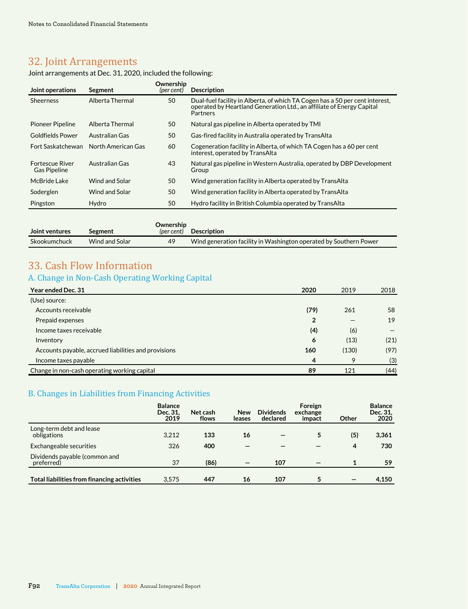# 32. Joint Arrangements

Joint arrangements at Dec. 31, 2020, included the following:

| Joint operations                              | Segment            | Ownership<br>(per cent) | <b>Description</b>                                                                                                                                                |
|-----------------------------------------------|--------------------|-------------------------|-------------------------------------------------------------------------------------------------------------------------------------------------------------------|
| <b>Sheerness</b>                              | Alberta Thermal    | 50                      | Dual-fuel facility in Alberta, of which TA Cogen has a 50 per cent interest,<br>operated by Heartland Generation Ltd., an affiliate of Energy Capital<br>Partners |
| <b>Pioneer Pipeline</b>                       | Alberta Thermal    | 50                      | Natural gas pipeline in Alberta operated by TMI                                                                                                                   |
| Goldfields Power                              | Australian Gas     | 50                      | Gas-fired facility in Australia operated by TransAlta                                                                                                             |
| Fort Saskatchewan                             | North American Gas | 60                      | Cogeneration facility in Alberta, of which TA Cogen has a 60 per cent<br>interest, operated by TransAlta                                                          |
| <b>Fortescue River</b><br><b>Gas Pipeline</b> | Australian Gas     | 43                      | Natural gas pipeline in Western Australia, operated by DBP Development<br>Group                                                                                   |
| McBride Lake                                  | Wind and Solar     | 50                      | Wind generation facility in Alberta operated by TransAlta                                                                                                         |
| Soderglen                                     | Wind and Solar     | 50                      | Wind generation facility in Alberta operated by TransAlta                                                                                                         |
| Pingston                                      | Hydro              | 50                      | Hydro facility in British Columbia operated by TransAlta                                                                                                          |

| Joint ventures | Segment        | Ownership<br>(per cent) | <b>Description</b>                                                |
|----------------|----------------|-------------------------|-------------------------------------------------------------------|
| Skookumchuck   | Wind and Solar | 49                      | Wind generation facility in Washington operated by Southern Power |

# 33. Cash Flow Information

# A. Change in Non-Cash Operating Working Capital

| Year ended Dec. 31                                   | 2020 | 2019  | 2018 |
|------------------------------------------------------|------|-------|------|
| (Use) source:                                        |      |       |      |
| Accounts receivable                                  | (79) | 261   | 58   |
| Prepaid expenses                                     | 2    |       | 19   |
| Income taxes receivable                              | (4)  | (6)   |      |
| Inventory                                            | 6    | (13)  | (21) |
| Accounts payable, accrued liabilities and provisions | 160  | (130) | (97) |
| Income taxes payable                                 | 4    | 9     | (3)  |
| Change in non-cash operating working capital         | 89   | 121   | (44) |

# B. Changes in Liabilities from Financing Activities

|                                             | <b>Balance</b><br>Dec. 31.<br>2019 | Net cash<br>flows | <b>New</b><br>leases | <b>Dividends</b><br>declared | Foreign<br>exchange<br>impact | Other                    | <b>Balance</b><br>Dec. 31,<br>2020 |
|---------------------------------------------|------------------------------------|-------------------|----------------------|------------------------------|-------------------------------|--------------------------|------------------------------------|
| Long-term debt and lease<br>obligations     | 3.212                              | 133               | 16                   |                              | 5                             | (5)                      | 3,361                              |
| Exchangeable securities                     | 326                                | 400               |                      |                              |                               | 4                        | 730                                |
| Dividends payable (common and<br>preferred) | 37                                 | (86)              |                      | 107                          |                               |                          | 59                                 |
| Total liabilities from financing activities | 3.575                              | 447               | 16                   | 107                          |                               | $\overline{\phantom{m}}$ | 4,150                              |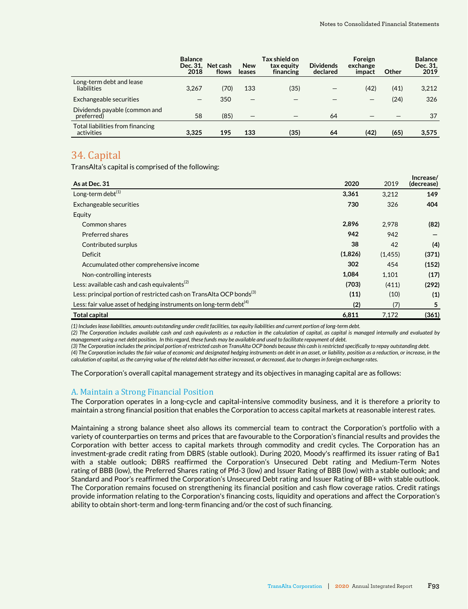|                                                | <b>Balance</b><br>Dec. 31.<br>2018 | Net cash<br>flows | <b>New</b><br>leases | Tax shield on<br>tax equity<br>financing | <b>Dividends</b><br>declared | Foreign<br>exchange<br>impact | Other | <b>Balance</b><br>Dec. 31,<br>2019 |
|------------------------------------------------|------------------------------------|-------------------|----------------------|------------------------------------------|------------------------------|-------------------------------|-------|------------------------------------|
| Long-term debt and lease<br>liabilities        | 3.267                              | (70)              | 133                  | (35)                                     |                              | (42)                          | (41)  | 3,212                              |
| Exchangeable securities                        |                                    | 350               |                      |                                          |                              |                               | (24)  | 326                                |
| Dividends payable (common and<br>preferred)    | 58                                 | (85)              |                      |                                          | 64                           |                               |       | 37                                 |
| Total liabilities from financing<br>activities | 3,325                              | 195               | 133                  | (35)                                     | 64                           | (42)                          | (65)  | 3,575                              |

# 34. Capital

TransAlta's capital is comprised of the following:

| As at Dec. 31                                                                    | 2020    | 2019    | Increase/<br>(decrease) |
|----------------------------------------------------------------------------------|---------|---------|-------------------------|
| Long-term debt <sup>(1)</sup>                                                    | 3,361   | 3.212   | 149                     |
| Exchangeable securities                                                          | 730     | 326     | 404                     |
| Equity                                                                           |         |         |                         |
| Common shares                                                                    | 2,896   | 2,978   | (82)                    |
| Preferred shares                                                                 | 942     | 942     |                         |
| Contributed surplus                                                              | 38      | 42      | (4)                     |
| <b>Deficit</b>                                                                   | (1,826) | (1,455) | (371)                   |
| Accumulated other comprehensive income                                           | 302     | 454     | (152)                   |
| Non-controlling interests                                                        | 1,084   | 1,101   | (17)                    |
| Less: available cash and cash equivalents $^{(2)}$                               | (703)   | (411)   | (292)                   |
| Less: principal portion of restricted cash on TransAlta OCP bonds <sup>(3)</sup> | (11)    | (10)    | (1)                     |
| Less: fair value asset of hedging instruments on long-term debt <sup>(4)</sup>   | (2)     | (7)     | 5                       |
| <b>Total capital</b>                                                             | 6,811   | 7,172   | (361)                   |

*(1) Includes lease liabilities, amounts outstanding under credit facilities, tax equity liabilities and current portion of long-term debt.*

*(2) The Corporation includes available cash and cash equivalents as a reduction in the calculation of capital, as capital is managed internally and evaluated by management using a net debt position. In this regard, these funds may be available and used to facilitate repayment of debt.*

*(3) The Corporation includes the principal portion of restricted cash on TransAlta OCP bonds because this cash is restricted specifically to repay outstanding debt.* 

*(4) The Corporation includes the fair value of economic and designated hedging instruments on debt in an asset, or liability, position as a reduction, or increase, in the calculation of capital, as the carrying value of the related debt has either increased, or decreased, due to changes in foreign exchange rates.*

The Corporation's overall capital management strategy and its objectives in managing capital are as follows:

## A. Maintain a Strong Financial Position

The Corporation operates in a long-cycle and capital-intensive commodity business, and it is therefore a priority to maintain a strong financial position that enables the Corporation to access capital markets at reasonable interest rates.

Maintaining a strong balance sheet also allows its commercial team to contract the Corporation's portfolio with a variety of counterparties on terms and prices that are favourable to the Corporation's financial results and provides the Corporation with better access to capital markets through commodity and credit cycles. The Corporation has an investment-grade credit rating from DBRS (stable outlook). During 2020, Moody's reaffirmed its issuer rating of Ba1 with a stable outlook; DBRS reaffirmed the Corporation's Unsecured Debt rating and Medium-Term Notes rating of BBB (low), the Preferred Shares rating of Pfd-3 (low) and Issuer Rating of BBB (low) with a stable outlook; and Standard and Poor's reaffirmed the Corporation's Unsecured Debt rating and Issuer Rating of BB+ with stable outlook. The Corporation remains focused on strengthening its financial position and cash flow coverage ratios. Credit ratings provide information relating to the Corporation's financing costs, liquidity and operations and affect the Corporation's ability to obtain short-term and long-term financing and/or the cost of such financing.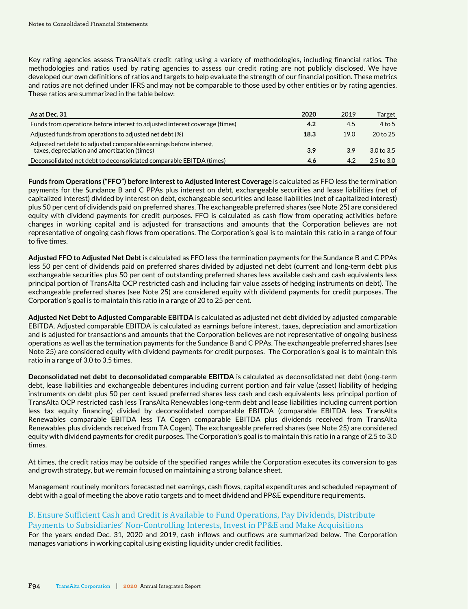Key rating agencies assess TransAlta's credit rating using a variety of methodologies, including financial ratios. The methodologies and ratios used by rating agencies to assess our credit rating are not publicly disclosed. We have developed our own definitions of ratios and targets to help evaluate the strength of our financial position. These metrics and ratios are not defined under IFRS and may not be comparable to those used by other entities or by rating agencies. These ratios are summarized in the table below:

| As at Dec. 31                                                                                                      | 2020 | 2019 | Target                |
|--------------------------------------------------------------------------------------------------------------------|------|------|-----------------------|
| Funds from operations before interest to adjusted interest coverage (times)                                        | 4.2  | 4.5  | $4$ to 5              |
| Adjusted funds from operations to adjusted net debt (%)                                                            | 18.3 | 19.0 | $20$ to $25$          |
| Adjusted net debt to adjusted comparable earnings before interest,<br>taxes, depreciation and amortization (times) | 3.9  | 3.9  | $3.0 \text{ to } 3.5$ |
| Deconsolidated net debt to deconsolidated comparable EBITDA (times)                                                | 4.6  | 4.2  | $2.5$ to $3.0$        |

**Funds from Operations ("FFO") before Interest to Adjusted Interest Coverage** is calculated as FFO less the termination payments for the Sundance B and C PPAs plus interest on debt, exchangeable securities and lease liabilities (net of capitalized interest) divided by interest on debt, exchangeable securities and lease liabilities (net of capitalized interest) plus 50 per cent of dividends paid on preferred shares. The exchangeable preferred shares (see Note 25) are considered equity with dividend payments for credit purposes. FFO is calculated as cash flow from operating activities before changes in working capital and is adjusted for transactions and amounts that the Corporation believes are not representative of ongoing cash flows from operations. The Corporation's goal is to maintain this ratio in a range of four to five times.

**Adjusted FFO to Adjusted Net Debt** is calculated as FFO less the termination payments for the Sundance B and C PPAs less 50 per cent of dividends paid on preferred shares divided by adjusted net debt (current and long-term debt plus exchangeable securities plus 50 per cent of outstanding preferred shares less available cash and cash equivalents less principal portion of TransAlta OCP restricted cash and including fair value assets of hedging instruments on debt). The exchangeable preferred shares (see Note 25) are considered equity with dividend payments for credit purposes. The Corporation's goal is to maintain this ratio in a range of 20 to 25 per cent.

**Adjusted Net Debt to Adjusted Comparable EBITDA** is calculated as adjusted net debt divided by adjusted comparable EBITDA. Adjusted comparable EBITDA is calculated as earnings before interest, taxes, depreciation and amortization and is adjusted for transactions and amounts that the Corporation believes are not representative of ongoing business operations as well as the termination payments for the Sundance B and C PPAs. The exchangeable preferred shares (see Note 25) are considered equity with dividend payments for credit purposes. The Corporation's goal is to maintain this ratio in a range of 3.0 to 3.5 times.

**Deconsolidated net debt to deconsolidated comparable EBITDA** is calculated as deconsolidated net debt (long-term debt, lease liabilities and exchangeable debentures including current portion and fair value (asset) liability of hedging instruments on debt plus 50 per cent issued preferred shares less cash and cash equivalents less principal portion of TransAlta OCP restricted cash less TransAlta Renewables long-term debt and lease liabilities including current portion less tax equity financing) divided by deconsolidated comparable EBITDA (comparable EBITDA less TransAlta Renewables comparable EBITDA less TA Cogen comparable EBITDA plus dividends received from TransAlta Renewables plus dividends received from TA Cogen). The exchangeable preferred shares (see Note 25) are considered equity with dividend payments for credit purposes. The Corporation's goal is to maintain this ratio in a range of 2.5 to 3.0 times.

At times, the credit ratios may be outside of the specified ranges while the Corporation executes its conversion to gas and growth strategy, but we remain focused on maintaining a strong balance sheet.

Management routinely monitors forecasted net earnings, cash flows, capital expenditures and scheduled repayment of debt with a goal of meeting the above ratio targets and to meet dividend and PP&E expenditure requirements.

# B. Ensure Sufficient Cash and Credit is Available to Fund Operations, Pay Dividends, Distribute Payments to Subsidiaries' Non-Controlling Interests, Invest in PP&E and Make Acquisitions

For the years ended Dec. 31, 2020 and 2019, cash inflows and outflows are summarized below. The Corporation manages variations in working capital using existing liquidity under credit facilities.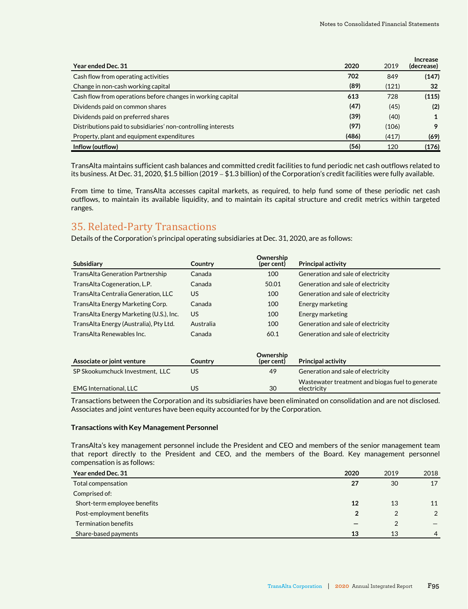| Year ended Dec. 31                                            | 2020  | 2019  | Increase<br>(decrease) |
|---------------------------------------------------------------|-------|-------|------------------------|
| Cash flow from operating activities                           | 702   | 849   | (147)                  |
| Change in non-cash working capital                            | (89)  | (121) | 32                     |
| Cash flow from operations before changes in working capital   | 613   | 728   | (115)                  |
| Dividends paid on common shares                               | (47)  | (45)  | (2)                    |
| Dividends paid on preferred shares                            | (39)  | (40)  | 1                      |
| Distributions paid to subsidiaries' non-controlling interests | (97)  | (106) | 9                      |
| Property, plant and equipment expenditures                    | (486) | (417) | (69)                   |
| Inflow (outflow)                                              | (56)  | 120   | (176)                  |

TransAlta maintains sufficient cash balances and committed credit facilities to fund periodic net cash outflows related to its business. At Dec. 31, 2020, \$1.5 billion (2019 *—* \$1.3 billion) of the Corporation's credit facilities were fully available.

From time to time, TransAlta accesses capital markets, as required, to help fund some of these periodic net cash outflows, to maintain its available liquidity, and to maintain its capital structure and credit metrics within targeted ranges.

# 35. Related-Party Transactions

Details of the Corporation's principal operating subsidiaries at Dec. 31, 2020, are as follows:

| <b>Subsidiary</b>                        | Country   | Ownership<br>(per cent) | <b>Principal activity</b>          |
|------------------------------------------|-----------|-------------------------|------------------------------------|
| <b>TransAlta Generation Partnership</b>  | Canada    | 100                     | Generation and sale of electricity |
| TransAlta Cogeneration, L.P.             | Canada    | 50.01                   | Generation and sale of electricity |
| TransAlta Centralia Generation, LLC      | US        | 100                     | Generation and sale of electricity |
| TransAlta Energy Marketing Corp.         | Canada    | 100                     | Energy marketing                   |
| Trans Alta Energy Marketing (U.S.), Inc. | US        | 100                     | Energy marketing                   |
| TransAlta Energy (Australia), Pty Ltd.   | Australia | 100                     | Generation and sale of electricity |
| TransAlta Renewables Inc.                | Canada    | 60.1                    | Generation and sale of electricity |
|                                          |           |                         |                                    |

| Associate or joint venture      | Countrv | Ownership<br>(per cent) | <b>Principal activity</b>                                       |
|---------------------------------|---------|-------------------------|-----------------------------------------------------------------|
| SP Skookumchuck Investment, LLC | US      | 49                      | Generation and sale of electricity                              |
| <b>EMG International, LLC</b>   | US      | 30                      | Wastewater treatment and biogas fuel to generate<br>electricity |

Transactions between the Corporation and its subsidiaries have been eliminated on consolidation and are not disclosed. Associates and joint ventures have been equity accounted for by the Corporation.

### **Transactions with Key Management Personnel**

TransAlta's key management personnel include the President and CEO and members of the senior management team that report directly to the President and CEO, and the members of the Board. Key management personnel compensation is as follows:

| Year ended Dec. 31           | 2020 | 2019 | 2018           |
|------------------------------|------|------|----------------|
| Total compensation           | 27   | 30   | 17             |
| Comprised of:                |      |      |                |
| Short-term employee benefits | 12   | 13   | 11             |
| Post-employment benefits     | 2    |      | 2              |
| <b>Termination benefits</b>  |      |      |                |
| Share-based payments         | 13   | 13   | $\overline{4}$ |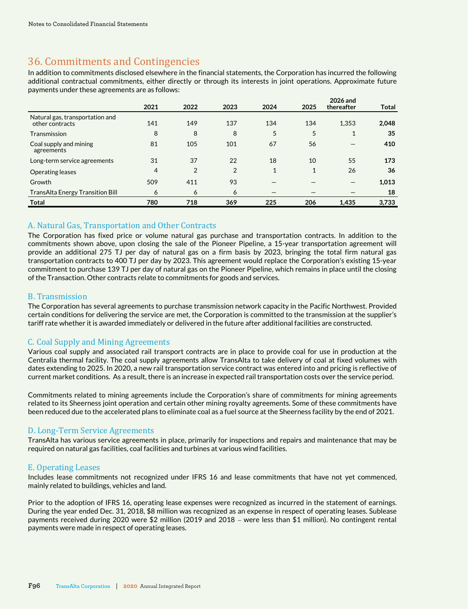# 36. Commitments and Contingencies

In addition to commitments disclosed elsewhere in the financial statements, the Corporation has incurred the following additional contractual commitments, either directly or through its interests in joint operations. Approximate future payments under these agreements are as follows:

|                                                    | 2021           | 2022 | 2023 | 2024         | 2025         | 2026 and<br>thereafter | <b>Total</b> |
|----------------------------------------------------|----------------|------|------|--------------|--------------|------------------------|--------------|
| Natural gas, transportation and<br>other contracts | 141            | 149  | 137  | 134          | 134          | 1,353                  | 2,048        |
| Transmission                                       | 8              | 8    | 8    | 5            | 5            | 1                      | 35           |
| Coal supply and mining<br>agreements               | 81             | 105  | 101  | 67           | 56           |                        | 410          |
| Long-term service agreements                       | 31             | 37   | 22   | 18           | 10           | 55                     | 173          |
| Operating leases                                   | $\overline{4}$ | 2    | 2    | $\mathbf{1}$ | $\mathbf{1}$ | 26                     | 36           |
| Growth                                             | 509            | 411  | 93   |              |              |                        | 1,013        |
| <b>TransAlta Energy Transition Bill</b>            | 6              | 6    | 6    |              |              |                        | 18           |
| <b>Total</b>                                       | 780            | 718  | 369  | 225          | 206          | 1.435                  | 3,733        |

## A. Natural Gas, Transportation and Other Contracts

The Corporation has fixed price or volume natural gas purchase and transportation contracts. In addition to the commitments shown above, upon closing the sale of the Pioneer Pipeline, a 15-year transportation agreement will provide an additional 275 TJ per day of natural gas on a firm basis by 2023, bringing the total firm natural gas transportation contracts to 400 TJ per day by 2023. This agreement would replace the Corporation's existing 15-year commitment to purchase 139 TJ per day of natural gas on the Pioneer Pipeline, which remains in place until the closing of the Transaction. Other contracts relate to commitments for goods and services.

## B. Transmission

The Corporation has several agreements to purchase transmission network capacity in the Pacific Northwest. Provided certain conditions for delivering the service are met, the Corporation is committed to the transmission at the supplier's tariff rate whether it is awarded immediately or delivered in the future after additional facilities are constructed.

# C. Coal Supply and Mining Agreements

Various coal supply and associated rail transport contracts are in place to provide coal for use in production at the Centralia thermal facility. The coal supply agreements allow TransAlta to take delivery of coal at fixed volumes with dates extending to 2025. In 2020, a new rail transportation service contract was entered into and pricing is reflective of current market conditions. As a result, there is an increase in expected rail transportation costs over the service period.

Commitments related to mining agreements include the Corporation's share of commitments for mining agreements related to its Sheerness joint operation and certain other mining royalty agreements. Some of these commitments have been reduced due to the accelerated plans to eliminate coal as a fuel source at the Sheerness facility by the end of 2021.

## D. Long-Term Service Agreements

TransAlta has various service agreements in place, primarily for inspections and repairs and maintenance that may be required on natural gas facilities, coal facilities and turbines at various wind facilities.

### E. Operating Leases

Includes lease commitments not recognized under IFRS 16 and lease commitments that have not yet commenced, mainly related to buildings, vehicles and land.

Prior to the adoption of IFRS 16, operating lease expenses were recognized as incurred in the statement of earnings. During the year ended Dec. 31, 2018, \$8 million was recognized as an expense in respect of operating leases. Sublease payments received during 2020 were \$2 million (2019 and 2018 *—* were less than \$1 million). No contingent rental payments were made in respect of operating leases.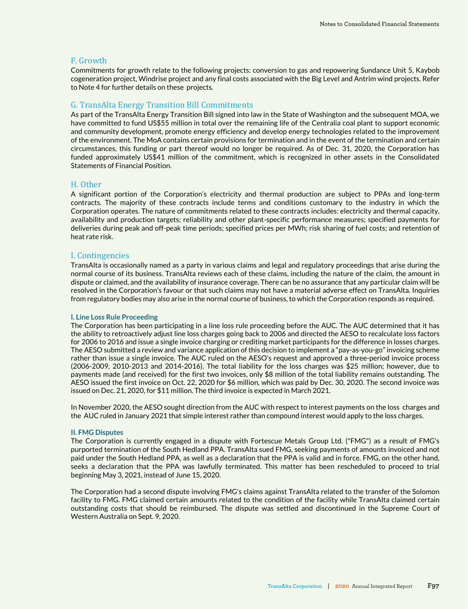### F. Growth

Commitments for growth relate to the following projects: conversion to gas and repowering Sundance Unit 5, Kaybob cogeneration project, Windrise project and any final costs associated with the Big Level and Antrim wind projects. Refer to Note 4 for further details on these projects.

## G. TransAlta Energy Transition Bill Commitments

As part of the TransAlta Energy Transition Bill signed into law in the State of Washington and the subsequent MOA, we have committed to fund US\$55 million in total over the remaining life of the Centralia coal plant to support economic and community development, promote energy efficiency and develop energy technologies related to the improvement of the environment. The MoA contains certain provisions for termination and in the event of the termination and certain circumstances, this funding or part thereof would no longer be required. As of Dec. 31, 2020, the Corporation has funded approximately US\$41 million of the commitment, which is recognized in other assets in the Consolidated Statements of Financial Position.

### H. Other

A significant portion of the Corporation's electricity and thermal production are subject to PPAs and long-term contracts. The majority of these contracts include terms and conditions customary to the industry in which the Corporation operates. The nature of commitments related to these contracts includes: electricity and thermal capacity, availability and production targets; reliability and other plant-specific performance measures; specified payments for deliveries during peak and off-peak time periods; specified prices per MWh; risk sharing of fuel costs; and retention of heat rate risk.

### I. Contingencies

TransAlta is occasionally named as a party in various claims and legal and regulatory proceedings that arise during the normal course of its business. TransAlta reviews each of these claims, including the nature of the claim, the amount in dispute or claimed, and the availability of insurance coverage. There can be no assurance that any particular claim will be resolved in the Corporation's favour or that such claims may not have a material adverse effect on TransAlta. Inquiries from regulatory bodies may also arise in the normal course of business, to which the Corporation responds as required.

### **I. Line Loss Rule Proceeding**

The Corporation has been participating in a line loss rule proceeding before the AUC. The AUC determined that it has the ability to retroactively adjust line loss charges going back to 2006 and directed the AESO to recalculate loss factors for 2006 to 2016 and issue a single invoice charging or crediting market participants for the difference in losses charges. The AESO submitted a review and variance application of this decision to implement a "pay-as-you-go" invoicing scheme rather than issue a single invoice. The AUC ruled on the AESO's request and approved a three-period invoice process (2006-2009, 2010-2013 and 2014-2016). The total liability for the loss charges was \$25 million; however, due to payments made (and received) for the first two invoices, only \$8 million of the total liability remains outstanding. The AESO issued the first invoice on Oct. 22, 2020 for \$6 million, which was paid by Dec. 30, 2020. The second invoice was issued on Dec. 21, 2020, for \$11 million. The third invoice is expected in March 2021.

In November 2020, the AESO sought direction from the AUC with respect to interest payments on the loss charges and the AUC ruled in January 2021 that simple interest rather than compound interest would apply to the loss charges.

### **II. FMG Disputes**

The Corporation is currently engaged in a dispute with Fortescue Metals Group Ltd. ("FMG") as a result of FMG's purported termination of the South Hedland PPA. TransAlta sued FMG, seeking payments of amounts invoiced and not paid under the South Hedland PPA, as well as a declaration that the PPA is valid and in force. FMG, on the other hand, seeks a declaration that the PPA was lawfully terminated. This matter has been rescheduled to proceed to trial beginning May 3, 2021, instead of June 15, 2020.

The Corporation had a second dispute involving FMG's claims against TransAlta related to the transfer of the Solomon facility to FMG. FMG claimed certain amounts related to the condition of the facility while TransAlta claimed certain outstanding costs that should be reimbursed. The dispute was settled and discontinued in the Supreme Court of Western Australia on Sept. 9, 2020.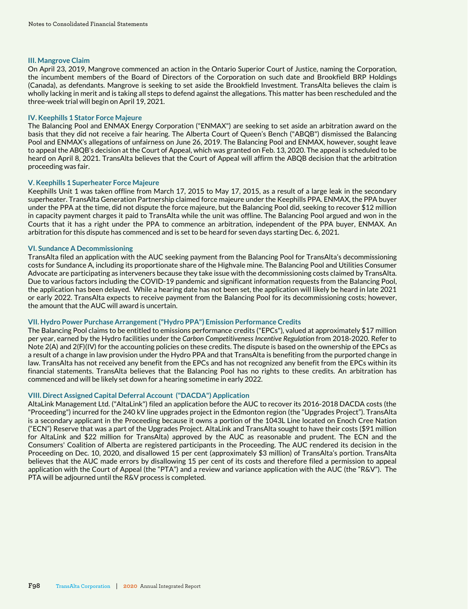#### **III. Mangrove Claim**

On April 23, 2019, Mangrove commenced an action in the Ontario Superior Court of Justice, naming the Corporation, the incumbent members of the Board of Directors of the Corporation on such date and Brookfield BRP Holdings (Canada), as defendants. Mangrove is seeking to set aside the Brookfield Investment. TransAlta believes the claim is wholly lacking in merit and is taking all steps to defend against the allegations. This matter has been rescheduled and the three-week trial will begin on April 19, 2021.

### **IV. Keephills 1 Stator Force Majeure**

The Balancing Pool and ENMAX Energy Corporation ("ENMAX") are seeking to set aside an arbitration award on the basis that they did not receive a fair hearing. The Alberta Court of Queen's Bench ("ABQB") dismissed the Balancing Pool and ENMAX's allegations of unfairness on June 26, 2019. The Balancing Pool and ENMAX, however, sought leave to appeal the ABQB's decision at the Court of Appeal, which was granted on Feb. 13, 2020. The appeal is scheduled to be heard on April 8, 2021. TransAlta believes that the Court of Appeal will affirm the ABQB decision that the arbitration proceeding was fair.

### **V. Keephills 1 Superheater Force Majeure**

Keephills Unit 1 was taken offline from March 17, 2015 to May 17, 2015, as a result of a large leak in the secondary superheater. TransAlta Generation Partnership claimed force majeure under the Keephills PPA. ENMAX, the PPA buyer under the PPA at the time, did not dispute the force majeure, but the Balancing Pool did, seeking to recover \$12 million in capacity payment charges it paid to TransAlta while the unit was offline. The Balancing Pool argued and won in the Courts that it has a right under the PPA to commence an arbitration, independent of the PPA buyer, ENMAX. An arbitration for this dispute has commenced and is set to be heard for seven days starting Dec. 6, 2021.

### **VI. Sundance A Decommissioning**

TransAlta filed an application with the AUC seeking payment from the Balancing Pool for TransAlta's decommissioning costs for Sundance A, including its proportionate share of the Highvale mine. The Balancing Pool and Utilities Consumer Advocate are participating as interveners because they take issue with the decommissioning costs claimed by TransAlta. Due to various factors including the COVID-19 pandemic and significant information requests from the Balancing Pool, the application has been delayed. While a hearing date has not been set, the application will likely be heard in late 2021 or early 2022. TransAlta expects to receive payment from the Balancing Pool for its decommissioning costs; however, the amount that the AUC will award is uncertain.

#### **VII. Hydro Power Purchase Arrangement ("Hydro PPA") Emission Performance Credits**

The Balancing Pool claims to be entitled to emissions performance credits ("EPCs"), valued at approximately \$17 million per year, earned by the Hydro facilities under the *Carbon Competitiveness Incentive Regulation* from 2018-2020. Refer to Note 2(A) and 2(F)(IV) for the accounting policies on these credits. The dispute is based on the ownership of the EPCs as a result of a change in law provision under the Hydro PPA and that TransAlta is benefiting from the purported change in law. TransAlta has not received any benefit from the EPCs and has not recognized any benefit from the EPCs within its financial statements. TransAlta believes that the Balancing Pool has no rights to these credits. An arbitration has commenced and will be likely set down for a hearing sometime in early 2022.

### **VIII. Direct Assigned Capital Deferral Account ("DACDA") Application**

AltaLink Management Ltd. ("AltaLink") filed an application before the AUC to recover its 2016-2018 DACDA costs (the "Proceeding") incurred for the 240 kV line upgrades project in the Edmonton region (the "Upgrades Project"). TransAlta is a secondary applicant in the Proceeding because it owns a portion of the 1043L Line located on Enoch Cree Nation ("ECN") Reserve that was a part of the Upgrades Project. AltaLink and TransAlta sought to have their costs (\$91 million for AltaLink and \$22 million for TransAlta) approved by the AUC as reasonable and prudent. The ECN and the Consumers' Coalition of Alberta are registered participants in the Proceeding. The AUC rendered its decision in the Proceeding on Dec. 10, 2020, and disallowed 15 per cent (approximately \$3 million) of TransAlta's portion. TransAlta believes that the AUC made errors by disallowing 15 per cent of its costs and therefore filed a permission to appeal application with the Court of Appeal (the "PTA") and a review and variance application with the AUC (the "R&V"). The PTA will be adjourned until the R&V process is completed.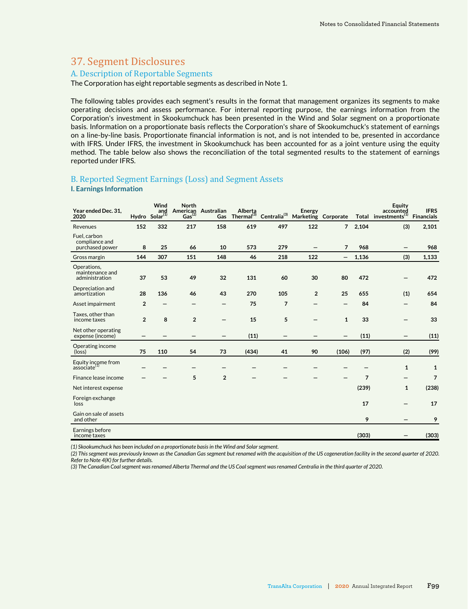# 37. Segment Disclosures

### A. Description of Reportable Segments

The Corporation has eight reportable segments as described in Note 1.

The following tables provides each segment's results in the format that management organizes its segments to make operating decisions and assess performance. For internal reporting purpose, the earnings information from the Corporation's investment in Skookumchuck has been presented in the Wind and Solar segment on a proportionate basis. Information on a proportionate basis reflects the Corporation's share of Skookumchuck's statement of earnings on a line-by-line basis. Proportionate financial information is not, and is not intended to be, presented in accordance with IFRS. Under IFRS, the investment in Skookumchuck has been accounted for as a joint venture using the equity method. The table below also shows the reconciliation of the total segmented results to the statement of earnings reported under IFRS.

### B. Reported Segment Earnings (Loss) and Segment Assets

| Year ended Dec. 31.<br>2020                       |                | Wind<br>and<br>Hydro Solar <sup>(1)</sup> | <b>North</b>   | American Australian<br>Gas <sup>(2)</sup> Gas<br>Gas | Alberta<br>Thermal <sup>(3)</sup> | Centralia <sup>(3)</sup> Marketing Corporate | <b>Energy</b>  |                |                | Equity<br>accounted<br>Total investments <sup>(1)</sup> | <b>IFRS</b><br><b>Financials</b> |
|---------------------------------------------------|----------------|-------------------------------------------|----------------|------------------------------------------------------|-----------------------------------|----------------------------------------------|----------------|----------------|----------------|---------------------------------------------------------|----------------------------------|
| Revenues                                          | 152            | 332                                       | 217            | 158                                                  | 619                               | 497                                          | 122            | $\overline{7}$ | 2,104          | (3)                                                     | 2,101                            |
| Fuel, carbon<br>compliance and<br>purchased power | 8              | 25                                        | 66             | 10                                                   | 573                               | 279                                          |                | $\overline{7}$ | 968            | —                                                       | 968                              |
| Gross margin                                      | 144            | 307                                       | 151            | 148                                                  | 46                                | 218                                          | 122            | —              | 1,136          | (3)                                                     | 1,133                            |
| Operations.<br>maintenance and<br>administration  | 37             | 53                                        | 49             | 32                                                   | 131                               | 60                                           | 30             | 80             | 472            | —                                                       | 472                              |
| Depreciation and<br>amortization                  | 28             | 136                                       | 46             | 43                                                   | 270                               | 105                                          | $\overline{2}$ | 25             | 655            | (1)                                                     | 654                              |
| Asset impairment                                  | $\overline{2}$ |                                           |                |                                                      | 75                                | $\overline{7}$                               |                |                | 84             |                                                         | 84                               |
| Taxes, other than<br>income taxes                 | $\overline{2}$ | 8                                         | $\overline{2}$ |                                                      | 15                                | 5                                            |                | $\mathbf{1}$   | 33             | —                                                       | 33                               |
| Net other operating<br>expense (income)           | -              |                                           |                |                                                      | (11)                              |                                              |                |                | (11)           |                                                         | (11)                             |
| Operating income<br>(loss)                        | 75             | 110                                       | 54             | 73                                                   | (434)                             | 41                                           | 90             | (106)          | (97)           | (2)                                                     | (99)                             |
| Equity income from<br>associate <sup>(1)</sup>    |                |                                           |                |                                                      |                                   |                                              |                |                |                | $\mathbf{1}$                                            | $\mathbf{1}$                     |
| Finance lease income                              |                |                                           | 5              | $\overline{2}$                                       |                                   |                                              |                |                | $\overline{7}$ | -                                                       | $\overline{7}$                   |
| Net interest expense                              |                |                                           |                |                                                      |                                   |                                              |                |                | (239)          | $\mathbf{1}$                                            | (238)                            |
| Foreign exchange<br>loss                          |                |                                           |                |                                                      |                                   |                                              |                |                | 17             | —                                                       | 17                               |
| Gain on sale of assets<br>and other               |                |                                           |                |                                                      |                                   |                                              |                |                | 9              |                                                         | 9                                |
| Earnings before<br>income taxes                   |                |                                           |                |                                                      |                                   |                                              |                |                | (303)          |                                                         | (303)                            |

#### **I. Earnings Information**

*(1) Skookumchuck has been included on a proportionate basis in the Wind and Solar segment.* 

*(2) This segment was previously known as the Canadian Gas segment but renamed with the acquisition of the US cogeneration facility in the second quarter of 2020. Refer to Note 4(K) for further details.* 

*(3) The Canadian Coal segment was renamed Alberta Thermal and the US Coal segment was renamed Centralia in the third quarter of 2020.*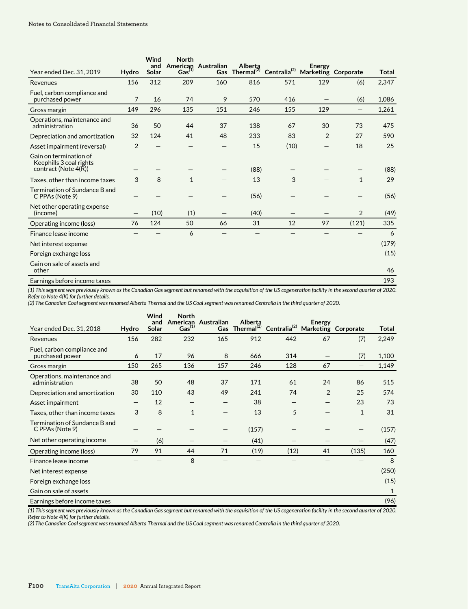|                                                                           |                | Wind<br>and | <b>North</b><br>American | Australian | Alberta          |                          | <b>Energy</b>  |                            |              |
|---------------------------------------------------------------------------|----------------|-------------|--------------------------|------------|------------------|--------------------------|----------------|----------------------------|--------------|
| Year ended Dec. 31, 2019                                                  | Hydro          | Solar       | Gas <sup>(1)</sup>       | Gas        | Thermal $^{(2)}$ | Centralia <sup>(2)</sup> |                | <b>Marketing Corporate</b> | <b>Total</b> |
| Revenues                                                                  | 156            | 312         | 209                      | 160        | 816              | 571                      | 129            | (6)                        | 2,347        |
| Fuel, carbon compliance and<br>purchased power                            | $\overline{7}$ | 16          | 74                       | 9          | 570              | 416                      |                | (6)                        | 1,086        |
| Gross margin                                                              | 149            | 296         | 135                      | 151        | 246              | 155                      | 129            | $\overline{\phantom{m}}$   | 1.261        |
| Operations, maintenance and<br>administration                             | 36             | 50          | 44                       | 37         | 138              | 67                       | 30             | 73                         | 475          |
| Depreciation and amortization                                             | 32             | 124         | 41                       | 48         | 233              | 83                       | $\overline{2}$ | 27                         | 590          |
| Asset impairment (reversal)                                               | $\overline{2}$ |             |                          |            | 15               | (10)                     |                | 18                         | 25           |
| Gain on termination of<br>Keephills 3 coal rights<br>contract (Note 4(R)) |                |             |                          |            | (88)             |                          |                |                            | (88)         |
| Taxes, other than income taxes                                            | 3              | 8           | $\mathbf{1}$             |            | 13               | 3                        |                | $\mathbf{1}$               | 29           |
| Termination of Sundance B and<br>C PPAs (Note 9)                          |                |             |                          |            | (56)             |                          |                |                            | (56)         |
| Net other operating expense<br>(income)                                   |                | (10)        | (1)                      |            | (40)             |                          |                | $\overline{2}$             | (49)         |
| Operating income (loss)                                                   | 76             | 124         | 50                       | 66         | 31               | 12                       | 97             | (121)                      | 335          |
| Finance lease income                                                      |                |             | 6                        |            |                  |                          |                |                            | 6            |
| Net interest expense                                                      |                |             |                          |            |                  |                          |                |                            | (179)        |
| Foreign exchange loss                                                     |                |             |                          |            |                  |                          |                |                            | (15)         |
| Gain on sale of assets and<br>other                                       |                |             |                          |            |                  |                          |                |                            | 46           |
| Earnings before income taxes                                              |                |             |                          |            |                  |                          |                |                            | 193          |

*(1) This segment was previously known as the Canadian Gas segment but renamed with the acquisition of the US cogeneration facility in the second quarter of 2020. Refer to Note 4(K) for further details.* 

*(2) The Canadian Coal segment was renamed Alberta Thermal and the US Coal segment was renamed Centralia in the third quarter of 2020.*

|                                                  |       | Wind<br>and | <b>North</b><br>American | Australian | Alberta                |                          | <b>Energy</b>  |                          |       |
|--------------------------------------------------|-------|-------------|--------------------------|------------|------------------------|--------------------------|----------------|--------------------------|-------|
| Year ended Dec. 31, 2018                         | Hydro | Solar       | Gas'                     | Gas        | Thermal <sup>\21</sup> | Centralia <sup>(2)</sup> |                | Marketing Corporate      | Total |
| Revenues                                         | 156   | 282         | 232                      | 165        | 912                    | 442                      | 67             | (7)                      | 2,249 |
| Fuel, carbon compliance and<br>purchased power   | 6     | 17          | 96                       | 8          | 666                    | 314                      |                | (7)                      | 1,100 |
| Gross margin                                     | 150   | 265         | 136                      | 157        | 246                    | 128                      | 67             | $\overline{\phantom{m}}$ | 1,149 |
| Operations, maintenance and<br>administration    | 38    | 50          | 48                       | 37         | 171                    | 61                       | 24             | 86                       | 515   |
| Depreciation and amortization                    | 30    | 110         | 43                       | 49         | 241                    | 74                       | $\overline{2}$ | 25                       | 574   |
| Asset impairment                                 | —     | 12          | —                        |            | 38                     |                          |                | 23                       | 73    |
| Taxes, other than income taxes                   | 3     | 8           | $\mathbf{1}$             |            | 13                     | 5                        |                | $\mathbf{1}$             | 31    |
| Termination of Sundance B and<br>C PPAs (Note 9) |       |             |                          |            | (157)                  |                          |                |                          | (157) |
| Net other operating income                       |       | (6)         |                          |            | (41)                   |                          |                |                          | (47)  |
| Operating income (loss)                          | 79    | 91          | 44                       | 71         | (19)                   | (12)                     | 41             | (135)                    | 160   |
| Finance lease income                             |       |             | 8                        |            |                        |                          |                |                          | 8     |
| Net interest expense                             |       |             |                          |            |                        |                          |                |                          | (250) |
| Foreign exchange loss                            |       |             |                          |            |                        |                          |                |                          | (15)  |
| Gain on sale of assets                           |       |             |                          |            |                        |                          |                |                          | 1     |
| Earnings before income taxes                     |       |             |                          |            |                        |                          |                |                          | (96)  |

*(1) This segment was previously known as the Canadian Gas segment but renamed with the acquisition of the US cogeneration facility in the second quarter of 2020. Refer to Note 4(K) for further details.*

*(2) The Canadian Coal segment was renamed Alberta Thermal and the US Coal segment was renamed Centralia in the third quarter of 2020.*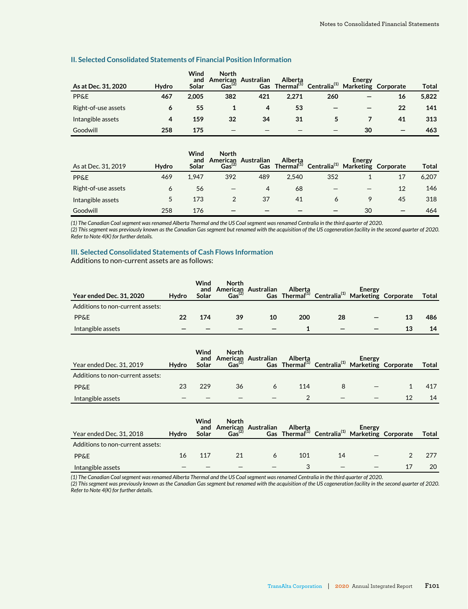| As at Dec. 31, 2020 | Hydro | Wind<br>and<br>Solar | <b>North</b><br>$Gas^{(2)}$ | American Australian | Alberta | Gas Thermal <sup>(1)</sup> Centralia <sup>(1)</sup> Marketing Corporate | Energy |    | <b>Total</b> |
|---------------------|-------|----------------------|-----------------------------|---------------------|---------|-------------------------------------------------------------------------|--------|----|--------------|
| <b>PP&amp;E</b>     | 467   | 2.005                | 382                         | 421                 | 2.271   | 260                                                                     | -      | 16 | 5,822        |
| Right-of-use assets | 6     | 55                   |                             | 4                   | 53      |                                                                         | -      | 22 | 141          |
| Intangible assets   | 4     | 159                  | 32                          | 34                  | 31      |                                                                         |        | 41 | 313          |
| Goodwill            | 258   | 175                  |                             |                     |         |                                                                         | 30     |    | 463          |

### **II. Selected Consolidated Statements of Financial Position Information**

| As at Dec. 31, 2019 | Hydro | Wind<br>and<br>Solar | <b>North</b><br>American<br>$Gas^{(2)}$ | Australian | Alberta | Gas Thermal <sup>(1)</sup> Centralia <sup>(1)</sup> Marketing Corporate | <b>Energy</b> |    | <b>Total</b> |
|---------------------|-------|----------------------|-----------------------------------------|------------|---------|-------------------------------------------------------------------------|---------------|----|--------------|
| <b>PP&amp;E</b>     | 469   | 1.947                | 392                                     | 489        | 2.540   | 352                                                                     |               |    | 6,207        |
| Right-of-use assets | 6     | 56                   |                                         | 4          | 68      |                                                                         | —             | 12 | 146          |
| Intangible assets   |       | 173                  |                                         | 37         | 41      | 6                                                                       |               | 45 | 318          |
| Goodwill            | 258   | 176                  |                                         |            | –       |                                                                         | 30            |    | 464          |

*(1) The Canadian Coal segment was renamed Alberta Thermal and the US Coal segment was renamed Centralia in the third quarter of 2020.*

*(2) This segment was previously known as the Canadian Gas segment but renamed with the acquisition of the US cogeneration facility in the second quarter of 2020. Refer to Note 4(K) for further details.* 

### **III. Selected Consolidated Statements of Cash Flows Information** Additions to non-current assets are as follows:

| <b>Year ended Dec. 31, 2020</b>  | <b>Hydro</b> | Wind<br>and<br>Solar | <b>North</b><br>American<br>$Gas^{(2)}$ | Australian | <b>Alberta</b> |    |    | Total |
|----------------------------------|--------------|----------------------|-----------------------------------------|------------|----------------|----|----|-------|
| Additions to non-current assets: |              |                      |                                         |            |                |    |    |       |
| <b>PP&amp;E</b>                  | 22           | 174                  | 39                                      | 10         | 200            | 28 | 13 | 486   |
| Intangible assets                |              |                      |                                         |            |                |    | 13 | 14    |

| Year ended Dec. 31, 2019         | <b>Hydro</b> | Wind<br>and<br>Solar | <b>North</b><br>Gas <sup>(2)</sup> | American Australian | Alberta | Gas Thermal <sup>(1)</sup> Centralia <sup>(1)</sup> Marketing Corporate | <b>Energy</b> |    | Total |
|----------------------------------|--------------|----------------------|------------------------------------|---------------------|---------|-------------------------------------------------------------------------|---------------|----|-------|
| Additions to non-current assets: |              |                      |                                    |                     |         |                                                                         |               |    |       |
| <b>PP&amp;E</b>                  | 23           | 229                  | 36                                 |                     | 114     |                                                                         |               |    | 417   |
| Intangible assets                |              |                      |                                    |                     |         |                                                                         |               | 12 |       |

| Year ended Dec. 31, 2018         | <b>Hydro</b> | Wind<br>and<br>Solar | <b>North</b><br>Gas <sup>(2)</sup> | American Australian | <b>Alberta</b> | alian Alberta   Energy<br>Gas Thermal <sup>(1)</sup> Centralia <sup>(1)</sup> Marketing Corporate Total |  |    |
|----------------------------------|--------------|----------------------|------------------------------------|---------------------|----------------|---------------------------------------------------------------------------------------------------------|--|----|
| Additions to non-current assets: |              |                      |                                    |                     |                |                                                                                                         |  |    |
| <b>PP&amp;E</b>                  | 16           | 117                  | 21                                 |                     | 101            | 14                                                                                                      |  |    |
| Intangible assets                |              |                      |                                    |                     |                |                                                                                                         |  | 20 |

*(1) The Canadian Coal segment was renamed Alberta Thermal and the US Coal segment was renamed Centralia in the third quarter of 2020.*

*(2) This segment was previously known as the Canadian Gas segment but renamed with the acquisition of the US cogeneration facility in the second quarter of 2020. Refer to Note 4(K) for further details.*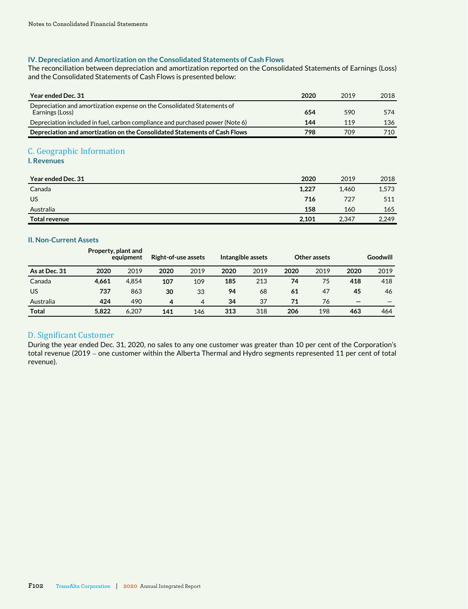### **IV. Depreciation and Amortization on the Consolidated Statements of Cash Flows**

The reconciliation between depreciation and amortization reported on the Consolidated Statements of Earnings (Loss) and the Consolidated Statements of Cash Flows is presented below:

| Year ended Dec. 31                                                                         | 2020 | 2019 | 2018 |
|--------------------------------------------------------------------------------------------|------|------|------|
| Depreciation and amortization expense on the Consolidated Statements of<br>Earnings (Loss) | 654  | 590  | 574  |
| Depreciation included in fuel, carbon compliance and purchased power (Note 6)              | 144  | 119  | 136  |
| Depreciation and amortization on the Consolidated Statements of Cash Flows                 | 798  | 709  | 710  |

# C. Geographic Information

**I. Revenues**

| Year ended Dec. 31 | 2020  | 2019  | 2018  |
|--------------------|-------|-------|-------|
| Canada             | 1,227 | 1,460 | 1,573 |
| US                 | 716   | 727   | 511   |
| Australia          | 158   | 160   | 165   |
| Total revenue      | 2.101 | 2,347 | 2,249 |

## **II. Non-Current Assets**

|               | Property, plant and<br>equipment |       | Right-of-use assets |      | Intangible assets |      | Other assets |      | Goodwill |      |
|---------------|----------------------------------|-------|---------------------|------|-------------------|------|--------------|------|----------|------|
| As at Dec. 31 | 2020                             | 2019  | 2020                | 2019 | 2020              | 2019 | 2020         | 2019 | 2020     | 2019 |
| Canada        | 4.661                            | 4.854 | 107                 | 109  | 185               | 213  | 74           | 75   | 418      | 418  |
| <b>US</b>     | 737                              | 863   | 30                  | 33   | 94                | 68   | 61           | 47   | 45       | 46   |
| Australia     | 424                              | 490   | 4                   | 4    | 34                | 37   | 71           | 76   |          |      |
| <b>Total</b>  | 5.822                            | 6.207 | 141                 | 146  | 313               | 318  | 206          | 198  | 463      | 464  |

## D. Significant Customer

During the year ended Dec. 31, 2020, no sales to any one customer was greater than 10 per cent of the Corporation's total revenue (2019 *—* one customer within the Alberta Thermal and Hydro segments represented 11 per cent of total revenue).